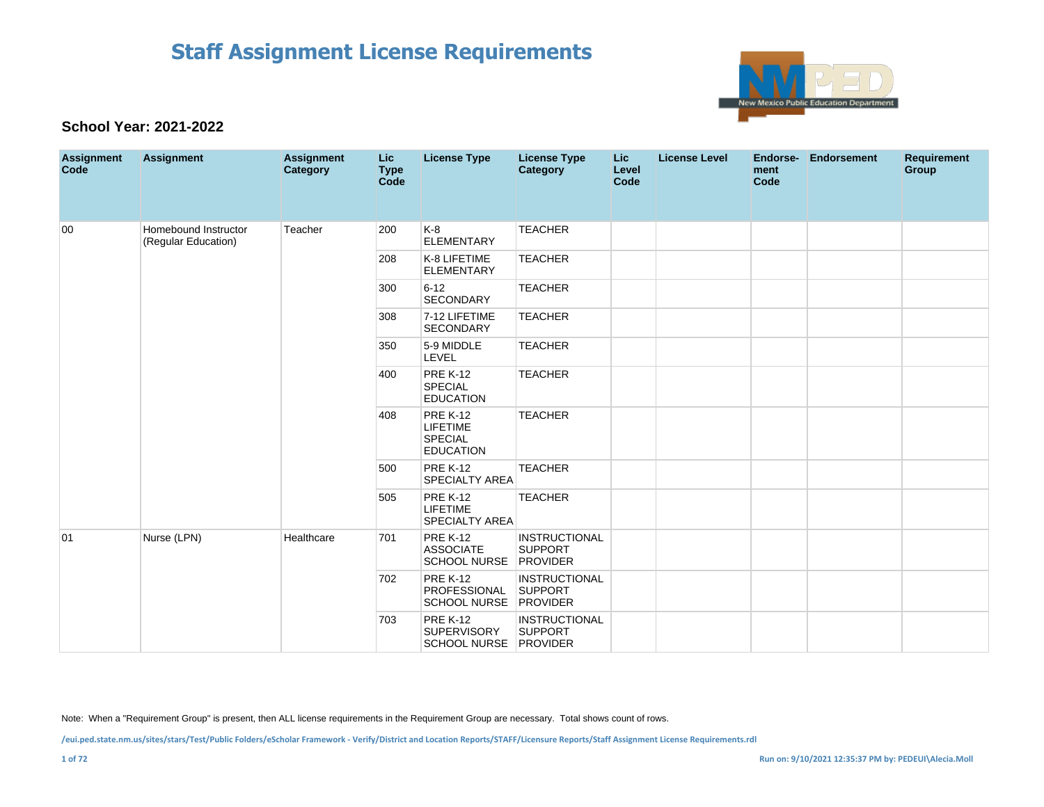

### **School Year: 2021-2022**

| <b>Assignment</b><br>Code | <b>Assignment</b>                           | <b>Assignment</b><br><b>Category</b> | Lic.<br><b>Type</b><br><b>Code</b> | <b>License Type</b>                                               | <b>License Type</b><br><b>Category</b> | <b>Lic</b><br>Level<br>Code | <b>License Level</b> | Endorse-<br>ment<br>Code | <b>Endorsement</b> | <b>Requirement</b><br><b>Group</b> |
|---------------------------|---------------------------------------------|--------------------------------------|------------------------------------|-------------------------------------------------------------------|----------------------------------------|-----------------------------|----------------------|--------------------------|--------------------|------------------------------------|
| 00                        | Homebound Instructor<br>(Regular Education) | Teacher                              | 200                                | K-8<br><b>ELEMENTARY</b>                                          | <b>TEACHER</b>                         |                             |                      |                          |                    |                                    |
|                           |                                             |                                      | 208                                | K-8 LIFETIME<br><b>ELEMENTARY</b>                                 | <b>TEACHER</b>                         |                             |                      |                          |                    |                                    |
|                           |                                             |                                      | 300                                | $6 - 12$<br><b>SECONDARY</b>                                      | <b>TEACHER</b>                         |                             |                      |                          |                    |                                    |
|                           |                                             |                                      | 308                                | 7-12 LIFETIME<br><b>SECONDARY</b>                                 | <b>TEACHER</b>                         |                             |                      |                          |                    |                                    |
|                           |                                             |                                      | 350                                | 5-9 MIDDLE<br>LEVEL                                               | <b>TEACHER</b>                         |                             |                      |                          |                    |                                    |
|                           |                                             |                                      | 400                                | <b>PRE K-12</b><br><b>SPECIAL</b><br><b>EDUCATION</b>             | <b>TEACHER</b>                         |                             |                      |                          |                    |                                    |
|                           |                                             |                                      | 408                                | <b>PRE K-12</b><br><b>LIFETIME</b><br>SPECIAL<br><b>EDUCATION</b> | <b>TEACHER</b>                         |                             |                      |                          |                    |                                    |
|                           |                                             |                                      | 500                                | <b>PRE K-12</b><br><b>SPECIALTY AREA</b>                          | <b>TEACHER</b>                         |                             |                      |                          |                    |                                    |
|                           |                                             |                                      | 505                                | <b>PRE K-12</b><br><b>LIFETIME</b><br><b>SPECIALTY AREA</b>       | <b>TEACHER</b>                         |                             |                      |                          |                    |                                    |
| 01                        | Nurse (LPN)                                 | Healthcare                           | 701                                | <b>PRE K-12</b><br><b>ASSOCIATE</b><br>SCHOOL NURSE PROVIDER      | <b>INSTRUCTIONAL</b><br><b>SUPPORT</b> |                             |                      |                          |                    |                                    |
|                           |                                             |                                      | 702                                | <b>PRE K-12</b><br>PROFESSIONAL<br>SCHOOL NURSE PROVIDER          | <b>INSTRUCTIONAL</b><br>SUPPORT        |                             |                      |                          |                    |                                    |
|                           |                                             |                                      | 703                                | <b>PRE K-12</b><br><b>SUPERVISORY</b><br>SCHOOL NURSE PROVIDER    | <b>INSTRUCTIONAL</b><br><b>SUPPORT</b> |                             |                      |                          |                    |                                    |

Note: When a "Requirement Group" is present, then ALL license requirements in the Requirement Group are necessary. Total shows count of rows.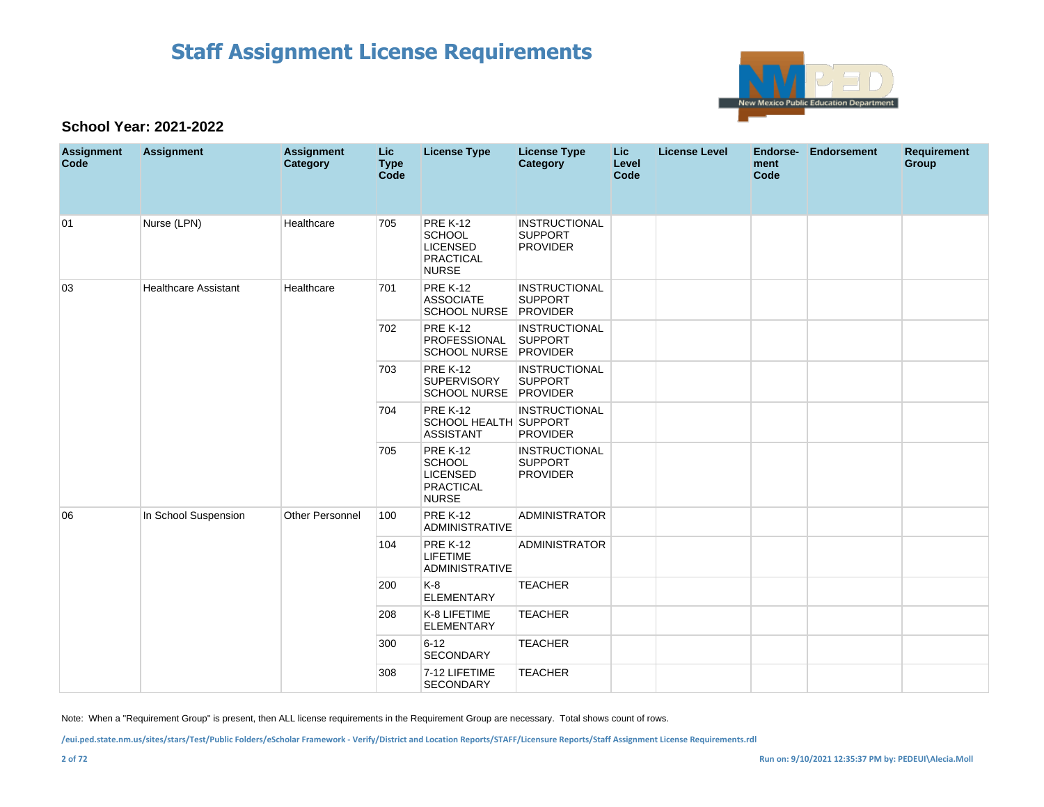

### **School Year: 2021-2022**

| <b>Assignment</b><br>Code | <b>Assignment</b>           | <b>Assignment</b><br>Category | Lic.<br><b>Type</b><br>Code | <b>License Type</b>                                                                     | <b>License Type</b><br>Category                           | <b>Lic</b><br>Level<br>Code | <b>License Level</b> | Endorse-<br>ment<br><b>Code</b> | <b>Endorsement</b> | <b>Requirement</b><br>Group |
|---------------------------|-----------------------------|-------------------------------|-----------------------------|-----------------------------------------------------------------------------------------|-----------------------------------------------------------|-----------------------------|----------------------|---------------------------------|--------------------|-----------------------------|
| 01                        | Nurse (LPN)                 | Healthcare                    | 705                         | <b>PRE K-12</b><br><b>SCHOOL</b><br><b>LICENSED</b><br><b>PRACTICAL</b><br><b>NURSE</b> | <b>INSTRUCTIONAL</b><br><b>SUPPORT</b><br><b>PROVIDER</b> |                             |                      |                                 |                    |                             |
| 03                        | <b>Healthcare Assistant</b> | Healthcare                    | 701                         | <b>PRE K-12</b><br><b>ASSOCIATE</b><br>SCHOOL NURSE PROVIDER                            | <b>INSTRUCTIONAL</b><br><b>SUPPORT</b>                    |                             |                      |                                 |                    |                             |
|                           |                             |                               | 702                         | <b>PRE K-12</b><br>PROFESSIONAL<br>SCHOOL NURSE PROVIDER                                | <b>INSTRUCTIONAL</b><br><b>SUPPORT</b>                    |                             |                      |                                 |                    |                             |
|                           |                             |                               | 703                         | <b>PRE K-12</b><br>SUPERVISORY<br>SCHOOL NURSE PROVIDER                                 | <b>INSTRUCTIONAL</b><br><b>SUPPORT</b>                    |                             |                      |                                 |                    |                             |
|                           |                             |                               | 704                         | <b>PRE K-12</b><br>SCHOOL HEALTH SUPPORT<br><b>ASSISTANT</b>                            | <b>INSTRUCTIONAL</b><br><b>PROVIDER</b>                   |                             |                      |                                 |                    |                             |
|                           |                             |                               | 705                         | <b>PRE K-12</b><br><b>SCHOOL</b><br><b>LICENSED</b><br><b>PRACTICAL</b><br><b>NURSE</b> | <b>INSTRUCTIONAL</b><br><b>SUPPORT</b><br><b>PROVIDER</b> |                             |                      |                                 |                    |                             |
| 06                        | In School Suspension        | Other Personnel               | 100                         | <b>PRE K-12</b><br><b>ADMINISTRATIVE</b>                                                | <b>ADMINISTRATOR</b>                                      |                             |                      |                                 |                    |                             |
|                           |                             |                               | 104                         | <b>PRE K-12</b><br><b>LIFETIME</b><br><b>ADMINISTRATIVE</b>                             | <b>ADMINISTRATOR</b>                                      |                             |                      |                                 |                    |                             |
|                           |                             |                               | 200                         | K-8<br><b>ELEMENTARY</b>                                                                | <b>TEACHER</b>                                            |                             |                      |                                 |                    |                             |
|                           |                             |                               | 208                         | K-8 LIFETIME<br><b>ELEMENTARY</b>                                                       | <b>TEACHER</b>                                            |                             |                      |                                 |                    |                             |
|                           |                             |                               | 300                         | $6 - 12$<br>SECONDARY                                                                   | <b>TEACHER</b>                                            |                             |                      |                                 |                    |                             |
|                           |                             |                               | 308                         | 7-12 LIFETIME<br><b>SECONDARY</b>                                                       | <b>TEACHER</b>                                            |                             |                      |                                 |                    |                             |

Note: When a "Requirement Group" is present, then ALL license requirements in the Requirement Group are necessary. Total shows count of rows.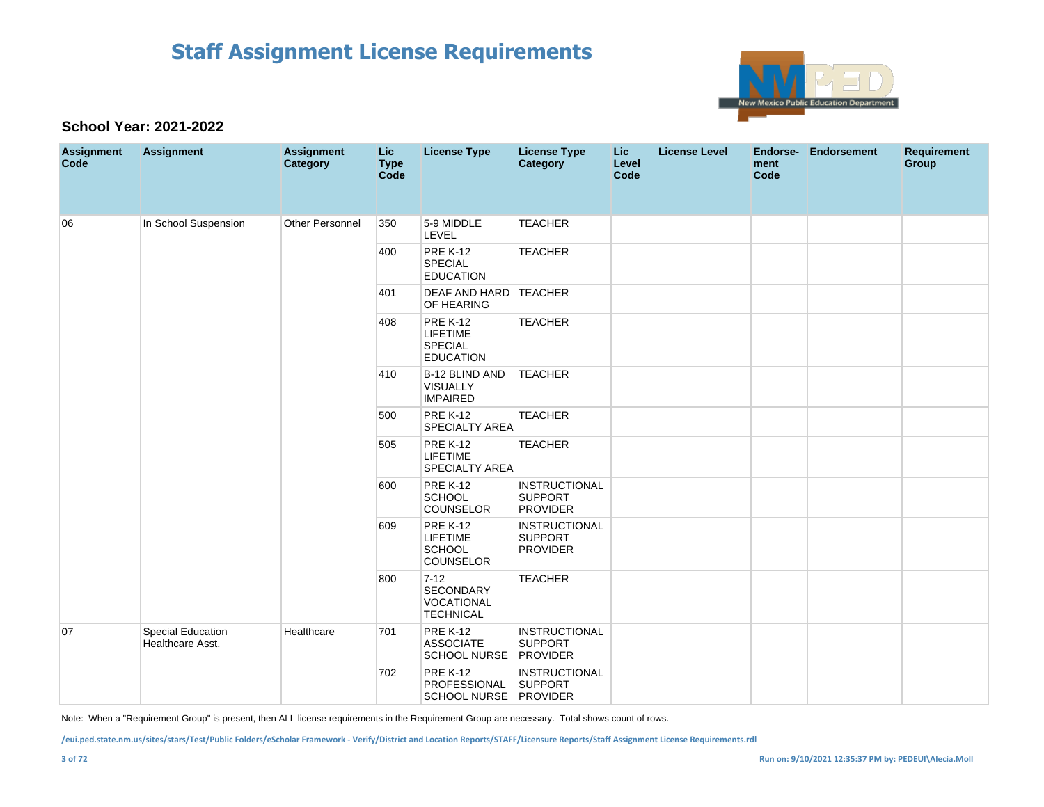

#### **School Year: 2021-2022**

| <b>Assignment</b><br>Code | <b>Assignment</b>                     | <b>Assignment</b><br>Category | Lic<br><b>Type</b><br>Code | <b>License Type</b>                                                      | <b>License Type</b><br><b>Category</b>                    | <b>Lic</b><br>Level<br>Code | <b>License Level</b> | Endorse-<br>ment<br>Code | <b>Endorsement</b> | <b>Requirement</b><br><b>Group</b> |
|---------------------------|---------------------------------------|-------------------------------|----------------------------|--------------------------------------------------------------------------|-----------------------------------------------------------|-----------------------------|----------------------|--------------------------|--------------------|------------------------------------|
| 06                        | In School Suspension                  | Other Personnel               | 350                        | 5-9 MIDDLE<br><b>LEVEL</b>                                               | <b>TEACHER</b>                                            |                             |                      |                          |                    |                                    |
|                           |                                       |                               | 400                        | <b>PRE K-12</b><br><b>SPECIAL</b><br><b>EDUCATION</b>                    | <b>TEACHER</b>                                            |                             |                      |                          |                    |                                    |
|                           |                                       |                               | 401                        | DEAF AND HARD TEACHER<br>OF HEARING                                      |                                                           |                             |                      |                          |                    |                                    |
|                           |                                       |                               | 408                        | <b>PRE K-12</b><br><b>LIFETIME</b><br><b>SPECIAL</b><br><b>EDUCATION</b> | <b>TEACHER</b>                                            |                             |                      |                          |                    |                                    |
|                           |                                       |                               | 410                        | B-12 BLIND AND<br>VISUALLY<br><b>IMPAIRED</b>                            | <b>TEACHER</b>                                            |                             |                      |                          |                    |                                    |
|                           |                                       |                               | 500                        | <b>PRE K-12</b><br><b>SPECIALTY AREA</b>                                 | <b>TEACHER</b>                                            |                             |                      |                          |                    |                                    |
|                           |                                       |                               | 505                        | <b>PRE K-12</b><br><b>LIFETIME</b><br><b>SPECIALTY AREA</b>              | <b>TEACHER</b>                                            |                             |                      |                          |                    |                                    |
|                           |                                       |                               | 600                        | <b>PRE K-12</b><br><b>SCHOOL</b><br>COUNSELOR                            | <b>INSTRUCTIONAL</b><br><b>SUPPORT</b><br><b>PROVIDER</b> |                             |                      |                          |                    |                                    |
|                           |                                       |                               | 609                        | <b>PRE K-12</b><br><b>LIFETIME</b><br><b>SCHOOL</b><br><b>COUNSELOR</b>  | <b>INSTRUCTIONAL</b><br><b>SUPPORT</b><br><b>PROVIDER</b> |                             |                      |                          |                    |                                    |
|                           |                                       |                               | 800                        | $7 - 12$<br>SECONDARY<br>VOCATIONAL<br><b>TECHNICAL</b>                  | <b>TEACHER</b>                                            |                             |                      |                          |                    |                                    |
| 07                        | Special Education<br>Healthcare Asst. | Healthcare                    | 701                        | <b>PRE K-12</b><br><b>ASSOCIATE</b><br>SCHOOL NURSE PROVIDER             | <b>INSTRUCTIONAL</b><br><b>SUPPORT</b>                    |                             |                      |                          |                    |                                    |
|                           |                                       |                               | 702                        | <b>PRE K-12</b><br>PROFESSIONAL<br>SCHOOL NURSE PROVIDER                 | <b>INSTRUCTIONAL</b><br><b>SUPPORT</b>                    |                             |                      |                          |                    |                                    |

Note: When a "Requirement Group" is present, then ALL license requirements in the Requirement Group are necessary. Total shows count of rows.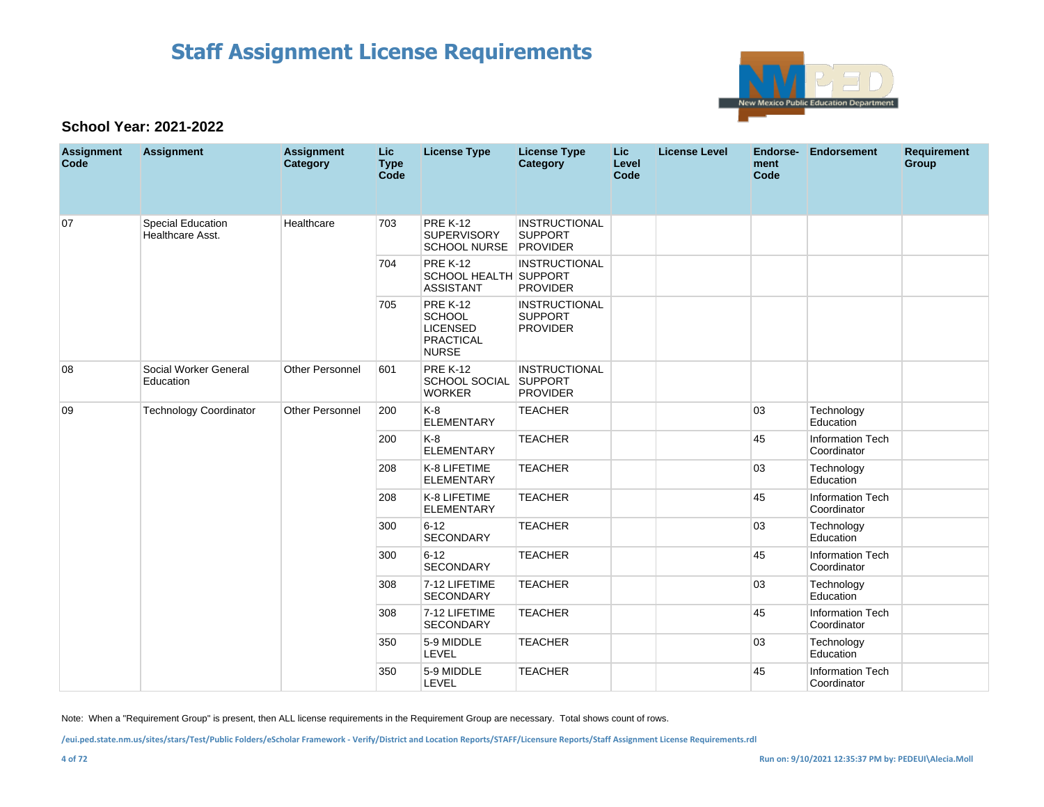

### **School Year: 2021-2022**

| <b>Assignment</b><br>Code | <b>Assignment</b>                     | <b>Assignment</b><br>Category | Lic.<br><b>Type</b><br>Code | <b>License Type</b>                                                                     | <b>License Type</b><br>Category                           | Lic.<br>Level<br>Code | <b>License Level</b> | Endorse-<br>ment<br>Code | <b>Endorsement</b>                     | <b>Requirement</b><br>Group |
|---------------------------|---------------------------------------|-------------------------------|-----------------------------|-----------------------------------------------------------------------------------------|-----------------------------------------------------------|-----------------------|----------------------|--------------------------|----------------------------------------|-----------------------------|
| 07                        | Special Education<br>Healthcare Asst. | Healthcare                    | 703                         | <b>PRE K-12</b><br><b>SUPERVISORY</b><br>SCHOOL NURSE PROVIDER                          | <b>INSTRUCTIONAL</b><br><b>SUPPORT</b>                    |                       |                      |                          |                                        |                             |
|                           |                                       |                               | 704                         | <b>PRE K-12</b><br><b>SCHOOL HEALTH SUPPORT</b><br><b>ASSISTANT</b>                     | <b>INSTRUCTIONAL</b><br><b>PROVIDER</b>                   |                       |                      |                          |                                        |                             |
|                           |                                       |                               | 705                         | <b>PRE K-12</b><br><b>SCHOOL</b><br><b>LICENSED</b><br><b>PRACTICAL</b><br><b>NURSE</b> | <b>INSTRUCTIONAL</b><br><b>SUPPORT</b><br><b>PROVIDER</b> |                       |                      |                          |                                        |                             |
| 08                        | Social Worker General<br>Education    | Other Personnel               | 601                         | <b>PRE K-12</b><br><b>SCHOOL SOCIAL</b><br><b>WORKER</b>                                | <b>INSTRUCTIONAL</b><br><b>SUPPORT</b><br><b>PROVIDER</b> |                       |                      |                          |                                        |                             |
| 09                        | <b>Technology Coordinator</b>         | <b>Other Personnel</b>        | 200                         | $K-8$<br><b>ELEMENTARY</b>                                                              | <b>TEACHER</b>                                            |                       |                      | 03                       | Technology<br>Education                |                             |
|                           |                                       |                               | 200                         | $K-8$<br><b>ELEMENTARY</b>                                                              | <b>TEACHER</b>                                            |                       |                      | 45                       | <b>Information Tech</b><br>Coordinator |                             |
|                           |                                       |                               | 208                         | K-8 LIFETIME<br><b>ELEMENTARY</b>                                                       | <b>TEACHER</b>                                            |                       |                      | 03                       | Technology<br>Education                |                             |
|                           |                                       |                               | 208                         | K-8 LIFETIME<br><b>ELEMENTARY</b>                                                       | <b>TEACHER</b>                                            |                       |                      | 45                       | Information Tech<br>Coordinator        |                             |
|                           |                                       |                               | 300                         | $6 - 12$<br>SECONDARY                                                                   | <b>TEACHER</b>                                            |                       |                      | 03                       | Technology<br>Education                |                             |
|                           |                                       |                               | 300                         | $6 - 12$<br>SECONDARY                                                                   | <b>TEACHER</b>                                            |                       |                      | 45                       | Information Tech<br>Coordinator        |                             |
|                           |                                       |                               | 308                         | 7-12 LIFETIME<br>SECONDARY                                                              | <b>TEACHER</b>                                            |                       |                      | 03                       | Technology<br>Education                |                             |
|                           |                                       |                               | 308                         | 7-12 LIFETIME<br><b>SECONDARY</b>                                                       | <b>TEACHER</b>                                            |                       |                      | 45                       | <b>Information Tech</b><br>Coordinator |                             |
|                           |                                       |                               | 350                         | 5-9 MIDDLE<br>LEVEL                                                                     | <b>TEACHER</b>                                            |                       |                      | 03                       | Technology<br>Education                |                             |
|                           |                                       |                               | 350                         | 5-9 MIDDLE<br>LEVEL                                                                     | <b>TEACHER</b>                                            |                       |                      | 45                       | <b>Information Tech</b><br>Coordinator |                             |

Note: When a "Requirement Group" is present, then ALL license requirements in the Requirement Group are necessary. Total shows count of rows.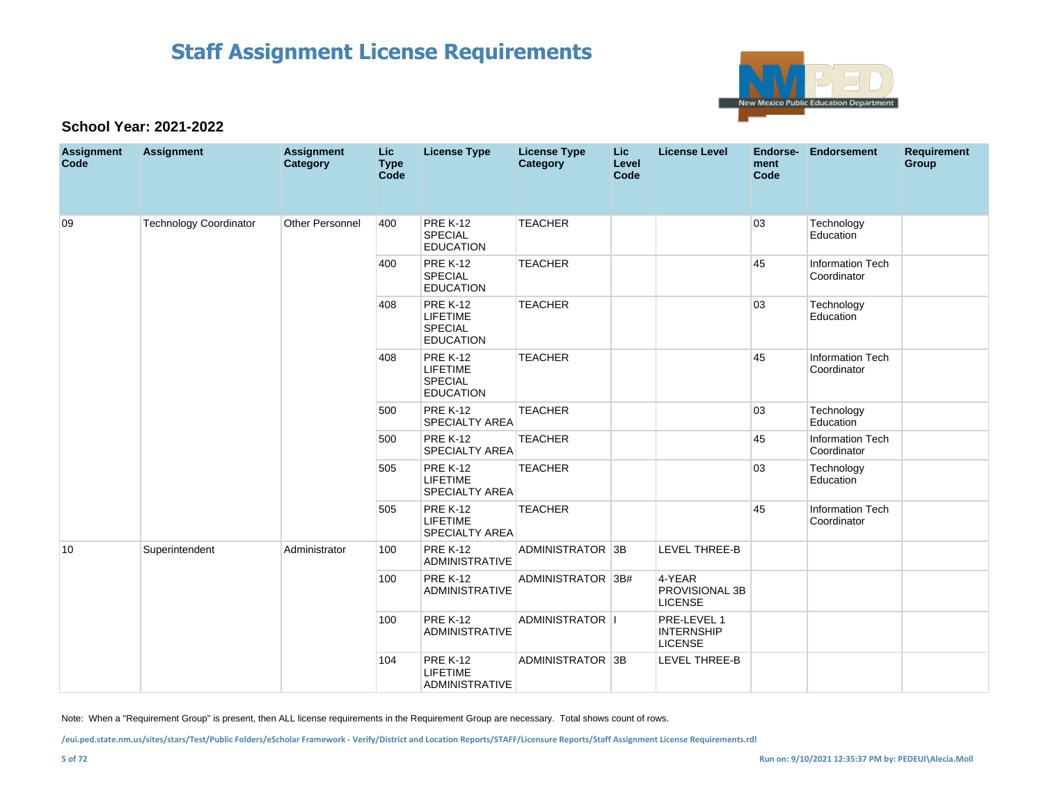

### **School Year: 2021-2022**

| <b>Assignment</b><br>Code | <b>Assignment</b>             | <b>Assignment</b><br>Category | Lic<br><b>Type</b><br>Code | <b>License Type</b>                                                      | <b>License Type</b><br><b>Category</b> | Lic<br>Level<br>Code | <b>License Level</b>                               | Endorse-<br>ment<br>Code | Endorsement                            | <b>Requirement</b><br>Group |
|---------------------------|-------------------------------|-------------------------------|----------------------------|--------------------------------------------------------------------------|----------------------------------------|----------------------|----------------------------------------------------|--------------------------|----------------------------------------|-----------------------------|
| 09                        | <b>Technology Coordinator</b> | <b>Other Personnel</b>        | 400                        | <b>PRE K-12</b><br><b>SPECIAL</b><br><b>EDUCATION</b>                    | <b>TEACHER</b>                         |                      |                                                    | 03                       | Technology<br>Education                |                             |
|                           |                               |                               | 400                        | <b>PRE K-12</b><br><b>SPECIAL</b><br><b>EDUCATION</b>                    | <b>TEACHER</b>                         |                      |                                                    | 45                       | Information Tech<br>Coordinator        |                             |
|                           |                               |                               | 408                        | <b>PRE K-12</b><br><b>LIFETIME</b><br><b>SPECIAL</b><br><b>EDUCATION</b> | <b>TEACHER</b>                         |                      |                                                    | 03                       | Technology<br>Education                |                             |
|                           |                               |                               | 408                        | <b>PRE K-12</b><br><b>LIFETIME</b><br><b>SPECIAL</b><br><b>EDUCATION</b> | <b>TEACHER</b>                         |                      |                                                    | 45                       | <b>Information Tech</b><br>Coordinator |                             |
|                           |                               |                               | 500                        | <b>PRE K-12</b><br><b>SPECIALTY AREA</b>                                 | <b>TEACHER</b>                         |                      |                                                    | 03                       | Technology<br>Education                |                             |
|                           |                               |                               | 500                        | <b>PRE K-12</b><br><b>SPECIALTY AREA</b>                                 | <b>TEACHER</b>                         |                      |                                                    | 45                       | <b>Information Tech</b><br>Coordinator |                             |
|                           |                               |                               | 505                        | <b>PRE K-12</b><br><b>LIFETIME</b><br><b>SPECIALTY AREA</b>              | <b>TEACHER</b>                         |                      |                                                    | 03                       | Technology<br>Education                |                             |
|                           |                               |                               | 505                        | <b>PRE K-12</b><br><b>LIFETIME</b><br><b>SPECIALTY AREA</b>              | <b>TEACHER</b>                         |                      |                                                    | 45                       | Information Tech<br>Coordinator        |                             |
| 10                        | Superintendent                | Administrator                 | 100                        | <b>PRE K-12</b><br>ADMINISTRATIVE                                        | ADMINISTRATOR 3B                       |                      | <b>LEVEL THREE-B</b>                               |                          |                                        |                             |
|                           |                               |                               | 100                        | <b>PRE K-12</b><br><b>ADMINISTRATIVE</b>                                 | ADMINISTRATOR 3B#                      |                      | 4-YEAR<br>PROVISIONAL 3B<br><b>LICENSE</b>         |                          |                                        |                             |
|                           |                               |                               | 100                        | <b>PRE K-12</b><br><b>ADMINISTRATIVE</b>                                 | ADMINISTRATOR  I                       |                      | PRE-LEVEL 1<br><b>INTERNSHIP</b><br><b>LICENSE</b> |                          |                                        |                             |
|                           |                               |                               | 104                        | <b>PRE K-12</b><br><b>LIFETIME</b><br><b>ADMINISTRATIVE</b>              | ADMINISTRATOR 3B                       |                      | <b>LEVEL THREE-B</b>                               |                          |                                        |                             |

Note: When a "Requirement Group" is present, then ALL license requirements in the Requirement Group are necessary. Total shows count of rows.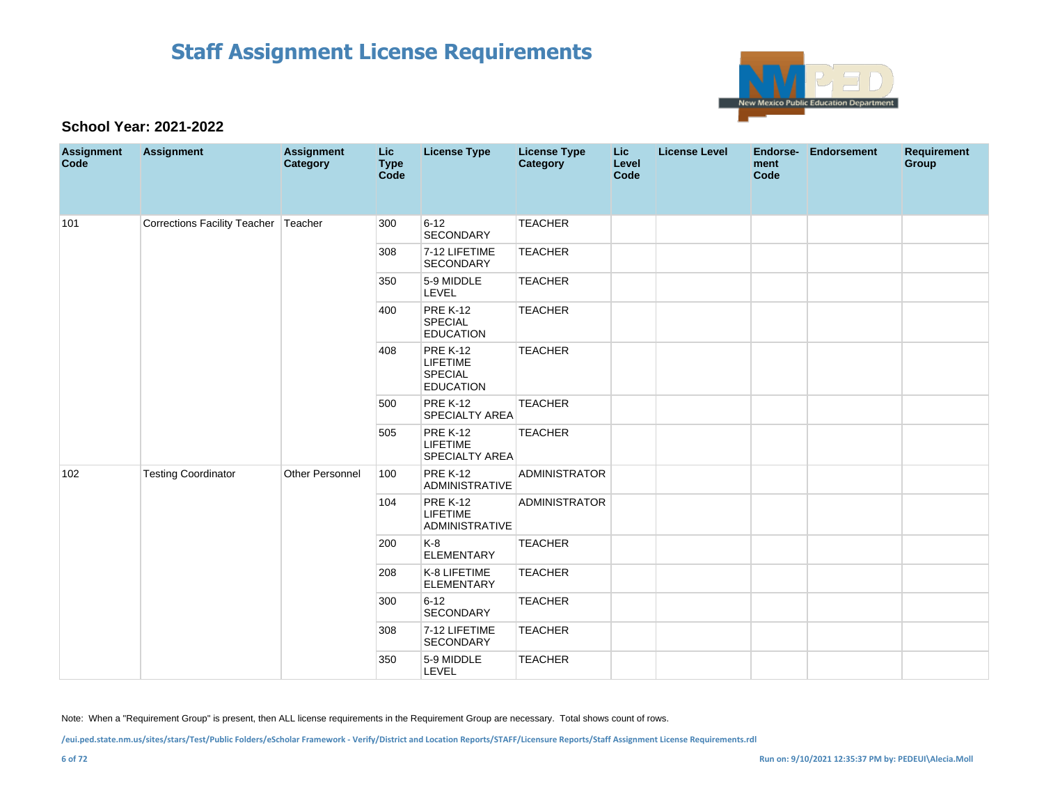

### **School Year: 2021-2022**

| <b>Assignment</b><br>Code | <b>Assignment</b>                    | <b>Assignment</b><br>Category | Lic<br><b>Type</b><br>Code | <b>License Type</b>                                                      | <b>License Type</b><br><b>Category</b> | Lic<br>Level<br>Code | <b>License Level</b> | ment<br>Code | Endorse- Endorsement | <b>Requirement</b><br>Group |
|---------------------------|--------------------------------------|-------------------------------|----------------------------|--------------------------------------------------------------------------|----------------------------------------|----------------------|----------------------|--------------|----------------------|-----------------------------|
| 101                       | Corrections Facility Teacher Teacher |                               | 300                        | $6 - 12$<br>SECONDARY                                                    | <b>TEACHER</b>                         |                      |                      |              |                      |                             |
|                           |                                      |                               | 308                        | 7-12 LIFETIME<br>SECONDARY                                               | <b>TEACHER</b>                         |                      |                      |              |                      |                             |
|                           |                                      |                               | 350                        | 5-9 MIDDLE<br>LEVEL                                                      | <b>TEACHER</b>                         |                      |                      |              |                      |                             |
|                           |                                      |                               | 400                        | <b>PRE K-12</b><br>SPECIAL<br><b>EDUCATION</b>                           | <b>TEACHER</b>                         |                      |                      |              |                      |                             |
|                           |                                      |                               | 408                        | <b>PRE K-12</b><br><b>LIFETIME</b><br><b>SPECIAL</b><br><b>EDUCATION</b> | <b>TEACHER</b>                         |                      |                      |              |                      |                             |
|                           |                                      |                               | 500                        | <b>PRE K-12</b><br>SPECIALTY AREA                                        | <b>TEACHER</b>                         |                      |                      |              |                      |                             |
|                           |                                      |                               | 505                        | <b>PRE K-12</b><br><b>LIFETIME</b><br>SPECIALTY AREA                     | <b>TEACHER</b>                         |                      |                      |              |                      |                             |
| 102                       | <b>Testing Coordinator</b>           | <b>Other Personnel</b>        | 100                        | <b>PRE K-12</b><br>ADMINISTRATIVE                                        | <b>ADMINISTRATOR</b>                   |                      |                      |              |                      |                             |
|                           |                                      |                               | 104                        | <b>PRE K-12</b><br><b>LIFETIME</b><br>ADMINISTRATIVE                     | <b>ADMINISTRATOR</b>                   |                      |                      |              |                      |                             |
|                           |                                      |                               | 200                        | K-8<br><b>ELEMENTARY</b>                                                 | <b>TEACHER</b>                         |                      |                      |              |                      |                             |
|                           |                                      |                               | 208                        | K-8 LIFETIME<br><b>ELEMENTARY</b>                                        | <b>TEACHER</b>                         |                      |                      |              |                      |                             |
|                           |                                      |                               | 300                        | $6 - 12$<br>SECONDARY                                                    | <b>TEACHER</b>                         |                      |                      |              |                      |                             |
|                           |                                      |                               | 308                        | 7-12 LIFETIME<br>SECONDARY                                               | <b>TEACHER</b>                         |                      |                      |              |                      |                             |
|                           |                                      |                               | 350                        | 5-9 MIDDLE<br>LEVEL                                                      | <b>TEACHER</b>                         |                      |                      |              |                      |                             |

Note: When a "Requirement Group" is present, then ALL license requirements in the Requirement Group are necessary. Total shows count of rows.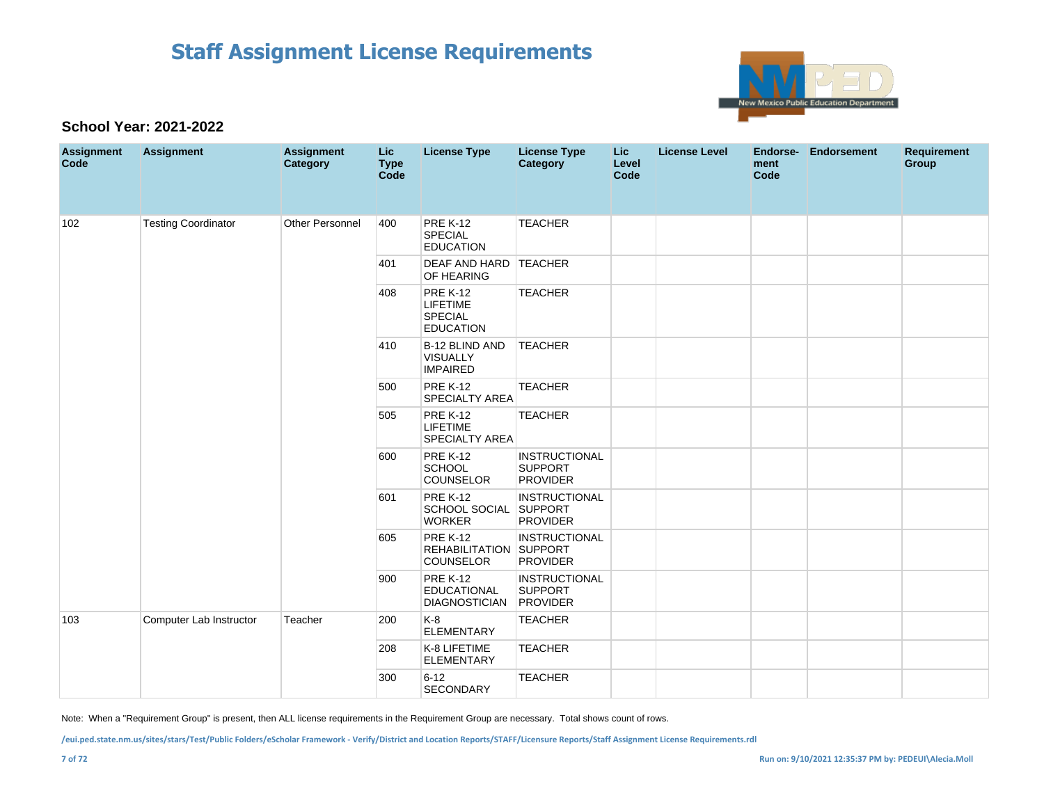

### **School Year: 2021-2022**

| <b>Assignment</b><br>Code | <b>Assignment</b>          | <b>Assignment</b><br>Category | <b>Lic</b><br><b>Type</b><br>Code | <b>License Type</b>                                               | <b>License Type</b><br><b>Category</b>                    | <b>Lic</b><br>Level<br>Code | <b>License Level</b> | Endorse-<br>ment<br>Code | <b>Endorsement</b> | <b>Requirement</b><br><b>Group</b> |
|---------------------------|----------------------------|-------------------------------|-----------------------------------|-------------------------------------------------------------------|-----------------------------------------------------------|-----------------------------|----------------------|--------------------------|--------------------|------------------------------------|
| 102                       | <b>Testing Coordinator</b> | <b>Other Personnel</b>        | 400                               | <b>PRE K-12</b><br><b>SPECIAL</b><br><b>EDUCATION</b>             | <b>TEACHER</b>                                            |                             |                      |                          |                    |                                    |
|                           |                            |                               | 401                               | <b>DEAF AND HARD TEACHER</b><br>OF HEARING                        |                                                           |                             |                      |                          |                    |                                    |
|                           |                            |                               | 408                               | <b>PRE K-12</b><br><b>LIFETIME</b><br>SPECIAL<br><b>EDUCATION</b> | <b>TEACHER</b>                                            |                             |                      |                          |                    |                                    |
|                           |                            |                               | 410                               | B-12 BLIND AND<br><b>VISUALLY</b><br><b>IMPAIRED</b>              | <b>TEACHER</b>                                            |                             |                      |                          |                    |                                    |
|                           |                            |                               | 500                               | <b>PRE K-12</b><br><b>SPECIALTY AREA</b>                          | <b>TEACHER</b>                                            |                             |                      |                          |                    |                                    |
|                           |                            |                               | 505                               | <b>PRE K-12</b><br><b>LIFETIME</b><br><b>SPECIALTY AREA</b>       | <b>TEACHER</b>                                            |                             |                      |                          |                    |                                    |
|                           |                            |                               | 600                               | <b>PRE K-12</b><br><b>SCHOOL</b><br><b>COUNSELOR</b>              | <b>INSTRUCTIONAL</b><br><b>SUPPORT</b><br><b>PROVIDER</b> |                             |                      |                          |                    |                                    |
|                           |                            |                               | 601                               | <b>PRE K-12</b><br>SCHOOL SOCIAL<br><b>WORKER</b>                 | <b>INSTRUCTIONAL</b><br>SUPPORT<br><b>PROVIDER</b>        |                             |                      |                          |                    |                                    |
|                           |                            |                               | 605                               | <b>PRE K-12</b><br>REHABILITATION SUPPORT<br><b>COUNSELOR</b>     | <b>INSTRUCTIONAL</b><br><b>PROVIDER</b>                   |                             |                      |                          |                    |                                    |
|                           |                            |                               | 900                               | <b>PRE K-12</b><br><b>EDUCATIONAL</b><br><b>DIAGNOSTICIAN</b>     | <b>INSTRUCTIONAL</b><br><b>SUPPORT</b><br><b>PROVIDER</b> |                             |                      |                          |                    |                                    |
| 103                       | Computer Lab Instructor    | Teacher                       | 200                               | K-8<br><b>ELEMENTARY</b>                                          | <b>TEACHER</b>                                            |                             |                      |                          |                    |                                    |
|                           |                            |                               | 208                               | K-8 LIFETIME<br><b>ELEMENTARY</b>                                 | <b>TEACHER</b>                                            |                             |                      |                          |                    |                                    |
|                           |                            |                               | 300                               | $6 - 12$<br><b>SECONDARY</b>                                      | <b>TEACHER</b>                                            |                             |                      |                          |                    |                                    |

Note: When a "Requirement Group" is present, then ALL license requirements in the Requirement Group are necessary. Total shows count of rows.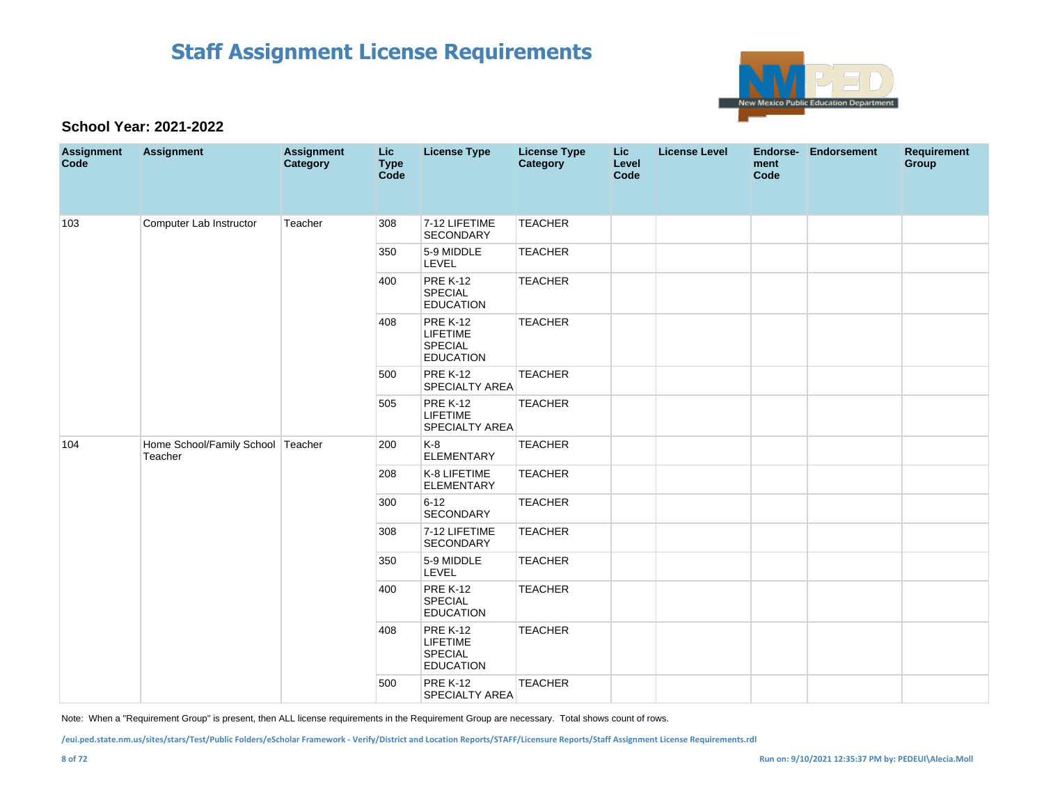

### **School Year: 2021-2022**

| <b>Assignment</b><br>Code | <b>Assignment</b>                            | <b>Assignment</b><br>Category | <b>Lic</b><br><b>Type</b><br>Code | <b>License Type</b>                                                      | <b>License Type</b><br>Category | Lic<br>Level<br>Code | <b>License Level</b> | Endorse-<br>ment<br>Code | <b>Endorsement</b> | Requirement<br>Group |
|---------------------------|----------------------------------------------|-------------------------------|-----------------------------------|--------------------------------------------------------------------------|---------------------------------|----------------------|----------------------|--------------------------|--------------------|----------------------|
| 103                       | Computer Lab Instructor                      | Teacher                       | 308                               | 7-12 LIFETIME<br><b>SECONDARY</b>                                        | <b>TEACHER</b>                  |                      |                      |                          |                    |                      |
|                           |                                              |                               | 350                               | 5-9 MIDDLE<br>LEVEL                                                      | <b>TEACHER</b>                  |                      |                      |                          |                    |                      |
|                           |                                              |                               | 400                               | <b>PRE K-12</b><br>SPECIAL<br><b>EDUCATION</b>                           | <b>TEACHER</b>                  |                      |                      |                          |                    |                      |
|                           |                                              |                               | 408                               | <b>PRE K-12</b><br>LIFETIME<br><b>SPECIAL</b><br><b>EDUCATION</b>        | <b>TEACHER</b>                  |                      |                      |                          |                    |                      |
|                           |                                              |                               | 500                               | <b>PRE K-12</b><br><b>SPECIALTY AREA</b>                                 | <b>TEACHER</b>                  |                      |                      |                          |                    |                      |
|                           |                                              |                               | 505                               | <b>PRE K-12</b><br>LIFETIME<br>SPECIALTY AREA                            | <b>TEACHER</b>                  |                      |                      |                          |                    |                      |
| 104                       | Home School/Family School Teacher<br>Teacher |                               | 200                               | $K-8$<br><b>ELEMENTARY</b>                                               | <b>TEACHER</b>                  |                      |                      |                          |                    |                      |
|                           |                                              |                               | 208                               | K-8 LIFETIME<br><b>ELEMENTARY</b>                                        | <b>TEACHER</b>                  |                      |                      |                          |                    |                      |
|                           |                                              |                               | 300                               | $6 - 12$<br><b>SECONDARY</b>                                             | <b>TEACHER</b>                  |                      |                      |                          |                    |                      |
|                           |                                              |                               | 308                               | 7-12 LIFETIME<br><b>SECONDARY</b>                                        | <b>TEACHER</b>                  |                      |                      |                          |                    |                      |
|                           |                                              |                               | 350                               | 5-9 MIDDLE<br>LEVEL                                                      | <b>TEACHER</b>                  |                      |                      |                          |                    |                      |
|                           |                                              |                               | 400                               | <b>PRE K-12</b><br><b>SPECIAL</b><br><b>EDUCATION</b>                    | <b>TEACHER</b>                  |                      |                      |                          |                    |                      |
|                           |                                              |                               | 408                               | <b>PRE K-12</b><br><b>LIFETIME</b><br><b>SPECIAL</b><br><b>EDUCATION</b> | <b>TEACHER</b>                  |                      |                      |                          |                    |                      |
|                           |                                              |                               | 500                               | <b>PRE K-12</b><br>SPECIALTY AREA                                        | <b>TEACHER</b>                  |                      |                      |                          |                    |                      |

Note: When a "Requirement Group" is present, then ALL license requirements in the Requirement Group are necessary. Total shows count of rows.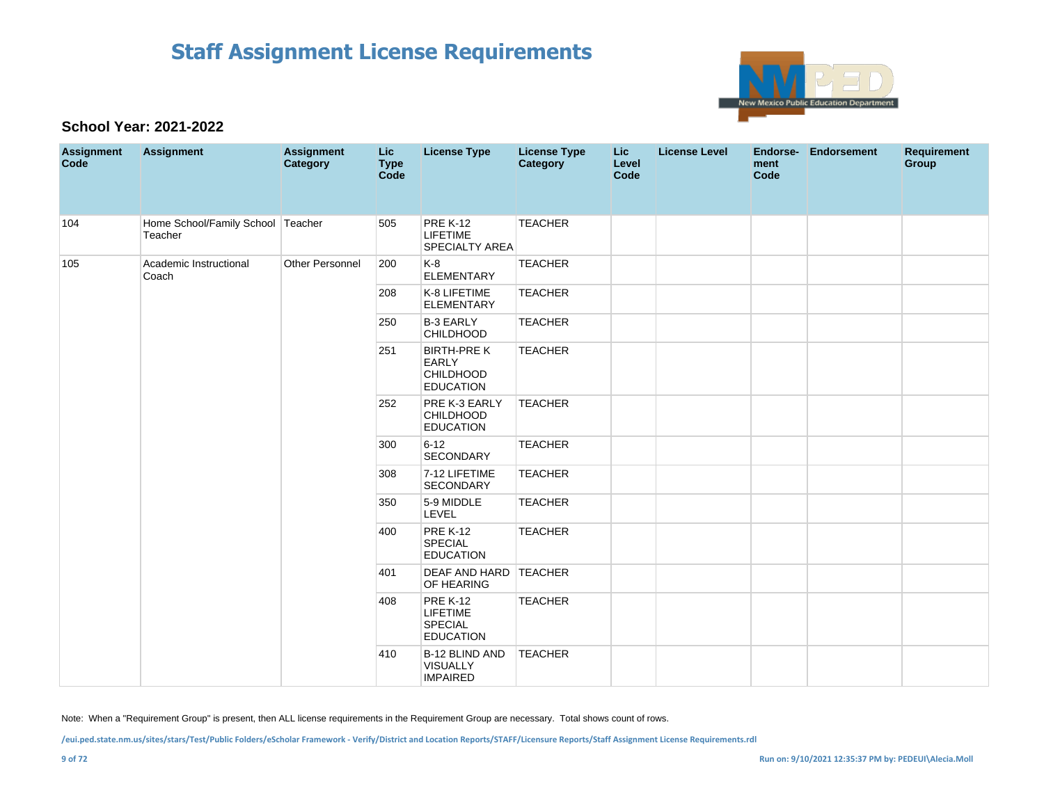

### **School Year: 2021-2022**

| <b>Assignment</b><br>Code | <b>Assignment</b>                            | <b>Assignment</b><br>Category | <b>Lic</b><br><b>Type</b><br>Code | <b>License Type</b>                                                        | <b>License Type</b><br><b>Category</b> | <b>Lic</b><br>Level<br>Code | <b>License Level</b> | ment<br>Code | Endorse- Endorsement | <b>Requirement</b><br>Group |
|---------------------------|----------------------------------------------|-------------------------------|-----------------------------------|----------------------------------------------------------------------------|----------------------------------------|-----------------------------|----------------------|--------------|----------------------|-----------------------------|
| 104                       | Home School/Family School Teacher<br>Teacher |                               | 505                               | <b>PRE K-12</b><br><b>LIFETIME</b><br><b>SPECIALTY AREA</b>                | <b>TEACHER</b>                         |                             |                      |              |                      |                             |
| 105                       | Academic Instructional<br>Coach              | Other Personnel               | 200                               | K-8<br><b>ELEMENTARY</b>                                                   | <b>TEACHER</b>                         |                             |                      |              |                      |                             |
|                           |                                              |                               | 208                               | K-8 LIFETIME<br><b>ELEMENTARY</b>                                          | <b>TEACHER</b>                         |                             |                      |              |                      |                             |
|                           |                                              |                               | 250                               | <b>B-3 EARLY</b><br>CHILDHOOD                                              | <b>TEACHER</b>                         |                             |                      |              |                      |                             |
|                           |                                              |                               | 251                               | <b>BIRTH-PRE K</b><br><b>EARLY</b><br><b>CHILDHOOD</b><br><b>EDUCATION</b> | <b>TEACHER</b>                         |                             |                      |              |                      |                             |
|                           |                                              |                               | 252                               | PRE K-3 EARLY<br><b>CHILDHOOD</b><br><b>EDUCATION</b>                      | <b>TEACHER</b>                         |                             |                      |              |                      |                             |
|                           |                                              |                               | 300                               | $6 - 12$<br>SECONDARY                                                      | <b>TEACHER</b>                         |                             |                      |              |                      |                             |
|                           |                                              |                               | 308                               | 7-12 LIFETIME<br>SECONDARY                                                 | <b>TEACHER</b>                         |                             |                      |              |                      |                             |
|                           |                                              |                               | 350                               | 5-9 MIDDLE<br>LEVEL                                                        | <b>TEACHER</b>                         |                             |                      |              |                      |                             |
|                           |                                              |                               | 400                               | <b>PRE K-12</b><br><b>SPECIAL</b><br><b>EDUCATION</b>                      | <b>TEACHER</b>                         |                             |                      |              |                      |                             |
|                           |                                              |                               | 401                               | DEAF AND HARD TEACHER<br>OF HEARING                                        |                                        |                             |                      |              |                      |                             |
|                           |                                              |                               | 408                               | <b>PRE K-12</b><br><b>LIFETIME</b><br>SPECIAL<br><b>EDUCATION</b>          | <b>TEACHER</b>                         |                             |                      |              |                      |                             |
|                           |                                              |                               | 410                               | B-12 BLIND AND<br><b>VISUALLY</b><br><b>IMPAIRED</b>                       | <b>TEACHER</b>                         |                             |                      |              |                      |                             |

Note: When a "Requirement Group" is present, then ALL license requirements in the Requirement Group are necessary. Total shows count of rows.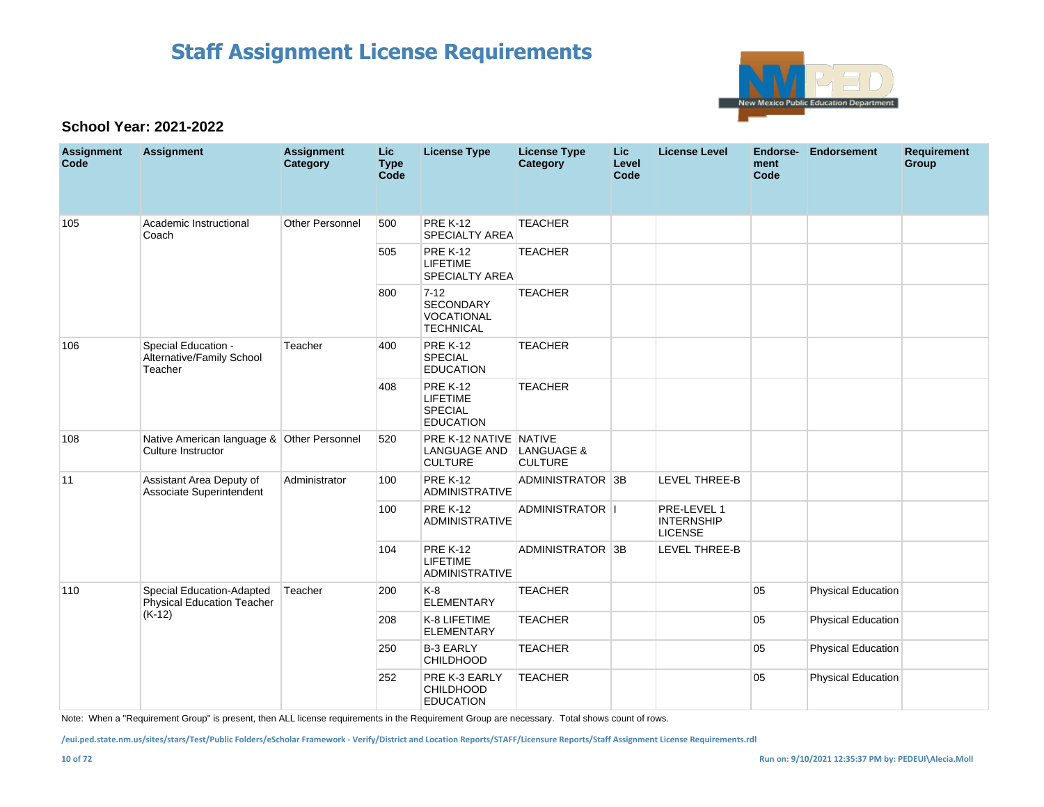

### **School Year: 2021-2022**

| <b>Assignment</b><br>Code | <b>Assignment</b>                                                | <b>Assignment</b><br>Category | <b>Lic</b><br><b>Type</b><br>Code | <b>License Type</b>                                                      | <b>License Type</b><br>Category | <b>Lic</b><br>Level<br>Code | <b>License Level</b>                               | Endorse-<br>ment<br>Code | Endorsement               | <b>Requirement</b><br>Group |
|---------------------------|------------------------------------------------------------------|-------------------------------|-----------------------------------|--------------------------------------------------------------------------|---------------------------------|-----------------------------|----------------------------------------------------|--------------------------|---------------------------|-----------------------------|
| 105                       | Academic Instructional<br>Coach                                  | <b>Other Personnel</b>        | 500                               | <b>PRE K-12</b><br><b>SPECIALTY AREA</b>                                 | <b>TEACHER</b>                  |                             |                                                    |                          |                           |                             |
|                           |                                                                  |                               | 505                               | <b>PRE K-12</b><br><b>LIFETIME</b><br><b>SPECIALTY AREA</b>              | <b>TEACHER</b>                  |                             |                                                    |                          |                           |                             |
|                           |                                                                  |                               | 800                               | $7-12$<br><b>SECONDARY</b><br><b>VOCATIONAL</b><br><b>TECHNICAL</b>      | <b>TEACHER</b>                  |                             |                                                    |                          |                           |                             |
| 106                       | Special Education -<br>Alternative/Family School<br>Teacher      | Teacher                       | 400                               | <b>PRE K-12</b><br><b>SPECIAL</b><br><b>EDUCATION</b>                    | <b>TEACHER</b>                  |                             |                                                    |                          |                           |                             |
|                           |                                                                  |                               | 408                               | <b>PRE K-12</b><br><b>LIFETIME</b><br><b>SPECIAL</b><br><b>EDUCATION</b> | <b>TEACHER</b>                  |                             |                                                    |                          |                           |                             |
| 108                       | Native American language & Other Personnel<br>Culture Instructor |                               | 520                               | PRE K-12 NATIVE NATIVE<br>LANGUAGE AND<br><b>CULTURE</b>                 | LANGUAGE &<br><b>CULTURE</b>    |                             |                                                    |                          |                           |                             |
| 11                        | Assistant Area Deputy of<br>Associate Superintendent             | Administrator                 | 100                               | <b>PRE K-12</b><br><b>ADMINISTRATIVE</b>                                 | ADMINISTRATOR 3B                |                             | <b>LEVEL THREE-B</b>                               |                          |                           |                             |
|                           |                                                                  |                               | 100                               | <b>PRE K-12</b><br><b>ADMINISTRATIVE</b>                                 | ADMINISTRATOR   I               |                             | PRE-LEVEL 1<br><b>INTERNSHIP</b><br><b>LICENSE</b> |                          |                           |                             |
|                           |                                                                  |                               | 104                               | <b>PRE K-12</b><br><b>LIFETIME</b><br><b>ADMINISTRATIVE</b>              | ADMINISTRATOR 3B                |                             | LEVEL THREE-B                                      |                          |                           |                             |
| 110                       | Special Education-Adapted<br>Physical Education Teacher          | Teacher                       | 200                               | $K-8$<br><b>ELEMENTARY</b>                                               | <b>TEACHER</b>                  |                             |                                                    | 05                       | <b>Physical Education</b> |                             |
|                           | $(K-12)$                                                         |                               | 208                               | K-8 LIFETIME<br><b>ELEMENTARY</b>                                        | <b>TEACHER</b>                  |                             |                                                    | 05                       | Physical Education        |                             |
|                           |                                                                  |                               | 250                               | <b>B-3 EARLY</b><br><b>CHILDHOOD</b>                                     | <b>TEACHER</b>                  |                             |                                                    | 05                       | <b>Physical Education</b> |                             |
|                           |                                                                  |                               | 252                               | PRE K-3 EARLY<br><b>CHILDHOOD</b><br><b>EDUCATION</b>                    | <b>TEACHER</b>                  |                             |                                                    | 05                       | Physical Education        |                             |

Note: When a "Requirement Group" is present, then ALL license requirements in the Requirement Group are necessary. Total shows count of rows.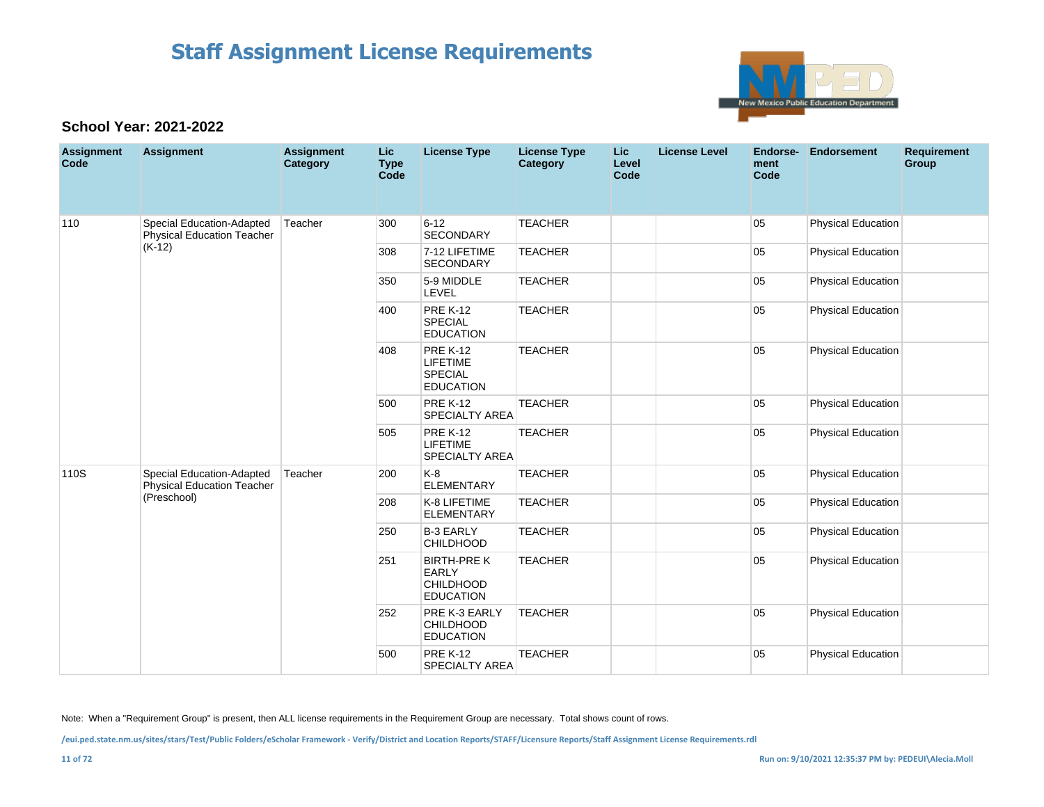

### **School Year: 2021-2022**

| <b>Assignment</b><br>Code | <b>Assignment</b>                                              | <b>Assignment</b><br>Category | <b>Lic</b><br><b>Type</b><br>Code | <b>License Type</b>                                                       | <b>License Type</b><br><b>Category</b> | <b>Lic</b><br>Level<br>Code | <b>License Level</b> | <b>Endorse-</b><br>ment<br>Code | <b>Endorsement</b>        | <b>Requirement</b><br>Group |
|---------------------------|----------------------------------------------------------------|-------------------------------|-----------------------------------|---------------------------------------------------------------------------|----------------------------------------|-----------------------------|----------------------|---------------------------------|---------------------------|-----------------------------|
| 110                       | Special Education-Adapted<br><b>Physical Education Teacher</b> | Teacher                       | 300                               | $6 - 12$<br><b>SECONDARY</b>                                              | <b>TEACHER</b>                         |                             |                      | 05                              | <b>Physical Education</b> |                             |
|                           | $(K-12)$                                                       |                               | 308                               | 7-12 LIFETIME<br><b>SECONDARY</b>                                         | <b>TEACHER</b>                         |                             |                      | 05                              | <b>Physical Education</b> |                             |
|                           |                                                                |                               | 350                               | 5-9 MIDDLE<br>LEVEL                                                       | <b>TEACHER</b>                         |                             |                      | 05                              | <b>Physical Education</b> |                             |
|                           |                                                                |                               | 400                               | <b>PRE K-12</b><br><b>SPECIAL</b><br><b>EDUCATION</b>                     | <b>TEACHER</b>                         |                             |                      | 05                              | <b>Physical Education</b> |                             |
|                           |                                                                |                               | 408                               | <b>PRE K-12</b><br><b>LIFETIME</b><br><b>SPECIAL</b><br><b>EDUCATION</b>  | <b>TEACHER</b>                         |                             |                      | 05                              | <b>Physical Education</b> |                             |
|                           |                                                                |                               | 500                               | <b>PRE K-12</b><br><b>SPECIALTY AREA</b>                                  | <b>TEACHER</b>                         |                             |                      | 05                              | <b>Physical Education</b> |                             |
|                           |                                                                |                               | 505                               | <b>PRE K-12</b><br><b>LIFETIME</b><br><b>SPECIALTY AREA</b>               | <b>TEACHER</b>                         |                             |                      | 05                              | <b>Physical Education</b> |                             |
| 110S                      | Special Education-Adapted<br><b>Physical Education Teacher</b> | Teacher                       | 200                               | $K-8$<br><b>ELEMENTARY</b>                                                | <b>TEACHER</b>                         |                             |                      | 05                              | <b>Physical Education</b> |                             |
|                           | (Preschool)                                                    |                               | 208                               | K-8 LIFETIME<br><b>ELEMENTARY</b>                                         | <b>TEACHER</b>                         |                             |                      | 05                              | <b>Physical Education</b> |                             |
|                           |                                                                |                               | 250                               | <b>B-3 EARLY</b><br><b>CHILDHOOD</b>                                      | <b>TEACHER</b>                         |                             |                      | 05                              | <b>Physical Education</b> |                             |
|                           |                                                                |                               | 251                               | <b>BIRTH-PREK</b><br><b>EARLY</b><br><b>CHILDHOOD</b><br><b>EDUCATION</b> | <b>TEACHER</b>                         |                             |                      | 05                              | <b>Physical Education</b> |                             |
|                           |                                                                |                               | 252                               | PRE K-3 EARLY<br><b>CHILDHOOD</b><br><b>EDUCATION</b>                     | <b>TEACHER</b>                         |                             |                      | 05                              | <b>Physical Education</b> |                             |
|                           |                                                                |                               | 500                               | <b>PRE K-12</b><br><b>SPECIALTY AREA</b>                                  | <b>TEACHER</b>                         |                             |                      | 05                              | <b>Physical Education</b> |                             |

Note: When a "Requirement Group" is present, then ALL license requirements in the Requirement Group are necessary. Total shows count of rows.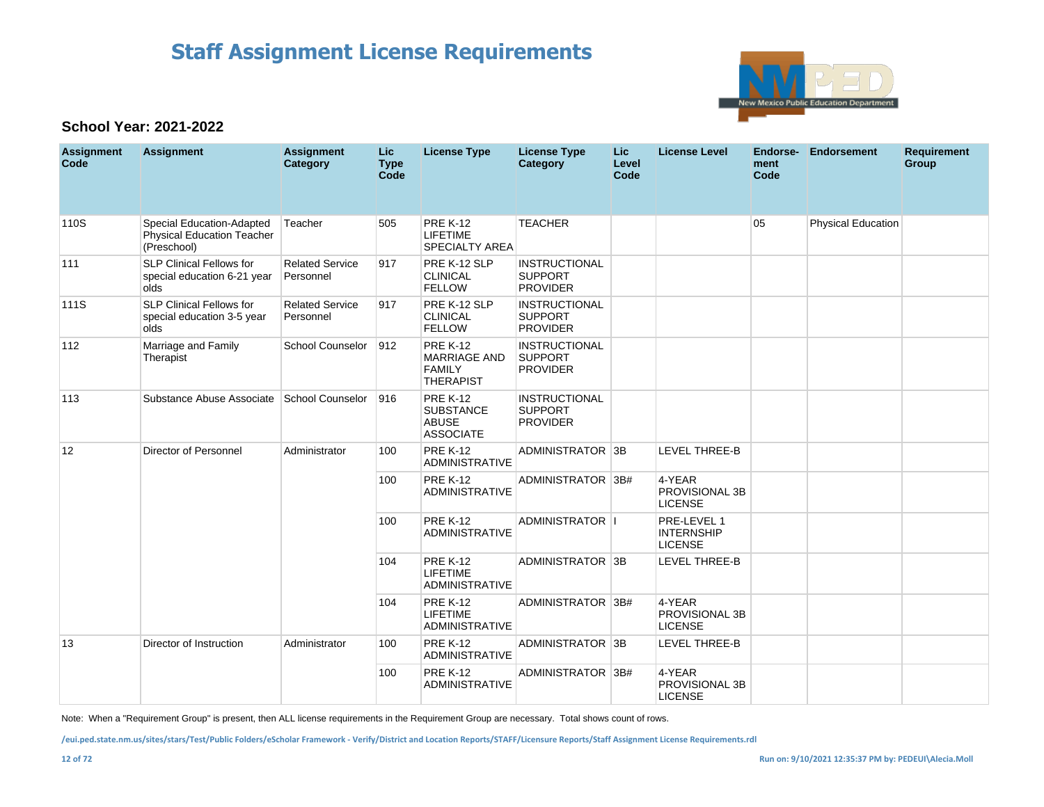

### **School Year: 2021-2022**

| <b>Assignment</b><br>Code | <b>Assignment</b>                                                      | <b>Assignment</b><br>Category       | <b>Lic</b><br><b>Type</b><br>Code | <b>License Type</b>                                                         | <b>License Type</b><br>Category                           | Lic.<br>Level<br>Code | <b>License Level</b>                               | <b>Endorse-</b><br>ment<br>Code | <b>Endorsement</b>        | <b>Requirement</b><br>Group |
|---------------------------|------------------------------------------------------------------------|-------------------------------------|-----------------------------------|-----------------------------------------------------------------------------|-----------------------------------------------------------|-----------------------|----------------------------------------------------|---------------------------------|---------------------------|-----------------------------|
| 110S                      | Special Education-Adapted<br>Physical Education Teacher<br>(Preschool) | Teacher                             | 505                               | <b>PRE K-12</b><br><b>LIFETIME</b><br><b>SPECIALTY AREA</b>                 | <b>TEACHER</b>                                            |                       |                                                    | 05                              | <b>Physical Education</b> |                             |
| 111                       | <b>SLP Clinical Fellows for</b><br>special education 6-21 year<br>olds | <b>Related Service</b><br>Personnel | 917                               | PRE K-12 SLP<br><b>CLINICAL</b><br><b>FELLOW</b>                            | <b>INSTRUCTIONAL</b><br><b>SUPPORT</b><br><b>PROVIDER</b> |                       |                                                    |                                 |                           |                             |
| 111S                      | <b>SLP Clinical Fellows for</b><br>special education 3-5 year<br>olds  | <b>Related Service</b><br>Personnel | 917                               | PRE K-12 SLP<br><b>CLINICAL</b><br><b>FELLOW</b>                            | <b>INSTRUCTIONAL</b><br><b>SUPPORT</b><br><b>PROVIDER</b> |                       |                                                    |                                 |                           |                             |
| 112                       | Marriage and Family<br>Therapist                                       | <b>School Counselor</b>             | 912                               | <b>PRE K-12</b><br><b>MARRIAGE AND</b><br><b>FAMILY</b><br><b>THERAPIST</b> | <b>INSTRUCTIONAL</b><br><b>SUPPORT</b><br><b>PROVIDER</b> |                       |                                                    |                                 |                           |                             |
| 113                       | Substance Abuse Associate School Counselor                             |                                     | 916                               | <b>PRE K-12</b><br><b>SUBSTANCE</b><br><b>ABUSE</b><br><b>ASSOCIATE</b>     | <b>INSTRUCTIONAL</b><br><b>SUPPORT</b><br><b>PROVIDER</b> |                       |                                                    |                                 |                           |                             |
| 12                        | <b>Director of Personnel</b>                                           | Administrator                       | 100                               | <b>PRE K-12</b><br><b>ADMINISTRATIVE</b>                                    | ADMINISTRATOR 3B                                          |                       | <b>LEVEL THREE-B</b>                               |                                 |                           |                             |
|                           |                                                                        |                                     | 100                               | <b>PRE K-12</b><br><b>ADMINISTRATIVE</b>                                    | ADMINISTRATOR 3B#                                         |                       | 4-YEAR<br>PROVISIONAL 3B<br><b>LICENSE</b>         |                                 |                           |                             |
|                           |                                                                        |                                     | 100                               | <b>PRE K-12</b><br><b>ADMINISTRATIVE</b>                                    | <b>ADMINISTRATOR II</b>                                   |                       | PRE-LEVEL 1<br><b>INTERNSHIP</b><br><b>LICENSE</b> |                                 |                           |                             |
|                           |                                                                        |                                     | 104                               | <b>PRE K-12</b><br><b>LIFETIME</b><br><b>ADMINISTRATIVE</b>                 | ADMINISTRATOR 3B                                          |                       | <b>LEVEL THREE-B</b>                               |                                 |                           |                             |
|                           |                                                                        |                                     | 104                               | <b>PRE K-12</b><br><b>LIFETIME</b><br><b>ADMINISTRATIVE</b>                 | ADMINISTRATOR 3B#                                         |                       | 4-YEAR<br>PROVISIONAL 3B<br><b>LICENSE</b>         |                                 |                           |                             |
| 13                        | Director of Instruction                                                | Administrator                       | 100                               | <b>PRE K-12</b><br><b>ADMINISTRATIVE</b>                                    | ADMINISTRATOR 3B                                          |                       | <b>LEVEL THREE-B</b>                               |                                 |                           |                             |
|                           |                                                                        |                                     | 100                               | <b>PRE K-12</b><br><b>ADMINISTRATIVE</b>                                    | ADMINISTRATOR 3B#                                         |                       | 4-YEAR<br>PROVISIONAL 3B<br><b>LICENSE</b>         |                                 |                           |                             |

Note: When a "Requirement Group" is present, then ALL license requirements in the Requirement Group are necessary. Total shows count of rows.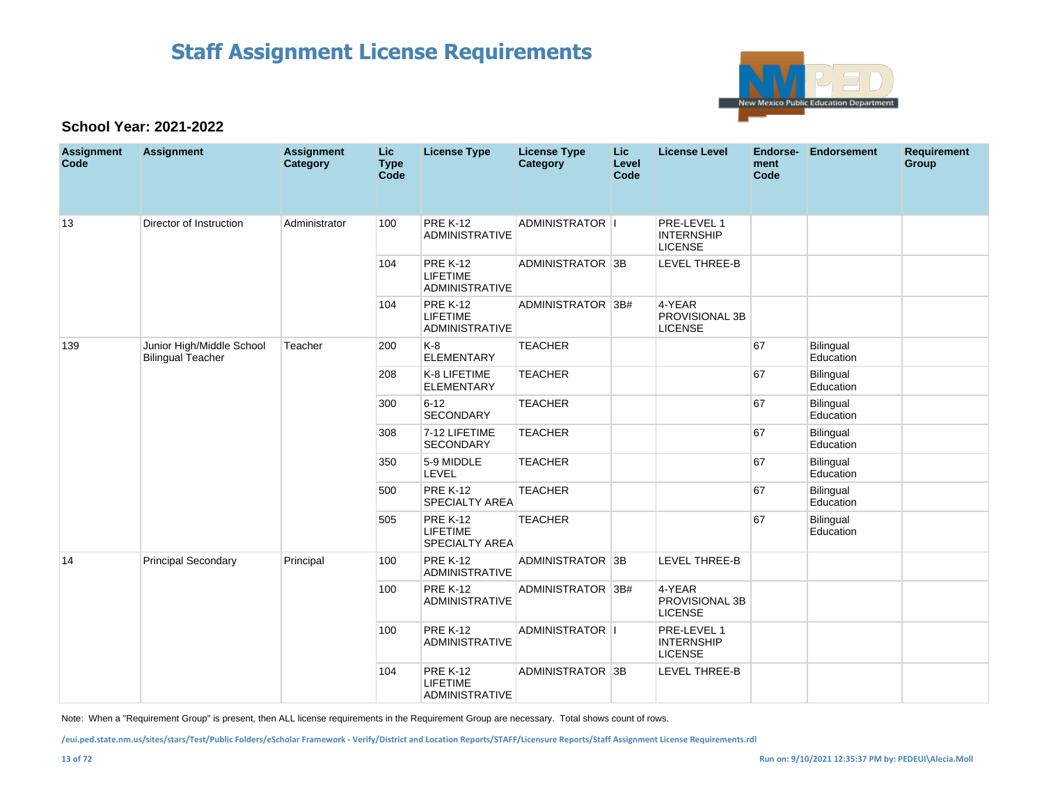

### **School Year: 2021-2022**

| <b>Assignment</b><br>Code | <b>Assignment</b>                                     | <b>Assignment</b><br>Category | <b>Lic</b><br><b>Type</b><br>Code | <b>License Type</b>                                         | <b>License Type</b><br><b>Category</b> | Lic.<br>Level<br>Code | <b>License Level</b>                               | Endorse-<br>ment<br>Code | Endorsement            | <b>Requirement</b><br>Group |
|---------------------------|-------------------------------------------------------|-------------------------------|-----------------------------------|-------------------------------------------------------------|----------------------------------------|-----------------------|----------------------------------------------------|--------------------------|------------------------|-----------------------------|
| 13                        | Director of Instruction                               | Administrator                 | 100                               | <b>PRE K-12</b><br><b>ADMINISTRATIVE</b>                    | ADMINISTRATOR I                        |                       | PRE-LEVEL 1<br><b>INTERNSHIP</b><br><b>LICENSE</b> |                          |                        |                             |
|                           |                                                       |                               | 104                               | <b>PRE K-12</b><br><b>LIFETIME</b><br><b>ADMINISTRATIVE</b> | ADMINISTRATOR 3B                       |                       | LEVEL THREE-B                                      |                          |                        |                             |
|                           |                                                       |                               | 104                               | <b>PRE K-12</b><br><b>LIFETIME</b><br><b>ADMINISTRATIVE</b> | ADMINISTRATOR 3B#                      |                       | 4-YEAR<br>PROVISIONAL 3B<br><b>LICENSE</b>         |                          |                        |                             |
| 139                       | Junior High/Middle School<br><b>Bilingual Teacher</b> | Teacher                       | 200                               | $K-8$<br><b>ELEMENTARY</b>                                  | <b>TEACHER</b>                         |                       |                                                    | 67                       | Bilingual<br>Education |                             |
|                           |                                                       |                               | 208                               | K-8 LIFETIME<br><b>ELEMENTARY</b>                           | <b>TEACHER</b>                         |                       |                                                    | 67                       | Bilingual<br>Education |                             |
|                           |                                                       |                               | 300                               | $6 - 12$<br><b>SECONDARY</b>                                | <b>TEACHER</b>                         |                       |                                                    | 67                       | Bilingual<br>Education |                             |
|                           |                                                       |                               | 308                               | 7-12 LIFETIME<br><b>SECONDARY</b>                           | <b>TEACHER</b>                         |                       |                                                    | 67                       | Bilingual<br>Education |                             |
|                           |                                                       |                               | 350                               | 5-9 MIDDLE<br>LEVEL                                         | <b>TEACHER</b>                         |                       |                                                    | 67                       | Bilingual<br>Education |                             |
|                           |                                                       |                               | 500                               | <b>PRE K-12</b><br><b>SPECIALTY AREA</b>                    | <b>TEACHER</b>                         |                       |                                                    | 67                       | Bilingual<br>Education |                             |
|                           |                                                       |                               | 505                               | <b>PRE K-12</b><br><b>LIFETIME</b><br><b>SPECIALTY AREA</b> | <b>TEACHER</b>                         |                       |                                                    | 67                       | Bilingual<br>Education |                             |
| 14                        | <b>Principal Secondary</b>                            | Principal                     | 100                               | <b>PRE K-12</b><br><b>ADMINISTRATIVE</b>                    | ADMINISTRATOR 3B                       |                       | <b>LEVEL THREE-B</b>                               |                          |                        |                             |
|                           |                                                       |                               | 100                               | <b>PRE K-12</b><br><b>ADMINISTRATIVE</b>                    | ADMINISTRATOR 3B#                      |                       | 4-YEAR<br>PROVISIONAL 3B<br><b>LICENSE</b>         |                          |                        |                             |
|                           |                                                       |                               | 100                               | <b>PRE K-12</b><br><b>ADMINISTRATIVE</b>                    | ADMINISTRATOR I                        |                       | PRE-LEVEL 1<br><b>INTERNSHIP</b><br><b>LICENSE</b> |                          |                        |                             |
|                           |                                                       |                               | 104                               | <b>PRE K-12</b><br><b>LIFETIME</b><br><b>ADMINISTRATIVE</b> | ADMINISTRATOR 3B                       |                       | <b>LEVEL THREE-B</b>                               |                          |                        |                             |

Note: When a "Requirement Group" is present, then ALL license requirements in the Requirement Group are necessary. Total shows count of rows.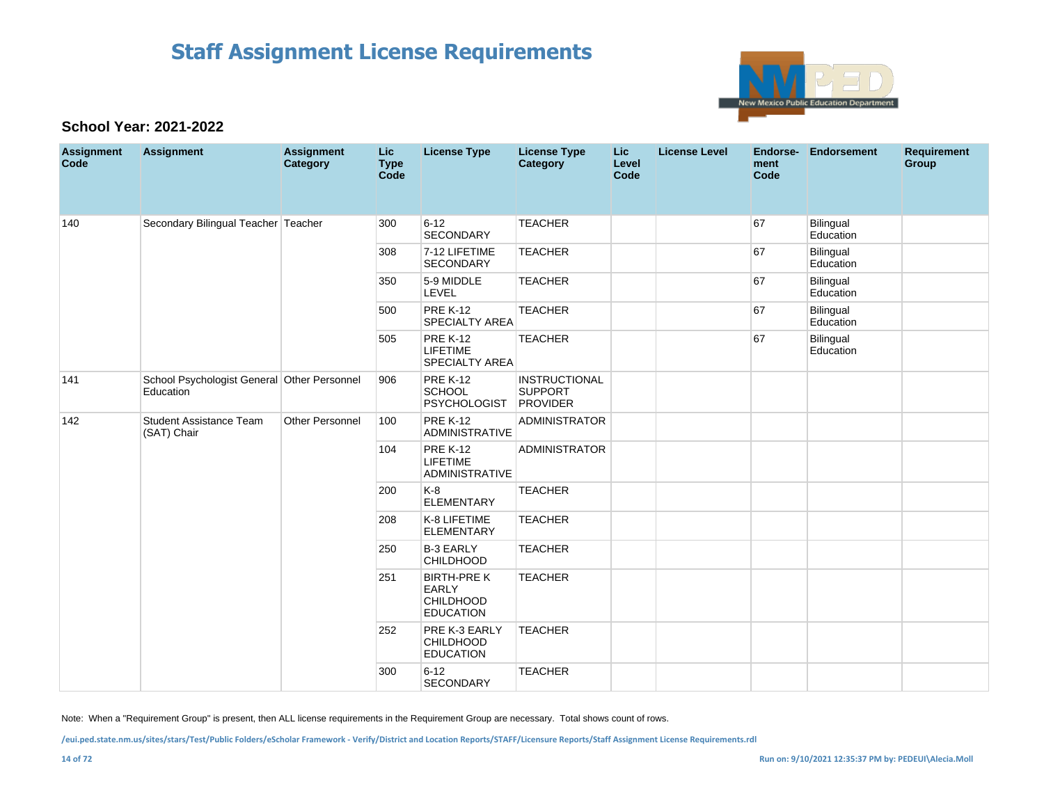

### **School Year: 2021-2022**

| <b>Assignment</b><br>Code | Assignment                                               | <b>Assignment</b><br>Category | <b>Lic</b><br><b>Type</b><br>Code | <b>License Type</b>                                                        | <b>License Type</b><br>Category                           | <b>Lic</b><br>Level<br>Code | <b>License Level</b> | Endorse-<br>ment<br>Code | <b>Endorsement</b>     | <b>Requirement</b><br>Group |
|---------------------------|----------------------------------------------------------|-------------------------------|-----------------------------------|----------------------------------------------------------------------------|-----------------------------------------------------------|-----------------------------|----------------------|--------------------------|------------------------|-----------------------------|
| 140                       | Secondary Bilingual Teacher Teacher                      |                               | 300                               | $6 - 12$<br><b>SECONDARY</b>                                               | <b>TEACHER</b>                                            |                             |                      | 67                       | Bilingual<br>Education |                             |
|                           |                                                          |                               | 308                               | 7-12 LIFETIME<br>SECONDARY                                                 | <b>TEACHER</b>                                            |                             |                      | 67                       | Bilingual<br>Education |                             |
|                           |                                                          |                               | 350                               | 5-9 MIDDLE<br>LEVEL                                                        | <b>TEACHER</b>                                            |                             |                      | 67                       | Bilingual<br>Education |                             |
|                           |                                                          |                               | 500                               | <b>PRE K-12</b><br><b>SPECIALTY AREA</b>                                   | <b>TEACHER</b>                                            |                             |                      | 67                       | Bilingual<br>Education |                             |
|                           |                                                          |                               | 505                               | <b>PRE K-12</b><br><b>LIFETIME</b><br><b>SPECIALTY AREA</b>                | <b>TEACHER</b>                                            |                             |                      | 67                       | Bilingual<br>Education |                             |
| 141                       | School Psychologist General Other Personnel<br>Education |                               | 906                               | <b>PRE K-12</b><br><b>SCHOOL</b><br><b>PSYCHOLOGIST</b>                    | <b>INSTRUCTIONAL</b><br><b>SUPPORT</b><br><b>PROVIDER</b> |                             |                      |                          |                        |                             |
| 142                       | <b>Student Assistance Team</b><br>(SAT) Chair            | <b>Other Personnel</b>        | 100                               | <b>PRE K-12</b><br><b>ADMINISTRATIVE</b>                                   | <b>ADMINISTRATOR</b>                                      |                             |                      |                          |                        |                             |
|                           |                                                          |                               | 104                               | <b>PRE K-12</b><br>LIFETIME<br><b>ADMINISTRATIVE</b>                       | <b>ADMINISTRATOR</b>                                      |                             |                      |                          |                        |                             |
|                           |                                                          |                               | 200                               | K-8<br><b>ELEMENTARY</b>                                                   | <b>TEACHER</b>                                            |                             |                      |                          |                        |                             |
|                           |                                                          |                               | 208                               | K-8 LIFETIME<br><b>ELEMENTARY</b>                                          | <b>TEACHER</b>                                            |                             |                      |                          |                        |                             |
|                           |                                                          |                               | 250                               | <b>B-3 EARLY</b><br><b>CHILDHOOD</b>                                       | <b>TEACHER</b>                                            |                             |                      |                          |                        |                             |
|                           |                                                          |                               | 251                               | <b>BIRTH-PRE K</b><br><b>EARLY</b><br><b>CHILDHOOD</b><br><b>EDUCATION</b> | <b>TEACHER</b>                                            |                             |                      |                          |                        |                             |
|                           |                                                          |                               | 252                               | PRE K-3 EARLY<br><b>CHILDHOOD</b><br><b>EDUCATION</b>                      | <b>TEACHER</b>                                            |                             |                      |                          |                        |                             |
|                           |                                                          |                               | 300                               | $6 - 12$<br><b>SECONDARY</b>                                               | <b>TEACHER</b>                                            |                             |                      |                          |                        |                             |

Note: When a "Requirement Group" is present, then ALL license requirements in the Requirement Group are necessary. Total shows count of rows.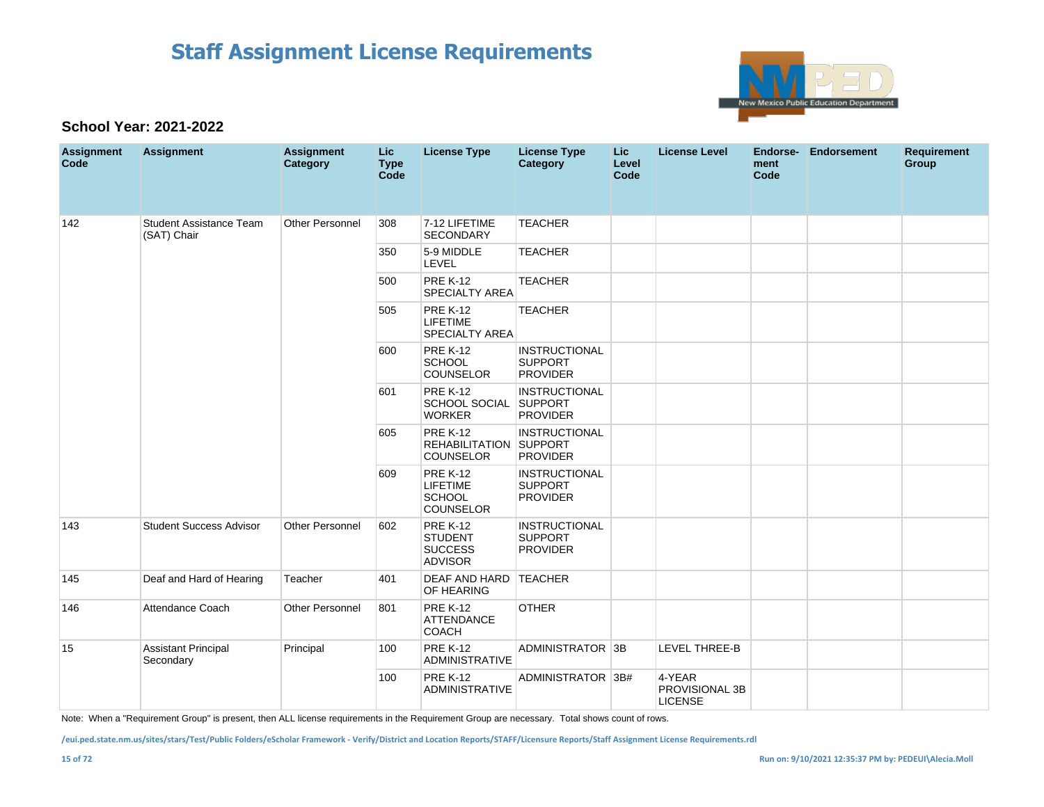

### **School Year: 2021-2022**

| <b>Assignment</b><br>Code | <b>Assignment</b>                             | <b>Assignment</b><br><b>Category</b> | <b>Lic</b><br><b>Type</b><br>Code | <b>License Type</b>                                                     | <b>License Type</b><br><b>Category</b>                    | Lic.<br>Level<br>Code | <b>License Level</b>                       | Endorse-<br>ment<br>Code | <b>Endorsement</b> | <b>Requirement</b><br>Group |
|---------------------------|-----------------------------------------------|--------------------------------------|-----------------------------------|-------------------------------------------------------------------------|-----------------------------------------------------------|-----------------------|--------------------------------------------|--------------------------|--------------------|-----------------------------|
| 142                       | <b>Student Assistance Team</b><br>(SAT) Chair | <b>Other Personnel</b>               | 308                               | 7-12 LIFETIME<br><b>SECONDARY</b>                                       | <b>TEACHER</b>                                            |                       |                                            |                          |                    |                             |
|                           |                                               |                                      | 350                               | 5-9 MIDDLE<br>LEVEL                                                     | <b>TEACHER</b>                                            |                       |                                            |                          |                    |                             |
|                           |                                               |                                      | 500                               | <b>PRE K-12</b><br><b>SPECIALTY AREA</b>                                | <b>TEACHER</b>                                            |                       |                                            |                          |                    |                             |
|                           |                                               |                                      | 505                               | <b>PRE K-12</b><br>LIFETIME<br><b>SPECIALTY AREA</b>                    | <b>TEACHER</b>                                            |                       |                                            |                          |                    |                             |
|                           |                                               |                                      | 600                               | <b>PRE K-12</b><br><b>SCHOOL</b><br><b>COUNSELOR</b>                    | <b>INSTRUCTIONAL</b><br><b>SUPPORT</b><br><b>PROVIDER</b> |                       |                                            |                          |                    |                             |
|                           |                                               |                                      | 601                               | <b>PRE K-12</b><br>SCHOOL SOCIAL SUPPORT<br><b>WORKER</b>               | <b>INSTRUCTIONAL</b><br><b>PROVIDER</b>                   |                       |                                            |                          |                    |                             |
|                           |                                               |                                      | 605                               | <b>PRE K-12</b><br>REHABILITATION SUPPORT<br><b>COUNSELOR</b>           | <b>INSTRUCTIONAL</b><br><b>PROVIDER</b>                   |                       |                                            |                          |                    |                             |
|                           |                                               |                                      | 609                               | <b>PRE K-12</b><br><b>LIFETIME</b><br><b>SCHOOL</b><br><b>COUNSELOR</b> | <b>INSTRUCTIONAL</b><br><b>SUPPORT</b><br><b>PROVIDER</b> |                       |                                            |                          |                    |                             |
| 143                       | <b>Student Success Advisor</b>                | <b>Other Personnel</b>               | 602                               | <b>PRE K-12</b><br><b>STUDENT</b><br><b>SUCCESS</b><br><b>ADVISOR</b>   | <b>INSTRUCTIONAL</b><br><b>SUPPORT</b><br><b>PROVIDER</b> |                       |                                            |                          |                    |                             |
| 145                       | Deaf and Hard of Hearing                      | Teacher                              | 401                               | DEAF AND HARD<br>OF HEARING                                             | <b>TEACHER</b>                                            |                       |                                            |                          |                    |                             |
| 146                       | Attendance Coach                              | <b>Other Personnel</b>               | 801                               | <b>PRE K-12</b><br><b>ATTENDANCE</b><br><b>COACH</b>                    | <b>OTHER</b>                                              |                       |                                            |                          |                    |                             |
| 15                        | <b>Assistant Principal</b><br>Secondary       | Principal                            | 100                               | <b>PRE K-12</b><br><b>ADMINISTRATIVE</b>                                | ADMINISTRATOR 3B                                          |                       | <b>LEVEL THREE-B</b>                       |                          |                    |                             |
|                           |                                               |                                      | 100                               | <b>PRE K-12</b><br><b>ADMINISTRATIVE</b>                                | ADMINISTRATOR 3B#                                         |                       | 4-YEAR<br>PROVISIONAL 3B<br><b>LICENSE</b> |                          |                    |                             |

Note: When a "Requirement Group" is present, then ALL license requirements in the Requirement Group are necessary. Total shows count of rows.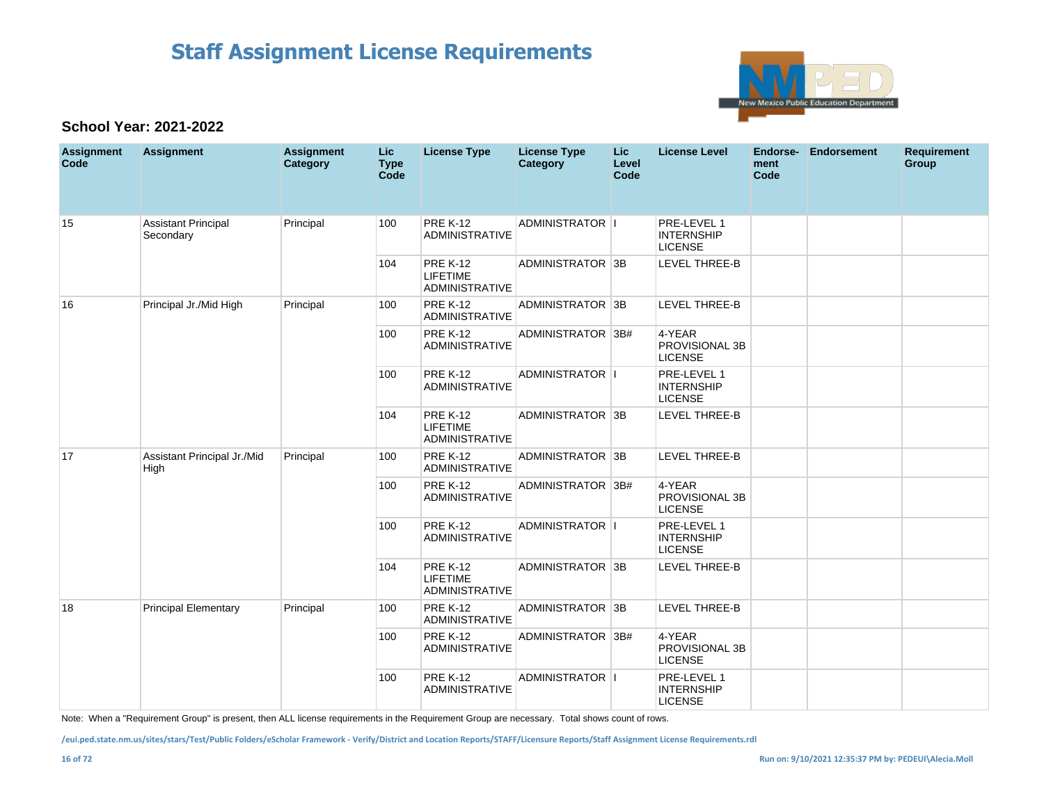

### **School Year: 2021-2022**

| <b>Assignment</b><br>Code | <b>Assignment</b>                       | <b>Assignment</b><br>Category | Lic<br><b>Type</b><br>Code | <b>License Type</b>                                         | <b>License Type</b><br>Category | Lic.<br>Level<br>Code | <b>License Level</b>                               | Endorse-<br>ment<br>Code | <b>Endorsement</b> | <b>Requirement</b><br>Group |
|---------------------------|-----------------------------------------|-------------------------------|----------------------------|-------------------------------------------------------------|---------------------------------|-----------------------|----------------------------------------------------|--------------------------|--------------------|-----------------------------|
| 15                        | <b>Assistant Principal</b><br>Secondary | Principal                     | 100                        | <b>PRE K-12</b><br><b>ADMINISTRATIVE</b>                    | <b>ADMINISTRATOR II</b>         |                       | PRE-LEVEL 1<br><b>INTERNSHIP</b><br><b>LICENSE</b> |                          |                    |                             |
|                           |                                         |                               | 104                        | <b>PRE K-12</b><br><b>LIFETIME</b><br><b>ADMINISTRATIVE</b> | ADMINISTRATOR 3B                |                       | LEVEL THREE-B                                      |                          |                    |                             |
| 16                        | Principal Jr./Mid High                  | Principal                     | 100                        | <b>PRE K-12</b><br><b>ADMINISTRATIVE</b>                    | ADMINISTRATOR 3B                |                       | LEVEL THREE-B                                      |                          |                    |                             |
|                           |                                         |                               | 100                        | <b>PRE K-12</b><br><b>ADMINISTRATIVE</b>                    | ADMINISTRATOR 3B#               |                       | 4-YEAR<br>PROVISIONAL 3B<br><b>LICENSE</b>         |                          |                    |                             |
|                           |                                         |                               | 100                        | <b>PRE K-12</b><br><b>ADMINISTRATIVE</b>                    | ADMINISTRATOR I                 |                       | PRE-LEVEL 1<br><b>INTERNSHIP</b><br><b>LICENSE</b> |                          |                    |                             |
|                           |                                         |                               | 104                        | <b>PRE K-12</b><br><b>LIFETIME</b><br><b>ADMINISTRATIVE</b> | ADMINISTRATOR 3B                |                       | <b>LEVEL THREE-B</b>                               |                          |                    |                             |
| 17                        | Assistant Principal Jr./Mid<br>High     | Principal                     | 100                        | <b>PRE K-12</b><br><b>ADMINISTRATIVE</b>                    | ADMINISTRATOR 3B                |                       | LEVEL THREE-B                                      |                          |                    |                             |
|                           |                                         |                               | 100                        | <b>PRE K-12</b><br><b>ADMINISTRATIVE</b>                    | ADMINISTRATOR 3B#               |                       | 4-YEAR<br>PROVISIONAL 3B<br><b>LICENSE</b>         |                          |                    |                             |
|                           |                                         |                               | 100                        | <b>PRE K-12</b><br><b>ADMINISTRATIVE</b>                    | ADMINISTRATOR  I                |                       | PRE-LEVEL 1<br><b>INTERNSHIP</b><br><b>LICENSE</b> |                          |                    |                             |
|                           |                                         |                               | 104                        | <b>PRE K-12</b><br><b>LIFETIME</b><br><b>ADMINISTRATIVE</b> | ADMINISTRATOR 3B                |                       | <b>LEVEL THREE-B</b>                               |                          |                    |                             |
| 18                        | <b>Principal Elementary</b>             | Principal                     | 100                        | <b>PRE K-12</b><br>ADMINISTRATIVE                           | ADMINISTRATOR 3B                |                       | <b>LEVEL THREE-B</b>                               |                          |                    |                             |
|                           |                                         |                               | 100                        | <b>PRE K-12</b><br><b>ADMINISTRATIVE</b>                    | ADMINISTRATOR 3B#               |                       | 4-YEAR<br>PROVISIONAL 3B<br><b>LICENSE</b>         |                          |                    |                             |
|                           |                                         |                               | 100                        | <b>PRE K-12</b><br><b>ADMINISTRATIVE</b>                    | ADMINISTRATOR II                |                       | PRE-LEVEL 1<br><b>INTERNSHIP</b><br><b>LICENSE</b> |                          |                    |                             |

Note: When a "Requirement Group" is present, then ALL license requirements in the Requirement Group are necessary. Total shows count of rows.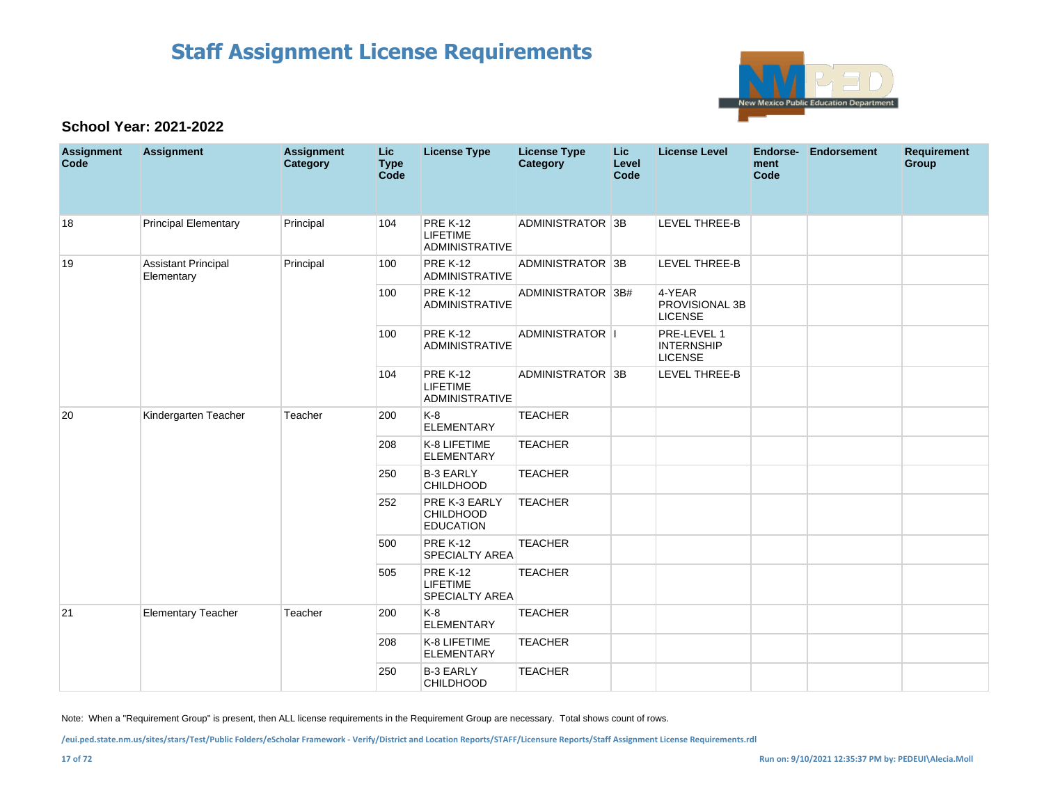

### **School Year: 2021-2022**

| <b>Assignment</b><br>Code | <b>Assignment</b>                        | <b>Assignment</b><br>Category | Lic<br><b>Type</b><br>Code | <b>License Type</b>                                         | <b>License Type</b><br><b>Category</b> | <b>Lic</b><br>Level<br>Code | <b>License Level</b>                               | Endorse-<br>ment<br>Code | Endorsement | <b>Requirement</b><br>Group |
|---------------------------|------------------------------------------|-------------------------------|----------------------------|-------------------------------------------------------------|----------------------------------------|-----------------------------|----------------------------------------------------|--------------------------|-------------|-----------------------------|
| 18                        | <b>Principal Elementary</b>              | Principal                     | 104                        | <b>PRE K-12</b><br><b>LIFETIME</b><br><b>ADMINISTRATIVE</b> | ADMINISTRATOR 3B                       |                             | LEVEL THREE-B                                      |                          |             |                             |
| 19                        | <b>Assistant Principal</b><br>Elementary | Principal                     | 100                        | <b>PRE K-12</b><br><b>ADMINISTRATIVE</b>                    | ADMINISTRATOR 3B                       |                             | <b>LEVEL THREE-B</b>                               |                          |             |                             |
|                           |                                          |                               | 100                        | <b>PRE K-12</b><br><b>ADMINISTRATIVE</b>                    | ADMINISTRATOR 3B#                      |                             | 4-YEAR<br>PROVISIONAL 3B<br><b>LICENSE</b>         |                          |             |                             |
|                           |                                          |                               | 100                        | <b>PRE K-12</b><br><b>ADMINISTRATIVE</b>                    | ADMINISTRATOR I                        |                             | PRE-LEVEL 1<br><b>INTERNSHIP</b><br><b>LICENSE</b> |                          |             |                             |
|                           |                                          |                               | 104                        | <b>PRE K-12</b><br><b>LIFETIME</b><br>ADMINISTRATIVE        | ADMINISTRATOR 3B                       |                             | LEVEL THREE-B                                      |                          |             |                             |
| 20                        | Kindergarten Teacher                     | Teacher                       | 200                        | $K-8$<br><b>ELEMENTARY</b>                                  | <b>TEACHER</b>                         |                             |                                                    |                          |             |                             |
|                           |                                          |                               | 208                        | K-8 LIFETIME<br><b>ELEMENTARY</b>                           | <b>TEACHER</b>                         |                             |                                                    |                          |             |                             |
|                           |                                          |                               | 250                        | <b>B-3 EARLY</b><br><b>CHILDHOOD</b>                        | <b>TEACHER</b>                         |                             |                                                    |                          |             |                             |
|                           |                                          |                               | 252                        | PRE K-3 EARLY<br>CHILDHOOD<br><b>EDUCATION</b>              | <b>TEACHER</b>                         |                             |                                                    |                          |             |                             |
|                           |                                          |                               | 500                        | <b>PRE K-12</b><br><b>SPECIALTY AREA</b>                    | <b>TEACHER</b>                         |                             |                                                    |                          |             |                             |
|                           |                                          |                               | 505                        | <b>PRE K-12</b><br><b>LIFETIME</b><br><b>SPECIALTY AREA</b> | <b>TEACHER</b>                         |                             |                                                    |                          |             |                             |
| 21                        | <b>Elementary Teacher</b>                | Teacher                       | 200                        | K-8<br><b>ELEMENTARY</b>                                    | <b>TEACHER</b>                         |                             |                                                    |                          |             |                             |
|                           |                                          |                               | 208                        | K-8 LIFETIME<br><b>ELEMENTARY</b>                           | <b>TEACHER</b>                         |                             |                                                    |                          |             |                             |
|                           |                                          |                               | 250                        | <b>B-3 EARLY</b><br><b>CHILDHOOD</b>                        | <b>TEACHER</b>                         |                             |                                                    |                          |             |                             |

Note: When a "Requirement Group" is present, then ALL license requirements in the Requirement Group are necessary. Total shows count of rows.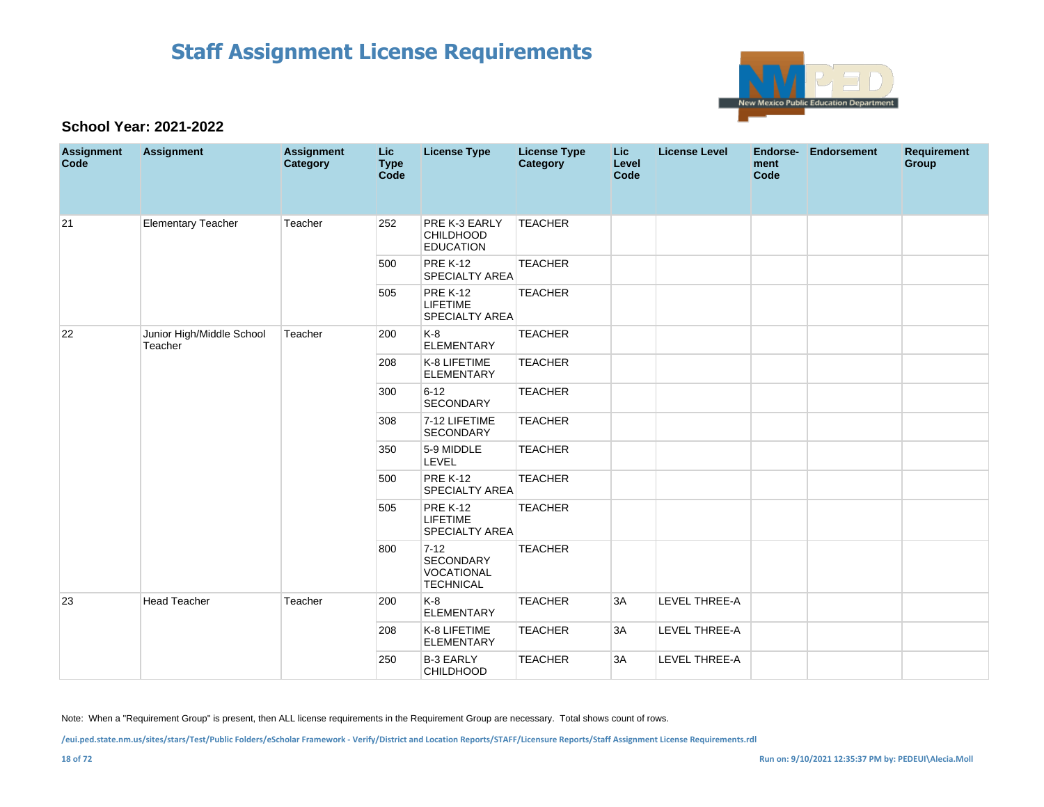

### **School Year: 2021-2022**

| <b>Assignment</b><br>Code | <b>Assignment</b>                    | <b>Assignment</b><br>Category | <b>Lic</b><br><b>Type</b><br>Code | <b>License Type</b>                                            | <b>License Type</b><br><b>Category</b> | <b>Lic</b><br>Level<br>Code | <b>License Level</b> | Endorse-<br>ment<br>Code | <b>Endorsement</b> | <b>Requirement</b><br>Group |
|---------------------------|--------------------------------------|-------------------------------|-----------------------------------|----------------------------------------------------------------|----------------------------------------|-----------------------------|----------------------|--------------------------|--------------------|-----------------------------|
| 21                        | <b>Elementary Teacher</b>            | Teacher                       | 252                               | PRE K-3 EARLY<br>CHILDHOOD<br><b>EDUCATION</b>                 | <b>TEACHER</b>                         |                             |                      |                          |                    |                             |
|                           |                                      |                               | 500                               | <b>PRE K-12</b><br><b>SPECIALTY AREA</b>                       | <b>TEACHER</b>                         |                             |                      |                          |                    |                             |
|                           |                                      |                               | 505                               | <b>PRE K-12</b><br><b>LIFETIME</b><br><b>SPECIALTY AREA</b>    | <b>TEACHER</b>                         |                             |                      |                          |                    |                             |
| 22                        | Junior High/Middle School<br>Teacher | Teacher                       | 200                               | K-8<br><b>ELEMENTARY</b>                                       | <b>TEACHER</b>                         |                             |                      |                          |                    |                             |
|                           |                                      |                               | 208                               | K-8 LIFETIME<br><b>ELEMENTARY</b>                              | <b>TEACHER</b>                         |                             |                      |                          |                    |                             |
|                           |                                      |                               | 300                               | $6 - 12$<br>SECONDARY                                          | <b>TEACHER</b>                         |                             |                      |                          |                    |                             |
|                           |                                      |                               | 308                               | 7-12 LIFETIME<br><b>SECONDARY</b>                              | <b>TEACHER</b>                         |                             |                      |                          |                    |                             |
|                           |                                      |                               | 350                               | 5-9 MIDDLE<br>LEVEL                                            | <b>TEACHER</b>                         |                             |                      |                          |                    |                             |
|                           |                                      |                               | 500                               | <b>PRE K-12</b><br><b>SPECIALTY AREA</b>                       | <b>TEACHER</b>                         |                             |                      |                          |                    |                             |
|                           |                                      |                               | 505                               | <b>PRE K-12</b><br><b>LIFETIME</b><br><b>SPECIALTY AREA</b>    | <b>TEACHER</b>                         |                             |                      |                          |                    |                             |
|                           |                                      |                               | 800                               | $7 - 12$<br>SECONDARY<br><b>VOCATIONAL</b><br><b>TECHNICAL</b> | <b>TEACHER</b>                         |                             |                      |                          |                    |                             |
| 23                        | <b>Head Teacher</b>                  | Teacher                       | 200                               | K-8<br><b>ELEMENTARY</b>                                       | <b>TEACHER</b>                         | 3A                          | LEVEL THREE-A        |                          |                    |                             |
|                           |                                      |                               | 208                               | K-8 LIFETIME<br><b>ELEMENTARY</b>                              | <b>TEACHER</b>                         | 3A                          | LEVEL THREE-A        |                          |                    |                             |
|                           |                                      |                               | 250                               | <b>B-3 EARLY</b><br><b>CHILDHOOD</b>                           | <b>TEACHER</b>                         | 3A                          | LEVEL THREE-A        |                          |                    |                             |

Note: When a "Requirement Group" is present, then ALL license requirements in the Requirement Group are necessary. Total shows count of rows.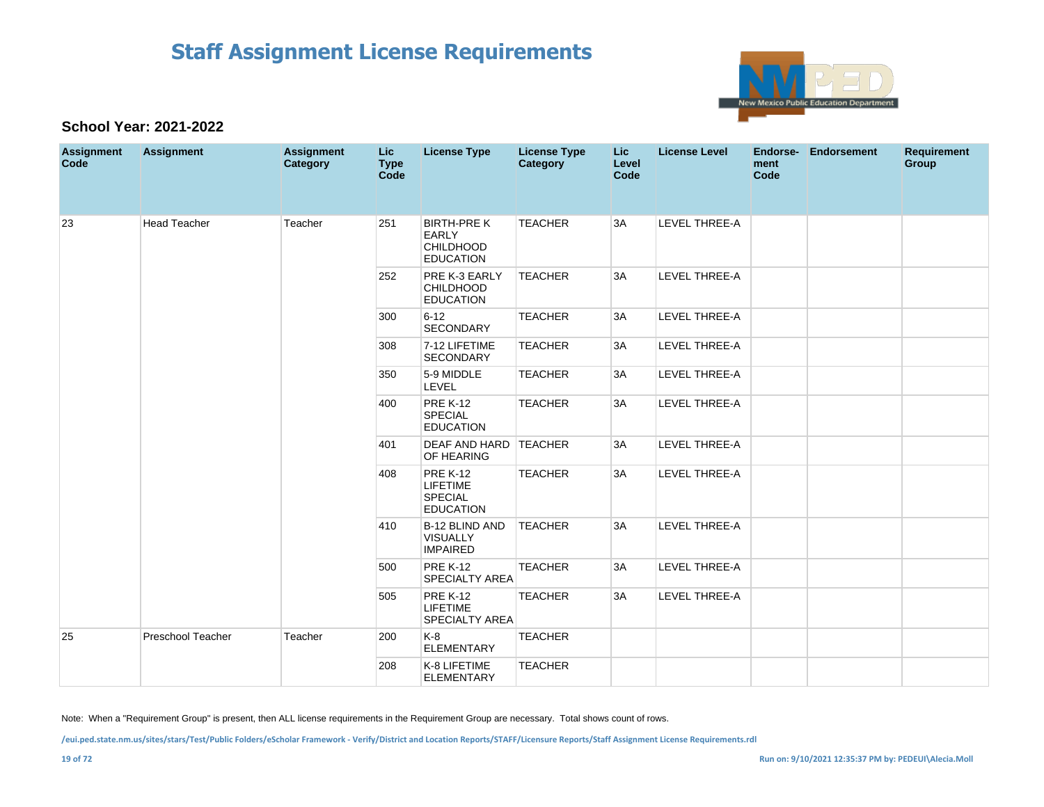

### **School Year: 2021-2022**

| <b>Assignment</b><br>Code | <b>Assignment</b>        | <b>Assignment</b><br>Category | Lic.<br><b>Type</b><br>Code | <b>License Type</b>                                                       | <b>License Type</b><br><b>Category</b> | <b>Lic</b><br>Level<br>Code | <b>License Level</b> | Endorse-<br>ment<br>Code | Endorsement | <b>Requirement</b><br>Group |
|---------------------------|--------------------------|-------------------------------|-----------------------------|---------------------------------------------------------------------------|----------------------------------------|-----------------------------|----------------------|--------------------------|-------------|-----------------------------|
| 23                        | <b>Head Teacher</b>      | Teacher                       | 251                         | <b>BIRTH-PREK</b><br><b>EARLY</b><br><b>CHILDHOOD</b><br><b>EDUCATION</b> | <b>TEACHER</b>                         | 3A                          | LEVEL THREE-A        |                          |             |                             |
|                           |                          |                               | 252                         | PRE K-3 EARLY<br><b>CHILDHOOD</b><br><b>EDUCATION</b>                     | <b>TEACHER</b>                         | 3A                          | <b>LEVEL THREE-A</b> |                          |             |                             |
|                           |                          |                               | 300                         | $6 - 12$<br>SECONDARY                                                     | <b>TEACHER</b>                         | 3A                          | <b>LEVEL THREE-A</b> |                          |             |                             |
|                           |                          |                               | 308                         | 7-12 LIFETIME<br>SECONDARY                                                | <b>TEACHER</b>                         | 3A                          | LEVEL THREE-A        |                          |             |                             |
|                           |                          |                               | 350                         | 5-9 MIDDLE<br>LEVEL                                                       | <b>TEACHER</b>                         | 3A                          | LEVEL THREE-A        |                          |             |                             |
|                           |                          |                               | 400                         | <b>PRE K-12</b><br><b>SPECIAL</b><br><b>EDUCATION</b>                     | <b>TEACHER</b>                         | 3A                          | LEVEL THREE-A        |                          |             |                             |
|                           |                          |                               | 401                         | DEAF AND HARD TEACHER<br>OF HEARING                                       |                                        | 3A                          | LEVEL THREE-A        |                          |             |                             |
|                           |                          |                               | 408                         | <b>PRE K-12</b><br><b>LIFETIME</b><br><b>SPECIAL</b><br><b>EDUCATION</b>  | <b>TEACHER</b>                         | 3A                          | LEVEL THREE-A        |                          |             |                             |
|                           |                          |                               | 410                         | B-12 BLIND AND<br><b>VISUALLY</b><br><b>IMPAIRED</b>                      | <b>TEACHER</b>                         | 3A                          | LEVEL THREE-A        |                          |             |                             |
|                           |                          |                               | 500                         | <b>PRE K-12</b><br><b>SPECIALTY AREA</b>                                  | <b>TEACHER</b>                         | 3A                          | LEVEL THREE-A        |                          |             |                             |
|                           |                          |                               | 505                         | <b>PRE K-12</b><br><b>LIFETIME</b><br>SPECIALTY AREA                      | <b>TEACHER</b>                         | 3A                          | LEVEL THREE-A        |                          |             |                             |
| 25                        | <b>Preschool Teacher</b> | Teacher                       | 200                         | $K-8$<br><b>ELEMENTARY</b>                                                | <b>TEACHER</b>                         |                             |                      |                          |             |                             |
|                           |                          |                               | 208                         | K-8 LIFETIME<br><b>ELEMENTARY</b>                                         | <b>TEACHER</b>                         |                             |                      |                          |             |                             |

Note: When a "Requirement Group" is present, then ALL license requirements in the Requirement Group are necessary. Total shows count of rows.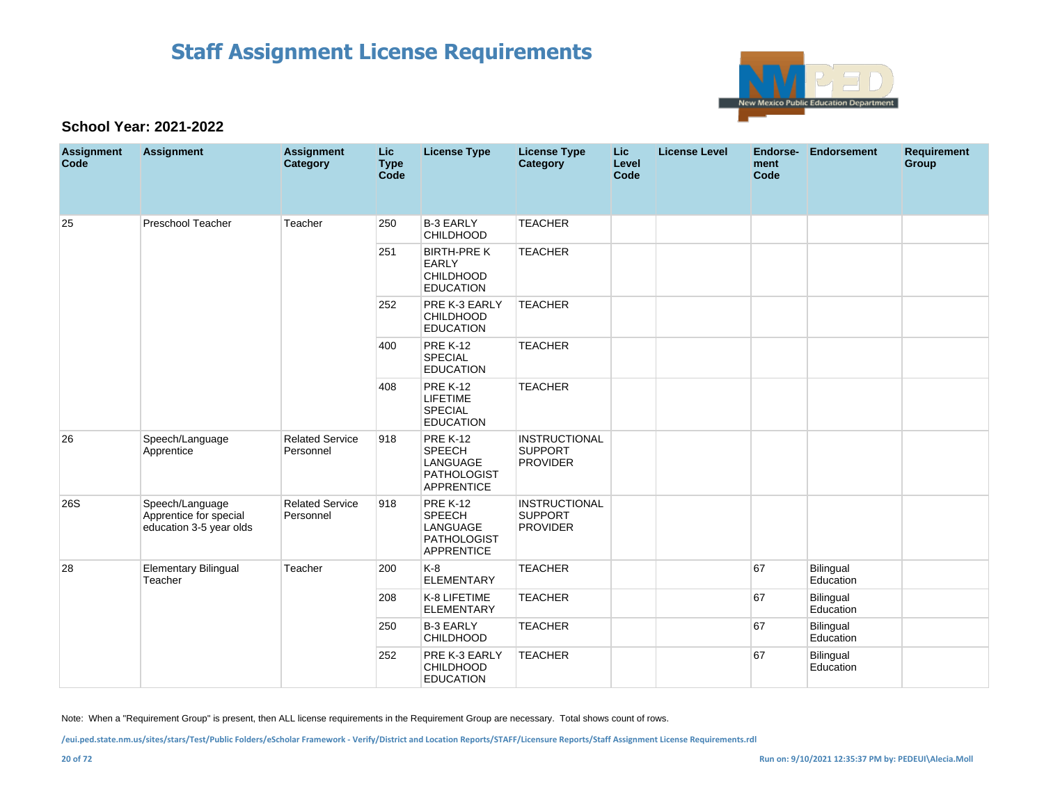

### **School Year: 2021-2022**

| <b>Assignment</b><br>Code | <b>Assignment</b>                                                    | <b>Assignment</b><br><b>Category</b> | <b>Lic</b><br><b>Type</b><br><b>Code</b> | <b>License Type</b>                                                                     | <b>License Type</b><br>Category                           | <b>Lic</b><br>Level<br>Code | <b>License Level</b> | <b>Endorse-</b><br>ment<br>Code | <b>Endorsement</b>     | <b>Requirement</b><br>Group |
|---------------------------|----------------------------------------------------------------------|--------------------------------------|------------------------------------------|-----------------------------------------------------------------------------------------|-----------------------------------------------------------|-----------------------------|----------------------|---------------------------------|------------------------|-----------------------------|
| 25                        | Preschool Teacher                                                    | Teacher                              | 250                                      | <b>B-3 EARLY</b><br><b>CHILDHOOD</b>                                                    | <b>TEACHER</b>                                            |                             |                      |                                 |                        |                             |
|                           |                                                                      |                                      | 251                                      | <b>BIRTH-PRE K</b><br><b>EARLY</b><br><b>CHILDHOOD</b><br><b>EDUCATION</b>              | <b>TEACHER</b>                                            |                             |                      |                                 |                        |                             |
|                           |                                                                      |                                      | 252                                      | PRE K-3 EARLY<br><b>CHILDHOOD</b><br><b>EDUCATION</b>                                   | <b>TEACHER</b>                                            |                             |                      |                                 |                        |                             |
|                           |                                                                      |                                      | 400                                      | <b>PRE K-12</b><br><b>SPECIAL</b><br><b>EDUCATION</b>                                   | <b>TEACHER</b>                                            |                             |                      |                                 |                        |                             |
|                           |                                                                      |                                      | 408                                      | <b>PRE K-12</b><br><b>LIFETIME</b><br><b>SPECIAL</b><br><b>EDUCATION</b>                | <b>TEACHER</b>                                            |                             |                      |                                 |                        |                             |
| 26                        | Speech/Language<br>Apprentice                                        | <b>Related Service</b><br>Personnel  | 918                                      | <b>PRE K-12</b><br><b>SPEECH</b><br>LANGUAGE<br><b>PATHOLOGIST</b><br><b>APPRENTICE</b> | <b>INSTRUCTIONAL</b><br><b>SUPPORT</b><br><b>PROVIDER</b> |                             |                      |                                 |                        |                             |
| <b>26S</b>                | Speech/Language<br>Apprentice for special<br>education 3-5 year olds | <b>Related Service</b><br>Personnel  | 918                                      | <b>PRE K-12</b><br><b>SPEECH</b><br>LANGUAGE<br><b>PATHOLOGIST</b><br><b>APPRENTICE</b> | <b>INSTRUCTIONAL</b><br><b>SUPPORT</b><br><b>PROVIDER</b> |                             |                      |                                 |                        |                             |
| 28                        | <b>Elementary Bilingual</b><br>Teacher                               | Teacher                              | 200                                      | $K-8$<br><b>ELEMENTARY</b>                                                              | <b>TEACHER</b>                                            |                             |                      | 67                              | Bilingual<br>Education |                             |
|                           |                                                                      |                                      | 208                                      | K-8 LIFETIME<br><b>ELEMENTARY</b>                                                       | <b>TEACHER</b>                                            |                             |                      | 67                              | Bilingual<br>Education |                             |
|                           |                                                                      |                                      | 250                                      | <b>B-3 EARLY</b><br><b>CHILDHOOD</b>                                                    | <b>TEACHER</b>                                            |                             |                      | 67                              | Bilingual<br>Education |                             |
|                           |                                                                      |                                      | 252                                      | PRE K-3 EARLY<br><b>CHILDHOOD</b><br><b>EDUCATION</b>                                   | <b>TEACHER</b>                                            |                             |                      | 67                              | Bilingual<br>Education |                             |

Note: When a "Requirement Group" is present, then ALL license requirements in the Requirement Group are necessary. Total shows count of rows.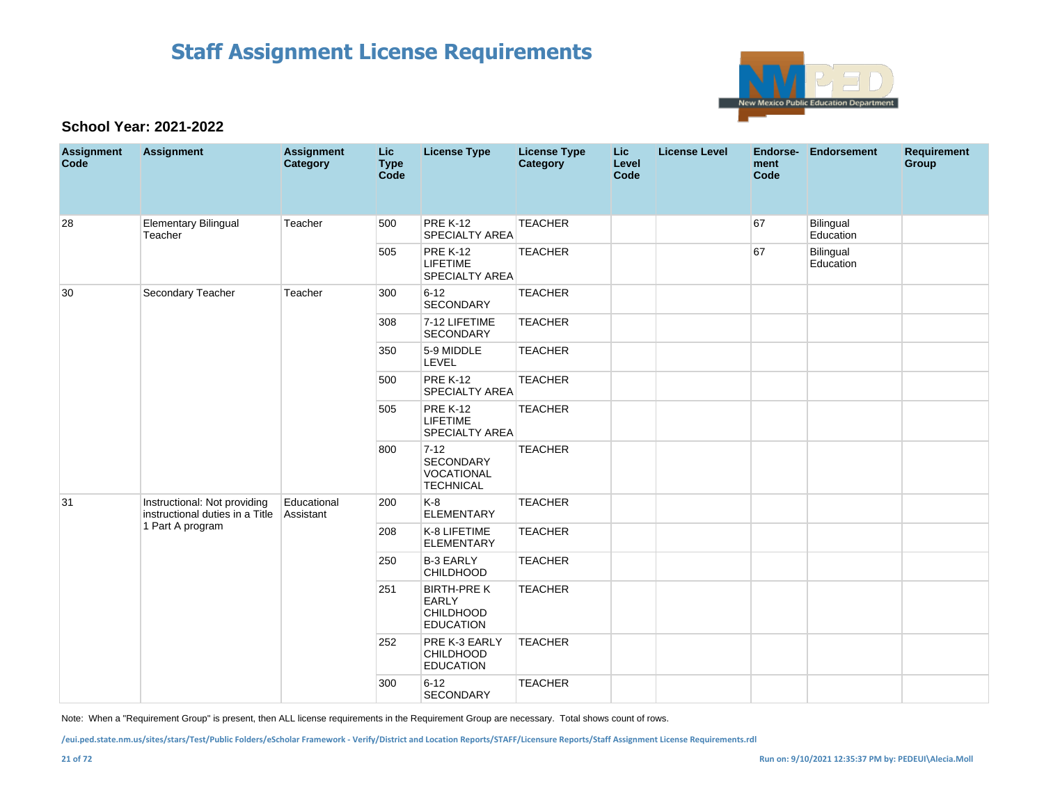

### **School Year: 2021-2022**

| <b>Assignment</b><br>Code | <b>Assignment</b>                                               | <b>Assignment</b><br>Category | Lic<br><b>Type</b><br>Code | <b>License Type</b>                                                 | <b>License Type</b><br>Category | <b>Lic</b><br>Level<br>Code | <b>License Level</b> | <b>Endorse-</b><br>ment<br>Code | <b>Endorsement</b>     | <b>Requirement</b><br>Group |
|---------------------------|-----------------------------------------------------------------|-------------------------------|----------------------------|---------------------------------------------------------------------|---------------------------------|-----------------------------|----------------------|---------------------------------|------------------------|-----------------------------|
| 28                        | <b>Elementary Bilingual</b><br>Teacher                          | Teacher                       | 500                        | <b>PRE K-12</b><br>SPECIALTY AREA                                   | <b>TEACHER</b>                  |                             |                      | 67                              | Bilingual<br>Education |                             |
|                           |                                                                 |                               | 505                        | <b>PRE K-12</b><br><b>LIFETIME</b><br>SPECIALTY AREA                | <b>TEACHER</b>                  |                             |                      | 67                              | Bilingual<br>Education |                             |
| 30                        | Secondary Teacher                                               | Teacher                       | 300                        | $6 - 12$<br>SECONDARY                                               | <b>TEACHER</b>                  |                             |                      |                                 |                        |                             |
|                           |                                                                 |                               | 308                        | 7-12 LIFETIME<br><b>SECONDARY</b>                                   | <b>TEACHER</b>                  |                             |                      |                                 |                        |                             |
|                           |                                                                 |                               | 350                        | 5-9 MIDDLE<br>LEVEL                                                 | <b>TEACHER</b>                  |                             |                      |                                 |                        |                             |
|                           |                                                                 |                               | 500                        | <b>PRE K-12</b><br><b>SPECIALTY AREA</b>                            | <b>TEACHER</b>                  |                             |                      |                                 |                        |                             |
|                           |                                                                 |                               | 505                        | <b>PRE K-12</b><br><b>LIFETIME</b><br><b>SPECIALTY AREA</b>         | <b>TEACHER</b>                  |                             |                      |                                 |                        |                             |
|                           |                                                                 |                               | 800                        | $7 - 12$<br>SECONDARY<br>VOCATIONAL<br><b>TECHNICAL</b>             | <b>TEACHER</b>                  |                             |                      |                                 |                        |                             |
| 31                        | Instructional: Not providing<br>instructional duties in a Title | Educational<br>Assistant      | 200                        | K-8<br><b>ELEMENTARY</b>                                            | <b>TEACHER</b>                  |                             |                      |                                 |                        |                             |
|                           | 1 Part A program                                                |                               | 208                        | K-8 LIFETIME<br><b>ELEMENTARY</b>                                   | <b>TEACHER</b>                  |                             |                      |                                 |                        |                             |
|                           |                                                                 |                               | 250                        | <b>B-3 EARLY</b><br><b>CHILDHOOD</b>                                | <b>TEACHER</b>                  |                             |                      |                                 |                        |                             |
|                           |                                                                 |                               | 251                        | <b>BIRTH-PRE K</b><br>EARLY<br><b>CHILDHOOD</b><br><b>EDUCATION</b> | <b>TEACHER</b>                  |                             |                      |                                 |                        |                             |
|                           |                                                                 |                               | 252                        | PRE K-3 EARLY<br><b>CHILDHOOD</b><br><b>EDUCATION</b>               | <b>TEACHER</b>                  |                             |                      |                                 |                        |                             |
|                           |                                                                 |                               | 300                        | $6 - 12$<br>SECONDARY                                               | <b>TEACHER</b>                  |                             |                      |                                 |                        |                             |

Note: When a "Requirement Group" is present, then ALL license requirements in the Requirement Group are necessary. Total shows count of rows.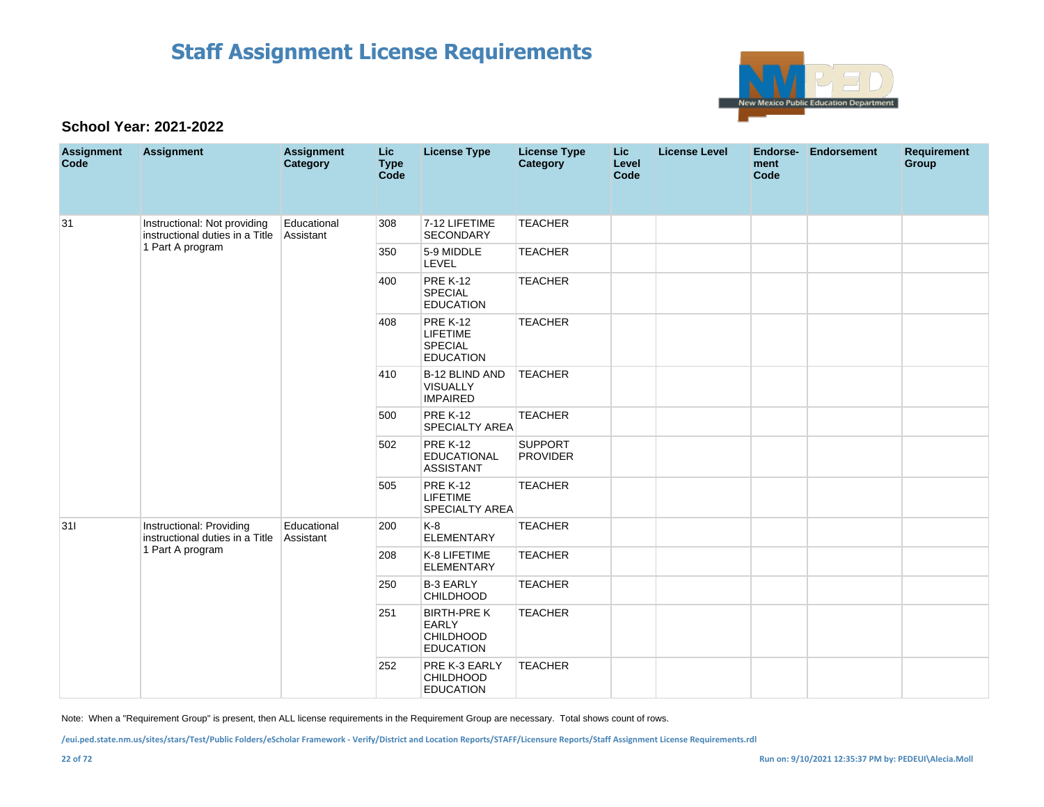

### **School Year: 2021-2022**

| <b>Assignment</b><br>Code | <b>Assignment</b>                                               | <b>Assignment</b><br>Category | <b>Lic</b><br><b>Type</b><br>Code | <b>License Type</b>                                                        | <b>License Type</b><br>Category   | <b>Lic</b><br>Level<br>Code | <b>License Level</b> | ment<br>Code | Endorse- Endorsement | <b>Requirement</b><br>Group |
|---------------------------|-----------------------------------------------------------------|-------------------------------|-----------------------------------|----------------------------------------------------------------------------|-----------------------------------|-----------------------------|----------------------|--------------|----------------------|-----------------------------|
| 31                        | Instructional: Not providing<br>instructional duties in a Title | Educational<br>Assistant      | 308                               | 7-12 LIFETIME<br><b>SECONDARY</b>                                          | <b>TEACHER</b>                    |                             |                      |              |                      |                             |
|                           | 1 Part A program                                                |                               | 350                               | 5-9 MIDDLE<br>LEVEL                                                        | <b>TEACHER</b>                    |                             |                      |              |                      |                             |
|                           |                                                                 |                               | 400                               | <b>PRE K-12</b><br><b>SPECIAL</b><br><b>EDUCATION</b>                      | <b>TEACHER</b>                    |                             |                      |              |                      |                             |
|                           |                                                                 |                               | 408                               | <b>PRE K-12</b><br>LIFETIME<br><b>SPECIAL</b><br><b>EDUCATION</b>          | <b>TEACHER</b>                    |                             |                      |              |                      |                             |
|                           |                                                                 |                               | 410                               | B-12 BLIND AND<br><b>VISUALLY</b><br><b>IMPAIRED</b>                       | <b>TEACHER</b>                    |                             |                      |              |                      |                             |
|                           |                                                                 |                               | 500                               | <b>PRE K-12</b><br><b>SPECIALTY AREA</b>                                   | <b>TEACHER</b>                    |                             |                      |              |                      |                             |
|                           |                                                                 |                               | 502                               | <b>PRE K-12</b><br>EDUCATIONAL<br><b>ASSISTANT</b>                         | <b>SUPPORT</b><br><b>PROVIDER</b> |                             |                      |              |                      |                             |
|                           |                                                                 |                               | 505                               | <b>PRE K-12</b><br>LIFETIME<br>SPECIALTY AREA                              | <b>TEACHER</b>                    |                             |                      |              |                      |                             |
| 311                       | Instructional: Providing<br>instructional duties in a Title     | Educational<br>Assistant      | 200                               | $K-8$<br><b>ELEMENTARY</b>                                                 | <b>TEACHER</b>                    |                             |                      |              |                      |                             |
|                           | 1 Part A program                                                |                               | 208                               | K-8 LIFETIME<br><b>ELEMENTARY</b>                                          | <b>TEACHER</b>                    |                             |                      |              |                      |                             |
|                           |                                                                 |                               | 250                               | <b>B-3 EARLY</b><br><b>CHILDHOOD</b>                                       | <b>TEACHER</b>                    |                             |                      |              |                      |                             |
|                           |                                                                 |                               | 251                               | <b>BIRTH-PRE K</b><br><b>EARLY</b><br><b>CHILDHOOD</b><br><b>EDUCATION</b> | <b>TEACHER</b>                    |                             |                      |              |                      |                             |
|                           |                                                                 |                               | 252                               | PRE K-3 EARLY<br>CHILDHOOD<br><b>EDUCATION</b>                             | <b>TEACHER</b>                    |                             |                      |              |                      |                             |

Note: When a "Requirement Group" is present, then ALL license requirements in the Requirement Group are necessary. Total shows count of rows.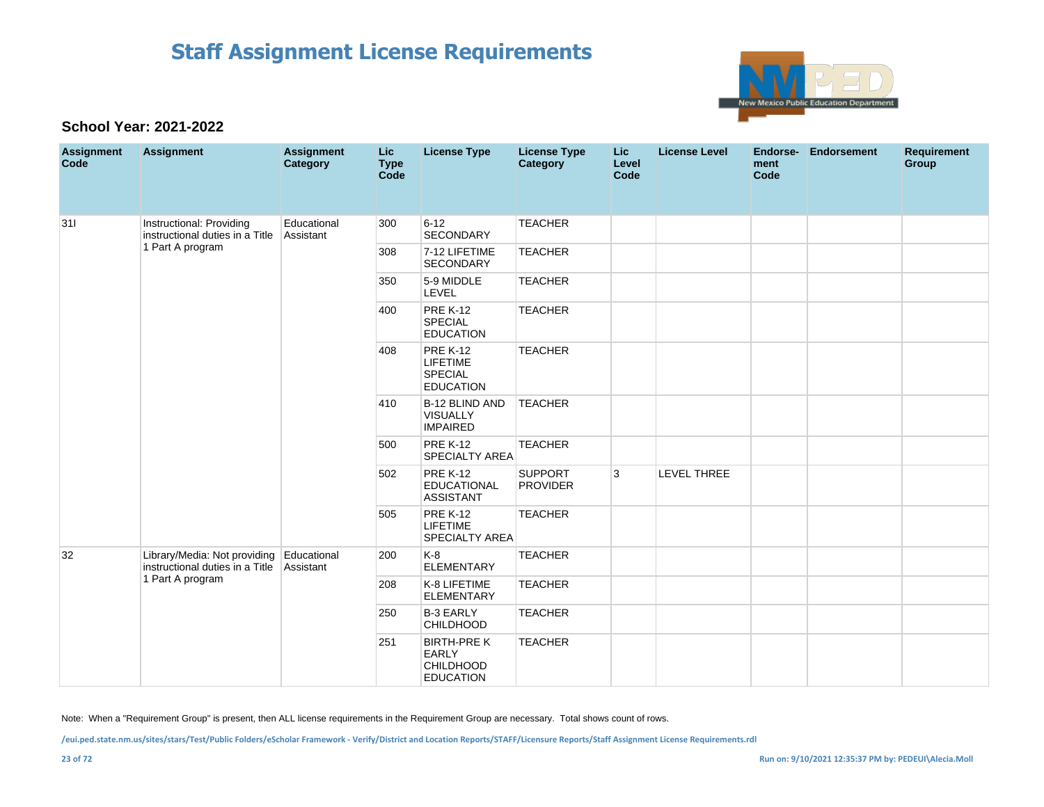

### **School Year: 2021-2022**

| <b>Assignment</b><br>Code | <b>Assignment</b>                                               | <b>Assignment</b><br>Category | <b>Lic</b><br><b>Type</b><br>Code | <b>License Type</b>                                                      | <b>License Type</b><br><b>Category</b> | Lic<br>Level<br>Code | <b>License Level</b> | Endorse-<br>ment<br>Code | <b>Endorsement</b> | <b>Requirement</b><br>Group |
|---------------------------|-----------------------------------------------------------------|-------------------------------|-----------------------------------|--------------------------------------------------------------------------|----------------------------------------|----------------------|----------------------|--------------------------|--------------------|-----------------------------|
| 311                       | Instructional: Providing<br>instructional duties in a Title     | Educational<br>Assistant      | 300                               | $6 - 12$<br><b>SECONDARY</b>                                             | <b>TEACHER</b>                         |                      |                      |                          |                    |                             |
|                           | 1 Part A program                                                |                               | 308                               | 7-12 LIFETIME<br><b>SECONDARY</b>                                        | <b>TEACHER</b>                         |                      |                      |                          |                    |                             |
|                           |                                                                 |                               | 350                               | 5-9 MIDDLE<br><b>LEVEL</b>                                               | <b>TEACHER</b>                         |                      |                      |                          |                    |                             |
|                           |                                                                 |                               | 400                               | <b>PRE K-12</b><br><b>SPECIAL</b><br><b>EDUCATION</b>                    | <b>TEACHER</b>                         |                      |                      |                          |                    |                             |
|                           |                                                                 |                               | 408                               | <b>PRE K-12</b><br><b>LIFETIME</b><br><b>SPECIAL</b><br><b>EDUCATION</b> | <b>TEACHER</b>                         |                      |                      |                          |                    |                             |
|                           |                                                                 |                               | 410                               | B-12 BLIND AND<br>VISUALLY<br><b>IMPAIRED</b>                            | <b>TEACHER</b>                         |                      |                      |                          |                    |                             |
|                           |                                                                 |                               | 500                               | <b>PRE K-12</b><br><b>SPECIALTY AREA</b>                                 | <b>TEACHER</b>                         |                      |                      |                          |                    |                             |
|                           |                                                                 |                               | 502                               | <b>PRE K-12</b><br><b>EDUCATIONAL</b><br><b>ASSISTANT</b>                | <b>SUPPORT</b><br><b>PROVIDER</b>      | 3                    | <b>LEVEL THREE</b>   |                          |                    |                             |
|                           |                                                                 |                               | 505                               | <b>PRE K-12</b><br><b>LIFETIME</b><br>SPECIALTY AREA                     | <b>TEACHER</b>                         |                      |                      |                          |                    |                             |
| 32                        | Library/Media: Not providing<br>instructional duties in a Title | Educational<br>Assistant      | 200                               | $K-8$<br><b>ELEMENTARY</b>                                               | <b>TEACHER</b>                         |                      |                      |                          |                    |                             |
|                           | 1 Part A program                                                |                               | 208                               | K-8 LIFETIME<br><b>ELEMENTARY</b>                                        | <b>TEACHER</b>                         |                      |                      |                          |                    |                             |
|                           |                                                                 |                               | 250                               | <b>B-3 EARLY</b><br><b>CHILDHOOD</b>                                     | <b>TEACHER</b>                         |                      |                      |                          |                    |                             |
|                           |                                                                 |                               | 251                               | <b>BIRTH-PREK</b><br>EARLY<br><b>CHILDHOOD</b><br><b>EDUCATION</b>       | <b>TEACHER</b>                         |                      |                      |                          |                    |                             |

Note: When a "Requirement Group" is present, then ALL license requirements in the Requirement Group are necessary. Total shows count of rows.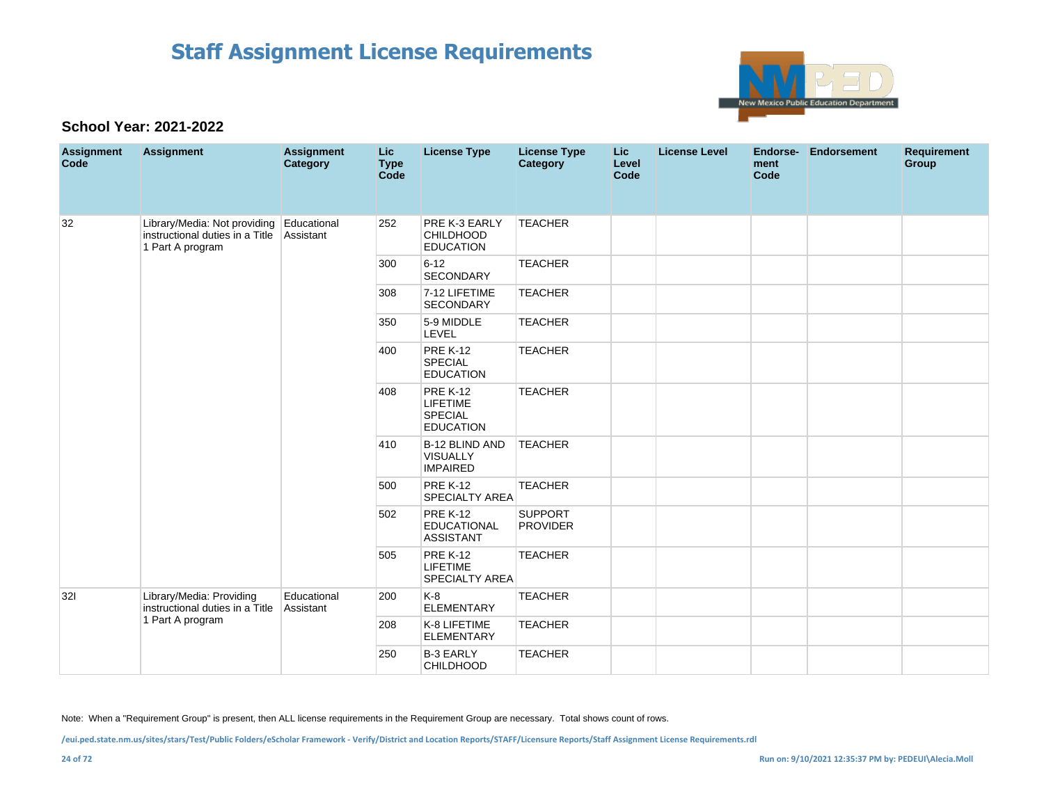

### **School Year: 2021-2022**

| <b>Assignment</b><br>Code | <b>Assignment</b>                                                                   | <b>Assignment</b><br><b>Category</b> | Lic<br><b>Type</b><br>Code | <b>License Type</b>                                                      | <b>License Type</b><br>Category   | <b>Lic</b><br>Level<br>Code | <b>License Level</b> | Endorse-<br>ment<br>Code | <b>Endorsement</b> | <b>Requirement</b><br>Group |
|---------------------------|-------------------------------------------------------------------------------------|--------------------------------------|----------------------------|--------------------------------------------------------------------------|-----------------------------------|-----------------------------|----------------------|--------------------------|--------------------|-----------------------------|
| 32                        | Library/Media: Not providing<br>instructional duties in a Title<br>1 Part A program | Educational<br>Assistant             | 252                        | PRE K-3 EARLY<br><b>CHILDHOOD</b><br><b>EDUCATION</b>                    | <b>TEACHER</b>                    |                             |                      |                          |                    |                             |
|                           |                                                                                     |                                      | 300                        | $6 - 12$<br><b>SECONDARY</b>                                             | <b>TEACHER</b>                    |                             |                      |                          |                    |                             |
|                           |                                                                                     |                                      | 308                        | 7-12 LIFETIME<br><b>SECONDARY</b>                                        | <b>TEACHER</b>                    |                             |                      |                          |                    |                             |
|                           |                                                                                     |                                      | 350                        | 5-9 MIDDLE<br>LEVEL                                                      | <b>TEACHER</b>                    |                             |                      |                          |                    |                             |
|                           |                                                                                     |                                      | 400                        | <b>PRE K-12</b><br><b>SPECIAL</b><br><b>EDUCATION</b>                    | <b>TEACHER</b>                    |                             |                      |                          |                    |                             |
|                           |                                                                                     |                                      | 408                        | <b>PRE K-12</b><br><b>LIFETIME</b><br><b>SPECIAL</b><br><b>EDUCATION</b> | <b>TEACHER</b>                    |                             |                      |                          |                    |                             |
|                           |                                                                                     |                                      | 410                        | B-12 BLIND AND<br><b>VISUALLY</b><br><b>IMPAIRED</b>                     | <b>TEACHER</b>                    |                             |                      |                          |                    |                             |
|                           |                                                                                     |                                      | 500                        | <b>PRE K-12</b><br>SPECIALTY AREA                                        | <b>TEACHER</b>                    |                             |                      |                          |                    |                             |
|                           |                                                                                     |                                      | 502                        | <b>PRE K-12</b><br><b>EDUCATIONAL</b><br><b>ASSISTANT</b>                | <b>SUPPORT</b><br><b>PROVIDER</b> |                             |                      |                          |                    |                             |
|                           |                                                                                     |                                      | 505                        | <b>PRE K-12</b><br><b>LIFETIME</b><br><b>SPECIALTY AREA</b>              | <b>TEACHER</b>                    |                             |                      |                          |                    |                             |
| 321                       | Library/Media: Providing<br>instructional duties in a Title                         | Educational<br>Assistant             | 200                        | K-8<br><b>ELEMENTARY</b>                                                 | <b>TEACHER</b>                    |                             |                      |                          |                    |                             |
|                           | 1 Part A program                                                                    |                                      | 208                        | K-8 LIFETIME<br><b>ELEMENTARY</b>                                        | <b>TEACHER</b>                    |                             |                      |                          |                    |                             |
|                           |                                                                                     |                                      | 250                        | <b>B-3 EARLY</b><br><b>CHILDHOOD</b>                                     | <b>TEACHER</b>                    |                             |                      |                          |                    |                             |

Note: When a "Requirement Group" is present, then ALL license requirements in the Requirement Group are necessary. Total shows count of rows.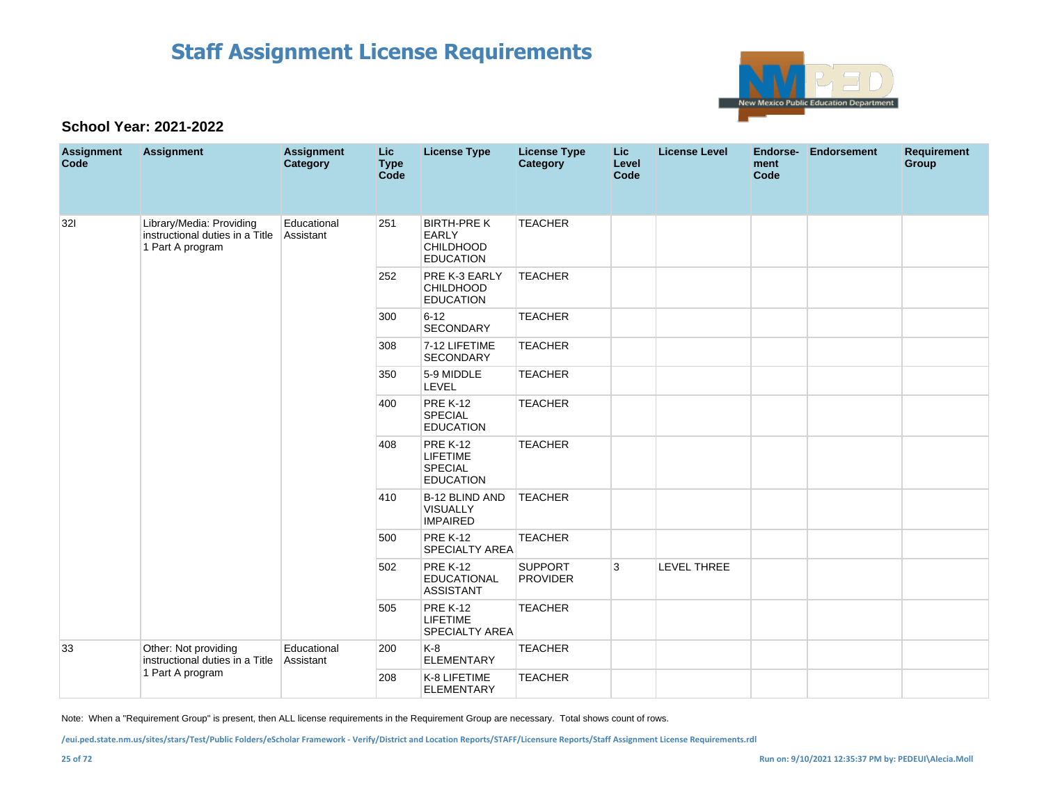

### **School Year: 2021-2022**

| <b>Assignment</b><br>Code | <b>Assignment</b>                                                               | <b>Assignment</b><br>Category | Lic<br><b>Type</b><br><b>Code</b> | <b>License Type</b>                                                 | <b>License Type</b><br><b>Category</b> | <b>Lic</b><br>Level<br>Code | <b>License Level</b> | Endorse-<br>ment<br><b>Code</b> | Endorsement | <b>Requirement</b><br>Group |
|---------------------------|---------------------------------------------------------------------------------|-------------------------------|-----------------------------------|---------------------------------------------------------------------|----------------------------------------|-----------------------------|----------------------|---------------------------------|-------------|-----------------------------|
| 321                       | Library/Media: Providing<br>instructional duties in a Title<br>1 Part A program | Educational<br>Assistant      | 251                               | <b>BIRTH-PRE K</b><br><b>EARLY</b><br>CHILDHOOD<br><b>EDUCATION</b> | <b>TEACHER</b>                         |                             |                      |                                 |             |                             |
|                           |                                                                                 |                               | 252                               | PRE K-3 EARLY<br><b>CHILDHOOD</b><br><b>EDUCATION</b>               | <b>TEACHER</b>                         |                             |                      |                                 |             |                             |
|                           |                                                                                 |                               | 300                               | $6 - 12$<br>SECONDARY                                               | <b>TEACHER</b>                         |                             |                      |                                 |             |                             |
|                           |                                                                                 |                               | 308                               | 7-12 LIFETIME<br><b>SECONDARY</b>                                   | <b>TEACHER</b>                         |                             |                      |                                 |             |                             |
|                           |                                                                                 |                               | 350                               | 5-9 MIDDLE<br>LEVEL                                                 | <b>TEACHER</b>                         |                             |                      |                                 |             |                             |
|                           |                                                                                 |                               | 400                               | <b>PRE K-12</b><br><b>SPECIAL</b><br><b>EDUCATION</b>               | <b>TEACHER</b>                         |                             |                      |                                 |             |                             |
|                           |                                                                                 |                               | 408                               | <b>PRE K-12</b><br><b>LIFETIME</b><br>SPECIAL<br><b>EDUCATION</b>   | <b>TEACHER</b>                         |                             |                      |                                 |             |                             |
|                           |                                                                                 |                               | 410                               | <b>B-12 BLIND AND</b><br><b>VISUALLY</b><br><b>IMPAIRED</b>         | <b>TEACHER</b>                         |                             |                      |                                 |             |                             |
|                           |                                                                                 |                               | 500                               | <b>PRE K-12</b><br>SPECIALTY AREA                                   | <b>TEACHER</b>                         |                             |                      |                                 |             |                             |
|                           |                                                                                 |                               | 502                               | <b>PRE K-12</b><br><b>EDUCATIONAL</b><br><b>ASSISTANT</b>           | <b>SUPPORT</b><br><b>PROVIDER</b>      | 3                           | <b>LEVEL THREE</b>   |                                 |             |                             |
|                           |                                                                                 |                               | 505                               | <b>PRE K-12</b><br><b>LIFETIME</b><br><b>SPECIALTY AREA</b>         | <b>TEACHER</b>                         |                             |                      |                                 |             |                             |
| 33                        | Other: Not providing<br>instructional duties in a Title                         | Educational<br>Assistant      | 200                               | $K-8$<br><b>ELEMENTARY</b>                                          | <b>TEACHER</b>                         |                             |                      |                                 |             |                             |
|                           | 1 Part A program                                                                |                               | 208                               | K-8 LIFETIME<br><b>ELEMENTARY</b>                                   | <b>TEACHER</b>                         |                             |                      |                                 |             |                             |

Note: When a "Requirement Group" is present, then ALL license requirements in the Requirement Group are necessary. Total shows count of rows.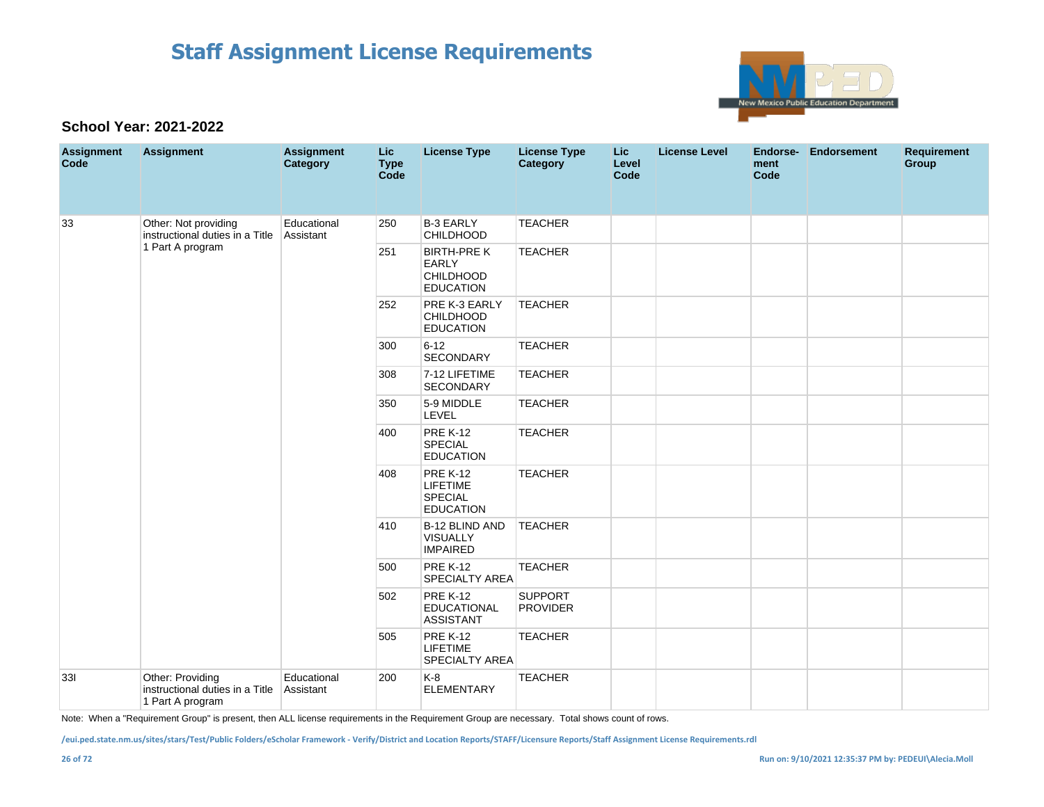

### **School Year: 2021-2022**

| <b>Assignment</b><br>Code | <b>Assignment</b>                                                       | <b>Assignment</b><br><b>Category</b> | Lic<br><b>Type</b><br>Code | <b>License Type</b>                                                        | <b>License Type</b><br>Category   | Lic.<br>Level<br>Code | <b>License Level</b> | Endorse-<br>ment<br>Code | Endorsement | <b>Requirement</b><br>Group |
|---------------------------|-------------------------------------------------------------------------|--------------------------------------|----------------------------|----------------------------------------------------------------------------|-----------------------------------|-----------------------|----------------------|--------------------------|-------------|-----------------------------|
| 33                        | Other: Not providing<br>instructional duties in a Title                 | Educational<br>Assistant             | 250                        | <b>B-3 EARLY</b><br><b>CHILDHOOD</b>                                       | <b>TEACHER</b>                    |                       |                      |                          |             |                             |
|                           | 1 Part A program                                                        |                                      | 251                        | <b>BIRTH-PRE K</b><br><b>EARLY</b><br><b>CHILDHOOD</b><br><b>EDUCATION</b> | <b>TEACHER</b>                    |                       |                      |                          |             |                             |
|                           |                                                                         |                                      | 252                        | PRE K-3 EARLY<br><b>CHILDHOOD</b><br><b>EDUCATION</b>                      | <b>TEACHER</b>                    |                       |                      |                          |             |                             |
|                           |                                                                         |                                      | 300                        | $6 - 12$<br><b>SECONDARY</b>                                               | <b>TEACHER</b>                    |                       |                      |                          |             |                             |
|                           |                                                                         |                                      | 308                        | 7-12 LIFETIME<br><b>SECONDARY</b>                                          | <b>TEACHER</b>                    |                       |                      |                          |             |                             |
|                           |                                                                         |                                      | 350                        | 5-9 MIDDLE<br>LEVEL                                                        | <b>TEACHER</b>                    |                       |                      |                          |             |                             |
|                           |                                                                         |                                      | 400                        | <b>PRE K-12</b><br><b>SPECIAL</b><br><b>EDUCATION</b>                      | <b>TEACHER</b>                    |                       |                      |                          |             |                             |
|                           |                                                                         |                                      | 408                        | <b>PRE K-12</b><br>LIFETIME<br><b>SPECIAL</b><br><b>EDUCATION</b>          | <b>TEACHER</b>                    |                       |                      |                          |             |                             |
|                           |                                                                         |                                      | 410                        | B-12 BLIND AND<br><b>VISUALLY</b><br><b>IMPAIRED</b>                       | <b>TEACHER</b>                    |                       |                      |                          |             |                             |
|                           |                                                                         |                                      | 500                        | <b>PRE K-12</b><br><b>SPECIALTY AREA</b>                                   | <b>TEACHER</b>                    |                       |                      |                          |             |                             |
|                           |                                                                         |                                      | 502                        | <b>PRE K-12</b><br><b>EDUCATIONAL</b><br><b>ASSISTANT</b>                  | <b>SUPPORT</b><br><b>PROVIDER</b> |                       |                      |                          |             |                             |
|                           |                                                                         |                                      | 505                        | <b>PRE K-12</b><br><b>LIFETIME</b><br><b>SPECIALTY AREA</b>                | <b>TEACHER</b>                    |                       |                      |                          |             |                             |
| 331                       | Other: Providing<br>instructional duties in a Title<br>1 Part A program | Educational<br>Assistant             | 200                        | $K-8$<br><b>ELEMENTARY</b>                                                 | <b>TEACHER</b>                    |                       |                      |                          |             |                             |

Note: When a "Requirement Group" is present, then ALL license requirements in the Requirement Group are necessary. Total shows count of rows.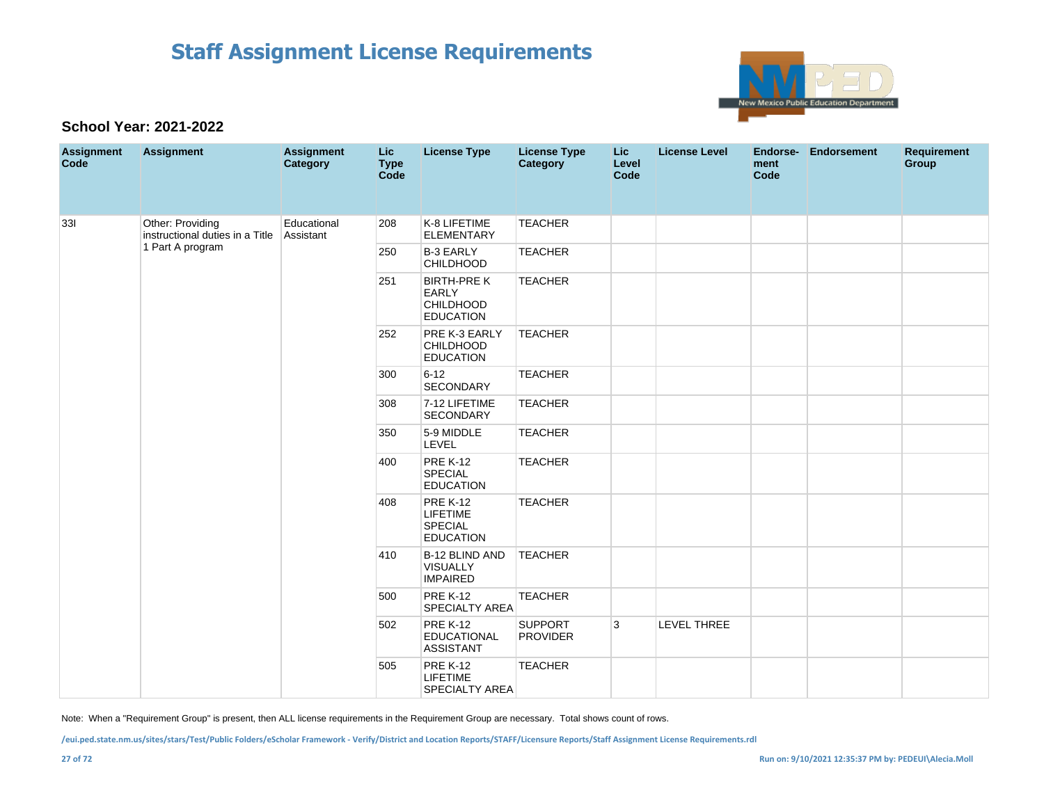

### **School Year: 2021-2022**

| <b>Assignment</b><br>Code | <b>Assignment</b>                                   | <b>Assignment</b><br>Category | Lic<br><b>Type</b><br>Code | <b>License Type</b>                                                        | <b>License Type</b><br><b>Category</b> | Lic<br>Level<br>Code | <b>License Level</b> | Endorse-<br>ment<br>Code | <b>Endorsement</b> | <b>Requirement</b><br>Group |
|---------------------------|-----------------------------------------------------|-------------------------------|----------------------------|----------------------------------------------------------------------------|----------------------------------------|----------------------|----------------------|--------------------------|--------------------|-----------------------------|
| 33I                       | Other: Providing<br>instructional duties in a Title | Educational<br>Assistant      | 208                        | K-8 LIFETIME<br><b>ELEMENTARY</b>                                          | <b>TEACHER</b>                         |                      |                      |                          |                    |                             |
|                           | 1 Part A program                                    |                               | 250                        | <b>B-3 EARLY</b><br>CHILDHOOD                                              | <b>TEACHER</b>                         |                      |                      |                          |                    |                             |
|                           |                                                     |                               | 251                        | <b>BIRTH-PRE K</b><br><b>EARLY</b><br><b>CHILDHOOD</b><br><b>EDUCATION</b> | <b>TEACHER</b>                         |                      |                      |                          |                    |                             |
|                           |                                                     |                               | 252                        | PRE K-3 EARLY<br><b>CHILDHOOD</b><br><b>EDUCATION</b>                      | <b>TEACHER</b>                         |                      |                      |                          |                    |                             |
|                           |                                                     |                               | 300                        | $6 - 12$<br><b>SECONDARY</b>                                               | <b>TEACHER</b>                         |                      |                      |                          |                    |                             |
|                           |                                                     |                               | 308                        | 7-12 LIFETIME<br><b>SECONDARY</b>                                          | <b>TEACHER</b>                         |                      |                      |                          |                    |                             |
|                           |                                                     |                               | 350                        | 5-9 MIDDLE<br>LEVEL                                                        | <b>TEACHER</b>                         |                      |                      |                          |                    |                             |
|                           |                                                     |                               | 400                        | <b>PRE K-12</b><br><b>SPECIAL</b><br><b>EDUCATION</b>                      | <b>TEACHER</b>                         |                      |                      |                          |                    |                             |
|                           |                                                     |                               | 408                        | <b>PRE K-12</b><br><b>LIFETIME</b><br><b>SPECIAL</b><br><b>EDUCATION</b>   | <b>TEACHER</b>                         |                      |                      |                          |                    |                             |
|                           |                                                     |                               | 410                        | <b>B-12 BLIND AND</b><br><b>VISUALLY</b><br><b>IMPAIRED</b>                | <b>TEACHER</b>                         |                      |                      |                          |                    |                             |
|                           |                                                     |                               | 500                        | <b>PRE K-12</b><br>SPECIALTY AREA                                          | <b>TEACHER</b>                         |                      |                      |                          |                    |                             |
|                           |                                                     |                               | 502                        | <b>PRE K-12</b><br><b>EDUCATIONAL</b><br><b>ASSISTANT</b>                  | <b>SUPPORT</b><br><b>PROVIDER</b>      | 3                    | LEVEL THREE          |                          |                    |                             |
|                           |                                                     |                               | 505                        | <b>PRE K-12</b><br><b>LIFETIME</b><br><b>SPECIALTY AREA</b>                | <b>TEACHER</b>                         |                      |                      |                          |                    |                             |

Note: When a "Requirement Group" is present, then ALL license requirements in the Requirement Group are necessary. Total shows count of rows.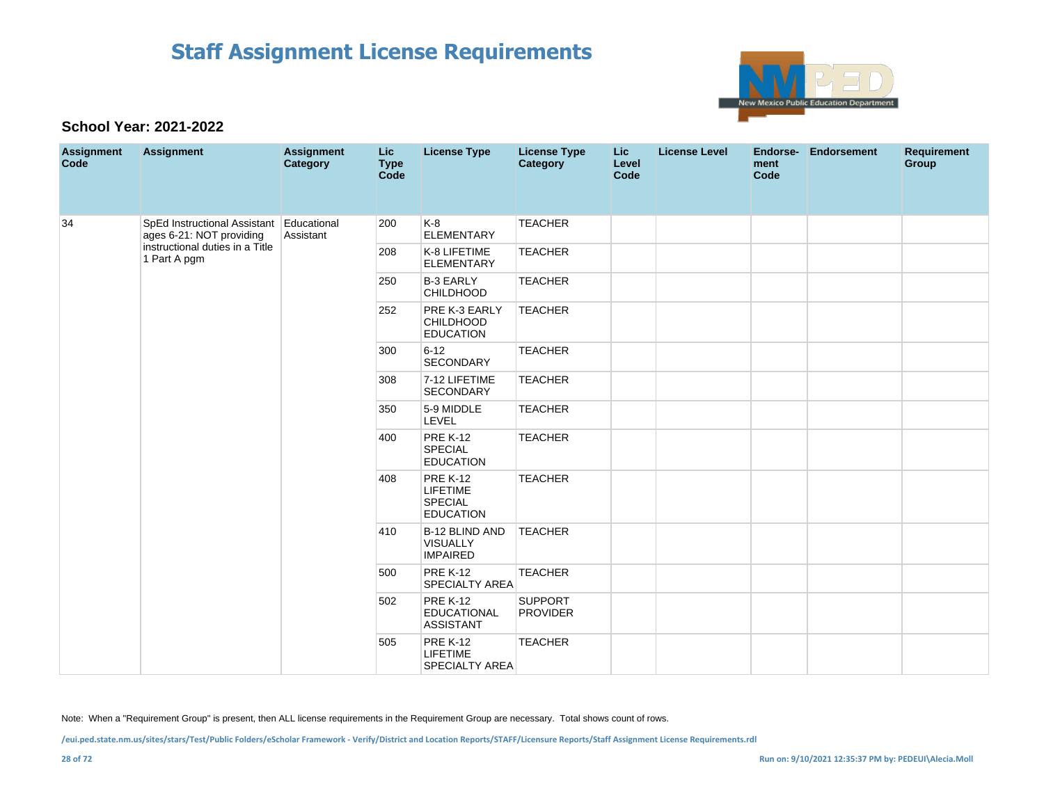

### **School Year: 2021-2022**

| <b>Assignment</b><br>Code | <b>Assignment</b>                                                    | <b>Assignment</b><br>Category | Lic<br><b>Type</b><br><b>Code</b> | <b>License Type</b>                                               | <b>License Type</b><br><b>Category</b> | Lic<br>Level<br>Code | <b>License Level</b> | Endorse-<br>ment<br>Code | Endorsement | <b>Requirement</b><br>Group |  |  |  |     |                                                             |                |  |  |  |
|---------------------------|----------------------------------------------------------------------|-------------------------------|-----------------------------------|-------------------------------------------------------------------|----------------------------------------|----------------------|----------------------|--------------------------|-------------|-----------------------------|--|--|--|-----|-------------------------------------------------------------|----------------|--|--|--|
| 34                        | SpEd Instructional Assistant Educational<br>ages 6-21: NOT providing | Assistant                     | 200                               | $K-8$<br><b>ELEMENTARY</b>                                        | <b>TEACHER</b>                         |                      |                      |                          |             |                             |  |  |  |     |                                                             |                |  |  |  |
|                           | instructional duties in a Title<br>1 Part A pgm                      |                               | 208                               | K-8 LIFETIME<br><b>ELEMENTARY</b>                                 | <b>TEACHER</b>                         |                      |                      |                          |             |                             |  |  |  |     |                                                             |                |  |  |  |
|                           |                                                                      |                               | 250                               | <b>B-3 EARLY</b><br><b>CHILDHOOD</b>                              | <b>TEACHER</b>                         |                      |                      |                          |             |                             |  |  |  |     |                                                             |                |  |  |  |
|                           |                                                                      |                               | 252                               | PRE K-3 EARLY<br><b>CHILDHOOD</b><br><b>EDUCATION</b>             | <b>TEACHER</b>                         |                      |                      |                          |             |                             |  |  |  |     |                                                             |                |  |  |  |
|                           |                                                                      |                               | 300                               | $6 - 12$<br>SECONDARY                                             | <b>TEACHER</b>                         |                      |                      |                          |             |                             |  |  |  |     |                                                             |                |  |  |  |
|                           |                                                                      |                               | 308                               | 7-12 LIFETIME<br>SECONDARY                                        | <b>TEACHER</b>                         |                      |                      |                          |             |                             |  |  |  |     |                                                             |                |  |  |  |
|                           |                                                                      |                               | 350                               | 5-9 MIDDLE<br>LEVEL                                               | <b>TEACHER</b>                         |                      |                      |                          |             |                             |  |  |  |     |                                                             |                |  |  |  |
|                           |                                                                      |                               | 400                               | <b>PRE K-12</b><br><b>SPECIAL</b><br><b>EDUCATION</b>             | <b>TEACHER</b>                         |                      |                      |                          |             |                             |  |  |  |     |                                                             |                |  |  |  |
|                           |                                                                      |                               | 408                               | <b>PRE K-12</b><br><b>LIFETIME</b><br>SPECIAL<br><b>EDUCATION</b> | <b>TEACHER</b>                         |                      |                      |                          |             |                             |  |  |  |     |                                                             |                |  |  |  |
|                           |                                                                      |                               |                                   |                                                                   |                                        |                      |                      |                          |             |                             |  |  |  | 410 | <b>B-12 BLIND AND</b><br><b>VISUALLY</b><br><b>IMPAIRED</b> | <b>TEACHER</b> |  |  |  |
|                           |                                                                      |                               | 500                               | <b>PRE K-12</b><br>SPECIALTY AREA                                 | <b>TEACHER</b>                         |                      |                      |                          |             |                             |  |  |  |     |                                                             |                |  |  |  |
|                           |                                                                      |                               | 502                               | <b>PRE K-12</b><br><b>EDUCATIONAL</b><br><b>ASSISTANT</b>         | <b>SUPPORT</b><br><b>PROVIDER</b>      |                      |                      |                          |             |                             |  |  |  |     |                                                             |                |  |  |  |
|                           |                                                                      |                               | 505                               | <b>PRE K-12</b><br><b>LIFETIME</b><br>SPECIALTY AREA              | <b>TEACHER</b>                         |                      |                      |                          |             |                             |  |  |  |     |                                                             |                |  |  |  |

Note: When a "Requirement Group" is present, then ALL license requirements in the Requirement Group are necessary. Total shows count of rows.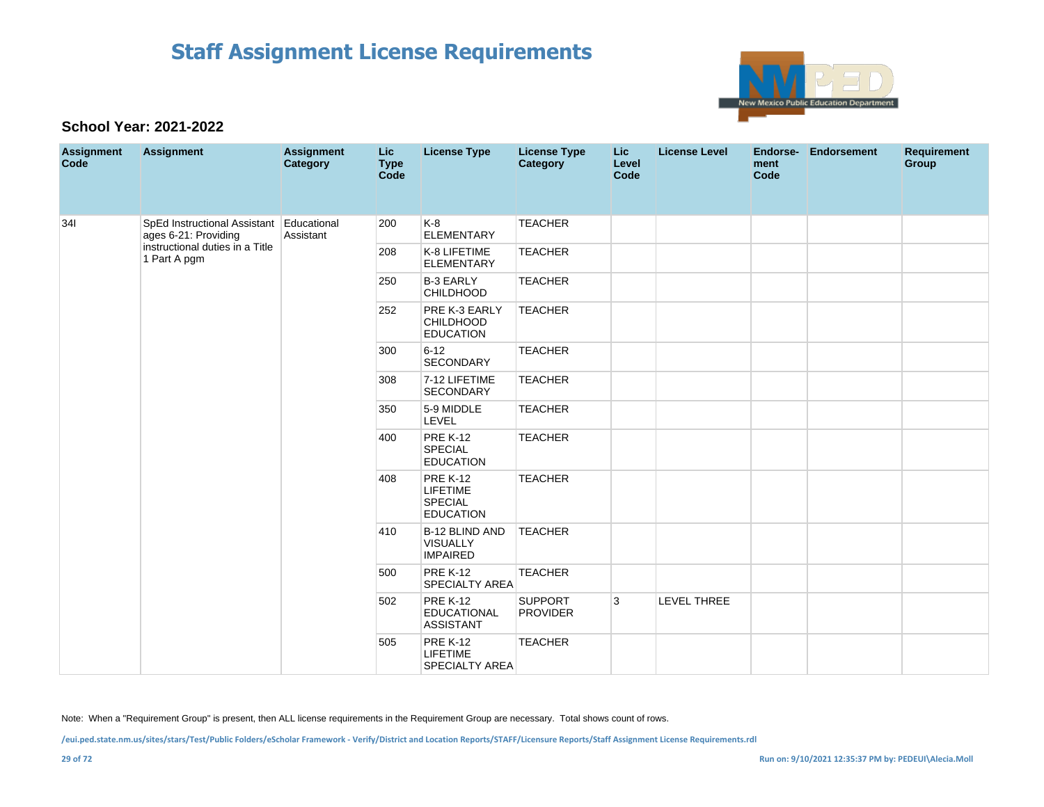

### **School Year: 2021-2022**

| <b>Assignment</b><br>Code | <b>Assignment</b>                                                | <b>Assignment</b><br>Category | Lic<br><b>Type</b><br><b>Code</b> | <b>License Type</b>                                                      | <b>License Type</b><br><b>Category</b> | <b>Lic</b><br>Level<br>Code | <b>License Level</b> | Endorse-<br>ment<br>Code | <b>Endorsement</b> | <b>Requirement</b><br>Group |
|---------------------------|------------------------------------------------------------------|-------------------------------|-----------------------------------|--------------------------------------------------------------------------|----------------------------------------|-----------------------------|----------------------|--------------------------|--------------------|-----------------------------|
| 341                       | SpEd Instructional Assistant Educational<br>ages 6-21: Providing | Assistant                     | 200                               | $K-8$<br><b>ELEMENTARY</b>                                               | <b>TEACHER</b>                         |                             |                      |                          |                    |                             |
|                           | instructional duties in a Title<br>1 Part A pgm                  |                               | 208                               | K-8 LIFETIME<br><b>ELEMENTARY</b>                                        | <b>TEACHER</b>                         |                             |                      |                          |                    |                             |
|                           |                                                                  |                               | 250                               | <b>B-3 EARLY</b><br><b>CHILDHOOD</b>                                     | <b>TEACHER</b>                         |                             |                      |                          |                    |                             |
|                           |                                                                  |                               | 252                               | PRE K-3 EARLY<br><b>CHILDHOOD</b><br><b>EDUCATION</b>                    | <b>TEACHER</b>                         |                             |                      |                          |                    |                             |
|                           |                                                                  |                               | 300                               | $6 - 12$<br>SECONDARY                                                    | <b>TEACHER</b>                         |                             |                      |                          |                    |                             |
|                           |                                                                  |                               | 308                               | 7-12 LIFETIME<br><b>SECONDARY</b>                                        | <b>TEACHER</b>                         |                             |                      |                          |                    |                             |
|                           |                                                                  |                               | 350                               | 5-9 MIDDLE<br>LEVEL                                                      | <b>TEACHER</b>                         |                             |                      |                          |                    |                             |
|                           |                                                                  |                               | 400                               | <b>PRE K-12</b><br><b>SPECIAL</b><br><b>EDUCATION</b>                    | <b>TEACHER</b>                         |                             |                      |                          |                    |                             |
|                           |                                                                  |                               | 408                               | <b>PRE K-12</b><br><b>LIFETIME</b><br><b>SPECIAL</b><br><b>EDUCATION</b> | <b>TEACHER</b>                         |                             |                      |                          |                    |                             |
|                           |                                                                  |                               | 410                               | B-12 BLIND AND<br><b>VISUALLY</b><br><b>IMPAIRED</b>                     | <b>TEACHER</b>                         |                             |                      |                          |                    |                             |
|                           |                                                                  |                               | 500                               | <b>PRE K-12</b><br><b>SPECIALTY AREA</b>                                 | <b>TEACHER</b>                         |                             |                      |                          |                    |                             |
|                           |                                                                  |                               | 502                               | <b>PRE K-12</b><br><b>EDUCATIONAL</b><br><b>ASSISTANT</b>                | <b>SUPPORT</b><br><b>PROVIDER</b>      | 3                           | LEVEL THREE          |                          |                    |                             |
|                           |                                                                  |                               | 505                               | <b>PRE K-12</b><br>LIFETIME<br><b>SPECIALTY AREA</b>                     | <b>TEACHER</b>                         |                             |                      |                          |                    |                             |

Note: When a "Requirement Group" is present, then ALL license requirements in the Requirement Group are necessary. Total shows count of rows.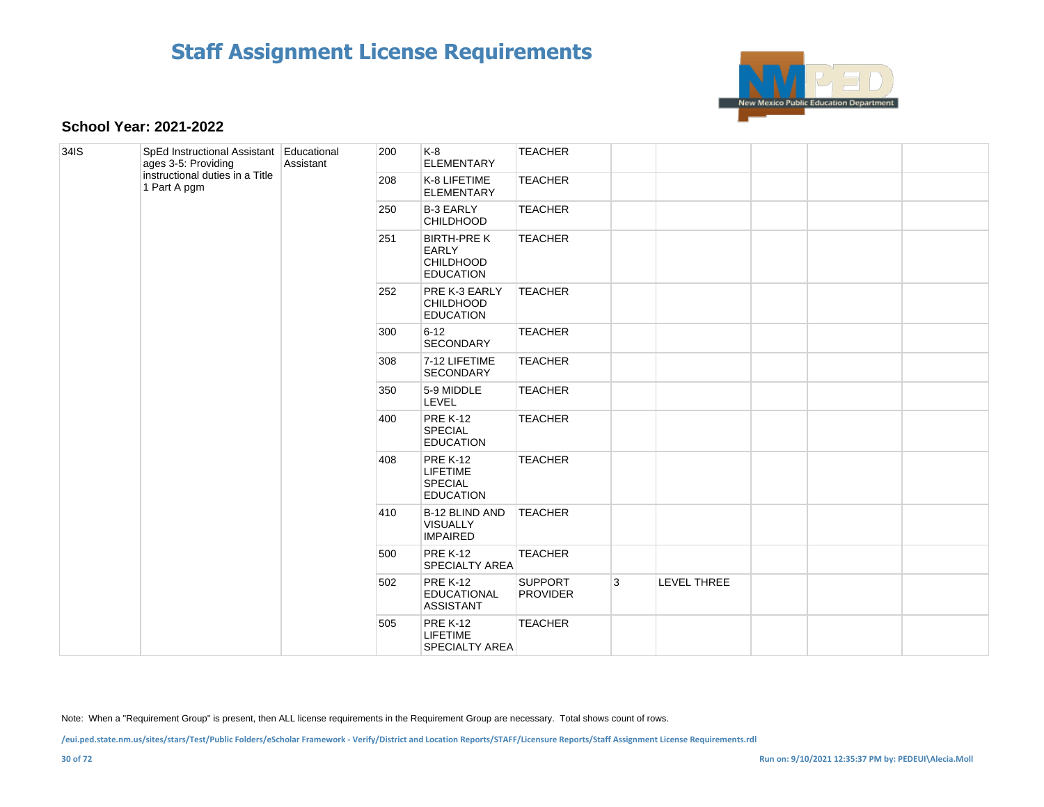

#### **School Year: 2021-2022**

| 34IS | SpEd Instructional Assistant Educational<br>ages 3-5: Providing | Assistant | 200 | K-8<br><b>ELEMENTARY</b>                                                   | <b>TEACHER</b>                    |   |             |     |                                                             |                |  |  |     |                                   |
|------|-----------------------------------------------------------------|-----------|-----|----------------------------------------------------------------------------|-----------------------------------|---|-------------|-----|-------------------------------------------------------------|----------------|--|--|-----|-----------------------------------|
|      | instructional duties in a Title<br>1 Part A pgm                 |           | 208 | K-8 LIFETIME<br><b>ELEMENTARY</b>                                          | <b>TEACHER</b>                    |   |             |     |                                                             |                |  |  |     |                                   |
|      |                                                                 |           | 250 | <b>B-3 EARLY</b><br><b>CHILDHOOD</b>                                       | <b>TEACHER</b>                    |   |             |     |                                                             |                |  |  |     |                                   |
|      |                                                                 |           | 251 | <b>BIRTH-PRE K</b><br><b>EARLY</b><br><b>CHILDHOOD</b><br><b>EDUCATION</b> | <b>TEACHER</b>                    |   |             |     |                                                             |                |  |  |     |                                   |
|      |                                                                 |           | 252 | PRE K-3 EARLY<br><b>CHILDHOOD</b><br><b>EDUCATION</b>                      | <b>TEACHER</b>                    |   |             |     |                                                             |                |  |  |     |                                   |
|      |                                                                 |           | 300 | $6 - 12$<br><b>SECONDARY</b>                                               | <b>TEACHER</b>                    |   |             |     |                                                             |                |  |  |     |                                   |
|      |                                                                 |           | 308 | 7-12 LIFETIME<br><b>SECONDARY</b>                                          | <b>TEACHER</b>                    |   |             |     |                                                             |                |  |  |     |                                   |
|      |                                                                 |           | 350 | 5-9 MIDDLE<br>LEVEL                                                        | <b>TEACHER</b>                    |   |             |     |                                                             |                |  |  |     |                                   |
|      |                                                                 |           | 400 | <b>PRE K-12</b><br><b>SPECIAL</b><br><b>EDUCATION</b>                      | <b>TEACHER</b>                    |   |             |     |                                                             |                |  |  |     |                                   |
|      |                                                                 |           | 408 | <b>PRE K-12</b><br>LIFETIME<br><b>SPECIAL</b><br><b>EDUCATION</b>          | <b>TEACHER</b>                    |   |             |     |                                                             |                |  |  |     |                                   |
|      |                                                                 |           |     |                                                                            |                                   |   |             | 410 | <b>B-12 BLIND AND</b><br><b>VISUALLY</b><br><b>IMPAIRED</b> | <b>TEACHER</b> |  |  |     |                                   |
|      |                                                                 |           |     |                                                                            |                                   |   |             |     |                                                             |                |  |  | 500 | <b>PRE K-12</b><br>SPECIALTY AREA |
|      |                                                                 |           | 502 | <b>PRE K-12</b><br><b>EDUCATIONAL</b><br><b>ASSISTANT</b>                  | <b>SUPPORT</b><br><b>PROVIDER</b> | 3 | LEVEL THREE |     |                                                             |                |  |  |     |                                   |
|      |                                                                 |           | 505 | <b>PRE K-12</b><br><b>LIFETIME</b><br><b>SPECIALTY AREA</b>                | <b>TEACHER</b>                    |   |             |     |                                                             |                |  |  |     |                                   |

Note: When a "Requirement Group" is present, then ALL license requirements in the Requirement Group are necessary. Total shows count of rows.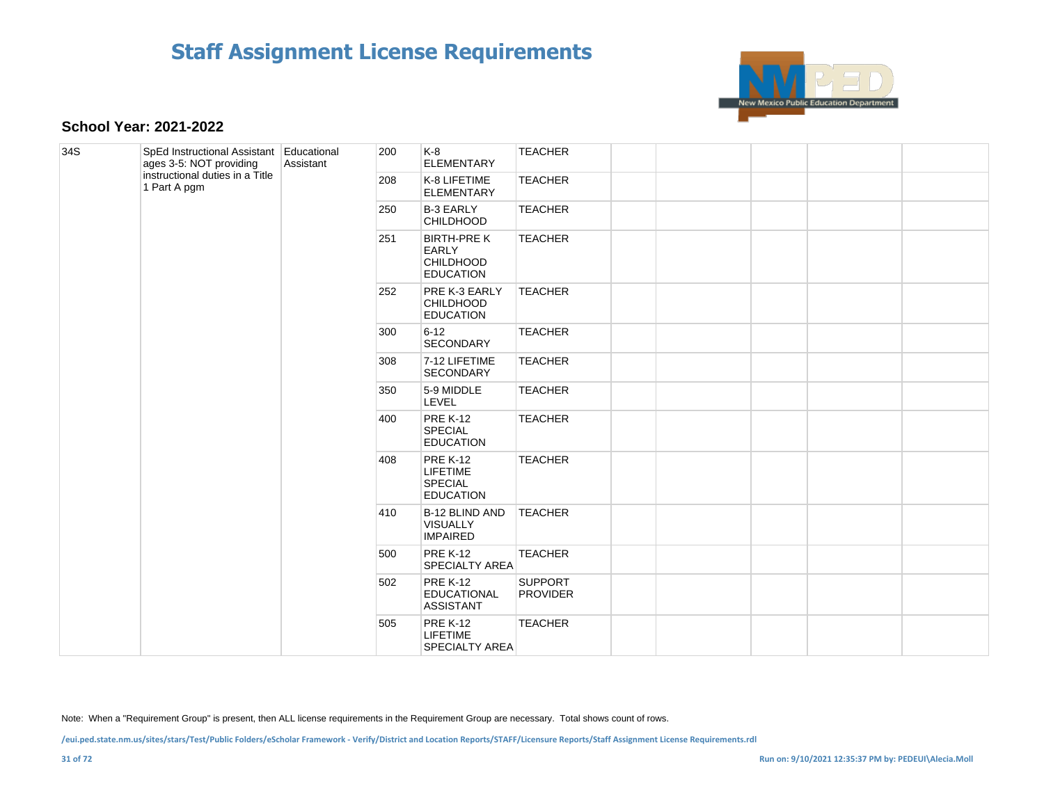

#### **School Year: 2021-2022**

| 34S | SpEd Instructional Assistant Educational<br>ages 3-5: NOT providing | Assistant | 200 | K-8<br><b>ELEMENTARY</b>                                                   | <b>TEACHER</b>                    |  |  |     |                                                      |                                   |                |  |  |
|-----|---------------------------------------------------------------------|-----------|-----|----------------------------------------------------------------------------|-----------------------------------|--|--|-----|------------------------------------------------------|-----------------------------------|----------------|--|--|
|     | instructional duties in a Title<br>1 Part A pgm                     |           | 208 | K-8 LIFETIME<br><b>ELEMENTARY</b>                                          | <b>TEACHER</b>                    |  |  |     |                                                      |                                   |                |  |  |
|     |                                                                     |           | 250 | <b>B-3 EARLY</b><br><b>CHILDHOOD</b>                                       | <b>TEACHER</b>                    |  |  |     |                                                      |                                   |                |  |  |
|     |                                                                     |           | 251 | <b>BIRTH-PRE K</b><br><b>EARLY</b><br><b>CHILDHOOD</b><br><b>EDUCATION</b> | <b>TEACHER</b>                    |  |  |     |                                                      |                                   |                |  |  |
|     |                                                                     |           | 252 | PRE K-3 EARLY<br><b>CHILDHOOD</b><br><b>EDUCATION</b>                      | <b>TEACHER</b>                    |  |  |     |                                                      |                                   |                |  |  |
|     |                                                                     |           | 300 | $6 - 12$<br><b>SECONDARY</b>                                               | <b>TEACHER</b>                    |  |  |     |                                                      |                                   |                |  |  |
|     |                                                                     |           | 308 | 7-12 LIFETIME<br><b>SECONDARY</b>                                          | <b>TEACHER</b>                    |  |  |     |                                                      |                                   |                |  |  |
|     |                                                                     |           | 350 | 5-9 MIDDLE<br>LEVEL                                                        | <b>TEACHER</b>                    |  |  |     |                                                      |                                   |                |  |  |
|     |                                                                     |           | 400 | <b>PRE K-12</b><br><b>SPECIAL</b><br><b>EDUCATION</b>                      | <b>TEACHER</b>                    |  |  |     |                                                      |                                   |                |  |  |
|     |                                                                     |           | 408 | <b>PRE K-12</b><br><b>LIFETIME</b><br><b>SPECIAL</b><br><b>EDUCATION</b>   | <b>TEACHER</b>                    |  |  |     |                                                      |                                   |                |  |  |
|     |                                                                     |           |     |                                                                            |                                   |  |  | 410 | B-12 BLIND AND<br><b>VISUALLY</b><br><b>IMPAIRED</b> | <b>TEACHER</b>                    |                |  |  |
|     |                                                                     |           |     |                                                                            |                                   |  |  |     | 500                                                  | <b>PRE K-12</b><br>SPECIALTY AREA | <b>TEACHER</b> |  |  |
|     |                                                                     |           | 502 | <b>PRE K-12</b><br><b>EDUCATIONAL</b><br><b>ASSISTANT</b>                  | <b>SUPPORT</b><br><b>PROVIDER</b> |  |  |     |                                                      |                                   |                |  |  |
|     |                                                                     |           | 505 | <b>PRE K-12</b><br><b>LIFETIME</b><br><b>SPECIALTY AREA</b>                | <b>TEACHER</b>                    |  |  |     |                                                      |                                   |                |  |  |

Note: When a "Requirement Group" is present, then ALL license requirements in the Requirement Group are necessary. Total shows count of rows.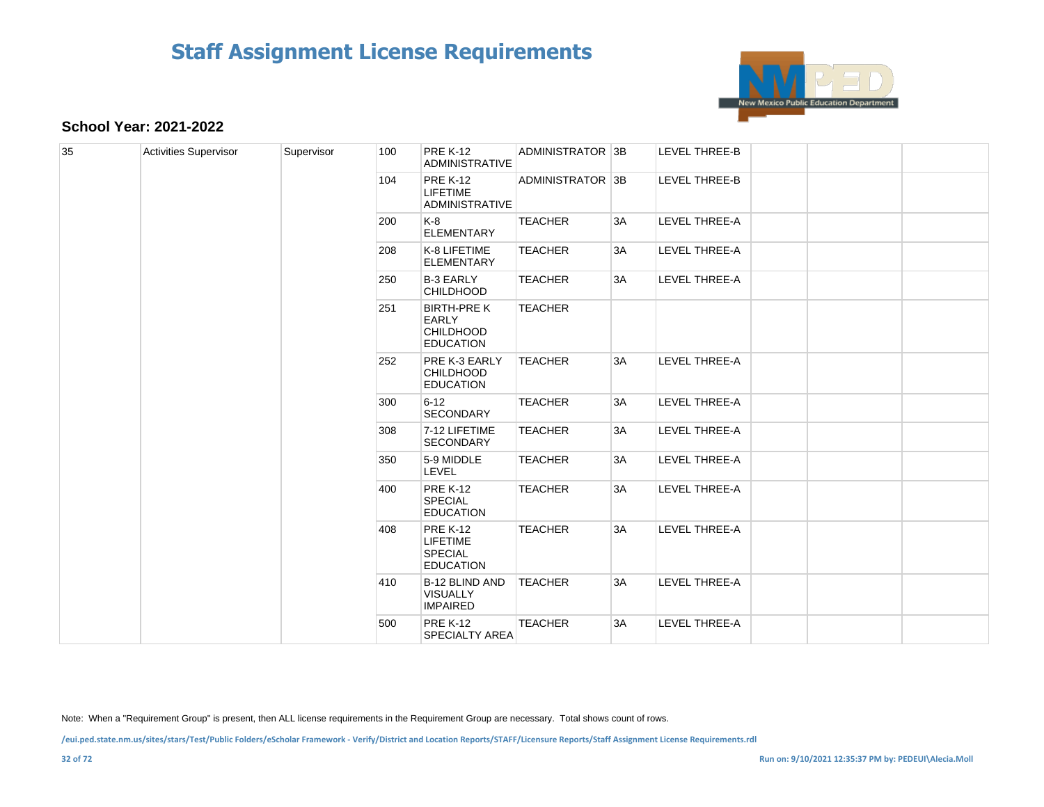

### **School Year: 2021-2022**

| 35 | <b>Activities Supervisor</b> | Supervisor | 100 | <b>PRE K-12</b><br><b>ADMINISTRATIVE</b>                                   | ADMINISTRATOR 3B |    | <b>LEVEL THREE-B</b> |  |  |  |  |     |                                                                          |                |    |               |  |  |
|----|------------------------------|------------|-----|----------------------------------------------------------------------------|------------------|----|----------------------|--|--|--|--|-----|--------------------------------------------------------------------------|----------------|----|---------------|--|--|
|    |                              |            | 104 | <b>PRE K-12</b><br><b>LIFETIME</b><br><b>ADMINISTRATIVE</b>                | ADMINISTRATOR 3B |    | LEVEL THREE-B        |  |  |  |  |     |                                                                          |                |    |               |  |  |
|    |                              |            | 200 | K-8<br><b>ELEMENTARY</b>                                                   | <b>TEACHER</b>   | 3A | LEVEL THREE-A        |  |  |  |  |     |                                                                          |                |    |               |  |  |
|    |                              |            | 208 | K-8 LIFETIME<br><b>ELEMENTARY</b>                                          | <b>TEACHER</b>   | 3A | LEVEL THREE-A        |  |  |  |  |     |                                                                          |                |    |               |  |  |
|    |                              |            | 250 | <b>B-3 EARLY</b><br><b>CHILDHOOD</b>                                       | <b>TEACHER</b>   | 3A | LEVEL THREE-A        |  |  |  |  |     |                                                                          |                |    |               |  |  |
|    |                              |            | 251 | <b>BIRTH-PRE K</b><br><b>EARLY</b><br><b>CHILDHOOD</b><br><b>EDUCATION</b> | <b>TEACHER</b>   |    |                      |  |  |  |  |     |                                                                          |                |    |               |  |  |
|    |                              |            | 252 | PRE K-3 EARLY<br><b>CHILDHOOD</b><br><b>EDUCATION</b>                      | <b>TEACHER</b>   | 3A | LEVEL THREE-A        |  |  |  |  |     |                                                                          |                |    |               |  |  |
|    |                              |            | 300 | $6 - 12$<br><b>SECONDARY</b>                                               | <b>TEACHER</b>   | 3A | LEVEL THREE-A        |  |  |  |  |     |                                                                          |                |    |               |  |  |
|    |                              |            | 308 | 7-12 LIFETIME<br><b>SECONDARY</b>                                          | <b>TEACHER</b>   | 3A | LEVEL THREE-A        |  |  |  |  |     |                                                                          |                |    |               |  |  |
|    |                              |            | 350 | 5-9 MIDDLE<br><b>LEVEL</b>                                                 | <b>TEACHER</b>   | 3A | LEVEL THREE-A        |  |  |  |  |     |                                                                          |                |    |               |  |  |
|    |                              |            | 400 | <b>PRE K-12</b><br><b>SPECIAL</b><br><b>EDUCATION</b>                      | <b>TEACHER</b>   | 3A | LEVEL THREE-A        |  |  |  |  |     |                                                                          |                |    |               |  |  |
|    |                              |            |     |                                                                            |                  |    |                      |  |  |  |  | 408 | <b>PRE K-12</b><br><b>LIFETIME</b><br><b>SPECIAL</b><br><b>EDUCATION</b> | <b>TEACHER</b> | 3A | LEVEL THREE-A |  |  |
|    |                              |            | 410 | <b>B-12 BLIND AND</b><br><b>VISUALLY</b><br><b>IMPAIRED</b>                | <b>TEACHER</b>   | 3A | LEVEL THREE-A        |  |  |  |  |     |                                                                          |                |    |               |  |  |
|    |                              |            | 500 | <b>PRE K-12</b><br><b>SPECIALTY AREA</b>                                   | <b>TEACHER</b>   | 3A | LEVEL THREE-A        |  |  |  |  |     |                                                                          |                |    |               |  |  |

Note: When a "Requirement Group" is present, then ALL license requirements in the Requirement Group are necessary. Total shows count of rows.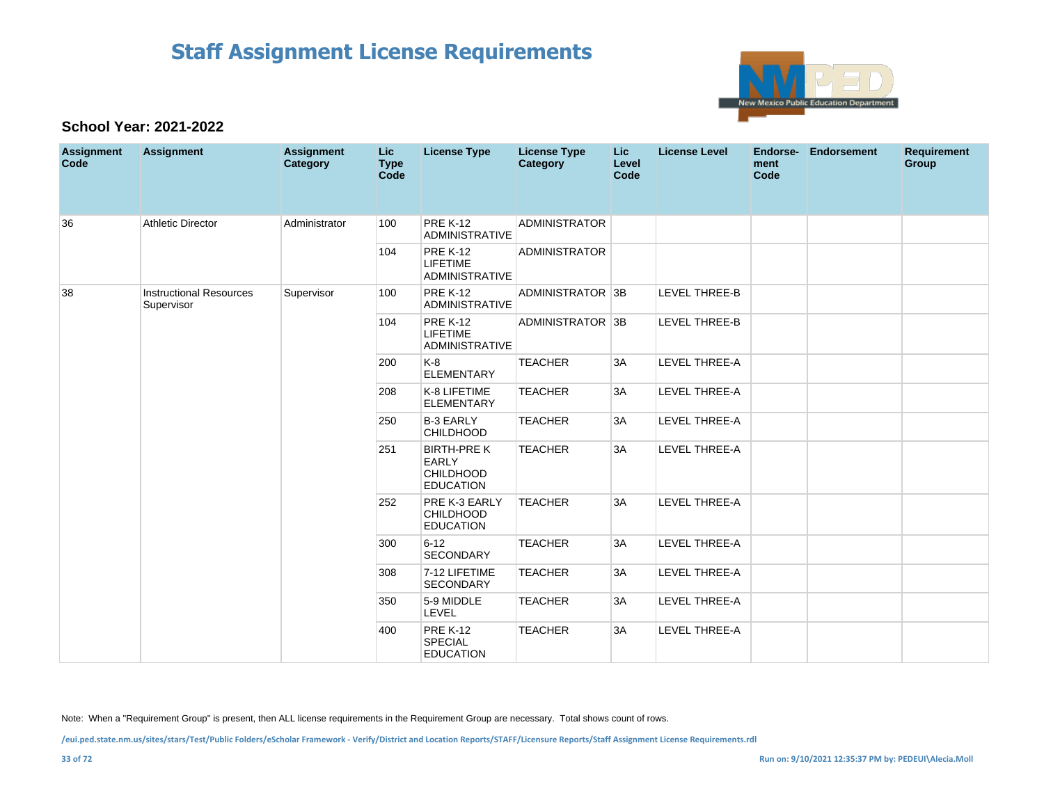

### **School Year: 2021-2022**

| <b>Assignment</b><br>Code | <b>Assignment</b>                            | <b>Assignment</b><br>Category | Lic<br><b>Type</b><br>Code | <b>License Type</b>                                                        | <b>License Type</b><br>Category | Lic.<br>Level<br>Code | <b>License Level</b> | Endorse-<br>ment<br>Code | <b>Endorsement</b> | <b>Requirement</b><br><b>Group</b> |
|---------------------------|----------------------------------------------|-------------------------------|----------------------------|----------------------------------------------------------------------------|---------------------------------|-----------------------|----------------------|--------------------------|--------------------|------------------------------------|
| 36                        | <b>Athletic Director</b>                     | Administrator                 | 100                        | <b>PRE K-12</b><br>ADMINISTRATIVE                                          | <b>ADMINISTRATOR</b>            |                       |                      |                          |                    |                                    |
|                           |                                              |                               | 104                        | <b>PRE K-12</b><br><b>LIFETIME</b><br><b>ADMINISTRATIVE</b>                | <b>ADMINISTRATOR</b>            |                       |                      |                          |                    |                                    |
| 38                        | <b>Instructional Resources</b><br>Supervisor | Supervisor                    | 100                        | <b>PRE K-12</b><br><b>ADMINISTRATIVE</b>                                   | ADMINISTRATOR 3B                |                       | <b>LEVEL THREE-B</b> |                          |                    |                                    |
|                           |                                              |                               | 104                        | <b>PRE K-12</b><br>LIFETIME<br>ADMINISTRATIVE                              | ADMINISTRATOR 3B                |                       | <b>LEVEL THREE-B</b> |                          |                    |                                    |
|                           |                                              |                               | 200                        | $K-8$<br><b>ELEMENTARY</b>                                                 | <b>TEACHER</b>                  | 3A                    | LEVEL THREE-A        |                          |                    |                                    |
|                           |                                              |                               | 208                        | K-8 LIFETIME<br><b>ELEMENTARY</b>                                          | <b>TEACHER</b>                  | 3A                    | <b>LEVEL THREE-A</b> |                          |                    |                                    |
|                           |                                              |                               | 250                        | <b>B-3 EARLY</b><br><b>CHILDHOOD</b>                                       | <b>TEACHER</b>                  | 3A                    | <b>LEVEL THREE-A</b> |                          |                    |                                    |
|                           |                                              |                               | 251                        | <b>BIRTH-PRE K</b><br><b>EARLY</b><br><b>CHILDHOOD</b><br><b>EDUCATION</b> | <b>TEACHER</b>                  | 3A                    | LEVEL THREE-A        |                          |                    |                                    |
|                           |                                              |                               | 252                        | PRE K-3 EARLY<br><b>CHILDHOOD</b><br><b>EDUCATION</b>                      | <b>TEACHER</b>                  | 3A                    | LEVEL THREE-A        |                          |                    |                                    |
|                           |                                              |                               | 300                        | $6 - 12$<br><b>SECONDARY</b>                                               | <b>TEACHER</b>                  | 3A                    | LEVEL THREE-A        |                          |                    |                                    |
|                           |                                              |                               | 308                        | 7-12 LIFETIME<br><b>SECONDARY</b>                                          | <b>TEACHER</b>                  | 3A                    | LEVEL THREE-A        |                          |                    |                                    |
|                           |                                              |                               | 350                        | 5-9 MIDDLE<br>LEVEL                                                        | <b>TEACHER</b>                  | 3A                    | <b>LEVEL THREE-A</b> |                          |                    |                                    |
|                           |                                              |                               | 400                        | <b>PRE K-12</b><br><b>SPECIAL</b><br><b>EDUCATION</b>                      | <b>TEACHER</b>                  | 3A                    | LEVEL THREE-A        |                          |                    |                                    |

Note: When a "Requirement Group" is present, then ALL license requirements in the Requirement Group are necessary. Total shows count of rows.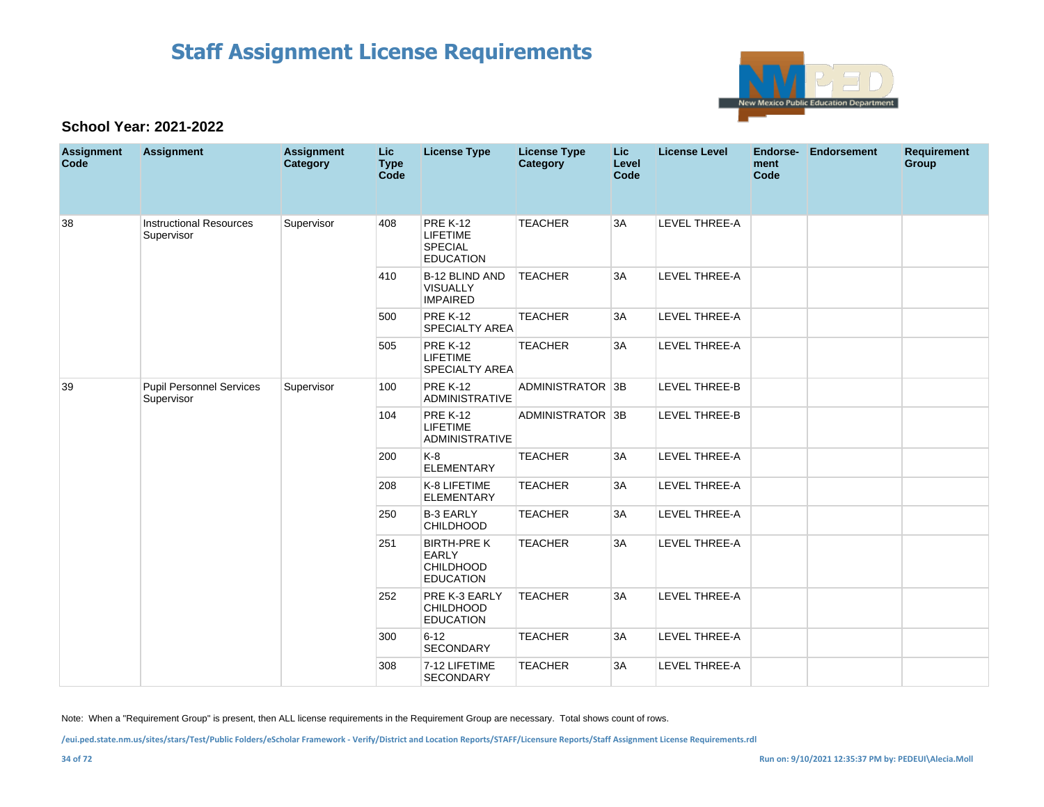

### **School Year: 2021-2022**

| <b>Assignment</b><br>Code | <b>Assignment</b>                             | <b>Assignment</b><br>Category | <b>Lic</b><br><b>Type</b><br><b>Code</b> | <b>License Type</b>                                                        | <b>License Type</b><br><b>Category</b> | <b>Lic</b><br>Level<br>Code | <b>License Level</b> | Endorse-<br>ment<br>Code | <b>Endorsement</b> | <b>Requirement</b><br>Group |
|---------------------------|-----------------------------------------------|-------------------------------|------------------------------------------|----------------------------------------------------------------------------|----------------------------------------|-----------------------------|----------------------|--------------------------|--------------------|-----------------------------|
| 38                        | <b>Instructional Resources</b><br>Supervisor  | Supervisor                    | 408                                      | <b>PRE K-12</b><br><b>LIFETIME</b><br><b>SPECIAL</b><br><b>EDUCATION</b>   | <b>TEACHER</b>                         | 3A                          | <b>LEVEL THREE-A</b> |                          |                    |                             |
|                           |                                               |                               | 410                                      | <b>B-12 BLIND AND</b><br><b>VISUALLY</b><br><b>IMPAIRED</b>                | <b>TEACHER</b>                         | 3A                          | <b>LEVEL THREE-A</b> |                          |                    |                             |
|                           |                                               |                               | 500                                      | <b>PRE K-12</b><br><b>SPECIALTY AREA</b>                                   | <b>TEACHER</b>                         | 3A                          | <b>LEVEL THREE-A</b> |                          |                    |                             |
|                           |                                               |                               | 505                                      | <b>PRE K-12</b><br><b>LIFETIME</b><br><b>SPECIALTY AREA</b>                | <b>TEACHER</b>                         | 3A                          | LEVEL THREE-A        |                          |                    |                             |
| 39                        | <b>Pupil Personnel Services</b><br>Supervisor | Supervisor                    | 100                                      | <b>PRE K-12</b><br><b>ADMINISTRATIVE</b>                                   | ADMINISTRATOR 3B                       |                             | <b>LEVEL THREE-B</b> |                          |                    |                             |
|                           |                                               |                               | 104                                      | <b>PRE K-12</b><br><b>LIFETIME</b><br><b>ADMINISTRATIVE</b>                | ADMINISTRATOR 3B                       |                             | <b>LEVEL THREE-B</b> |                          |                    |                             |
|                           |                                               |                               | 200                                      | $K-8$<br><b>ELEMENTARY</b>                                                 | <b>TEACHER</b>                         | 3A                          | <b>LEVEL THREE-A</b> |                          |                    |                             |
|                           |                                               |                               | 208                                      | K-8 LIFETIME<br><b>ELEMENTARY</b>                                          | <b>TEACHER</b>                         | 3A                          | LEVEL THREE-A        |                          |                    |                             |
|                           |                                               |                               | 250                                      | <b>B-3 EARLY</b><br><b>CHILDHOOD</b>                                       | <b>TEACHER</b>                         | 3A                          | LEVEL THREE-A        |                          |                    |                             |
|                           |                                               |                               | 251                                      | <b>BIRTH-PRE K</b><br><b>EARLY</b><br><b>CHILDHOOD</b><br><b>EDUCATION</b> | <b>TEACHER</b>                         | 3A                          | LEVEL THREE-A        |                          |                    |                             |
|                           |                                               |                               | 252                                      | PRE K-3 EARLY<br><b>CHILDHOOD</b><br><b>EDUCATION</b>                      | <b>TEACHER</b>                         | 3A                          | <b>LEVEL THREE-A</b> |                          |                    |                             |
|                           |                                               |                               | 300                                      | $6 - 12$<br><b>SECONDARY</b>                                               | <b>TEACHER</b>                         | 3A                          | LEVEL THREE-A        |                          |                    |                             |
|                           |                                               |                               | 308                                      | 7-12 LIFETIME<br><b>SECONDARY</b>                                          | <b>TEACHER</b>                         | 3A                          | LEVEL THREE-A        |                          |                    |                             |

Note: When a "Requirement Group" is present, then ALL license requirements in the Requirement Group are necessary. Total shows count of rows.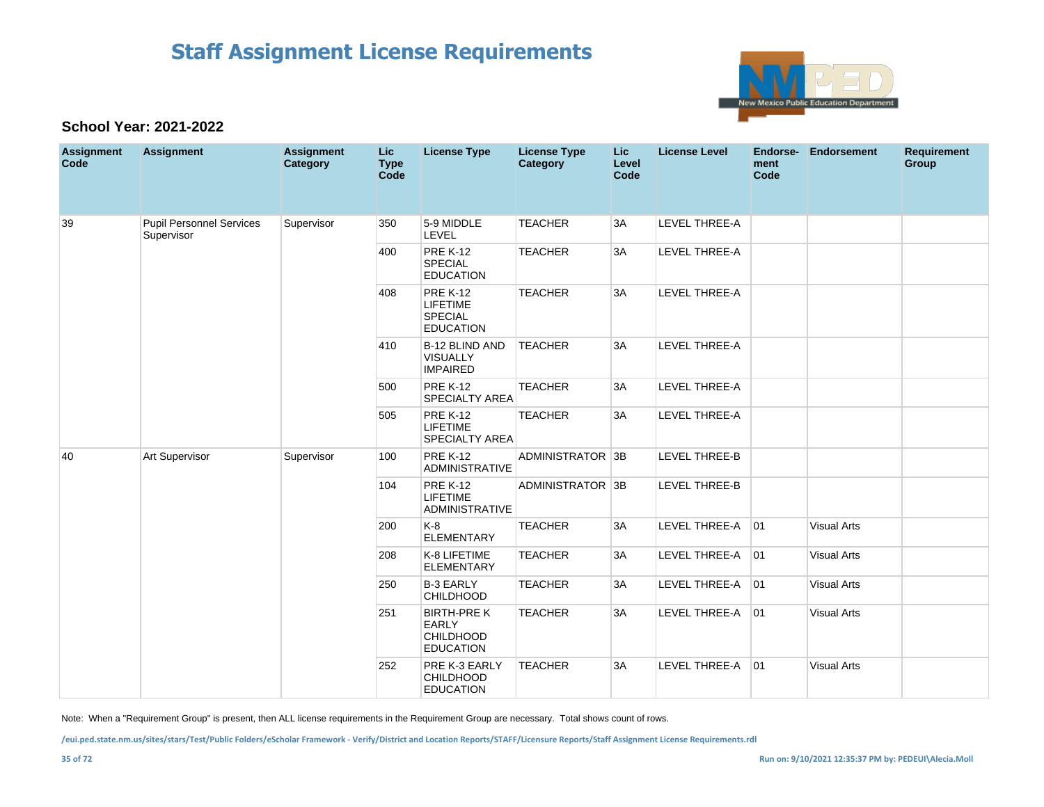

### **School Year: 2021-2022**

| <b>Assignment</b><br>Code | <b>Assignment</b>                             | <b>Assignment</b><br>Category | <b>Lic</b><br><b>Type</b><br>Code | <b>License Type</b>                                                        | <b>License Type</b><br>Category | Lic.<br>Level<br>Code | <b>License Level</b> | Endorse-<br>ment<br>Code | <b>Endorsement</b> | <b>Requirement</b><br>Group |
|---------------------------|-----------------------------------------------|-------------------------------|-----------------------------------|----------------------------------------------------------------------------|---------------------------------|-----------------------|----------------------|--------------------------|--------------------|-----------------------------|
| 39                        | <b>Pupil Personnel Services</b><br>Supervisor | Supervisor                    | 350                               | 5-9 MIDDLE<br>LEVEL                                                        | <b>TEACHER</b>                  | 3A                    | LEVEL THREE-A        |                          |                    |                             |
|                           |                                               |                               | 400                               | <b>PRE K-12</b><br>SPECIAL<br><b>EDUCATION</b>                             | <b>TEACHER</b>                  | 3A                    | <b>LEVEL THREE-A</b> |                          |                    |                             |
|                           |                                               |                               | 408                               | <b>PRE K-12</b><br><b>LIFETIME</b><br><b>SPECIAL</b><br><b>EDUCATION</b>   | <b>TEACHER</b>                  | 3A                    | <b>LEVEL THREE-A</b> |                          |                    |                             |
|                           |                                               |                               | 410                               | B-12 BLIND AND<br><b>VISUALLY</b><br><b>IMPAIRED</b>                       | <b>TEACHER</b>                  | 3A                    | <b>LEVEL THREE-A</b> |                          |                    |                             |
|                           |                                               |                               | 500                               | <b>PRE K-12</b><br><b>SPECIALTY AREA</b>                                   | <b>TEACHER</b>                  | 3A                    | LEVEL THREE-A        |                          |                    |                             |
|                           |                                               |                               | 505                               | <b>PRE K-12</b><br>LIFETIME<br><b>SPECIALTY AREA</b>                       | <b>TEACHER</b>                  | 3A                    | LEVEL THREE-A        |                          |                    |                             |
| 40                        | Art Supervisor                                | Supervisor                    | 100                               | <b>PRE K-12</b><br><b>ADMINISTRATIVE</b>                                   | ADMINISTRATOR 3B                |                       | <b>LEVEL THREE-B</b> |                          |                    |                             |
|                           |                                               |                               | 104                               | <b>PRE K-12</b><br><b>LIFETIME</b><br><b>ADMINISTRATIVE</b>                | ADMINISTRATOR 3B                |                       | LEVEL THREE-B        |                          |                    |                             |
|                           |                                               |                               | 200                               | $K-8$<br><b>ELEMENTARY</b>                                                 | <b>TEACHER</b>                  | 3A                    | LEVEL THREE-A        | 01                       | <b>Visual Arts</b> |                             |
|                           |                                               |                               | 208                               | K-8 LIFETIME<br><b>ELEMENTARY</b>                                          | <b>TEACHER</b>                  | 3A                    | LEVEL THREE-A        | 01                       | <b>Visual Arts</b> |                             |
|                           |                                               |                               | 250                               | <b>B-3 EARLY</b><br><b>CHILDHOOD</b>                                       | <b>TEACHER</b>                  | 3A                    | LEVEL THREE-A        | 01                       | <b>Visual Arts</b> |                             |
|                           |                                               |                               | 251                               | <b>BIRTH-PRE K</b><br><b>EARLY</b><br><b>CHILDHOOD</b><br><b>EDUCATION</b> | <b>TEACHER</b>                  | 3A                    | LEVEL THREE-A 01     |                          | <b>Visual Arts</b> |                             |
|                           |                                               |                               | 252                               | PRE K-3 EARLY<br><b>CHILDHOOD</b><br><b>EDUCATION</b>                      | <b>TEACHER</b>                  | 3A                    | LEVEL THREE-A        | 01                       | <b>Visual Arts</b> |                             |

Note: When a "Requirement Group" is present, then ALL license requirements in the Requirement Group are necessary. Total shows count of rows.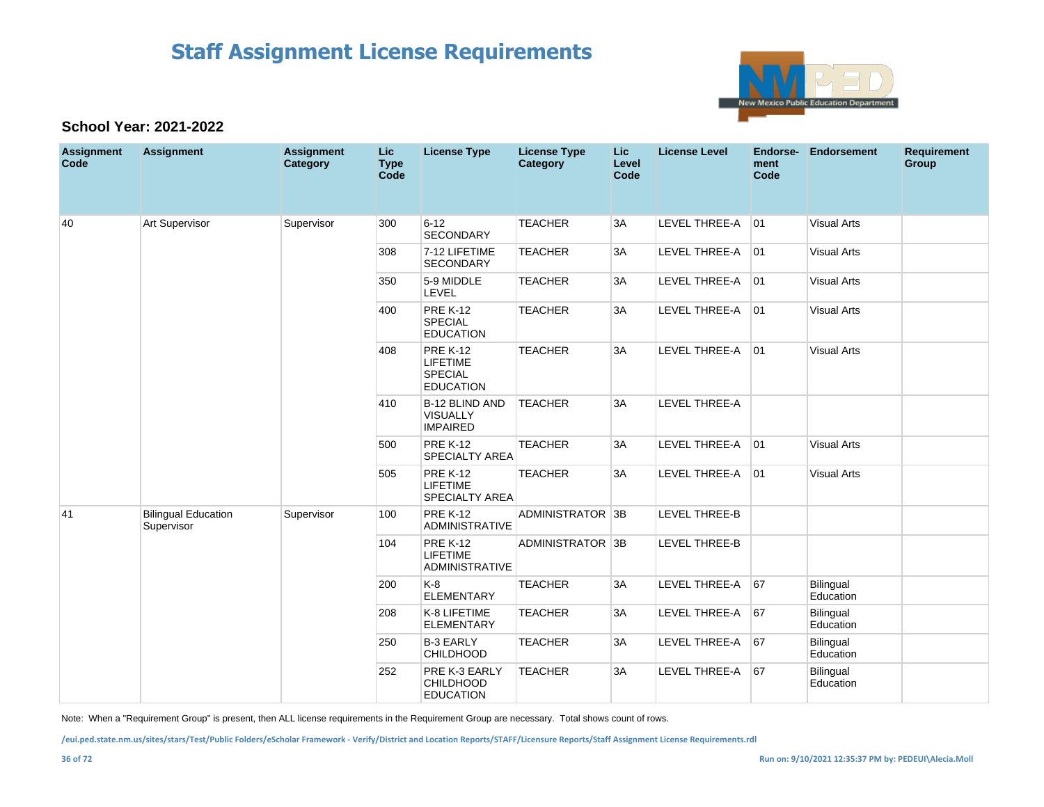

#### **School Year: 2021-2022**

| <b>Assignment</b><br>Code | <b>Assignment</b>                        | <b>Assignment</b><br>Category | Lic<br><b>Type</b><br>Code | <b>License Type</b>                                                      | <b>License Type</b><br>Category | Lic.<br>Level<br>Code | <b>License Level</b> | <b>Endorse-</b><br>ment<br>Code | Endorsement            | <b>Requirement</b><br><b>Group</b> |
|---------------------------|------------------------------------------|-------------------------------|----------------------------|--------------------------------------------------------------------------|---------------------------------|-----------------------|----------------------|---------------------------------|------------------------|------------------------------------|
| 40                        | <b>Art Supervisor</b>                    | Supervisor                    | 300                        | $6 - 12$<br><b>SECONDARY</b>                                             | <b>TEACHER</b>                  | 3A                    | LEVEL THREE-A        | 01                              | <b>Visual Arts</b>     |                                    |
|                           |                                          |                               | 308                        | 7-12 LIFETIME<br><b>SECONDARY</b>                                        | <b>TEACHER</b>                  | 3A                    | LEVEL THREE-A        | 01                              | <b>Visual Arts</b>     |                                    |
|                           |                                          |                               | 350                        | 5-9 MIDDLE<br>LEVEL                                                      | <b>TEACHER</b>                  | 3A                    | LEVEL THREE-A        | 01                              | <b>Visual Arts</b>     |                                    |
|                           |                                          |                               | 400                        | <b>PRE K-12</b><br><b>SPECIAL</b><br><b>EDUCATION</b>                    | <b>TEACHER</b>                  | 3A                    | LEVEL THREE-A        | 01                              | <b>Visual Arts</b>     |                                    |
|                           |                                          |                               | 408                        | <b>PRE K-12</b><br><b>LIFETIME</b><br><b>SPECIAL</b><br><b>EDUCATION</b> | <b>TEACHER</b>                  | 3A                    | LEVEL THREE-A 01     |                                 | <b>Visual Arts</b>     |                                    |
|                           |                                          |                               | 410                        | B-12 BLIND AND<br><b>VISUALLY</b><br><b>IMPAIRED</b>                     | <b>TEACHER</b>                  | 3A                    | LEVEL THREE-A        |                                 |                        |                                    |
|                           |                                          |                               | 500                        | <b>PRE K-12</b><br><b>SPECIALTY AREA</b>                                 | <b>TEACHER</b>                  | 3A                    | LEVEL THREE-A 01     |                                 | <b>Visual Arts</b>     |                                    |
|                           |                                          |                               | 505                        | <b>PRE K-12</b><br><b>LIFETIME</b><br><b>SPECIALTY AREA</b>              | <b>TEACHER</b>                  | 3A                    | LEVEL THREE-A        | 01                              | <b>Visual Arts</b>     |                                    |
| 41                        | <b>Bilingual Education</b><br>Supervisor | Supervisor                    | 100                        | <b>PRE K-12</b><br>ADMINISTRATIVE                                        | ADMINISTRATOR 3B                |                       | <b>LEVEL THREE-B</b> |                                 |                        |                                    |
|                           |                                          |                               | 104                        | <b>PRE K-12</b><br><b>LIFETIME</b><br><b>ADMINISTRATIVE</b>              | ADMINISTRATOR 3B                |                       | LEVEL THREE-B        |                                 |                        |                                    |
|                           |                                          |                               | 200                        | K-8<br><b>ELEMENTARY</b>                                                 | <b>TEACHER</b>                  | 3A                    | LEVEL THREE-A        | 67                              | Bilingual<br>Education |                                    |
|                           |                                          |                               | 208                        | K-8 LIFETIME<br><b>ELEMENTARY</b>                                        | <b>TEACHER</b>                  | 3A                    | LEVEL THREE-A        | 67                              | Bilingual<br>Education |                                    |
|                           |                                          |                               | 250                        | <b>B-3 EARLY</b><br><b>CHILDHOOD</b>                                     | <b>TEACHER</b>                  | 3A                    | LEVEL THREE-A        | 67                              | Bilingual<br>Education |                                    |
|                           |                                          |                               | 252                        | PRE K-3 EARLY<br><b>CHILDHOOD</b><br><b>EDUCATION</b>                    | <b>TEACHER</b>                  | 3A                    | LEVEL THREE-A        | 67                              | Bilingual<br>Education |                                    |

Note: When a "Requirement Group" is present, then ALL license requirements in the Requirement Group are necessary. Total shows count of rows.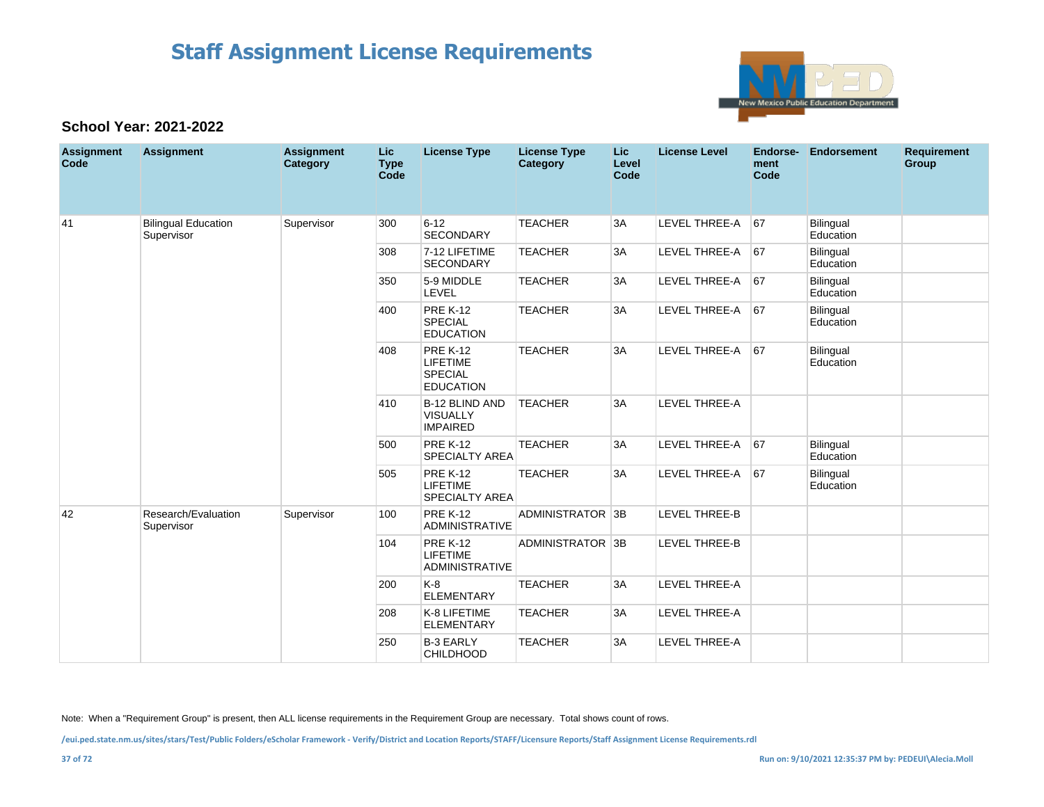

#### **School Year: 2021-2022**

| <b>Assignment</b><br>Code | <b>Assignment</b>                        | <b>Assignment</b><br>Category | Lic.<br><b>Type</b><br>Code | <b>License Type</b>                                                      | <b>License Type</b><br>Category | <b>Lic</b><br>Level<br>Code | <b>License Level</b> | Endorse-<br>ment<br>Code | <b>Endorsement</b>     | <b>Requirement</b><br>Group |
|---------------------------|------------------------------------------|-------------------------------|-----------------------------|--------------------------------------------------------------------------|---------------------------------|-----------------------------|----------------------|--------------------------|------------------------|-----------------------------|
| 41                        | <b>Bilingual Education</b><br>Supervisor | Supervisor                    | 300                         | $6 - 12$<br>SECONDARY                                                    | <b>TEACHER</b>                  | 3A                          | <b>LEVEL THREE-A</b> | 67                       | Bilingual<br>Education |                             |
|                           |                                          |                               | 308                         | 7-12 LIFETIME<br><b>SECONDARY</b>                                        | <b>TEACHER</b>                  | 3A                          | <b>LEVEL THREE-A</b> | 67                       | Bilingual<br>Education |                             |
|                           |                                          |                               | 350                         | 5-9 MIDDLE<br><b>LEVEL</b>                                               | <b>TEACHER</b>                  | 3A                          | LEVEL THREE-A        | 67                       | Bilingual<br>Education |                             |
|                           |                                          |                               | 400                         | <b>PRE K-12</b><br><b>SPECIAL</b><br><b>EDUCATION</b>                    | <b>TEACHER</b>                  | 3A                          | LEVEL THREE-A        | 67                       | Bilingual<br>Education |                             |
|                           |                                          |                               | 408                         | <b>PRE K-12</b><br><b>LIFETIME</b><br><b>SPECIAL</b><br><b>EDUCATION</b> | <b>TEACHER</b>                  | 3A                          | <b>LEVEL THREE-A</b> | 67                       | Bilingual<br>Education |                             |
|                           |                                          |                               | 410                         | <b>B-12 BLIND AND</b><br><b>VISUALLY</b><br><b>IMPAIRED</b>              | <b>TEACHER</b>                  | 3A                          | <b>LEVEL THREE-A</b> |                          |                        |                             |
|                           |                                          |                               | 500                         | <b>PRE K-12</b><br>SPECIALTY AREA                                        | <b>TEACHER</b>                  | 3A                          | <b>LEVEL THREE-A</b> | 67                       | Bilingual<br>Education |                             |
|                           |                                          |                               | 505                         | <b>PRE K-12</b><br><b>LIFETIME</b><br><b>SPECIALTY AREA</b>              | <b>TEACHER</b>                  | 3A                          | <b>LEVEL THREE-A</b> | 67                       | Bilingual<br>Education |                             |
| 42                        | Research/Evaluation<br>Supervisor        | Supervisor                    | 100                         | <b>PRE K-12</b><br><b>ADMINISTRATIVE</b>                                 | ADMINISTRATOR 3B                |                             | <b>LEVEL THREE-B</b> |                          |                        |                             |
|                           |                                          |                               | 104                         | <b>PRE K-12</b><br><b>LIFETIME</b><br><b>ADMINISTRATIVE</b>              | ADMINISTRATOR 3B                |                             | LEVEL THREE-B        |                          |                        |                             |
|                           |                                          |                               | 200                         | $K-8$<br><b>ELEMENTARY</b>                                               | <b>TEACHER</b>                  | 3A                          | <b>LEVEL THREE-A</b> |                          |                        |                             |
|                           |                                          |                               | 208                         | K-8 LIFETIME<br><b>ELEMENTARY</b>                                        | <b>TEACHER</b>                  | 3A                          | <b>LEVEL THREE-A</b> |                          |                        |                             |
|                           |                                          |                               | 250                         | <b>B-3 EARLY</b><br><b>CHILDHOOD</b>                                     | <b>TEACHER</b>                  | 3A                          | <b>LEVEL THREE-A</b> |                          |                        |                             |

Note: When a "Requirement Group" is present, then ALL license requirements in the Requirement Group are necessary. Total shows count of rows.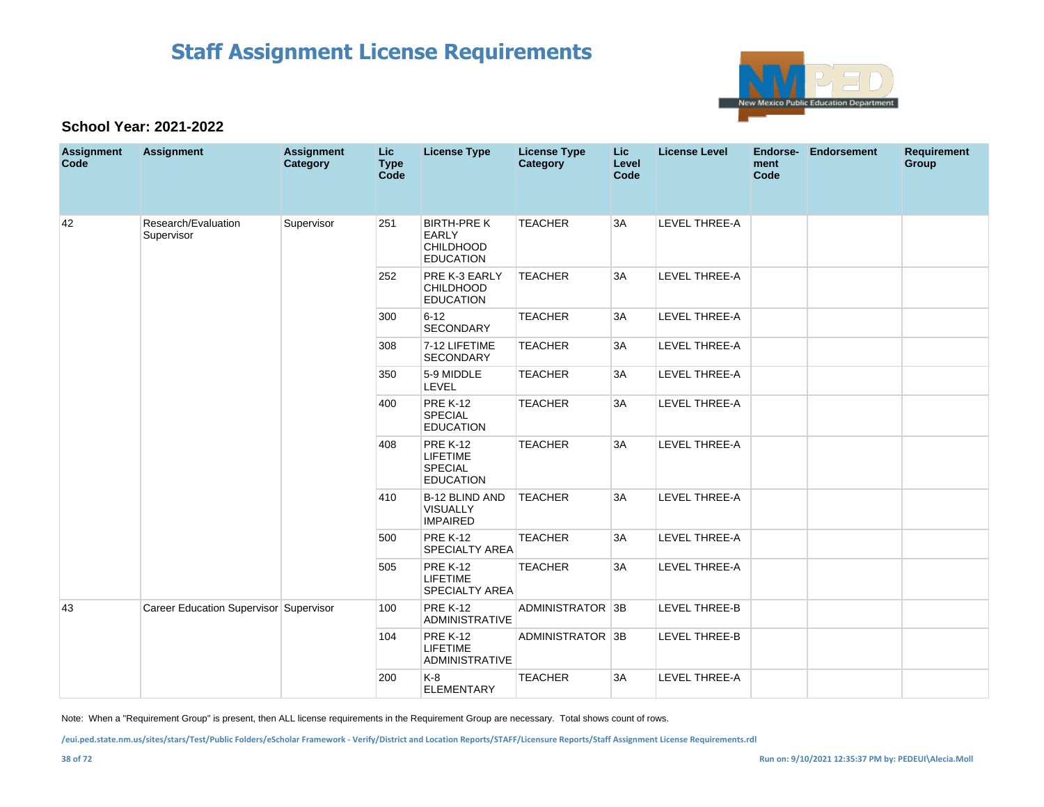

#### **School Year: 2021-2022**

| <b>Assignment</b><br>Code | <b>Assignment</b>                      | <b>Assignment</b><br>Category | <b>Lic</b><br><b>Type</b><br>Code | <b>License Type</b>                                                        | <b>License Type</b><br>Category | <b>Lic</b><br>Level<br>Code | <b>License Level</b> | <b>Endorse-</b><br>ment<br>Code | <b>Endorsement</b> | <b>Requirement</b><br>Group |
|---------------------------|----------------------------------------|-------------------------------|-----------------------------------|----------------------------------------------------------------------------|---------------------------------|-----------------------------|----------------------|---------------------------------|--------------------|-----------------------------|
| 42                        | Research/Evaluation<br>Supervisor      | Supervisor                    | 251                               | <b>BIRTH-PRE K</b><br><b>EARLY</b><br><b>CHILDHOOD</b><br><b>EDUCATION</b> | <b>TEACHER</b>                  | 3A                          | LEVEL THREE-A        |                                 |                    |                             |
|                           |                                        |                               | 252                               | PRE K-3 EARLY<br><b>CHILDHOOD</b><br><b>EDUCATION</b>                      | <b>TEACHER</b>                  | 3A                          | <b>LEVEL THREE-A</b> |                                 |                    |                             |
|                           |                                        |                               | 300                               | $6 - 12$<br><b>SECONDARY</b>                                               | <b>TEACHER</b>                  | 3A                          | LEVEL THREE-A        |                                 |                    |                             |
|                           |                                        |                               | 308                               | 7-12 LIFETIME<br><b>SECONDARY</b>                                          | <b>TEACHER</b>                  | 3A                          | LEVEL THREE-A        |                                 |                    |                             |
|                           |                                        |                               | 350                               | 5-9 MIDDLE<br>LEVEL                                                        | <b>TEACHER</b>                  | 3A                          | LEVEL THREE-A        |                                 |                    |                             |
|                           |                                        |                               | 400                               | <b>PRE K-12</b><br><b>SPECIAL</b><br><b>EDUCATION</b>                      | <b>TEACHER</b>                  | 3A                          | LEVEL THREE-A        |                                 |                    |                             |
|                           |                                        |                               | 408                               | <b>PRE K-12</b><br>LIFETIME<br>SPECIAL<br><b>EDUCATION</b>                 | <b>TEACHER</b>                  | 3A                          | LEVEL THREE-A        |                                 |                    |                             |
|                           |                                        |                               | 410                               | B-12 BLIND AND<br>VISUALLY<br><b>IMPAIRED</b>                              | <b>TEACHER</b>                  | 3A                          | LEVEL THREE-A        |                                 |                    |                             |
|                           |                                        |                               | 500                               | <b>PRE K-12</b><br><b>SPECIALTY AREA</b>                                   | <b>TEACHER</b>                  | 3A                          | LEVEL THREE-A        |                                 |                    |                             |
|                           |                                        |                               | 505                               | <b>PRE K-12</b><br><b>LIFETIME</b><br>SPECIALTY AREA                       | <b>TEACHER</b>                  | 3A                          | LEVEL THREE-A        |                                 |                    |                             |
| 43                        | Career Education Supervisor Supervisor |                               | 100                               | <b>PRE K-12</b><br><b>ADMINISTRATIVE</b>                                   | ADMINISTRATOR 3B                |                             | <b>LEVEL THREE-B</b> |                                 |                    |                             |
|                           |                                        |                               | 104                               | <b>PRE K-12</b><br>LIFETIME<br><b>ADMINISTRATIVE</b>                       | ADMINISTRATOR 3B                |                             | LEVEL THREE-B        |                                 |                    |                             |
|                           |                                        |                               | 200                               | K-8<br><b>ELEMENTARY</b>                                                   | <b>TEACHER</b>                  | 3A                          | <b>LEVEL THREE-A</b> |                                 |                    |                             |

Note: When a "Requirement Group" is present, then ALL license requirements in the Requirement Group are necessary. Total shows count of rows.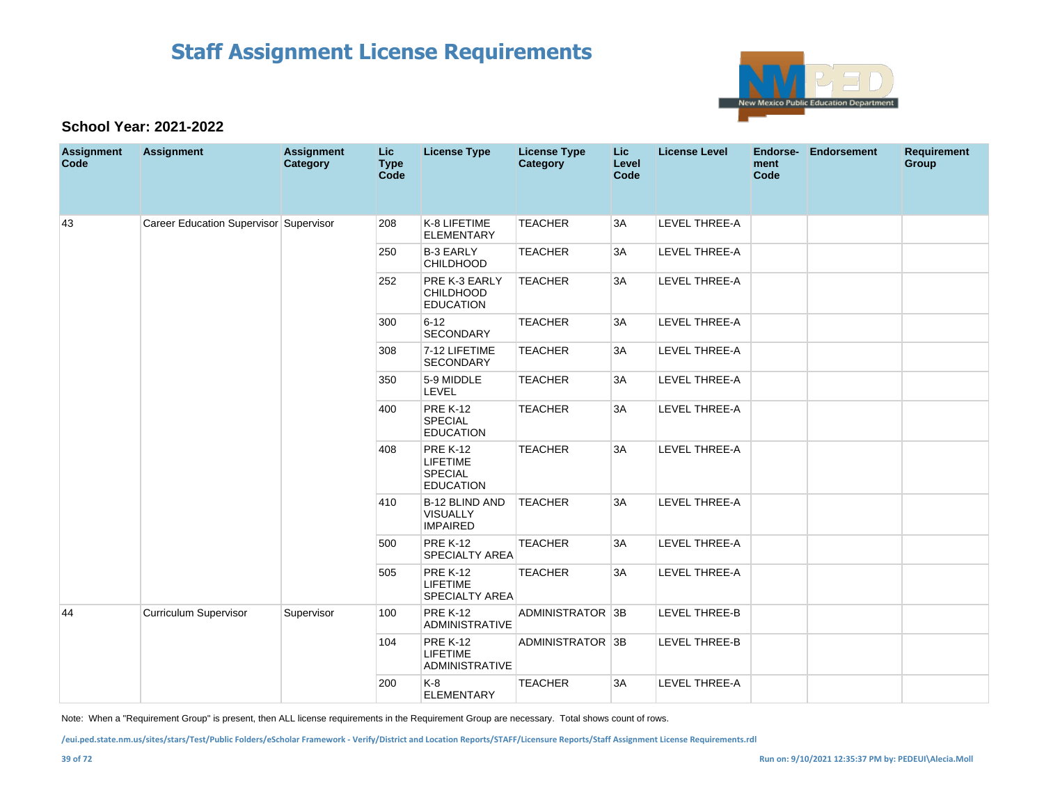

#### **School Year: 2021-2022**

| <b>Assignment</b><br>Code | <b>Assignment</b>                      | <b>Assignment</b><br>Category | Lic<br><b>Type</b><br>Code | <b>License Type</b>                                                      | <b>License Type</b><br><b>Category</b> | <b>Lic</b><br>Level<br>Code | <b>License Level</b> | Endorse-<br>ment<br>Code | Endorsement | <b>Requirement</b><br>Group |
|---------------------------|----------------------------------------|-------------------------------|----------------------------|--------------------------------------------------------------------------|----------------------------------------|-----------------------------|----------------------|--------------------------|-------------|-----------------------------|
| 43                        | Career Education Supervisor Supervisor |                               | 208                        | K-8 LIFETIME<br><b>ELEMENTARY</b>                                        | <b>TEACHER</b>                         | 3A                          | <b>LEVEL THREE-A</b> |                          |             |                             |
|                           |                                        |                               | 250                        | <b>B-3 EARLY</b><br><b>CHILDHOOD</b>                                     | <b>TEACHER</b>                         | 3A                          | LEVEL THREE-A        |                          |             |                             |
|                           |                                        |                               | 252                        | PRE K-3 EARLY<br><b>CHILDHOOD</b><br><b>EDUCATION</b>                    | <b>TEACHER</b>                         | 3A                          | LEVEL THREE-A        |                          |             |                             |
|                           |                                        |                               | 300                        | $6 - 12$<br>SECONDARY                                                    | <b>TEACHER</b>                         | 3A                          | <b>LEVEL THREE-A</b> |                          |             |                             |
|                           |                                        |                               | 308                        | 7-12 LIFETIME<br><b>SECONDARY</b>                                        | <b>TEACHER</b>                         | 3A                          | LEVEL THREE-A        |                          |             |                             |
|                           |                                        |                               | 350                        | 5-9 MIDDLE<br>LEVEL                                                      | <b>TEACHER</b>                         | 3A                          | LEVEL THREE-A        |                          |             |                             |
|                           |                                        |                               | 400                        | <b>PRE K-12</b><br><b>SPECIAL</b><br><b>EDUCATION</b>                    | <b>TEACHER</b>                         | 3A                          | LEVEL THREE-A        |                          |             |                             |
|                           |                                        |                               | 408                        | <b>PRE K-12</b><br><b>LIFETIME</b><br><b>SPECIAL</b><br><b>EDUCATION</b> | <b>TEACHER</b>                         | 3A                          | LEVEL THREE-A        |                          |             |                             |
|                           |                                        |                               | 410                        | <b>B-12 BLIND AND</b><br><b>VISUALLY</b><br><b>IMPAIRED</b>              | <b>TEACHER</b>                         | 3A                          | <b>LEVEL THREE-A</b> |                          |             |                             |
|                           |                                        |                               | 500                        | <b>PRE K-12</b><br>SPECIALTY AREA                                        | <b>TEACHER</b>                         | 3A                          | LEVEL THREE-A        |                          |             |                             |
|                           |                                        |                               | 505                        | <b>PRE K-12</b><br>LIFETIME<br><b>SPECIALTY AREA</b>                     | <b>TEACHER</b>                         | 3A                          | LEVEL THREE-A        |                          |             |                             |
| 44                        | Curriculum Supervisor                  | Supervisor                    | 100                        | <b>PRE K-12</b><br><b>ADMINISTRATIVE</b>                                 | ADMINISTRATOR 3B                       |                             | <b>LEVEL THREE-B</b> |                          |             |                             |
|                           |                                        |                               | 104                        | <b>PRE K-12</b><br><b>LIFETIME</b><br>ADMINISTRATIVE                     | ADMINISTRATOR 3B                       |                             | LEVEL THREE-B        |                          |             |                             |
|                           |                                        |                               | 200                        | K-8<br><b>ELEMENTARY</b>                                                 | <b>TEACHER</b>                         | 3A                          | LEVEL THREE-A        |                          |             |                             |

Note: When a "Requirement Group" is present, then ALL license requirements in the Requirement Group are necessary. Total shows count of rows.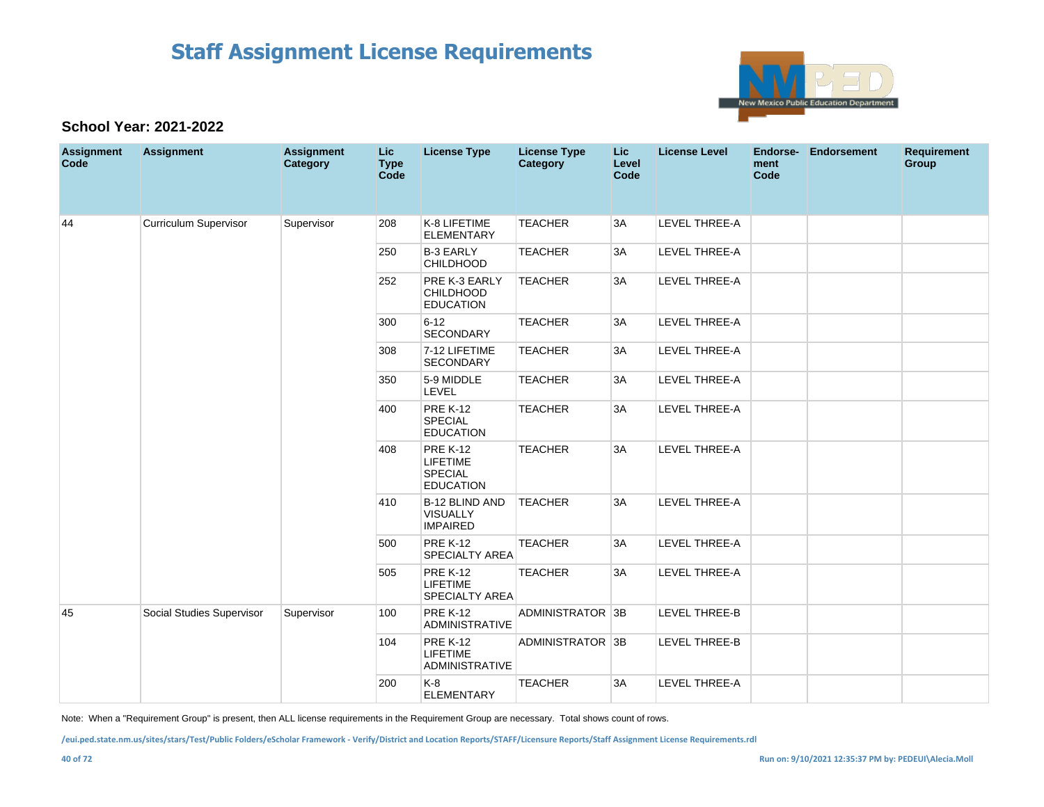

#### **School Year: 2021-2022**

| <b>Assignment</b><br>Code | <b>Assignment</b>            | <b>Assignment</b><br>Category | <b>Lic</b><br><b>Type</b><br>Code | <b>License Type</b>                                                      | <b>License Type</b><br>Category | Lic.<br>Level<br>Code | <b>License Level</b> | Endorse-<br>ment<br>Code | <b>Endorsement</b> | <b>Requirement</b><br>Group |
|---------------------------|------------------------------|-------------------------------|-----------------------------------|--------------------------------------------------------------------------|---------------------------------|-----------------------|----------------------|--------------------------|--------------------|-----------------------------|
| 44                        | <b>Curriculum Supervisor</b> | Supervisor                    | 208                               | K-8 LIFETIME<br><b>ELEMENTARY</b>                                        | <b>TEACHER</b>                  | 3A                    | LEVEL THREE-A        |                          |                    |                             |
|                           |                              |                               | 250                               | <b>B-3 EARLY</b><br><b>CHILDHOOD</b>                                     | <b>TEACHER</b>                  | 3A                    | <b>LEVEL THREE-A</b> |                          |                    |                             |
|                           |                              |                               | 252                               | PRE K-3 EARLY<br><b>CHILDHOOD</b><br><b>EDUCATION</b>                    | <b>TEACHER</b>                  | 3A                    | LEVEL THREE-A        |                          |                    |                             |
|                           |                              |                               | 300                               | $6 - 12$<br><b>SECONDARY</b>                                             | <b>TEACHER</b>                  | 3A                    | LEVEL THREE-A        |                          |                    |                             |
|                           |                              |                               | 308                               | 7-12 LIFETIME<br><b>SECONDARY</b>                                        | <b>TEACHER</b>                  | 3A                    | LEVEL THREE-A        |                          |                    |                             |
|                           |                              |                               | 350                               | 5-9 MIDDLE<br>LEVEL                                                      | <b>TEACHER</b>                  | 3A                    | LEVEL THREE-A        |                          |                    |                             |
|                           |                              |                               | 400                               | <b>PRE K-12</b><br><b>SPECIAL</b><br><b>EDUCATION</b>                    | <b>TEACHER</b>                  | 3A                    | LEVEL THREE-A        |                          |                    |                             |
|                           |                              |                               | 408                               | <b>PRE K-12</b><br><b>LIFETIME</b><br><b>SPECIAL</b><br><b>EDUCATION</b> | <b>TEACHER</b>                  | 3A                    | <b>LEVEL THREE-A</b> |                          |                    |                             |
|                           |                              |                               | 410                               | B-12 BLIND AND<br><b>VISUALLY</b><br><b>IMPAIRED</b>                     | <b>TEACHER</b>                  | 3A                    | LEVEL THREE-A        |                          |                    |                             |
|                           |                              |                               | 500                               | <b>PRE K-12</b><br>SPECIALTY AREA                                        | <b>TEACHER</b>                  | 3A                    | LEVEL THREE-A        |                          |                    |                             |
|                           |                              |                               | 505                               | <b>PRE K-12</b><br><b>LIFETIME</b><br><b>SPECIALTY AREA</b>              | <b>TEACHER</b>                  | 3A                    | LEVEL THREE-A        |                          |                    |                             |
| 45                        | Social Studies Supervisor    | Supervisor                    | 100                               | <b>PRE K-12</b><br><b>ADMINISTRATIVE</b>                                 | ADMINISTRATOR 3B                |                       | LEVEL THREE-B        |                          |                    |                             |
|                           |                              |                               | 104                               | <b>PRE K-12</b><br>LIFETIME<br><b>ADMINISTRATIVE</b>                     | ADMINISTRATOR 3B                |                       | LEVEL THREE-B        |                          |                    |                             |
|                           |                              |                               | 200                               | K-8<br><b>ELEMENTARY</b>                                                 | <b>TEACHER</b>                  | 3A                    | LEVEL THREE-A        |                          |                    |                             |

Note: When a "Requirement Group" is present, then ALL license requirements in the Requirement Group are necessary. Total shows count of rows.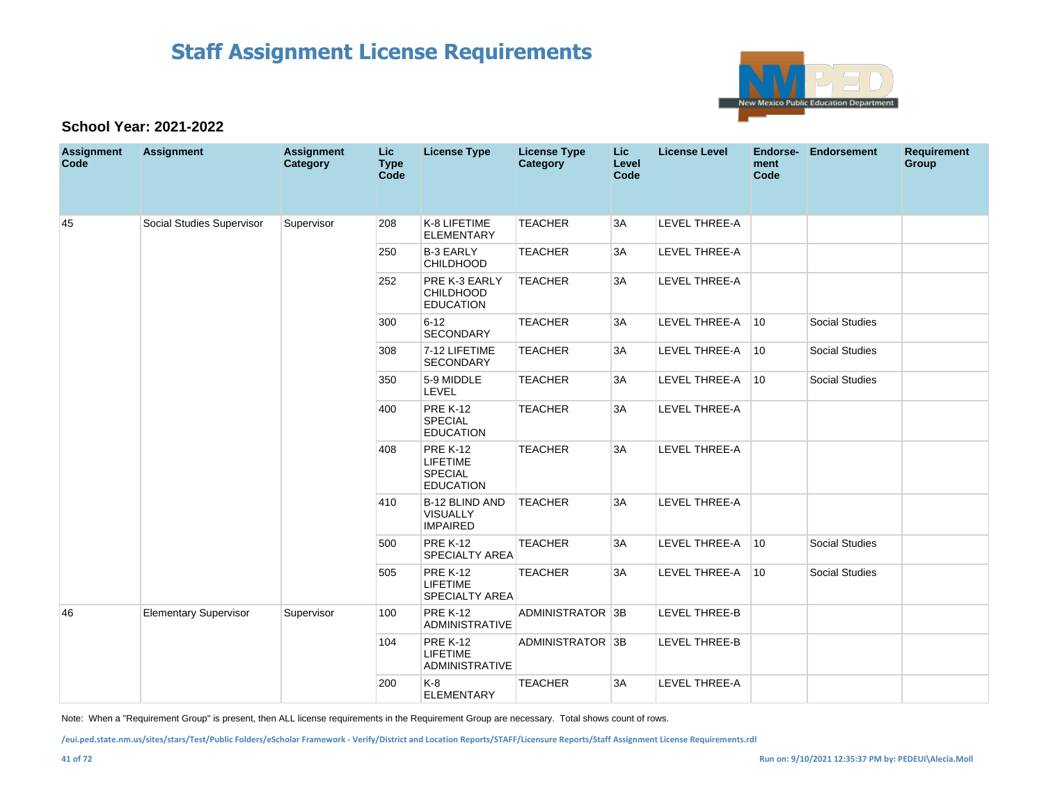

#### **School Year: 2021-2022**

| <b>Assignment</b><br>Code | <b>Assignment</b>            | <b>Assignment</b><br>Category | <b>Lic</b><br><b>Type</b><br>Code | <b>License Type</b>                                                      | <b>License Type</b><br><b>Category</b> | Lic<br>Level<br>Code | <b>License Level</b> | Endorse-<br>ment<br>Code | Endorsement           | <b>Requirement</b><br>Group |
|---------------------------|------------------------------|-------------------------------|-----------------------------------|--------------------------------------------------------------------------|----------------------------------------|----------------------|----------------------|--------------------------|-----------------------|-----------------------------|
| 45                        | Social Studies Supervisor    | Supervisor                    | 208                               | K-8 LIFETIME<br><b>ELEMENTARY</b>                                        | <b>TEACHER</b>                         | 3A                   | LEVEL THREE-A        |                          |                       |                             |
|                           |                              |                               | 250                               | <b>B-3 EARLY</b><br><b>CHILDHOOD</b>                                     | <b>TEACHER</b>                         | 3A                   | <b>LEVEL THREE-A</b> |                          |                       |                             |
|                           |                              |                               | 252                               | PRE K-3 EARLY<br><b>CHILDHOOD</b><br><b>EDUCATION</b>                    | <b>TEACHER</b>                         | 3A                   | LEVEL THREE-A        |                          |                       |                             |
|                           |                              |                               | 300                               | $6 - 12$<br>SECONDARY                                                    | <b>TEACHER</b>                         | 3A                   | LEVEL THREE-A        | $ 10\rangle$             | <b>Social Studies</b> |                             |
|                           |                              |                               | 308                               | 7-12 LIFETIME<br><b>SECONDARY</b>                                        | <b>TEACHER</b>                         | 3A                   | LEVEL THREE-A        | 10                       | <b>Social Studies</b> |                             |
|                           |                              |                               | 350                               | 5-9 MIDDLE<br>LEVEL                                                      | <b>TEACHER</b>                         | 3A                   | LEVEL THREE-A        | 10                       | <b>Social Studies</b> |                             |
|                           |                              |                               | 400                               | <b>PRE K-12</b><br><b>SPECIAL</b><br><b>EDUCATION</b>                    | <b>TEACHER</b>                         | 3A                   | LEVEL THREE-A        |                          |                       |                             |
|                           |                              |                               | 408                               | <b>PRE K-12</b><br><b>LIFETIME</b><br><b>SPECIAL</b><br><b>EDUCATION</b> | <b>TEACHER</b>                         | 3A                   | LEVEL THREE-A        |                          |                       |                             |
|                           |                              |                               | 410                               | B-12 BLIND AND<br><b>VISUALLY</b><br><b>IMPAIRED</b>                     | <b>TEACHER</b>                         | 3A                   | <b>LEVEL THREE-A</b> |                          |                       |                             |
|                           |                              |                               | 500                               | <b>PRE K-12</b><br>SPECIALTY AREA                                        | <b>TEACHER</b>                         | 3A                   | LEVEL THREE-A        | 10                       | <b>Social Studies</b> |                             |
|                           |                              |                               | 505                               | <b>PRE K-12</b><br><b>LIFETIME</b><br><b>SPECIALTY AREA</b>              | <b>TEACHER</b>                         | 3A                   | LEVEL THREE-A        | 10                       | <b>Social Studies</b> |                             |
| 46                        | <b>Elementary Supervisor</b> | Supervisor                    | 100                               | <b>PRE K-12</b><br><b>ADMINISTRATIVE</b>                                 | ADMINISTRATOR 3B                       |                      | LEVEL THREE-B        |                          |                       |                             |
|                           |                              |                               | 104                               | <b>PRE K-12</b><br><b>LIFETIME</b><br><b>ADMINISTRATIVE</b>              | ADMINISTRATOR 3B                       |                      | LEVEL THREE-B        |                          |                       |                             |
|                           |                              |                               | 200                               | K-8<br><b>ELEMENTARY</b>                                                 | <b>TEACHER</b>                         | 3A                   | LEVEL THREE-A        |                          |                       |                             |

Note: When a "Requirement Group" is present, then ALL license requirements in the Requirement Group are necessary. Total shows count of rows.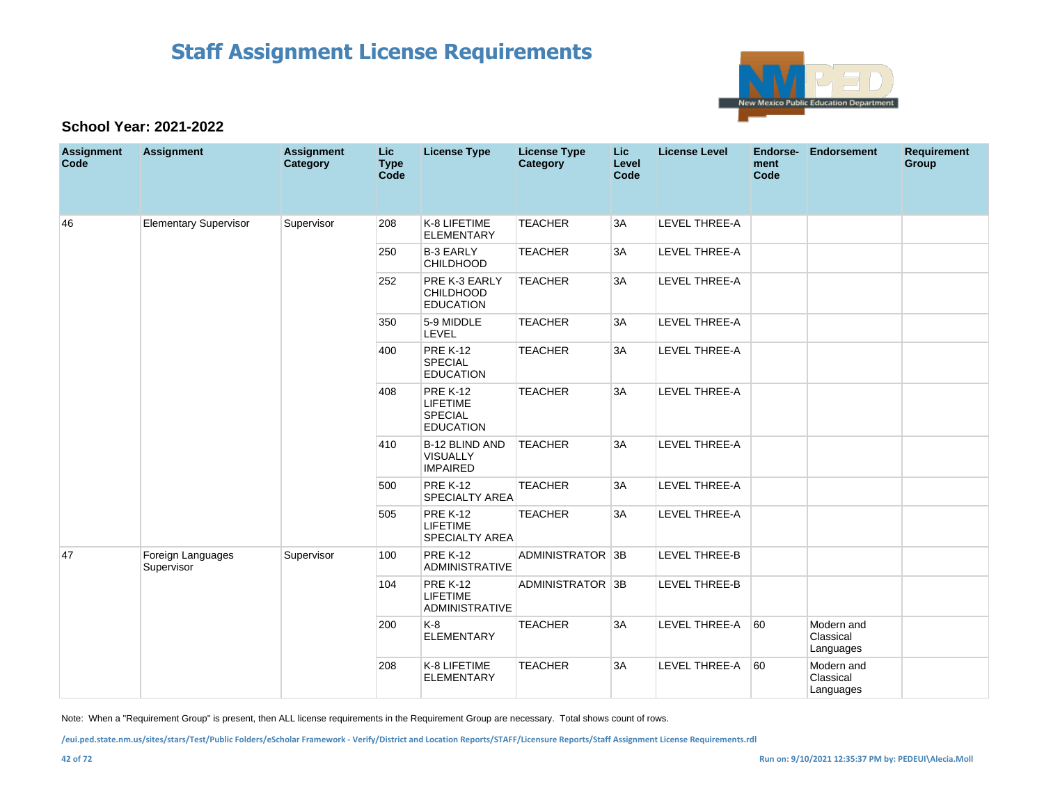

#### **School Year: 2021-2022**

| <b>Assignment</b><br>Code | <b>Assignment</b>               | <b>Assignment</b><br>Category | <b>Lic</b><br><b>Type</b><br>Code | <b>License Type</b>                                                      | <b>License Type</b><br>Category | <b>Lic</b><br>Level<br>Code | <b>License Level</b> | <b>Endorse-</b><br>ment<br>Code | <b>Endorsement</b>                   | <b>Requirement</b><br>Group |
|---------------------------|---------------------------------|-------------------------------|-----------------------------------|--------------------------------------------------------------------------|---------------------------------|-----------------------------|----------------------|---------------------------------|--------------------------------------|-----------------------------|
| 46                        | <b>Elementary Supervisor</b>    | Supervisor                    | 208                               | K-8 LIFETIME<br><b>ELEMENTARY</b>                                        | <b>TEACHER</b>                  | 3A                          | <b>LEVEL THREE-A</b> |                                 |                                      |                             |
|                           |                                 |                               | 250                               | <b>B-3 EARLY</b><br><b>CHILDHOOD</b>                                     | <b>TEACHER</b>                  | 3A                          | LEVEL THREE-A        |                                 |                                      |                             |
|                           |                                 |                               | 252                               | PRE K-3 EARLY<br><b>CHILDHOOD</b><br><b>EDUCATION</b>                    | <b>TEACHER</b>                  | 3A                          | <b>LEVEL THREE-A</b> |                                 |                                      |                             |
|                           |                                 |                               | 350                               | 5-9 MIDDLE<br>LEVEL                                                      | <b>TEACHER</b>                  | 3A                          | LEVEL THREE-A        |                                 |                                      |                             |
|                           |                                 |                               | 400                               | <b>PRE K-12</b><br><b>SPECIAL</b><br><b>EDUCATION</b>                    | <b>TEACHER</b>                  | 3A                          | LEVEL THREE-A        |                                 |                                      |                             |
|                           |                                 |                               | 408                               | <b>PRE K-12</b><br><b>LIFETIME</b><br><b>SPECIAL</b><br><b>EDUCATION</b> | <b>TEACHER</b>                  | 3A                          | LEVEL THREE-A        |                                 |                                      |                             |
|                           |                                 |                               | 410                               | <b>B-12 BLIND AND</b><br><b>VISUALLY</b><br><b>IMPAIRED</b>              | <b>TEACHER</b>                  | 3A                          | LEVEL THREE-A        |                                 |                                      |                             |
|                           |                                 |                               | 500                               | <b>PRE K-12</b><br><b>SPECIALTY AREA</b>                                 | <b>TEACHER</b>                  | 3A                          | <b>LEVEL THREE-A</b> |                                 |                                      |                             |
|                           |                                 |                               | 505                               | <b>PRE K-12</b><br><b>LIFETIME</b><br>SPECIALTY AREA                     | <b>TEACHER</b>                  | 3A                          | LEVEL THREE-A        |                                 |                                      |                             |
| 47                        | Foreign Languages<br>Supervisor | Supervisor                    | 100                               | <b>PRE K-12</b><br>ADMINISTRATIVE                                        | ADMINISTRATOR 3B                |                             | <b>LEVEL THREE-B</b> |                                 |                                      |                             |
|                           |                                 |                               | 104                               | <b>PRE K-12</b><br><b>LIFETIME</b><br><b>ADMINISTRATIVE</b>              | ADMINISTRATOR 3B                |                             | LEVEL THREE-B        |                                 |                                      |                             |
|                           |                                 |                               | 200                               | $K-8$<br><b>ELEMENTARY</b>                                               | <b>TEACHER</b>                  | 3A                          | LEVEL THREE-A        | 60                              | Modern and<br>Classical<br>Languages |                             |
|                           |                                 |                               | 208                               | K-8 LIFETIME<br><b>ELEMENTARY</b>                                        | <b>TEACHER</b>                  | 3A                          | LEVEL THREE-A        | 60                              | Modern and<br>Classical<br>Languages |                             |

Note: When a "Requirement Group" is present, then ALL license requirements in the Requirement Group are necessary. Total shows count of rows.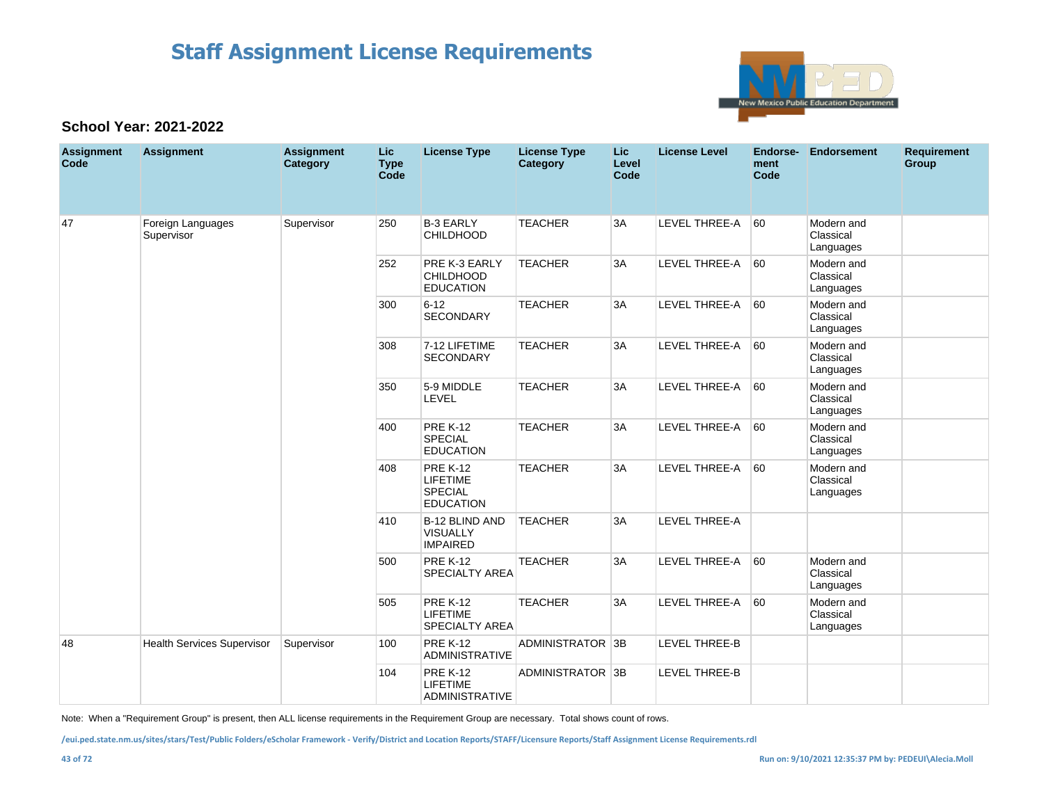

#### **School Year: 2021-2022**

| <b>Assignment</b><br>Code | <b>Assignment</b>                 | <b>Assignment</b><br>Category | Lic<br><b>Type</b><br>Code | <b>License Type</b>                                                      | <b>License Type</b><br>Category | Lic<br>Level<br>Code | <b>License Level</b> | Endorse-<br>ment<br>Code | <b>Endorsement</b>                   | <b>Requirement</b><br>Group |
|---------------------------|-----------------------------------|-------------------------------|----------------------------|--------------------------------------------------------------------------|---------------------------------|----------------------|----------------------|--------------------------|--------------------------------------|-----------------------------|
| 47                        | Foreign Languages<br>Supervisor   | Supervisor                    | 250                        | <b>B-3 EARLY</b><br><b>CHILDHOOD</b>                                     | <b>TEACHER</b>                  | 3A                   | <b>LEVEL THREE-A</b> | 60                       | Modern and<br>Classical<br>Languages |                             |
|                           |                                   |                               | 252                        | PRE K-3 EARLY<br><b>CHILDHOOD</b><br><b>EDUCATION</b>                    | <b>TEACHER</b>                  | 3A                   | <b>LEVEL THREE-A</b> | 60                       | Modern and<br>Classical<br>Languages |                             |
|                           |                                   |                               | 300                        | $6 - 12$<br>SECONDARY                                                    | <b>TEACHER</b>                  | 3A                   | <b>LEVEL THREE-A</b> | 60                       | Modern and<br>Classical<br>Languages |                             |
|                           |                                   |                               | 308                        | 7-12 LIFETIME<br><b>SECONDARY</b>                                        | <b>TEACHER</b>                  | 3A                   | <b>LEVEL THREE-A</b> | 60                       | Modern and<br>Classical<br>Languages |                             |
|                           |                                   |                               | 350                        | 5-9 MIDDLE<br>LEVEL                                                      | <b>TEACHER</b>                  | 3A                   | LEVEL THREE-A        | 60                       | Modern and<br>Classical<br>Languages |                             |
|                           |                                   |                               | 400                        | <b>PRE K-12</b><br><b>SPECIAL</b><br><b>EDUCATION</b>                    | <b>TEACHER</b>                  | 3A                   | LEVEL THREE-A        | 60                       | Modern and<br>Classical<br>Languages |                             |
|                           |                                   |                               | 408                        | <b>PRE K-12</b><br><b>LIFETIME</b><br><b>SPECIAL</b><br><b>EDUCATION</b> | <b>TEACHER</b>                  | 3A                   | LEVEL THREE-A        | 60                       | Modern and<br>Classical<br>Languages |                             |
|                           |                                   |                               | 410                        | B-12 BLIND AND<br><b>VISUALLY</b><br><b>IMPAIRED</b>                     | <b>TEACHER</b>                  | 3A                   | <b>LEVEL THREE-A</b> |                          |                                      |                             |
|                           |                                   |                               | 500                        | <b>PRE K-12</b><br><b>SPECIALTY AREA</b>                                 | <b>TEACHER</b>                  | 3A                   | LEVEL THREE-A        | 60                       | Modern and<br>Classical<br>Languages |                             |
|                           |                                   |                               | 505                        | <b>PRE K-12</b><br><b>LIFETIME</b><br><b>SPECIALTY AREA</b>              | <b>TEACHER</b>                  | 3A                   | LEVEL THREE-A        | 60                       | Modern and<br>Classical<br>Languages |                             |
| 48                        | <b>Health Services Supervisor</b> | Supervisor                    | 100                        | <b>PRE K-12</b><br><b>ADMINISTRATIVE</b>                                 | ADMINISTRATOR 3B                |                      | <b>LEVEL THREE-B</b> |                          |                                      |                             |
|                           |                                   |                               | 104                        | <b>PRE K-12</b><br><b>LIFETIME</b><br><b>ADMINISTRATIVE</b>              | ADMINISTRATOR 3B                |                      | LEVEL THREE-B        |                          |                                      |                             |

Note: When a "Requirement Group" is present, then ALL license requirements in the Requirement Group are necessary. Total shows count of rows.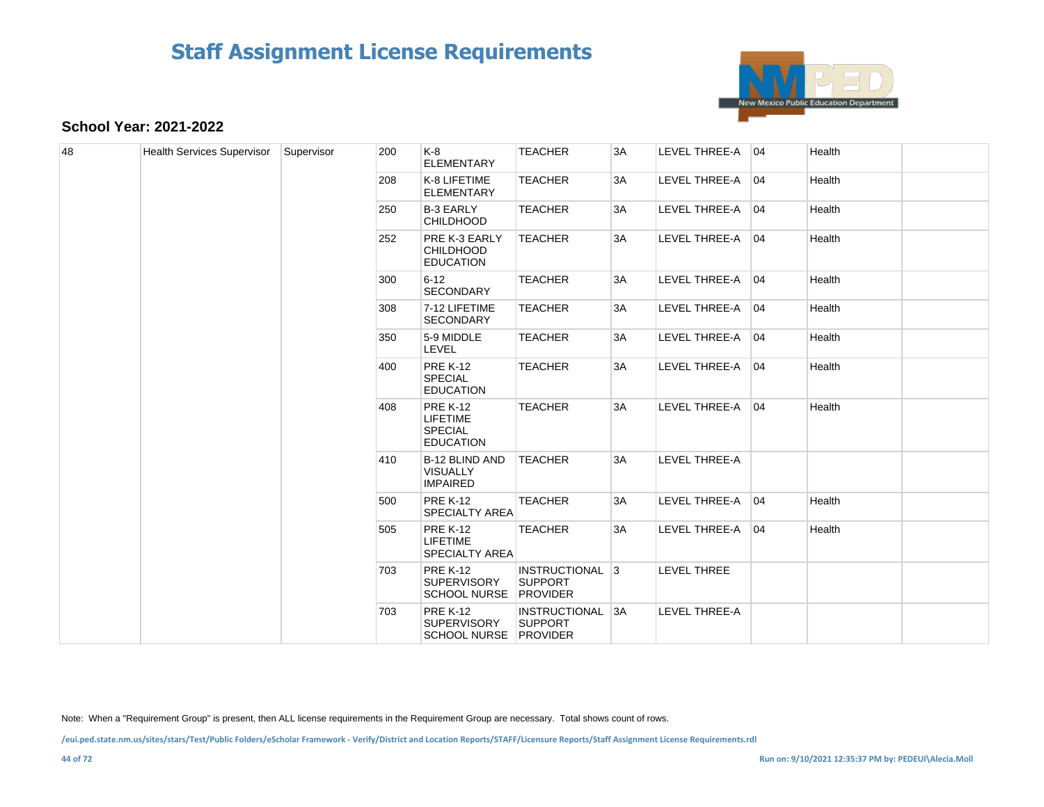

#### **School Year: 2021-2022**

| 48 | <b>Health Services Supervisor</b> | Supervisor | 200 | K-8<br><b>ELEMENTARY</b>                                          | <b>TEACHER</b>                                               | 3A                                                   | LEVEL THREE-A 04     | Health             |  |  |  |     |                                          |                |                                                             |                  |        |                  |
|----|-----------------------------------|------------|-----|-------------------------------------------------------------------|--------------------------------------------------------------|------------------------------------------------------|----------------------|--------------------|--|--|--|-----|------------------------------------------|----------------|-------------------------------------------------------------|------------------|--------|------------------|
|    |                                   |            | 208 | K-8 LIFETIME<br><b>ELEMENTARY</b>                                 | <b>TEACHER</b>                                               | 3A                                                   | LEVEL THREE-A 04     | Health             |  |  |  |     |                                          |                |                                                             |                  |        |                  |
|    |                                   |            | 250 | <b>B-3 EARLY</b><br><b>CHILDHOOD</b>                              | <b>TEACHER</b>                                               | 3A                                                   | LEVEL THREE-A 04     | Health             |  |  |  |     |                                          |                |                                                             |                  |        |                  |
|    |                                   |            | 252 | PRE K-3 EARLY<br><b>CHILDHOOD</b><br><b>EDUCATION</b>             | <b>TEACHER</b>                                               | 3A                                                   | LEVEL THREE-A 04     | Health             |  |  |  |     |                                          |                |                                                             |                  |        |                  |
|    |                                   |            | 300 | $6 - 12$<br><b>SECONDARY</b>                                      | <b>TEACHER</b>                                               | 3A                                                   | LEVEL THREE-A 04     | Health             |  |  |  |     |                                          |                |                                                             |                  |        |                  |
|    |                                   |            | 308 | 7-12 LIFETIME<br><b>SECONDARY</b>                                 | <b>TEACHER</b>                                               | 3A                                                   | LEVEL THREE-A 04     | Health             |  |  |  |     |                                          |                |                                                             |                  |        |                  |
|    |                                   |            | 350 | 5-9 MIDDLE<br>LEVEL                                               | <b>TEACHER</b>                                               | 3A                                                   | LEVEL THREE-A 04     | Health             |  |  |  |     |                                          |                |                                                             |                  |        |                  |
|    |                                   |            | 400 | <b>PRE K-12</b><br><b>SPECIAL</b><br><b>EDUCATION</b>             | <b>TEACHER</b>                                               | 3A                                                   | LEVEL THREE-A 04     | Health             |  |  |  |     |                                          |                |                                                             |                  |        |                  |
|    |                                   |            | 408 | <b>PRE K-12</b><br>LIFETIME<br><b>SPECIAL</b><br><b>EDUCATION</b> | <b>TEACHER</b>                                               | 3A                                                   | LEVEL THREE-A 04     | Health             |  |  |  |     |                                          |                |                                                             |                  |        |                  |
|    |                                   |            | 410 | <b>B-12 BLIND AND</b><br><b>VISUALLY</b><br><b>IMPAIRED</b>       | <b>TEACHER</b>                                               | 3A                                                   | <b>LEVEL THREE-A</b> |                    |  |  |  |     |                                          |                |                                                             |                  |        |                  |
|    |                                   |            |     |                                                                   |                                                              |                                                      |                      |                    |  |  |  | 500 | <b>PRE K-12</b><br><b>SPECIALTY AREA</b> | <b>TEACHER</b> | 3A                                                          | LEVEL THREE-A 04 | Health |                  |
|    |                                   |            |     |                                                                   |                                                              |                                                      |                      |                    |  |  |  |     |                                          | 505            | <b>PRE K-12</b><br><b>LIFETIME</b><br><b>SPECIALTY AREA</b> | <b>TEACHER</b>   | 3A     | LEVEL THREE-A 04 |
|    |                                   |            |     | 703                                                               | <b>PRE K-12</b><br><b>SUPERVISORY</b><br><b>SCHOOL NURSE</b> | INSTRUCTIONAL 3<br><b>SUPPORT</b><br><b>PROVIDER</b> |                      | <b>LEVEL THREE</b> |  |  |  |     |                                          |                |                                                             |                  |        |                  |
|    |                                   |            | 703 | <b>PRE K-12</b><br><b>SUPERVISORY</b><br>SCHOOL NURSE PROVIDER    | <b>INSTRUCTIONAL 3A</b><br><b>SUPPORT</b>                    |                                                      | <b>LEVEL THREE-A</b> |                    |  |  |  |     |                                          |                |                                                             |                  |        |                  |

Note: When a "Requirement Group" is present, then ALL license requirements in the Requirement Group are necessary. Total shows count of rows.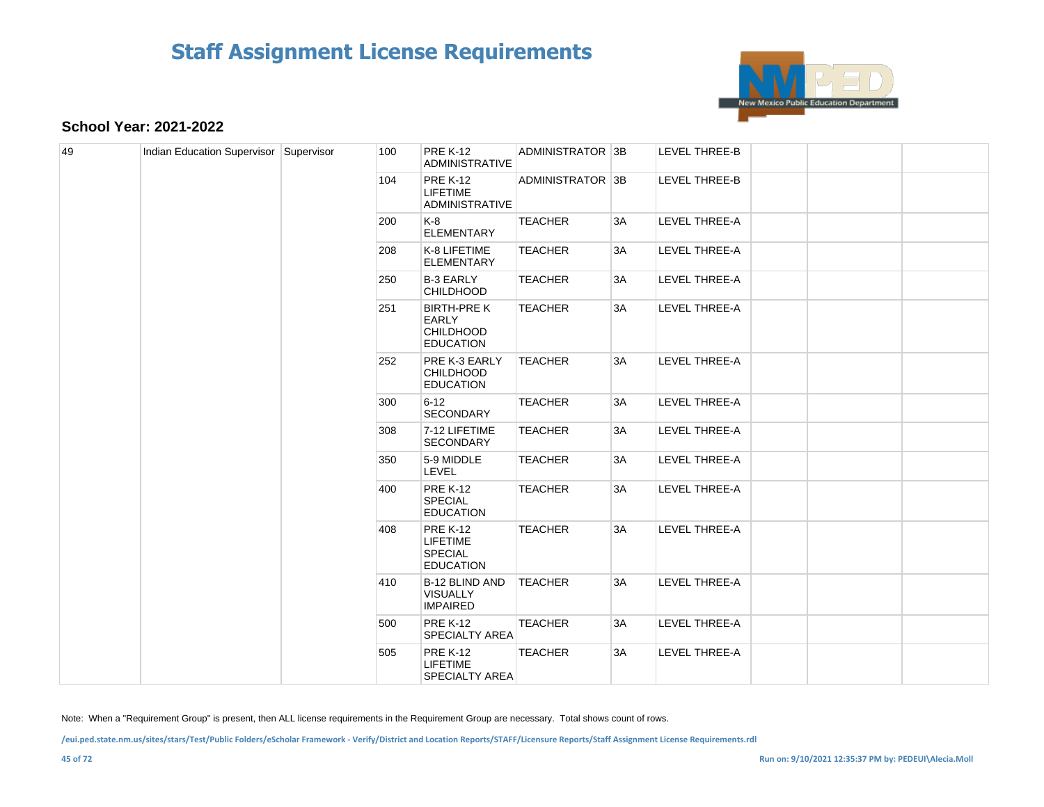

#### **School Year: 2021-2022**

| 49 | Indian Education Supervisor Supervisor |  | 100 | <b>PRE K-12</b><br><b>ADMINISTRATIVE</b>                                 | ADMINISTRATOR 3B |    | <b>LEVEL THREE-B</b> |     |                                                      |                |    |               |  |
|----|----------------------------------------|--|-----|--------------------------------------------------------------------------|------------------|----|----------------------|-----|------------------------------------------------------|----------------|----|---------------|--|
|    |                                        |  | 104 | <b>PRE K-12</b><br><b>LIFETIME</b><br><b>ADMINISTRATIVE</b>              | ADMINISTRATOR 3B |    | LEVEL THREE-B        |     |                                                      |                |    |               |  |
|    |                                        |  | 200 | K-8<br><b>ELEMENTARY</b>                                                 | <b>TEACHER</b>   | 3A | <b>LEVEL THREE-A</b> |     |                                                      |                |    |               |  |
|    |                                        |  | 208 | K-8 LIFETIME<br><b>ELEMENTARY</b>                                        | <b>TEACHER</b>   | 3A | LEVEL THREE-A        |     |                                                      |                |    |               |  |
|    |                                        |  | 250 | <b>B-3 EARLY</b><br><b>CHILDHOOD</b>                                     | <b>TEACHER</b>   | 3A | <b>LEVEL THREE-A</b> |     |                                                      |                |    |               |  |
|    |                                        |  | 251 | <b>BIRTH-PRE K</b><br><b>EARLY</b><br>CHILDHOOD<br><b>EDUCATION</b>      | <b>TEACHER</b>   | 3A | LEVEL THREE-A        |     |                                                      |                |    |               |  |
|    |                                        |  | 252 | PRE K-3 EARLY<br><b>CHILDHOOD</b><br><b>EDUCATION</b>                    | <b>TEACHER</b>   | 3A | LEVEL THREE-A        |     |                                                      |                |    |               |  |
|    |                                        |  | 300 | $6 - 12$<br><b>SECONDARY</b>                                             | <b>TEACHER</b>   | 3A | LEVEL THREE-A        |     |                                                      |                |    |               |  |
|    |                                        |  | 308 | 7-12 LIFETIME<br><b>SECONDARY</b>                                        | <b>TEACHER</b>   | 3A | LEVEL THREE-A        |     |                                                      |                |    |               |  |
|    |                                        |  | 350 | 5-9 MIDDLE<br><b>LEVEL</b>                                               | <b>TEACHER</b>   | 3A | <b>LEVEL THREE-A</b> |     |                                                      |                |    |               |  |
|    |                                        |  | 400 | <b>PRE K-12</b><br><b>SPECIAL</b><br><b>EDUCATION</b>                    | <b>TEACHER</b>   | 3A | LEVEL THREE-A        |     |                                                      |                |    |               |  |
|    |                                        |  | 408 | <b>PRE K-12</b><br><b>LIFETIME</b><br><b>SPECIAL</b><br><b>EDUCATION</b> | <b>TEACHER</b>   | 3A | LEVEL THREE-A        |     |                                                      |                |    |               |  |
|    |                                        |  |     |                                                                          |                  |    |                      | 410 | B-12 BLIND AND<br><b>VISUALLY</b><br><b>IMPAIRED</b> | <b>TEACHER</b> | 3A | LEVEL THREE-A |  |
|    |                                        |  | 500 | <b>PRE K-12</b><br><b>SPECIALTY AREA</b>                                 | <b>TEACHER</b>   | 3A | <b>LEVEL THREE-A</b> |     |                                                      |                |    |               |  |
|    |                                        |  | 505 | <b>PRE K-12</b><br><b>LIFETIME</b><br><b>SPECIALTY AREA</b>              | <b>TEACHER</b>   | 3A | <b>LEVEL THREE-A</b> |     |                                                      |                |    |               |  |

Note: When a "Requirement Group" is present, then ALL license requirements in the Requirement Group are necessary. Total shows count of rows.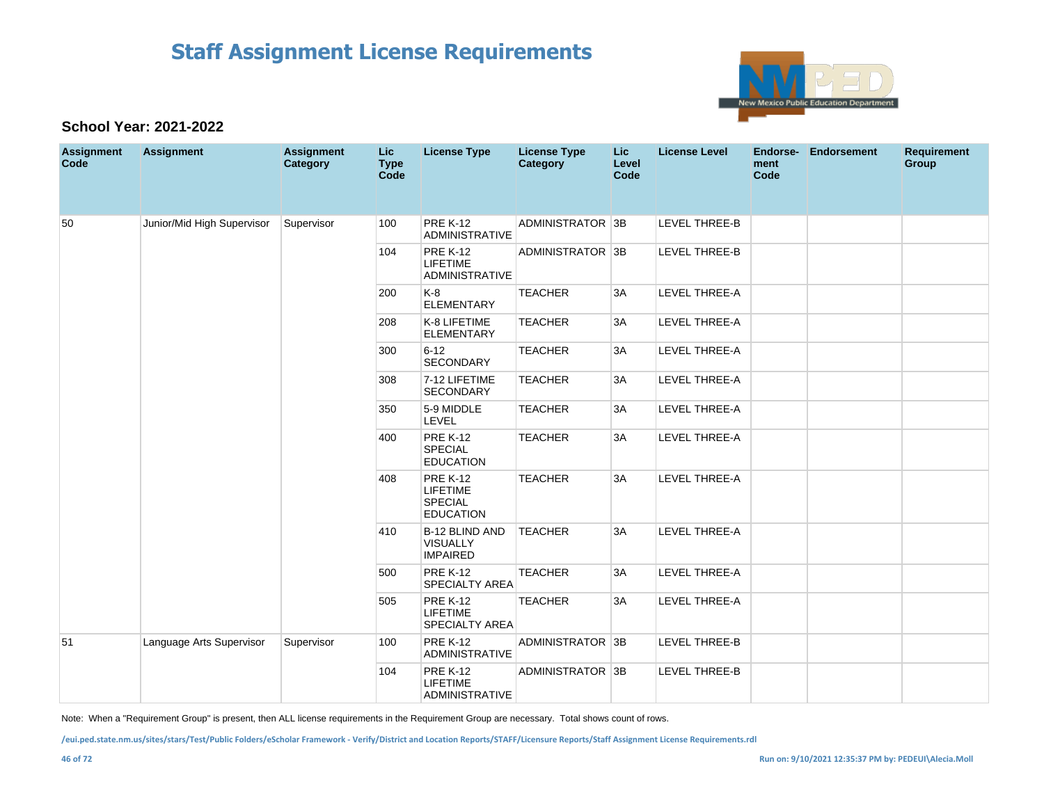

#### **School Year: 2021-2022**

| <b>Assignment</b><br>Code | <b>Assignment</b>          | <b>Assignment</b><br>Category | Lic<br><b>Type</b><br>Code | <b>License Type</b>                                                      | <b>License Type</b><br><b>Category</b> | <b>Lic</b><br>Level<br>Code | <b>License Level</b> | <b>Endorse-</b><br>ment<br>Code | <b>Endorsement</b> | <b>Requirement</b><br>Group |
|---------------------------|----------------------------|-------------------------------|----------------------------|--------------------------------------------------------------------------|----------------------------------------|-----------------------------|----------------------|---------------------------------|--------------------|-----------------------------|
| 50                        | Junior/Mid High Supervisor | Supervisor                    | 100                        | <b>PRE K-12</b><br>ADMINISTRATIVE                                        | ADMINISTRATOR 3B                       |                             | LEVEL THREE-B        |                                 |                    |                             |
|                           |                            |                               | 104                        | <b>PRE K-12</b><br><b>LIFETIME</b><br><b>ADMINISTRATIVE</b>              | ADMINISTRATOR 3B                       |                             | <b>LEVEL THREE-B</b> |                                 |                    |                             |
|                           |                            |                               | 200                        | K-8<br><b>ELEMENTARY</b>                                                 | <b>TEACHER</b>                         | 3A                          | <b>LEVEL THREE-A</b> |                                 |                    |                             |
|                           |                            |                               | 208                        | K-8 LIFETIME<br><b>ELEMENTARY</b>                                        | <b>TEACHER</b>                         | 3A                          | LEVEL THREE-A        |                                 |                    |                             |
|                           |                            |                               | 300                        | $6 - 12$<br>SECONDARY                                                    | <b>TEACHER</b>                         | 3A                          | LEVEL THREE-A        |                                 |                    |                             |
|                           |                            |                               | 308                        | 7-12 LIFETIME<br>SECONDARY                                               | <b>TEACHER</b>                         | 3A                          | LEVEL THREE-A        |                                 |                    |                             |
|                           |                            |                               | 350                        | 5-9 MIDDLE<br>LEVEL                                                      | <b>TEACHER</b>                         | 3A                          | LEVEL THREE-A        |                                 |                    |                             |
|                           |                            |                               | 400                        | <b>PRE K-12</b><br><b>SPECIAL</b><br><b>EDUCATION</b>                    | <b>TEACHER</b>                         | 3A                          | LEVEL THREE-A        |                                 |                    |                             |
|                           |                            |                               | 408                        | <b>PRE K-12</b><br><b>LIFETIME</b><br><b>SPECIAL</b><br><b>EDUCATION</b> | <b>TEACHER</b>                         | 3A                          | LEVEL THREE-A        |                                 |                    |                             |
|                           |                            |                               | 410                        | <b>B-12 BLIND AND</b><br>VISUALLY<br><b>IMPAIRED</b>                     | <b>TEACHER</b>                         | 3A                          | <b>LEVEL THREE-A</b> |                                 |                    |                             |
|                           |                            |                               | 500                        | <b>PRE K-12</b><br><b>SPECIALTY AREA</b>                                 | <b>TEACHER</b>                         | 3A                          | LEVEL THREE-A        |                                 |                    |                             |
|                           |                            |                               | 505                        | <b>PRE K-12</b><br><b>LIFETIME</b><br><b>SPECIALTY AREA</b>              | <b>TEACHER</b>                         | 3A                          | LEVEL THREE-A        |                                 |                    |                             |
| 51                        | Language Arts Supervisor   | Supervisor                    | 100                        | <b>PRE K-12</b><br><b>ADMINISTRATIVE</b>                                 | ADMINISTRATOR 3B                       |                             | <b>LEVEL THREE-B</b> |                                 |                    |                             |
|                           |                            |                               | 104                        | <b>PRE K-12</b><br><b>LIFETIME</b><br><b>ADMINISTRATIVE</b>              | ADMINISTRATOR 3B                       |                             | <b>LEVEL THREE-B</b> |                                 |                    |                             |

Note: When a "Requirement Group" is present, then ALL license requirements in the Requirement Group are necessary. Total shows count of rows.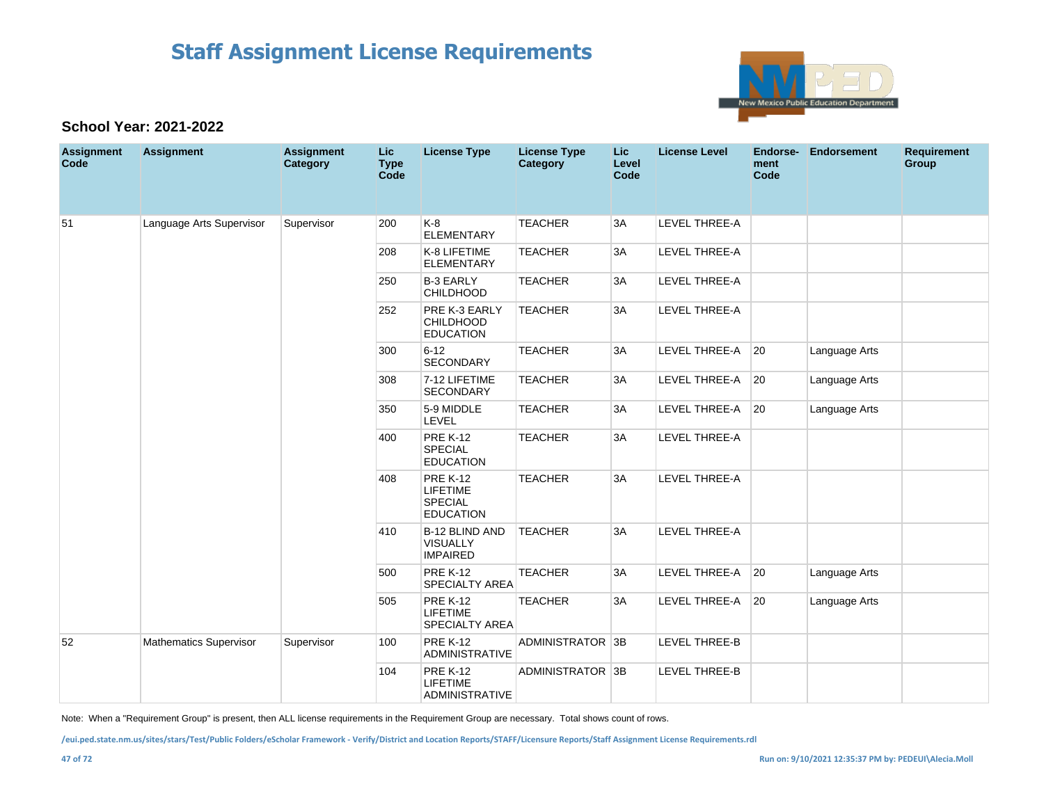

#### **School Year: 2021-2022**

| <b>Assignment</b><br>Code | <b>Assignment</b>             | <b>Assignment</b><br>Category | <b>Lic</b><br><b>Type</b><br>Code | <b>License Type</b>                                               | <b>License Type</b><br><b>Category</b> | Lic<br>Level<br>Code | <b>License Level</b> | Endorse-<br>ment<br>Code | <b>Endorsement</b> | <b>Requirement</b><br>Group |
|---------------------------|-------------------------------|-------------------------------|-----------------------------------|-------------------------------------------------------------------|----------------------------------------|----------------------|----------------------|--------------------------|--------------------|-----------------------------|
| 51                        | Language Arts Supervisor      | Supervisor                    | 200                               | $K-8$<br><b>ELEMENTARY</b>                                        | <b>TEACHER</b>                         | 3A                   | <b>LEVEL THREE-A</b> |                          |                    |                             |
|                           |                               |                               | 208                               | K-8 LIFETIME<br><b>ELEMENTARY</b>                                 | <b>TEACHER</b>                         | 3A                   | LEVEL THREE-A        |                          |                    |                             |
|                           |                               |                               | 250                               | <b>B-3 EARLY</b><br><b>CHILDHOOD</b>                              | <b>TEACHER</b>                         | 3A                   | LEVEL THREE-A        |                          |                    |                             |
|                           |                               |                               | 252                               | PRE K-3 EARLY<br><b>CHILDHOOD</b><br><b>EDUCATION</b>             | <b>TEACHER</b>                         | 3A                   | <b>LEVEL THREE-A</b> |                          |                    |                             |
|                           |                               |                               | 300                               | $6 - 12$<br>SECONDARY                                             | <b>TEACHER</b>                         | 3A                   | LEVEL THREE-A        | $ 20\rangle$             | Language Arts      |                             |
|                           |                               |                               | 308                               | 7-12 LIFETIME<br>SECONDARY                                        | <b>TEACHER</b>                         | 3A                   | LEVEL THREE-A        | 20                       | Language Arts      |                             |
|                           |                               |                               | 350                               | 5-9 MIDDLE<br><b>LEVEL</b>                                        | <b>TEACHER</b>                         | 3A                   | LEVEL THREE-A        | 20                       | Language Arts      |                             |
|                           |                               |                               | 400                               | <b>PRE K-12</b><br>SPECIAL<br><b>EDUCATION</b>                    | <b>TEACHER</b>                         | 3A                   | LEVEL THREE-A        |                          |                    |                             |
|                           |                               |                               | 408                               | <b>PRE K-12</b><br>LIFETIME<br><b>SPECIAL</b><br><b>EDUCATION</b> | <b>TEACHER</b>                         | 3A                   | LEVEL THREE-A        |                          |                    |                             |
|                           |                               |                               | 410                               | <b>B-12 BLIND AND</b><br><b>VISUALLY</b><br><b>IMPAIRED</b>       | <b>TEACHER</b>                         | 3A                   | LEVEL THREE-A        |                          |                    |                             |
|                           |                               |                               | 500                               | <b>PRE K-12</b><br><b>SPECIALTY AREA</b>                          | <b>TEACHER</b>                         | 3A                   | LEVEL THREE-A        | 20                       | Language Arts      |                             |
|                           |                               |                               | 505                               | <b>PRE K-12</b><br><b>LIFETIME</b><br><b>SPECIALTY AREA</b>       | <b>TEACHER</b>                         | 3A                   | LEVEL THREE-A        | $ 20\rangle$             | Language Arts      |                             |
| 52                        | <b>Mathematics Supervisor</b> | Supervisor                    | 100                               | <b>PRE K-12</b><br><b>ADMINISTRATIVE</b>                          | ADMINISTRATOR 3B                       |                      | LEVEL THREE-B        |                          |                    |                             |
|                           |                               |                               | 104                               | <b>PRE K-12</b><br>LIFETIME<br><b>ADMINISTRATIVE</b>              | ADMINISTRATOR 3B                       |                      | LEVEL THREE-B        |                          |                    |                             |

Note: When a "Requirement Group" is present, then ALL license requirements in the Requirement Group are necessary. Total shows count of rows.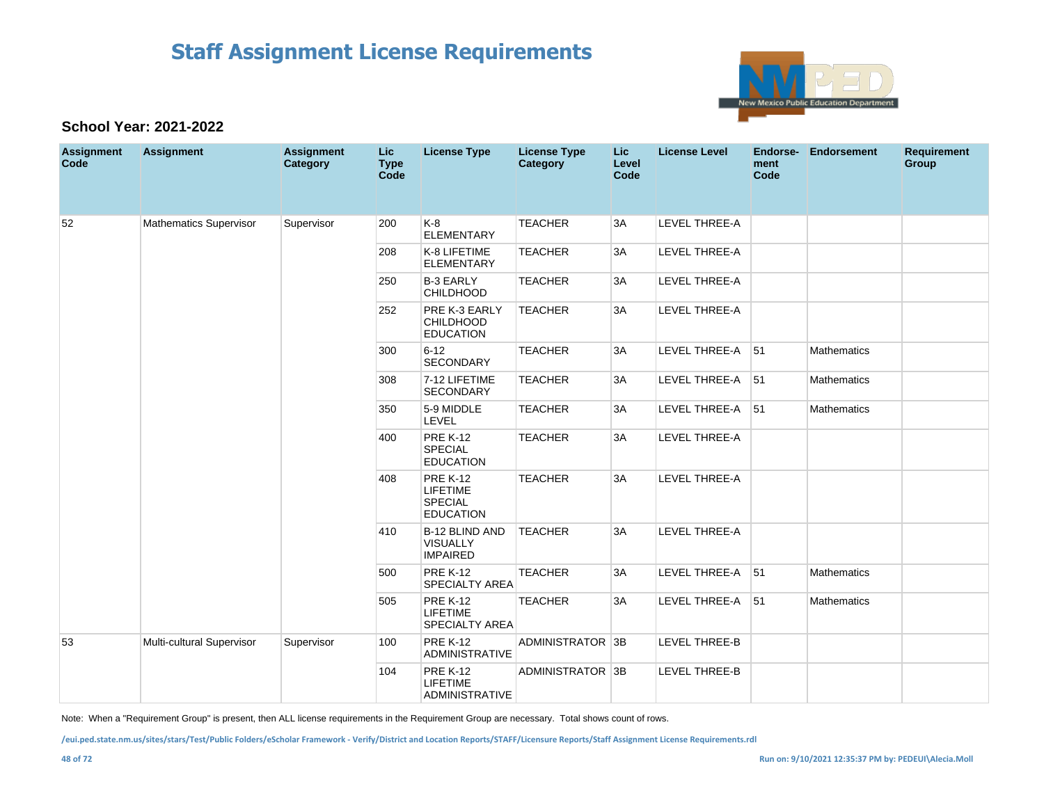

#### **School Year: 2021-2022**

| <b>Assignment</b><br>Code | <b>Assignment</b>             | <b>Assignment</b><br>Category | <b>Lic</b><br><b>Type</b><br>Code | <b>License Type</b>                                                      | <b>License Type</b><br>Category | Lic.<br>Level<br>Code | <b>License Level</b> | Endorse-<br>ment<br>Code | Endorsement        | <b>Requirement</b><br>Group |
|---------------------------|-------------------------------|-------------------------------|-----------------------------------|--------------------------------------------------------------------------|---------------------------------|-----------------------|----------------------|--------------------------|--------------------|-----------------------------|
| 52                        | <b>Mathematics Supervisor</b> | Supervisor                    | 200                               | K-8<br><b>ELEMENTARY</b>                                                 | <b>TEACHER</b>                  | 3A                    | LEVEL THREE-A        |                          |                    |                             |
|                           |                               |                               | 208                               | K-8 LIFETIME<br><b>ELEMENTARY</b>                                        | <b>TEACHER</b>                  | 3A                    | <b>LEVEL THREE-A</b> |                          |                    |                             |
|                           |                               |                               | 250                               | <b>B-3 EARLY</b><br><b>CHILDHOOD</b>                                     | <b>TEACHER</b>                  | 3A                    | LEVEL THREE-A        |                          |                    |                             |
|                           |                               |                               | 252                               | PRE K-3 EARLY<br><b>CHILDHOOD</b><br><b>EDUCATION</b>                    | <b>TEACHER</b>                  | 3A                    | LEVEL THREE-A        |                          |                    |                             |
|                           |                               |                               | 300                               | $6 - 12$<br><b>SECONDARY</b>                                             | <b>TEACHER</b>                  | 3A                    | LEVEL THREE-A 51     |                          | Mathematics        |                             |
|                           |                               |                               | 308                               | 7-12 LIFETIME<br><b>SECONDARY</b>                                        | <b>TEACHER</b>                  | 3A                    | LEVEL THREE-A        | 51                       | <b>Mathematics</b> |                             |
|                           |                               |                               | 350                               | 5-9 MIDDLE<br>LEVEL                                                      | <b>TEACHER</b>                  | 3A                    | LEVEL THREE-A 51     |                          | Mathematics        |                             |
|                           |                               |                               | 400                               | <b>PRE K-12</b><br><b>SPECIAL</b><br><b>EDUCATION</b>                    | <b>TEACHER</b>                  | 3A                    | LEVEL THREE-A        |                          |                    |                             |
|                           |                               |                               | 408                               | <b>PRE K-12</b><br><b>LIFETIME</b><br><b>SPECIAL</b><br><b>EDUCATION</b> | <b>TEACHER</b>                  | 3A                    | <b>LEVEL THREE-A</b> |                          |                    |                             |
|                           |                               |                               | 410                               | <b>B-12 BLIND AND</b><br>VISUALLY<br><b>IMPAIRED</b>                     | <b>TEACHER</b>                  | 3A                    | <b>LEVEL THREE-A</b> |                          |                    |                             |
|                           |                               |                               | 500                               | <b>PRE K-12</b><br><b>SPECIALTY AREA</b>                                 | <b>TEACHER</b>                  | 3A                    | LEVEL THREE-A 51     |                          | Mathematics        |                             |
|                           |                               |                               | 505                               | <b>PRE K-12</b><br><b>LIFETIME</b><br>SPECIALTY AREA                     | <b>TEACHER</b>                  | 3A                    | LEVEL THREE-A        | 51                       | Mathematics        |                             |
| 53                        | Multi-cultural Supervisor     | Supervisor                    | 100                               | <b>PRE K-12</b><br><b>ADMINISTRATIVE</b>                                 | ADMINISTRATOR 3B                |                       | LEVEL THREE-B        |                          |                    |                             |
|                           |                               |                               | 104                               | <b>PRE K-12</b><br>LIFETIME<br><b>ADMINISTRATIVE</b>                     | ADMINISTRATOR 3B                |                       | LEVEL THREE-B        |                          |                    |                             |

Note: When a "Requirement Group" is present, then ALL license requirements in the Requirement Group are necessary. Total shows count of rows.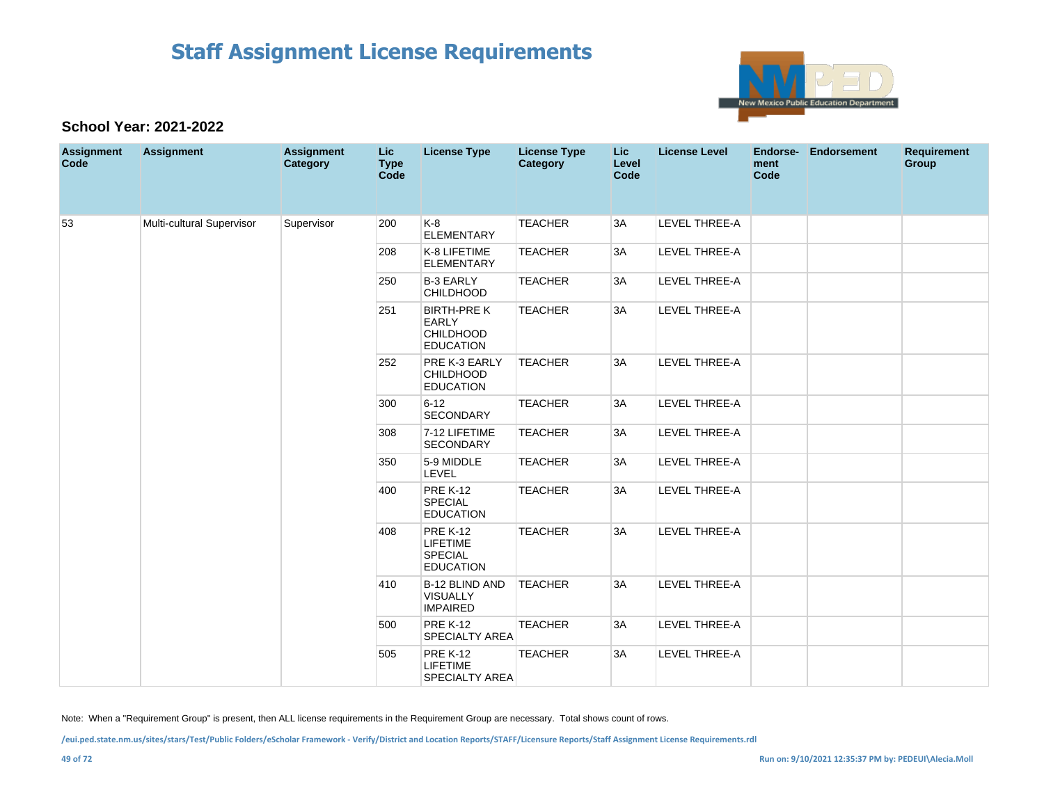

#### **School Year: 2021-2022**

| <b>Assignment</b><br>Code | <b>Assignment</b>         | <b>Assignment</b><br>Category                 | <b>Lic</b><br><b>Type</b><br><b>Code</b> | <b>License Type</b>                                                        | <b>License Type</b><br>Category | Lic<br>Level<br>Code                                                     | <b>License Level</b> | Endorse-<br>ment<br>Code | Endorsement          | <b>Requirement</b><br><b>Group</b> |  |  |
|---------------------------|---------------------------|-----------------------------------------------|------------------------------------------|----------------------------------------------------------------------------|---------------------------------|--------------------------------------------------------------------------|----------------------|--------------------------|----------------------|------------------------------------|--|--|
| 53                        | Multi-cultural Supervisor | Supervisor                                    | 200                                      | $K-8$<br><b>ELEMENTARY</b>                                                 | <b>TEACHER</b>                  | 3A                                                                       | <b>LEVEL THREE-A</b> |                          |                      |                                    |  |  |
|                           |                           |                                               | 208                                      | K-8 LIFETIME<br><b>ELEMENTARY</b>                                          | <b>TEACHER</b>                  | 3A                                                                       | <b>LEVEL THREE-A</b> |                          |                      |                                    |  |  |
|                           |                           |                                               | 250                                      | <b>B-3 EARLY</b><br><b>CHILDHOOD</b>                                       | <b>TEACHER</b>                  | 3A                                                                       | LEVEL THREE-A        |                          |                      |                                    |  |  |
|                           |                           |                                               | 251                                      | <b>BIRTH-PRE K</b><br><b>EARLY</b><br><b>CHILDHOOD</b><br><b>EDUCATION</b> | <b>TEACHER</b>                  | 3A                                                                       | LEVEL THREE-A        |                          |                      |                                    |  |  |
|                           |                           |                                               | 252                                      | PRE K-3 EARLY<br><b>CHILDHOOD</b><br><b>EDUCATION</b>                      | <b>TEACHER</b>                  | 3A                                                                       | LEVEL THREE-A        |                          |                      |                                    |  |  |
|                           |                           | 300<br>308<br>350<br>400<br>408<br>410<br>500 |                                          | $6 - 12$<br><b>SECONDARY</b>                                               | <b>TEACHER</b>                  | 3A                                                                       | LEVEL THREE-A        |                          |                      |                                    |  |  |
|                           |                           |                                               |                                          | 7-12 LIFETIME<br><b>SECONDARY</b>                                          | <b>TEACHER</b>                  | 3A                                                                       | <b>LEVEL THREE-A</b> |                          |                      |                                    |  |  |
|                           |                           |                                               |                                          | 5-9 MIDDLE<br>LEVEL                                                        | <b>TEACHER</b>                  | 3A                                                                       | LEVEL THREE-A        |                          |                      |                                    |  |  |
|                           |                           |                                               |                                          | <b>PRE K-12</b><br><b>SPECIAL</b><br><b>EDUCATION</b>                      | <b>TEACHER</b>                  | 3A                                                                       | <b>LEVEL THREE-A</b> |                          |                      |                                    |  |  |
|                           |                           |                                               |                                          |                                                                            |                                 | <b>PRE K-12</b><br><b>LIFETIME</b><br><b>SPECIAL</b><br><b>EDUCATION</b> | <b>TEACHER</b>       | 3A                       | <b>LEVEL THREE-A</b> |                                    |  |  |
|                           |                           |                                               |                                          | B-12 BLIND AND<br><b>VISUALLY</b><br><b>IMPAIRED</b>                       | <b>TEACHER</b>                  | 3A                                                                       | LEVEL THREE-A        |                          |                      |                                    |  |  |
|                           |                           |                                               | <b>PRE K-12</b><br><b>SPECIALTY AREA</b> | <b>TEACHER</b>                                                             | 3A                              | LEVEL THREE-A                                                            |                      |                          |                      |                                    |  |  |
|                           |                           |                                               | 505                                      | <b>PRE K-12</b><br><b>LIFETIME</b><br><b>SPECIALTY AREA</b>                | <b>TEACHER</b>                  | 3A                                                                       | <b>LEVEL THREE-A</b> |                          |                      |                                    |  |  |

Note: When a "Requirement Group" is present, then ALL license requirements in the Requirement Group are necessary. Total shows count of rows.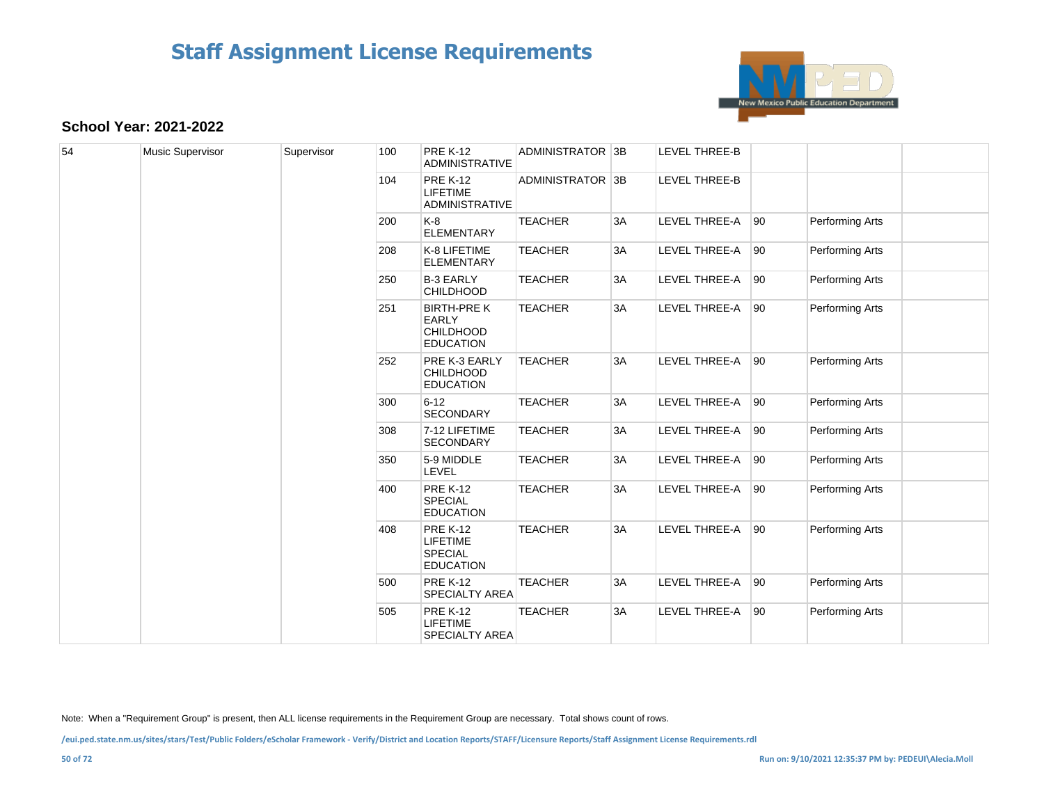

#### **School Year: 2021-2022**

| 54 | Music Supervisor | Supervisor | 100 | <b>PRE K-12</b><br><b>ADMINISTRATIVE</b>                                   | ADMINISTRATOR 3B |    | <b>LEVEL THREE-B</b> |    |                 |  |  |  |  |     |                                                                          |                |    |               |    |
|----|------------------|------------|-----|----------------------------------------------------------------------------|------------------|----|----------------------|----|-----------------|--|--|--|--|-----|--------------------------------------------------------------------------|----------------|----|---------------|----|
|    |                  |            | 104 | <b>PRE K-12</b><br><b>LIFETIME</b><br><b>ADMINISTRATIVE</b>                | ADMINISTRATOR 3B |    | LEVEL THREE-B        |    |                 |  |  |  |  |     |                                                                          |                |    |               |    |
|    |                  |            | 200 | K-8<br><b>ELEMENTARY</b>                                                   | <b>TEACHER</b>   | 3A | LEVEL THREE-A 90     |    | Performing Arts |  |  |  |  |     |                                                                          |                |    |               |    |
|    |                  |            | 208 | K-8 LIFETIME<br><b>ELEMENTARY</b>                                          | <b>TEACHER</b>   | 3A | LEVEL THREE-A 90     |    | Performing Arts |  |  |  |  |     |                                                                          |                |    |               |    |
|    |                  |            | 250 | <b>B-3 EARLY</b><br><b>CHILDHOOD</b>                                       | <b>TEACHER</b>   | 3A | LEVEL THREE-A        | 90 | Performing Arts |  |  |  |  |     |                                                                          |                |    |               |    |
|    |                  |            | 251 | <b>BIRTH-PRE K</b><br><b>EARLY</b><br><b>CHILDHOOD</b><br><b>EDUCATION</b> | <b>TEACHER</b>   | 3A | LEVEL THREE-A        | 90 | Performing Arts |  |  |  |  |     |                                                                          |                |    |               |    |
|    |                  |            | 252 | PRE K-3 EARLY<br><b>CHILDHOOD</b><br><b>EDUCATION</b>                      | <b>TEACHER</b>   | 3A | LEVEL THREE-A 90     |    | Performing Arts |  |  |  |  |     |                                                                          |                |    |               |    |
|    |                  |            | 300 | $6 - 12$<br><b>SECONDARY</b>                                               | <b>TEACHER</b>   | 3A | <b>LEVEL THREE-A</b> | 90 | Performing Arts |  |  |  |  |     |                                                                          |                |    |               |    |
|    |                  |            | 308 | 7-12 LIFETIME<br>SECONDARY                                                 | <b>TEACHER</b>   | 3A | LEVEL THREE-A        | 90 | Performing Arts |  |  |  |  |     |                                                                          |                |    |               |    |
|    |                  |            | 350 | 5-9 MIDDLE<br>LEVEL                                                        | <b>TEACHER</b>   | 3A | LEVEL THREE-A        | 90 | Performing Arts |  |  |  |  |     |                                                                          |                |    |               |    |
|    |                  |            | 400 | <b>PRE K-12</b><br>SPECIAL<br><b>EDUCATION</b>                             | <b>TEACHER</b>   | 3A | LEVEL THREE-A        | 90 | Performing Arts |  |  |  |  |     |                                                                          |                |    |               |    |
|    |                  |            |     |                                                                            |                  |    |                      |    |                 |  |  |  |  | 408 | <b>PRE K-12</b><br><b>LIFETIME</b><br><b>SPECIAL</b><br><b>EDUCATION</b> | <b>TEACHER</b> | 3A | LEVEL THREE-A | 90 |
|    |                  |            | 500 | <b>PRE K-12</b><br><b>SPECIALTY AREA</b>                                   | <b>TEACHER</b>   | 3A | LEVEL THREE-A        | 90 | Performing Arts |  |  |  |  |     |                                                                          |                |    |               |    |
|    |                  |            | 505 | <b>PRE K-12</b><br><b>LIFETIME</b><br><b>SPECIALTY AREA</b>                | <b>TEACHER</b>   | 3A | LEVEL THREE-A 90     |    | Performing Arts |  |  |  |  |     |                                                                          |                |    |               |    |

Note: When a "Requirement Group" is present, then ALL license requirements in the Requirement Group are necessary. Total shows count of rows.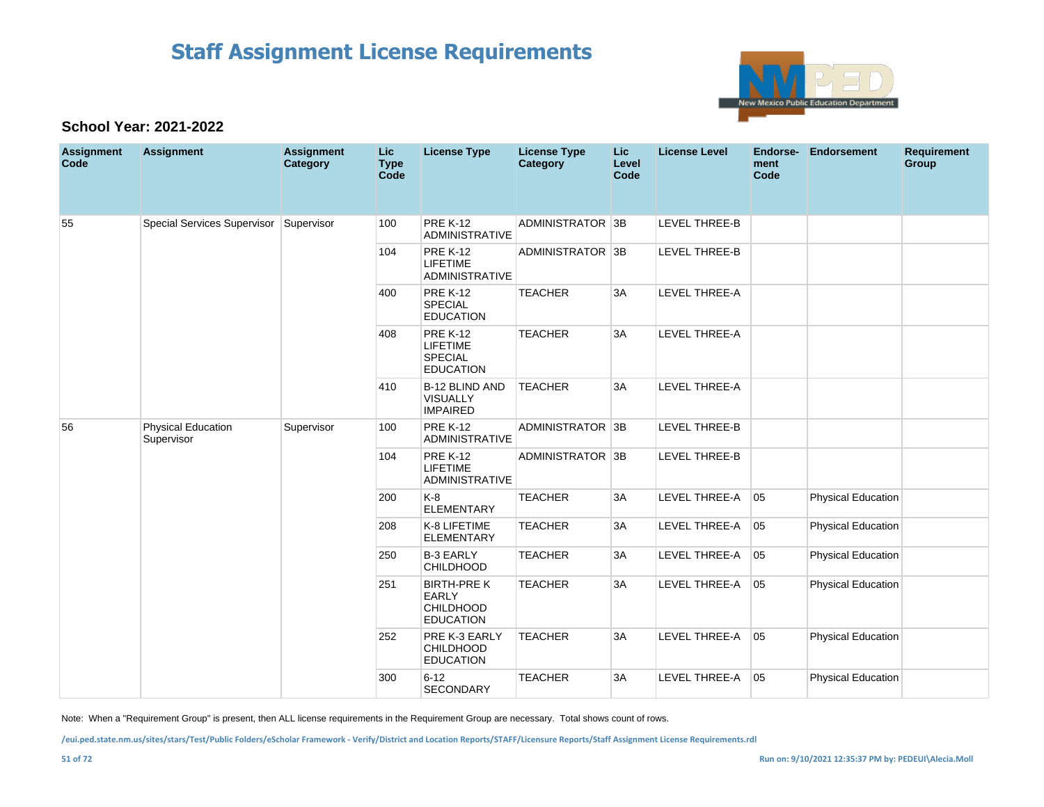

### **School Year: 2021-2022**

| <b>Assignment</b><br>Code | <b>Assignment</b>                       | <b>Assignment</b><br>Category | <b>Lic</b><br><b>Type</b><br>Code | <b>License Type</b>                                                      | <b>License Type</b><br>Category | Lic<br>Level<br>Code | <b>License Level</b> | <b>Endorse-</b><br>ment<br>Code | <b>Endorsement</b>        | <b>Requirement</b><br>Group |
|---------------------------|-----------------------------------------|-------------------------------|-----------------------------------|--------------------------------------------------------------------------|---------------------------------|----------------------|----------------------|---------------------------------|---------------------------|-----------------------------|
| 55                        | Special Services Supervisor             | Supervisor                    | 100                               | <b>PRE K-12</b><br><b>ADMINISTRATIVE</b>                                 | ADMINISTRATOR 3B                |                      | LEVEL THREE-B        |                                 |                           |                             |
|                           |                                         |                               | 104                               | <b>PRE K-12</b><br><b>LIFETIME</b><br><b>ADMINISTRATIVE</b>              | ADMINISTRATOR 3B                |                      | <b>LEVEL THREE-B</b> |                                 |                           |                             |
|                           |                                         |                               | 400                               | <b>PRE K-12</b><br><b>SPECIAL</b><br><b>EDUCATION</b>                    | <b>TEACHER</b>                  | 3A                   | <b>LEVEL THREE-A</b> |                                 |                           |                             |
|                           |                                         |                               | 408                               | <b>PRE K-12</b><br><b>LIFETIME</b><br><b>SPECIAL</b><br><b>EDUCATION</b> | <b>TEACHER</b>                  | 3A                   | <b>LEVEL THREE-A</b> |                                 |                           |                             |
|                           |                                         |                               | 410                               | <b>B-12 BLIND AND</b><br><b>VISUALLY</b><br><b>IMPAIRED</b>              | <b>TEACHER</b>                  | 3A                   | <b>LEVEL THREE-A</b> |                                 |                           |                             |
| 56                        | <b>Physical Education</b><br>Supervisor | Supervisor                    | 100                               | <b>PRE K-12</b><br><b>ADMINISTRATIVE</b>                                 | ADMINISTRATOR 3B                |                      | LEVEL THREE-B        |                                 |                           |                             |
|                           |                                         |                               | 104                               | <b>PRE K-12</b><br><b>LIFETIME</b><br><b>ADMINISTRATIVE</b>              | ADMINISTRATOR 3B                |                      | <b>LEVEL THREE-B</b> |                                 |                           |                             |
|                           |                                         |                               | 200                               | $K-8$<br><b>ELEMENTARY</b>                                               | <b>TEACHER</b>                  | 3A                   | LEVEL THREE-A        | 05                              | <b>Physical Education</b> |                             |
|                           |                                         |                               | 208                               | K-8 LIFETIME<br><b>ELEMENTARY</b>                                        | <b>TEACHER</b>                  | 3A                   | LEVEL THREE-A        | 05                              | <b>Physical Education</b> |                             |
|                           |                                         |                               | 250                               | <b>B-3 EARLY</b><br><b>CHILDHOOD</b>                                     | <b>TEACHER</b>                  | 3A                   | LEVEL THREE-A        | 05                              | <b>Physical Education</b> |                             |
|                           |                                         |                               | 251                               | <b>BIRTH-PRE K</b><br><b>EARLY</b><br>CHILDHOOD<br><b>EDUCATION</b>      | <b>TEACHER</b>                  | 3A                   | LEVEL THREE-A        | 05                              | <b>Physical Education</b> |                             |
|                           |                                         |                               | 252                               | PRE K-3 EARLY<br>CHILDHOOD<br><b>EDUCATION</b>                           | <b>TEACHER</b>                  | 3A                   | LEVEL THREE-A        | 05                              | <b>Physical Education</b> |                             |
|                           |                                         |                               | 300                               | $6 - 12$<br><b>SECONDARY</b>                                             | <b>TEACHER</b>                  | 3A                   | LEVEL THREE-A        | 05                              | <b>Physical Education</b> |                             |

Note: When a "Requirement Group" is present, then ALL license requirements in the Requirement Group are necessary. Total shows count of rows.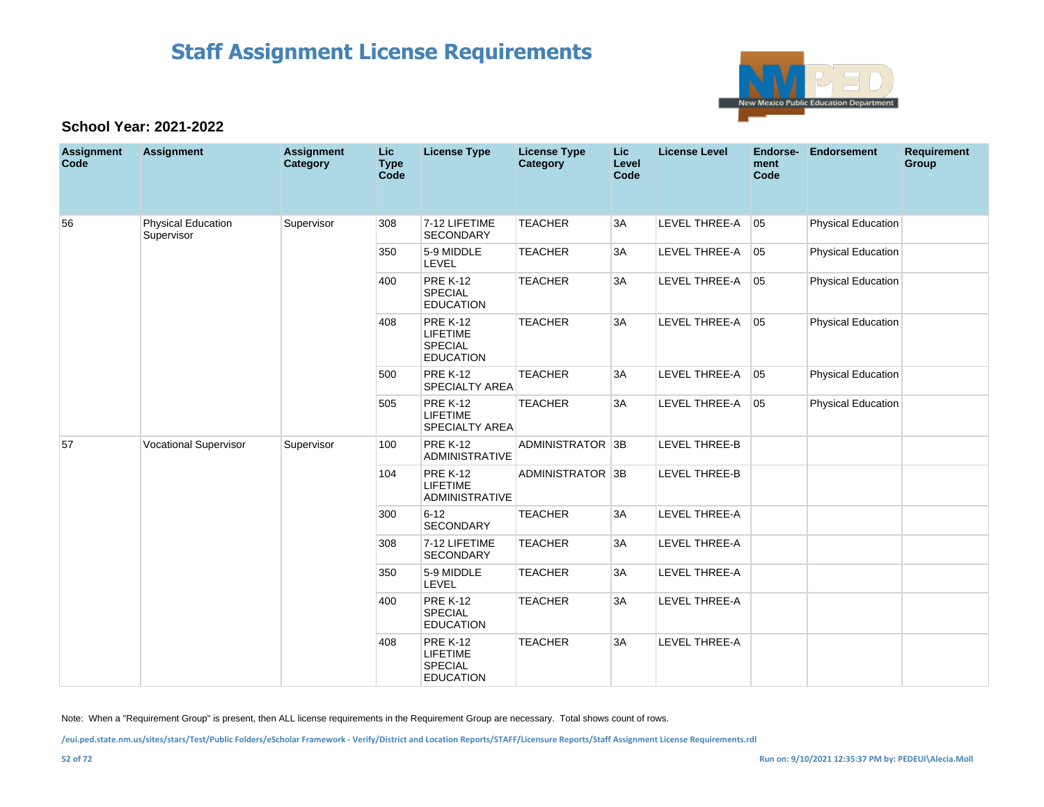

### **School Year: 2021-2022**

| <b>Assignment</b><br>Code | <b>Assignment</b>                       | <b>Assignment</b><br>Category | Lic<br><b>Type</b><br>Code | <b>License Type</b>                                                      | <b>License Type</b><br>Category | <b>Lic</b><br>Level<br>Code | <b>License Level</b> | Endorse-<br>ment<br>Code | <b>Endorsement</b>        | <b>Requirement</b><br>Group |
|---------------------------|-----------------------------------------|-------------------------------|----------------------------|--------------------------------------------------------------------------|---------------------------------|-----------------------------|----------------------|--------------------------|---------------------------|-----------------------------|
| 56                        | <b>Physical Education</b><br>Supervisor | Supervisor                    | 308                        | 7-12 LIFETIME<br><b>SECONDARY</b>                                        | <b>TEACHER</b>                  | 3A                          | LEVEL THREE-A        | 05                       | <b>Physical Education</b> |                             |
|                           |                                         |                               | 350                        | 5-9 MIDDLE<br><b>LEVEL</b>                                               | <b>TEACHER</b>                  | 3A                          | LEVEL THREE-A        | 05                       | Physical Education        |                             |
|                           |                                         |                               | 400                        | <b>PRE K-12</b><br><b>SPECIAL</b><br><b>EDUCATION</b>                    | <b>TEACHER</b>                  | 3A                          | LEVEL THREE-A        | 05                       | Physical Education        |                             |
|                           |                                         |                               | 408                        | <b>PRE K-12</b><br>LIFETIME<br><b>SPECIAL</b><br><b>EDUCATION</b>        | <b>TEACHER</b>                  | 3A                          | LEVEL THREE-A        | 05                       | Physical Education        |                             |
|                           |                                         |                               | 500                        | <b>PRE K-12</b><br><b>SPECIALTY AREA</b>                                 | <b>TEACHER</b>                  | 3A                          | LEVEL THREE-A        | 05                       | <b>Physical Education</b> |                             |
|                           |                                         |                               | 505                        | <b>PRE K-12</b><br><b>LIFETIME</b><br><b>SPECIALTY AREA</b>              | <b>TEACHER</b>                  | 3A                          | LEVEL THREE-A        | 05                       | <b>Physical Education</b> |                             |
| 57                        | <b>Vocational Supervisor</b>            | Supervisor                    | 100                        | <b>PRE K-12</b><br><b>ADMINISTRATIVE</b>                                 | ADMINISTRATOR 3B                |                             | <b>LEVEL THREE-B</b> |                          |                           |                             |
|                           |                                         |                               | 104                        | <b>PRE K-12</b><br><b>LIFETIME</b><br><b>ADMINISTRATIVE</b>              | ADMINISTRATOR 3B                |                             | LEVEL THREE-B        |                          |                           |                             |
|                           |                                         |                               | 300                        | $6 - 12$<br><b>SECONDARY</b>                                             | <b>TEACHER</b>                  | 3A                          | LEVEL THREE-A        |                          |                           |                             |
|                           |                                         |                               | 308                        | 7-12 LIFETIME<br><b>SECONDARY</b>                                        | <b>TEACHER</b>                  | 3A                          | LEVEL THREE-A        |                          |                           |                             |
|                           |                                         |                               | 350                        | 5-9 MIDDLE<br>LEVEL                                                      | <b>TEACHER</b>                  | 3A                          | LEVEL THREE-A        |                          |                           |                             |
|                           |                                         |                               | 400                        | <b>PRE K-12</b><br>SPECIAL<br><b>EDUCATION</b>                           | <b>TEACHER</b>                  | 3A                          | LEVEL THREE-A        |                          |                           |                             |
|                           |                                         |                               | 408                        | <b>PRE K-12</b><br><b>LIFETIME</b><br><b>SPECIAL</b><br><b>EDUCATION</b> | <b>TEACHER</b>                  | 3A                          | LEVEL THREE-A        |                          |                           |                             |

Note: When a "Requirement Group" is present, then ALL license requirements in the Requirement Group are necessary. Total shows count of rows.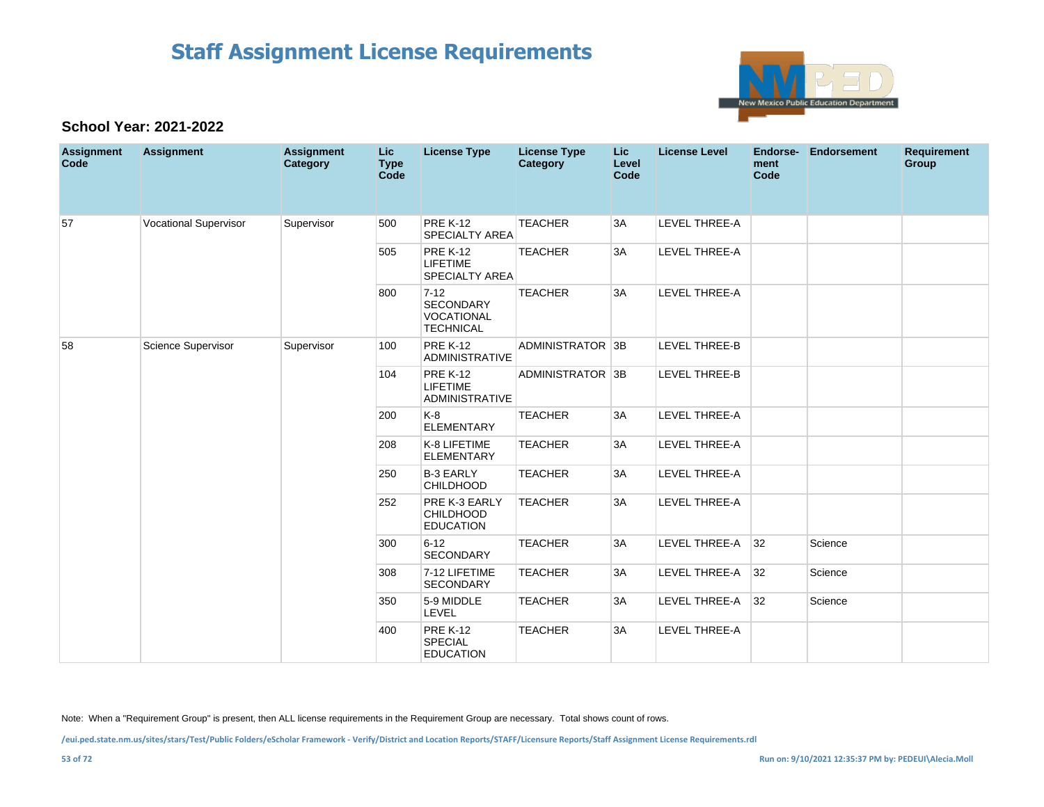

#### **School Year: 2021-2022**

| <b>Assignment</b><br>Code | <b>Assignment</b>            | <b>Assignment</b><br>Category | Lic.<br><b>Type</b><br><b>Code</b> | <b>License Type</b>                                                   | <b>License Type</b><br><b>Category</b> | <b>Lic</b><br>Level<br>Code | <b>License Level</b> | Endorse-<br>ment<br>Code | <b>Endorsement</b> | <b>Requirement</b><br>Group |
|---------------------------|------------------------------|-------------------------------|------------------------------------|-----------------------------------------------------------------------|----------------------------------------|-----------------------------|----------------------|--------------------------|--------------------|-----------------------------|
| 57                        | <b>Vocational Supervisor</b> | Supervisor                    | 500                                | <b>PRE K-12</b><br>SPECIALTY AREA                                     | <b>TEACHER</b>                         | 3A                          | LEVEL THREE-A        |                          |                    |                             |
|                           |                              |                               | 505                                | <b>PRE K-12</b><br><b>LIFETIME</b><br>SPECIALTY AREA                  | <b>TEACHER</b>                         | 3A                          | <b>LEVEL THREE-A</b> |                          |                    |                             |
|                           |                              |                               | 800                                | $7 - 12$<br><b>SECONDARY</b><br><b>VOCATIONAL</b><br><b>TECHNICAL</b> | <b>TEACHER</b>                         | 3A                          | LEVEL THREE-A        |                          |                    |                             |
| 58                        | Science Supervisor           | Supervisor                    | 100                                | <b>PRE K-12</b><br><b>ADMINISTRATIVE</b>                              | ADMINISTRATOR 3B                       |                             | <b>LEVEL THREE-B</b> |                          |                    |                             |
|                           |                              |                               | 104                                | <b>PRE K-12</b><br><b>LIFETIME</b><br>ADMINISTRATIVE                  | ADMINISTRATOR 3B                       |                             | <b>LEVEL THREE-B</b> |                          |                    |                             |
|                           |                              |                               | 200                                | $K-8$<br><b>ELEMENTARY</b>                                            | <b>TEACHER</b>                         | 3A                          | LEVEL THREE-A        |                          |                    |                             |
|                           |                              |                               | 208                                | K-8 LIFETIME<br><b>ELEMENTARY</b>                                     | <b>TEACHER</b>                         | 3A                          | <b>LEVEL THREE-A</b> |                          |                    |                             |
|                           |                              |                               | 250                                | <b>B-3 EARLY</b><br><b>CHILDHOOD</b>                                  | <b>TEACHER</b>                         | 3A                          | LEVEL THREE-A        |                          |                    |                             |
|                           |                              |                               | 252                                | PRE K-3 EARLY<br><b>CHILDHOOD</b><br><b>EDUCATION</b>                 | <b>TEACHER</b>                         | 3A                          | LEVEL THREE-A        |                          |                    |                             |
|                           |                              |                               | 300                                | $6 - 12$<br>SECONDARY                                                 | <b>TEACHER</b>                         | 3A                          | LEVEL THREE-A        | 32                       | Science            |                             |
|                           |                              |                               | 308                                | 7-12 LIFETIME<br><b>SECONDARY</b>                                     | <b>TEACHER</b>                         | 3A                          | LEVEL THREE-A        | 32                       | Science            |                             |
|                           |                              |                               | 350                                | 5-9 MIDDLE<br><b>LEVEL</b>                                            | <b>TEACHER</b>                         | 3A                          | <b>LEVEL THREE-A</b> | 32                       | Science            |                             |
|                           |                              |                               | 400                                | <b>PRE K-12</b><br>SPECIAL<br><b>EDUCATION</b>                        | <b>TEACHER</b>                         | 3A                          | LEVEL THREE-A        |                          |                    |                             |

Note: When a "Requirement Group" is present, then ALL license requirements in the Requirement Group are necessary. Total shows count of rows.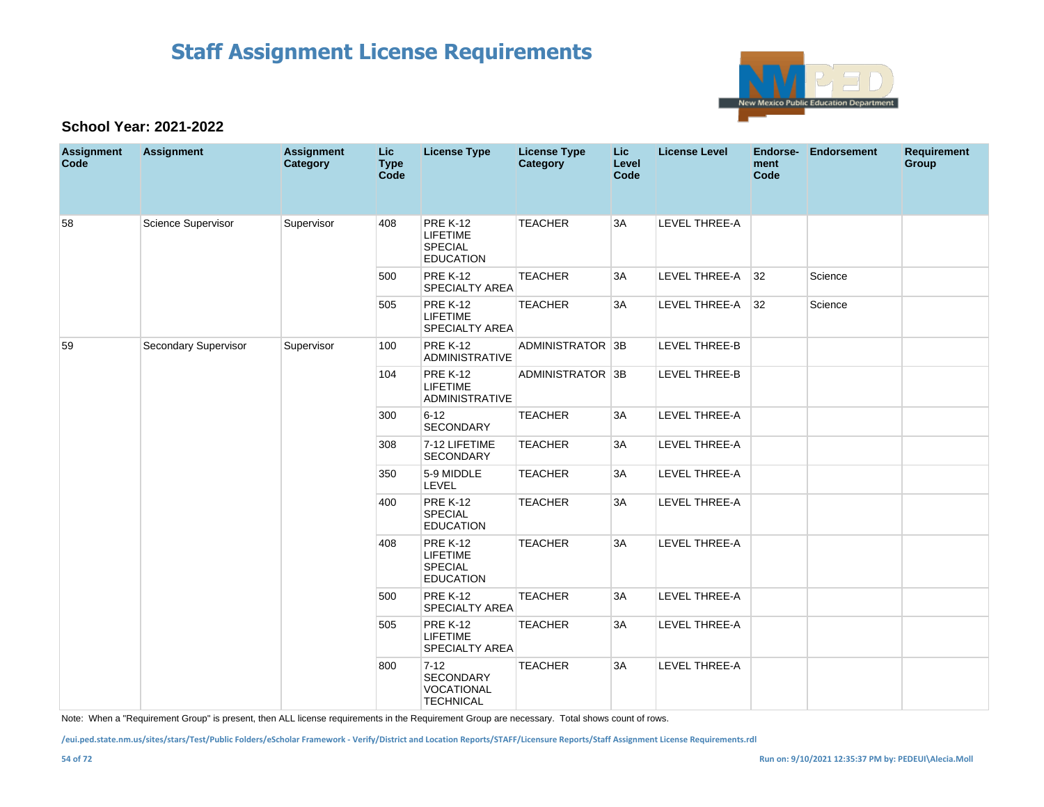

#### **School Year: 2021-2022**

| <b>Assignment</b><br>Code | <b>Assignment</b>    | <b>Assignment</b><br>Category | <b>Lic</b><br><b>Type</b><br>Code | <b>License Type</b>                                                      | <b>License Type</b><br><b>Category</b> | <b>Lic</b><br>Level<br>Code | <b>License Level</b> | ment<br>Code | Endorse- Endorsement | <b>Requirement</b><br>Group |
|---------------------------|----------------------|-------------------------------|-----------------------------------|--------------------------------------------------------------------------|----------------------------------------|-----------------------------|----------------------|--------------|----------------------|-----------------------------|
| 58                        | Science Supervisor   | Supervisor                    | 408                               | <b>PRE K-12</b><br><b>LIFETIME</b><br><b>SPECIAL</b><br><b>EDUCATION</b> | <b>TEACHER</b>                         | 3A                          | LEVEL THREE-A        |              |                      |                             |
|                           |                      |                               | 500                               | <b>PRE K-12</b><br><b>SPECIALTY AREA</b>                                 | <b>TEACHER</b>                         | 3A                          | LEVEL THREE-A        | 32           | Science              |                             |
|                           |                      |                               | 505                               | <b>PRE K-12</b><br><b>LIFETIME</b><br>SPECIALTY AREA                     | <b>TEACHER</b>                         | 3A                          | LEVEL THREE-A        | 32           | Science              |                             |
| 59                        | Secondary Supervisor | Supervisor                    | 100                               | <b>PRE K-12</b><br>ADMINISTRATIVE                                        | ADMINISTRATOR 3B                       |                             | <b>LEVEL THREE-B</b> |              |                      |                             |
|                           |                      |                               | 104                               | <b>PRE K-12</b><br><b>LIFETIME</b><br><b>ADMINISTRATIVE</b>              | ADMINISTRATOR 3B                       |                             | <b>LEVEL THREE-B</b> |              |                      |                             |
|                           |                      |                               | 300                               | $6 - 12$<br><b>SECONDARY</b>                                             | <b>TEACHER</b>                         | 3A                          | LEVEL THREE-A        |              |                      |                             |
|                           |                      |                               | 308                               | 7-12 LIFETIME<br><b>SECONDARY</b>                                        | <b>TEACHER</b>                         | 3A                          | LEVEL THREE-A        |              |                      |                             |
|                           |                      |                               | 350                               | 5-9 MIDDLE<br>LEVEL                                                      | <b>TEACHER</b>                         | 3A                          | LEVEL THREE-A        |              |                      |                             |
|                           |                      |                               | 400                               | <b>PRE K-12</b><br>SPECIAL<br><b>EDUCATION</b>                           | <b>TEACHER</b>                         | 3A                          | LEVEL THREE-A        |              |                      |                             |
|                           |                      |                               | 408                               | <b>PRE K-12</b><br><b>LIFETIME</b><br><b>SPECIAL</b><br><b>EDUCATION</b> | <b>TEACHER</b>                         | 3A                          | <b>LEVEL THREE-A</b> |              |                      |                             |
|                           |                      |                               | 500                               | <b>PRE K-12</b><br><b>SPECIALTY AREA</b>                                 | <b>TEACHER</b>                         | 3A                          | LEVEL THREE-A        |              |                      |                             |
|                           |                      |                               | 505                               | <b>PRE K-12</b><br><b>LIFETIME</b><br><b>SPECIALTY AREA</b>              | <b>TEACHER</b>                         | 3A                          | LEVEL THREE-A        |              |                      |                             |
|                           |                      |                               | 800                               | $7-12$<br><b>SECONDARY</b><br><b>VOCATIONAL</b><br><b>TECHNICAL</b>      | <b>TEACHER</b>                         | 3A                          | LEVEL THREE-A        |              |                      |                             |

Note: When a "Requirement Group" is present, then ALL license requirements in the Requirement Group are necessary. Total shows count of rows.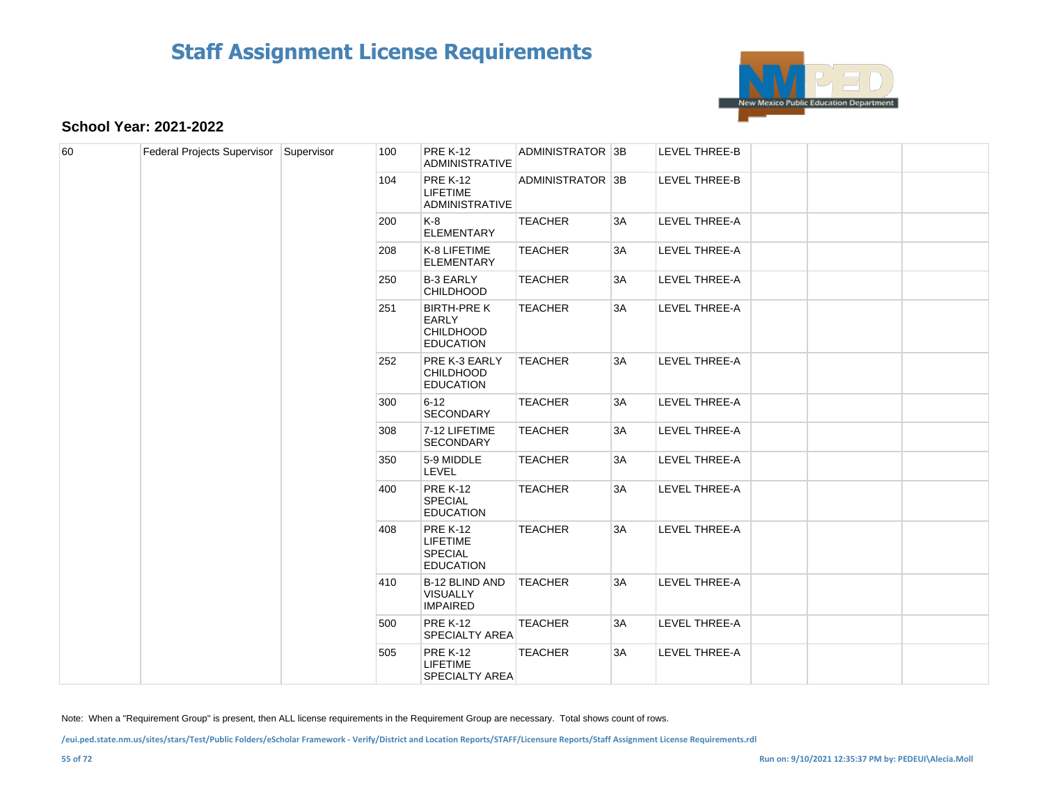

#### **School Year: 2021-2022**

| 60 | Federal Projects Supervisor Supervisor |  | 100 | <b>PRE K-12</b><br><b>ADMINISTRATIVE</b>                                 | ADMINISTRATOR 3B |    | LEVEL THREE-B        |  |  |
|----|----------------------------------------|--|-----|--------------------------------------------------------------------------|------------------|----|----------------------|--|--|
|    |                                        |  | 104 | <b>PRE K-12</b><br><b>LIFETIME</b><br><b>ADMINISTRATIVE</b>              | ADMINISTRATOR 3B |    | LEVEL THREE-B        |  |  |
|    |                                        |  | 200 | K-8<br><b>ELEMENTARY</b>                                                 | <b>TEACHER</b>   | 3A | <b>LEVEL THREE-A</b> |  |  |
|    |                                        |  | 208 | K-8 LIFETIME<br><b>ELEMENTARY</b>                                        | <b>TEACHER</b>   | 3A | LEVEL THREE-A        |  |  |
|    |                                        |  | 250 | <b>B-3 EARLY</b><br><b>CHILDHOOD</b>                                     | <b>TEACHER</b>   | 3A | LEVEL THREE-A        |  |  |
|    |                                        |  | 251 | <b>BIRTH-PRE K</b><br>EARLY<br><b>CHILDHOOD</b><br><b>EDUCATION</b>      | <b>TEACHER</b>   | 3A | LEVEL THREE-A        |  |  |
|    |                                        |  | 252 | PRE K-3 EARLY<br><b>CHILDHOOD</b><br><b>EDUCATION</b>                    | <b>TEACHER</b>   | 3A | LEVEL THREE-A        |  |  |
|    |                                        |  | 300 | $6 - 12$<br><b>SECONDARY</b>                                             | <b>TEACHER</b>   | 3A | LEVEL THREE-A        |  |  |
|    |                                        |  | 308 | 7-12 LIFETIME<br>SECONDARY                                               | <b>TEACHER</b>   | 3A | LEVEL THREE-A        |  |  |
|    |                                        |  | 350 | 5-9 MIDDLE<br>LEVEL                                                      | <b>TEACHER</b>   | 3A | LEVEL THREE-A        |  |  |
|    |                                        |  | 400 | <b>PRE K-12</b><br><b>SPECIAL</b><br><b>EDUCATION</b>                    | <b>TEACHER</b>   | 3A | LEVEL THREE-A        |  |  |
|    |                                        |  | 408 | <b>PRE K-12</b><br><b>LIFETIME</b><br><b>SPECIAL</b><br><b>EDUCATION</b> | <b>TEACHER</b>   | 3A | LEVEL THREE-A        |  |  |
|    |                                        |  | 410 | B-12 BLIND AND<br><b>VISUALLY</b><br><b>IMPAIRED</b>                     | <b>TEACHER</b>   | 3A | LEVEL THREE-A        |  |  |
|    |                                        |  | 500 | <b>PRE K-12</b><br>SPECIALTY AREA                                        | <b>TEACHER</b>   | 3A | LEVEL THREE-A        |  |  |
|    |                                        |  | 505 | <b>PRE K-12</b><br><b>LIFETIME</b><br><b>SPECIALTY AREA</b>              | <b>TEACHER</b>   | 3A | LEVEL THREE-A        |  |  |

Note: When a "Requirement Group" is present, then ALL license requirements in the Requirement Group are necessary. Total shows count of rows.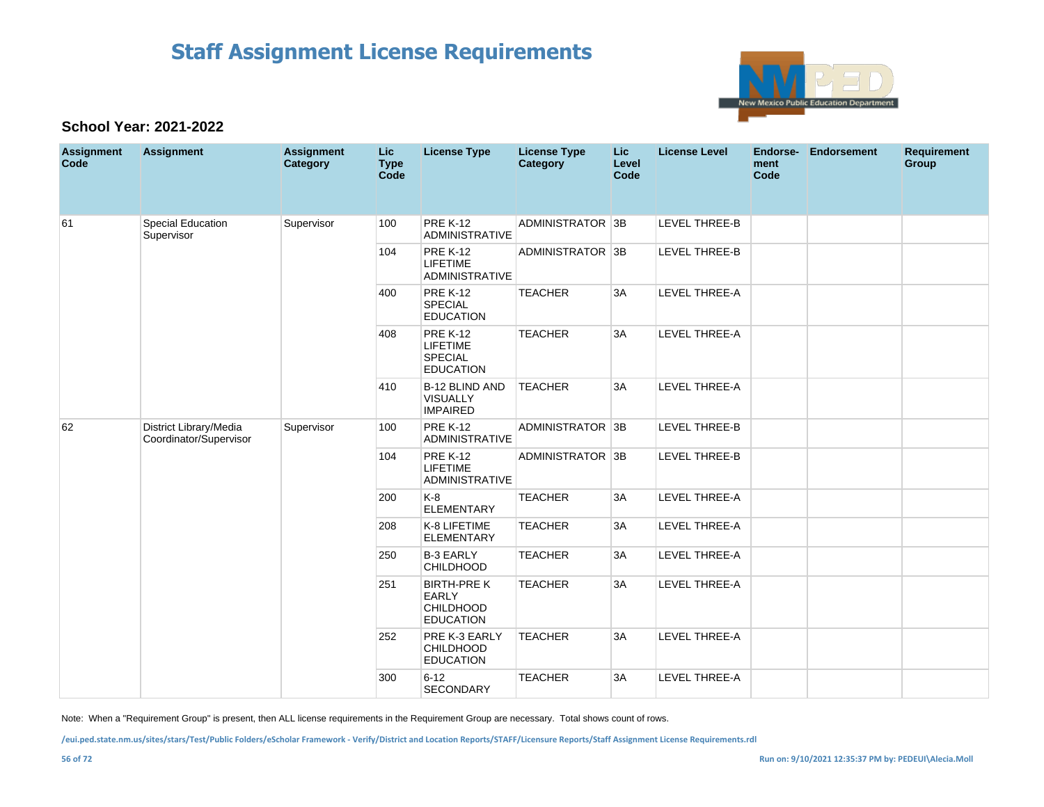

#### **School Year: 2021-2022**

| <b>Assignment</b><br>Code | <b>Assignment</b>                                | <b>Assignment</b><br>Category | <b>Lic</b><br><b>Type</b><br>Code | <b>License Type</b>                                                      | <b>License Type</b><br>Category | Lic<br>Level<br>Code | <b>License Level</b> | <b>Endorse-</b><br>ment<br>Code | <b>Endorsement</b> | <b>Requirement</b><br>Group |
|---------------------------|--------------------------------------------------|-------------------------------|-----------------------------------|--------------------------------------------------------------------------|---------------------------------|----------------------|----------------------|---------------------------------|--------------------|-----------------------------|
| 61                        | Special Education<br>Supervisor                  | Supervisor                    | 100                               | <b>PRE K-12</b><br><b>ADMINISTRATIVE</b>                                 | ADMINISTRATOR 3B                |                      | <b>LEVEL THREE-B</b> |                                 |                    |                             |
|                           |                                                  |                               | 104                               | <b>PRE K-12</b><br><b>LIFETIME</b><br><b>ADMINISTRATIVE</b>              | ADMINISTRATOR 3B                |                      | LEVEL THREE-B        |                                 |                    |                             |
|                           |                                                  |                               | 400                               | <b>PRE K-12</b><br><b>SPECIAL</b><br><b>EDUCATION</b>                    | <b>TEACHER</b>                  | 3A                   | LEVEL THREE-A        |                                 |                    |                             |
|                           |                                                  |                               | 408                               | <b>PRE K-12</b><br><b>LIFETIME</b><br><b>SPECIAL</b><br><b>EDUCATION</b> | <b>TEACHER</b>                  | 3A                   | LEVEL THREE-A        |                                 |                    |                             |
|                           |                                                  |                               | 410                               | B-12 BLIND AND<br><b>VISUALLY</b><br><b>IMPAIRED</b>                     | <b>TEACHER</b>                  | 3A                   | <b>LEVEL THREE-A</b> |                                 |                    |                             |
| 62                        | District Library/Media<br>Coordinator/Supervisor | Supervisor                    | 100                               | <b>PRE K-12</b><br>ADMINISTRATIVE                                        | ADMINISTRATOR 3B                |                      | LEVEL THREE-B        |                                 |                    |                             |
|                           |                                                  |                               | 104                               | <b>PRE K-12</b><br><b>LIFETIME</b><br><b>ADMINISTRATIVE</b>              | ADMINISTRATOR 3B                |                      | LEVEL THREE-B        |                                 |                    |                             |
|                           |                                                  |                               | 200                               | $K-8$<br><b>ELEMENTARY</b>                                               | <b>TEACHER</b>                  | 3A                   | LEVEL THREE-A        |                                 |                    |                             |
|                           |                                                  |                               | 208                               | K-8 LIFETIME<br><b>ELEMENTARY</b>                                        | <b>TEACHER</b>                  | 3A                   | LEVEL THREE-A        |                                 |                    |                             |
|                           |                                                  |                               | 250                               | <b>B-3 EARLY</b><br>CHILDHOOD                                            | <b>TEACHER</b>                  | 3A                   | LEVEL THREE-A        |                                 |                    |                             |
|                           |                                                  |                               | 251                               | <b>BIRTH-PRE K</b><br><b>EARLY</b><br>CHILDHOOD<br><b>EDUCATION</b>      | <b>TEACHER</b>                  | 3A                   | <b>LEVEL THREE-A</b> |                                 |                    |                             |
|                           |                                                  |                               | 252                               | PRE K-3 EARLY<br>CHILDHOOD<br><b>EDUCATION</b>                           | <b>TEACHER</b>                  | 3A                   | LEVEL THREE-A        |                                 |                    |                             |
|                           |                                                  |                               | 300                               | $6 - 12$<br><b>SECONDARY</b>                                             | <b>TEACHER</b>                  | 3A                   | LEVEL THREE-A        |                                 |                    |                             |

Note: When a "Requirement Group" is present, then ALL license requirements in the Requirement Group are necessary. Total shows count of rows.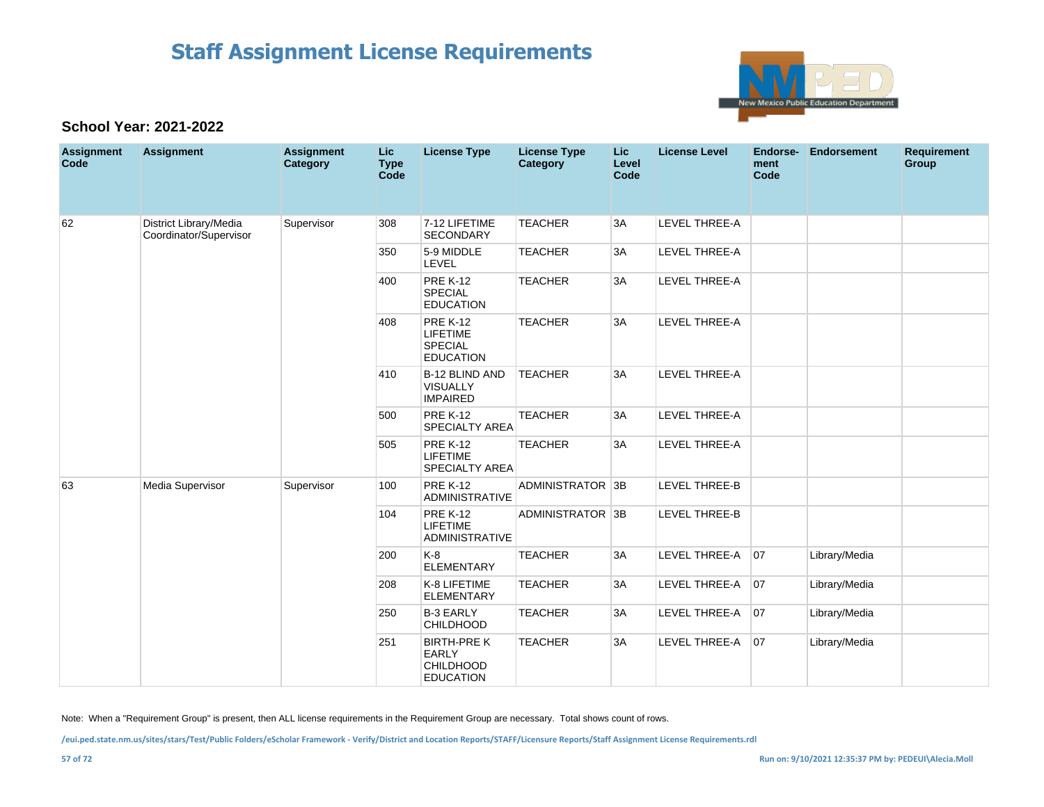

### **School Year: 2021-2022**

| <b>Assignment</b><br>Code | <b>Assignment</b>                                | <b>Assignment</b><br><b>Category</b> | <b>Lic</b><br><b>Type</b><br>Code | <b>License Type</b>                                                        | <b>License Type</b><br>Category | <b>Lic</b><br>Level<br>Code | <b>License Level</b> | Endorse-<br>ment<br>Code | <b>Endorsement</b> | <b>Requirement</b><br>Group |
|---------------------------|--------------------------------------------------|--------------------------------------|-----------------------------------|----------------------------------------------------------------------------|---------------------------------|-----------------------------|----------------------|--------------------------|--------------------|-----------------------------|
| 62                        | District Library/Media<br>Coordinator/Supervisor | Supervisor                           | 308                               | 7-12 LIFETIME<br><b>SECONDARY</b>                                          | <b>TEACHER</b>                  | 3A                          | <b>LEVEL THREE-A</b> |                          |                    |                             |
|                           |                                                  |                                      | 350                               | 5-9 MIDDLE<br>LEVEL                                                        | <b>TEACHER</b>                  | 3A                          | LEVEL THREE-A        |                          |                    |                             |
|                           |                                                  |                                      | 400                               | <b>PRE K-12</b><br><b>SPECIAL</b><br><b>EDUCATION</b>                      | <b>TEACHER</b>                  | 3A                          | LEVEL THREE-A        |                          |                    |                             |
|                           |                                                  |                                      | 408                               | <b>PRE K-12</b><br><b>LIFETIME</b><br><b>SPECIAL</b><br><b>EDUCATION</b>   | <b>TEACHER</b>                  | 3A                          | LEVEL THREE-A        |                          |                    |                             |
|                           |                                                  |                                      | 410                               | <b>B-12 BLIND AND</b><br><b>VISUALLY</b><br><b>IMPAIRED</b>                | <b>TEACHER</b>                  | 3A                          | <b>LEVEL THREE-A</b> |                          |                    |                             |
|                           |                                                  |                                      | 500                               | <b>PRE K-12</b><br><b>SPECIALTY AREA</b>                                   | <b>TEACHER</b>                  | 3A                          | LEVEL THREE-A        |                          |                    |                             |
|                           |                                                  |                                      | 505                               | <b>PRE K-12</b><br><b>LIFETIME</b><br><b>SPECIALTY AREA</b>                | <b>TEACHER</b>                  | 3A                          | <b>LEVEL THREE-A</b> |                          |                    |                             |
| 63                        | Media Supervisor                                 | Supervisor                           | 100                               | <b>PRE K-12</b><br><b>ADMINISTRATIVE</b>                                   | ADMINISTRATOR 3B                |                             | <b>LEVEL THREE-B</b> |                          |                    |                             |
|                           |                                                  |                                      | 104                               | <b>PRE K-12</b><br><b>LIFETIME</b><br><b>ADMINISTRATIVE</b>                | ADMINISTRATOR 3B                |                             | LEVEL THREE-B        |                          |                    |                             |
|                           |                                                  |                                      | 200                               | $K-8$<br><b>ELEMENTARY</b>                                                 | <b>TEACHER</b>                  | 3A                          | LEVEL THREE-A        | 07                       | Library/Media      |                             |
|                           |                                                  |                                      | 208                               | K-8 LIFETIME<br><b>ELEMENTARY</b>                                          | <b>TEACHER</b>                  | 3A                          | LEVEL THREE-A        | 07                       | Library/Media      |                             |
|                           |                                                  |                                      | 250                               | <b>B-3 EARLY</b><br><b>CHILDHOOD</b>                                       | <b>TEACHER</b>                  | 3A                          | LEVEL THREE-A        | 07                       | Library/Media      |                             |
|                           |                                                  |                                      | 251                               | <b>BIRTH-PRE K</b><br><b>EARLY</b><br><b>CHILDHOOD</b><br><b>EDUCATION</b> | <b>TEACHER</b>                  | 3A                          | LEVEL THREE-A        | 07                       | Library/Media      |                             |

Note: When a "Requirement Group" is present, then ALL license requirements in the Requirement Group are necessary. Total shows count of rows.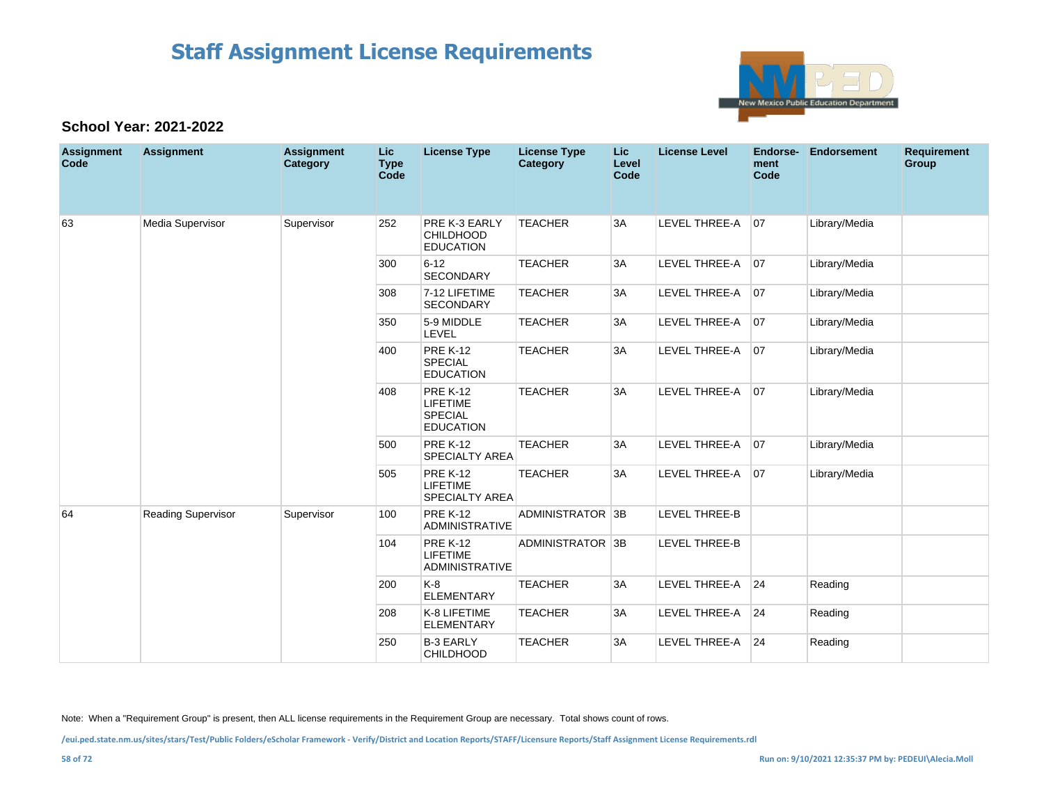

#### **School Year: 2021-2022**

| <b>Assignment</b><br>Code | <b>Assignment</b>         | <b>Assignment</b><br>Category | <b>Lic</b><br><b>Type</b><br>Code | <b>License Type</b>                                                      | <b>License Type</b><br>Category | Lic.<br>Level<br>Code | <b>License Level</b> | Endorse-<br>ment<br>Code | <b>Endorsement</b> | <b>Requirement</b><br>Group |
|---------------------------|---------------------------|-------------------------------|-----------------------------------|--------------------------------------------------------------------------|---------------------------------|-----------------------|----------------------|--------------------------|--------------------|-----------------------------|
| 63                        | Media Supervisor          | Supervisor                    | 252                               | PRE K-3 EARLY<br><b>CHILDHOOD</b><br><b>EDUCATION</b>                    | <b>TEACHER</b>                  | 3A                    | LEVEL THREE-A 07     |                          | Library/Media      |                             |
|                           |                           |                               | 300                               | $6 - 12$<br><b>SECONDARY</b>                                             | <b>TEACHER</b>                  | 3A                    | LEVEL THREE-A        | 07                       | Library/Media      |                             |
|                           |                           |                               | 308                               | 7-12 LIFETIME<br><b>SECONDARY</b>                                        | <b>TEACHER</b>                  | 3A                    | LEVEL THREE-A        | 07                       | Library/Media      |                             |
|                           |                           |                               | 350                               | 5-9 MIDDLE<br>LEVEL                                                      | <b>TEACHER</b>                  | 3A                    | LEVEL THREE-A        | 07                       | Library/Media      |                             |
|                           |                           |                               | 400                               | <b>PRE K-12</b><br><b>SPECIAL</b><br><b>EDUCATION</b>                    | <b>TEACHER</b>                  | 3A                    | LEVEL THREE-A        | 07                       | Library/Media      |                             |
|                           |                           |                               | 408                               | <b>PRE K-12</b><br><b>LIFETIME</b><br><b>SPECIAL</b><br><b>EDUCATION</b> | <b>TEACHER</b>                  | 3A                    | LEVEL THREE-A        | 07                       | Library/Media      |                             |
|                           |                           |                               | 500                               | <b>PRE K-12</b><br><b>SPECIALTY AREA</b>                                 | <b>TEACHER</b>                  | 3A                    | LEVEL THREE-A        | 07                       | Library/Media      |                             |
|                           |                           |                               | 505                               | <b>PRE K-12</b><br><b>LIFETIME</b><br><b>SPECIALTY AREA</b>              | <b>TEACHER</b>                  | 3A                    | LEVEL THREE-A        | 07                       | Library/Media      |                             |
| 64                        | <b>Reading Supervisor</b> | Supervisor                    | 100                               | <b>PRE K-12</b><br><b>ADMINISTRATIVE</b>                                 | ADMINISTRATOR 3B                |                       | <b>LEVEL THREE-B</b> |                          |                    |                             |
|                           |                           |                               | 104                               | <b>PRE K-12</b><br><b>LIFETIME</b><br><b>ADMINISTRATIVE</b>              | ADMINISTRATOR 3B                |                       | <b>LEVEL THREE-B</b> |                          |                    |                             |
|                           |                           |                               | 200                               | K-8<br><b>ELEMENTARY</b>                                                 | <b>TEACHER</b>                  | 3A                    | <b>LEVEL THREE-A</b> | 24                       | Reading            |                             |
|                           |                           |                               | 208                               | K-8 LIFETIME<br><b>ELEMENTARY</b>                                        | <b>TEACHER</b>                  | 3A                    | LEVEL THREE-A        | 24                       | Reading            |                             |
|                           |                           |                               | 250                               | <b>B-3 EARLY</b><br><b>CHILDHOOD</b>                                     | <b>TEACHER</b>                  | 3A                    | <b>LEVEL THREE-A</b> | 24                       | Reading            |                             |

Note: When a "Requirement Group" is present, then ALL license requirements in the Requirement Group are necessary. Total shows count of rows.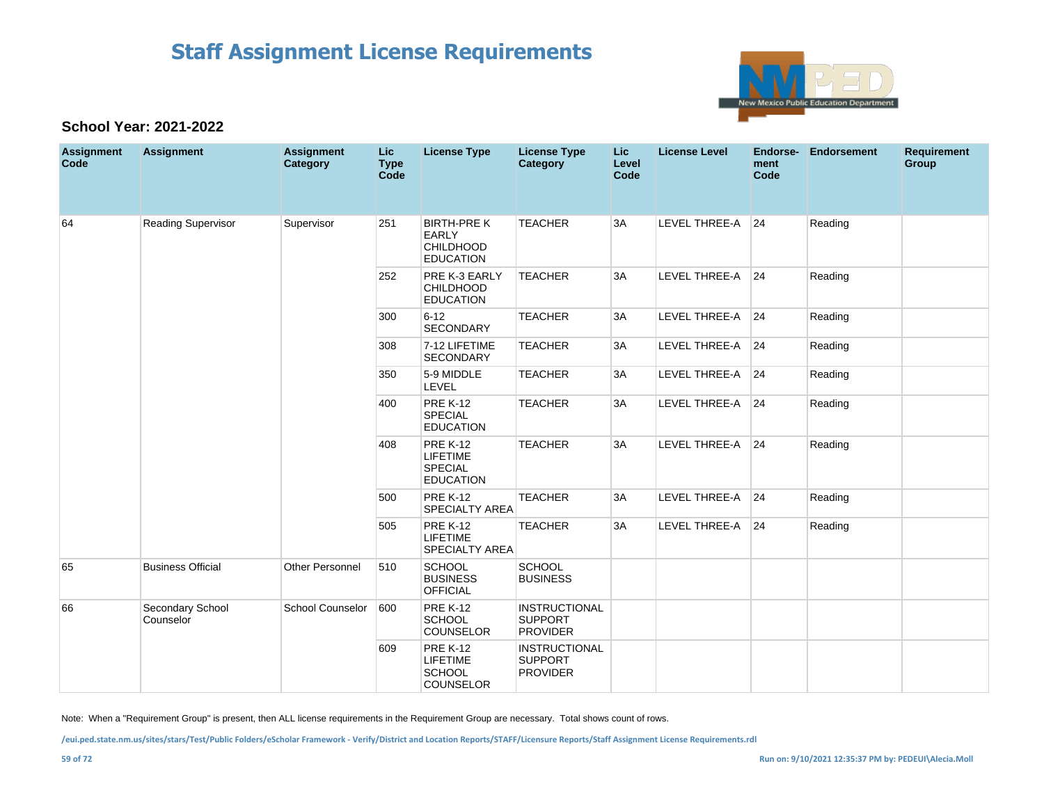

#### **School Year: 2021-2022**

| <b>Assignment</b><br>Code | <b>Assignment</b>             | <b>Assignment</b><br>Category | Lic<br><b>Type</b><br>Code | <b>License Type</b>                                                        | <b>License Type</b><br>Category                           | Lic<br>Level<br>Code | <b>License Level</b> | Endorse-<br>ment<br>Code | <b>Endorsement</b> | <b>Requirement</b><br>Group |
|---------------------------|-------------------------------|-------------------------------|----------------------------|----------------------------------------------------------------------------|-----------------------------------------------------------|----------------------|----------------------|--------------------------|--------------------|-----------------------------|
| 64                        | <b>Reading Supervisor</b>     | Supervisor                    | 251                        | <b>BIRTH-PRE K</b><br><b>EARLY</b><br><b>CHILDHOOD</b><br><b>EDUCATION</b> | <b>TEACHER</b>                                            | 3A                   | LEVEL THREE-A        | 24                       | Reading            |                             |
|                           |                               |                               | 252                        | PRE K-3 EARLY<br><b>CHILDHOOD</b><br><b>EDUCATION</b>                      | <b>TEACHER</b>                                            | 3A                   | LEVEL THREE-A        | 24                       | Reading            |                             |
|                           |                               |                               | 300                        | $6 - 12$<br>SECONDARY                                                      | <b>TEACHER</b>                                            | 3A                   | LEVEL THREE-A 24     |                          | Reading            |                             |
|                           |                               |                               | 308                        | 7-12 LIFETIME<br>SECONDARY                                                 | <b>TEACHER</b>                                            | 3A                   | LEVEL THREE-A        | 24                       | Reading            |                             |
|                           |                               |                               | 350                        | 5-9 MIDDLE<br>LEVEL                                                        | <b>TEACHER</b>                                            | 3A                   | LEVEL THREE-A 24     |                          | Reading            |                             |
|                           |                               |                               | 400                        | <b>PRE K-12</b><br><b>SPECIAL</b><br><b>EDUCATION</b>                      | <b>TEACHER</b>                                            | 3A                   | LEVEL THREE-A 24     |                          | Reading            |                             |
|                           |                               |                               | 408                        | <b>PRE K-12</b><br><b>LIFETIME</b><br><b>SPECIAL</b><br><b>EDUCATION</b>   | <b>TEACHER</b>                                            | 3A                   | LEVEL THREE-A 24     |                          | Reading            |                             |
|                           |                               |                               | 500                        | <b>PRE K-12</b><br><b>SPECIALTY AREA</b>                                   | <b>TEACHER</b>                                            | 3A                   | LEVEL THREE-A        | 24                       | Reading            |                             |
|                           |                               |                               | 505                        | <b>PRE K-12</b><br><b>LIFETIME</b><br>SPECIALTY AREA                       | <b>TEACHER</b>                                            | 3A                   | LEVEL THREE-A        | 24                       | Reading            |                             |
| 65                        | <b>Business Official</b>      | <b>Other Personnel</b>        | 510                        | <b>SCHOOL</b><br><b>BUSINESS</b><br><b>OFFICIAL</b>                        | <b>SCHOOL</b><br><b>BUSINESS</b>                          |                      |                      |                          |                    |                             |
| 66                        | Secondary School<br>Counselor | <b>School Counselor</b>       | 600                        | <b>PRE K-12</b><br>SCHOOL<br><b>COUNSELOR</b>                              | <b>INSTRUCTIONAL</b><br><b>SUPPORT</b><br><b>PROVIDER</b> |                      |                      |                          |                    |                             |
|                           |                               |                               | 609                        | <b>PRE K-12</b><br><b>LIFETIME</b><br><b>SCHOOL</b><br>COUNSELOR           | <b>INSTRUCTIONAL</b><br><b>SUPPORT</b><br><b>PROVIDER</b> |                      |                      |                          |                    |                             |

Note: When a "Requirement Group" is present, then ALL license requirements in the Requirement Group are necessary. Total shows count of rows.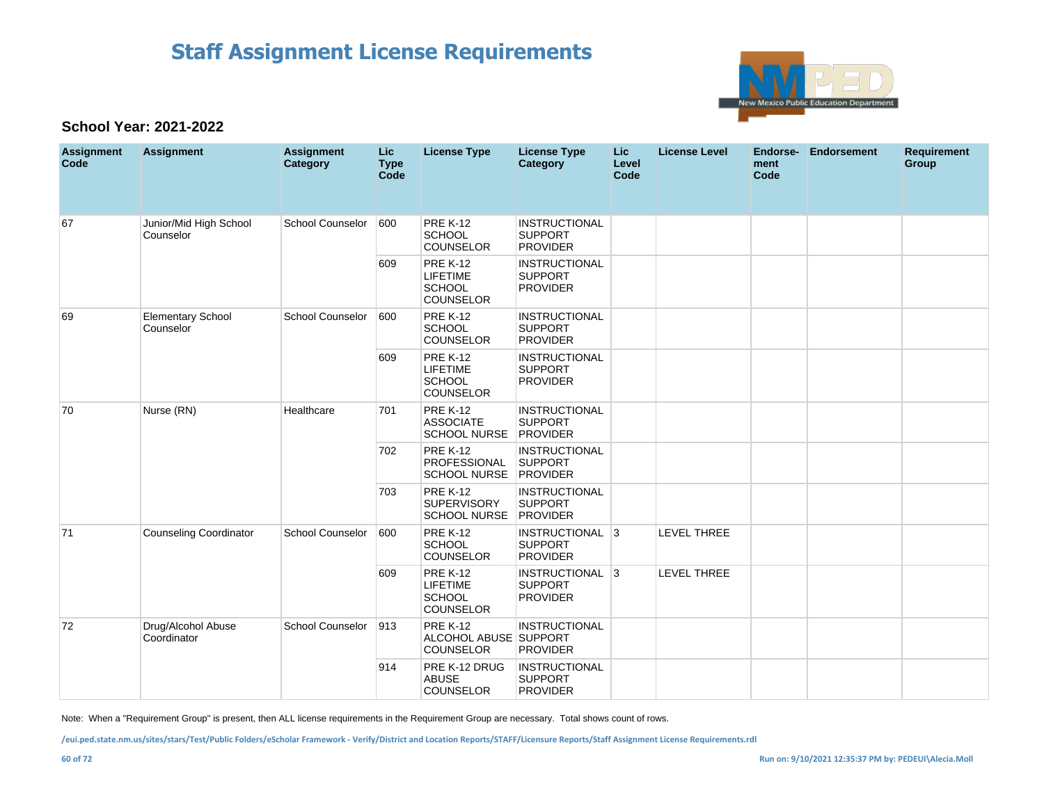

### **School Year: 2021-2022**

| <b>Assignment</b><br>Code | <b>Assignment</b>                     | <b>Assignment</b><br>Category | <b>Lic</b><br><b>Type</b><br>Code | <b>License Type</b>                                                     | <b>License Type</b><br>Category                           | <b>Lic</b><br>Level<br>Code | <b>License Level</b> | Endorse-<br>ment<br>Code | <b>Endorsement</b> | <b>Requirement</b><br>Group |
|---------------------------|---------------------------------------|-------------------------------|-----------------------------------|-------------------------------------------------------------------------|-----------------------------------------------------------|-----------------------------|----------------------|--------------------------|--------------------|-----------------------------|
| 67                        | Junior/Mid High School<br>Counselor   | <b>School Counselor</b>       | 600                               | <b>PRE K-12</b><br><b>SCHOOL</b><br>COUNSELOR                           | <b>INSTRUCTIONAL</b><br><b>SUPPORT</b><br><b>PROVIDER</b> |                             |                      |                          |                    |                             |
|                           |                                       |                               | 609                               | <b>PRE K-12</b><br><b>LIFETIME</b><br><b>SCHOOL</b><br><b>COUNSELOR</b> | <b>INSTRUCTIONAL</b><br><b>SUPPORT</b><br><b>PROVIDER</b> |                             |                      |                          |                    |                             |
| 69                        | <b>Elementary School</b><br>Counselor | <b>School Counselor</b>       | 600                               | <b>PRE K-12</b><br>SCHOOL<br><b>COUNSELOR</b>                           | <b>INSTRUCTIONAL</b><br><b>SUPPORT</b><br><b>PROVIDER</b> |                             |                      |                          |                    |                             |
|                           |                                       |                               | 609                               | <b>PRE K-12</b><br><b>LIFETIME</b><br><b>SCHOOL</b><br>COUNSELOR        | <b>INSTRUCTIONAL</b><br><b>SUPPORT</b><br><b>PROVIDER</b> |                             |                      |                          |                    |                             |
| 70                        | Nurse (RN)                            | Healthcare                    | 701                               | <b>PRE K-12</b><br><b>ASSOCIATE</b><br><b>SCHOOL NURSE</b>              | <b>INSTRUCTIONAL</b><br><b>SUPPORT</b><br>PROVIDER        |                             |                      |                          |                    |                             |
|                           |                                       |                               | 702                               | <b>PRE K-12</b><br><b>PROFESSIONAL</b><br>SCHOOL NURSE PROVIDER         | <b>INSTRUCTIONAL</b><br><b>SUPPORT</b>                    |                             |                      |                          |                    |                             |
|                           |                                       |                               | 703                               | <b>PRE K-12</b><br><b>SUPERVISORY</b><br><b>SCHOOL NURSE</b>            | <b>INSTRUCTIONAL</b><br><b>SUPPORT</b><br>PROVIDER        |                             |                      |                          |                    |                             |
| 71                        | <b>Counseling Coordinator</b>         | <b>School Counselor</b>       | 600                               | <b>PRE K-12</b><br><b>SCHOOL</b><br><b>COUNSELOR</b>                    | INSTRUCTIONAL 3<br><b>SUPPORT</b><br><b>PROVIDER</b>      |                             | LEVEL THREE          |                          |                    |                             |
|                           |                                       |                               | 609                               | <b>PRE K-12</b><br><b>LIFETIME</b><br><b>SCHOOL</b><br>COUNSELOR        | INSTRUCTIONAL 3<br><b>SUPPORT</b><br><b>PROVIDER</b>      |                             | <b>LEVEL THREE</b>   |                          |                    |                             |
| 72                        | Drug/Alcohol Abuse<br>Coordinator     | <b>School Counselor</b>       | 913                               | <b>PRE K-12</b><br>ALCOHOL ABUSE SUPPORT<br>COUNSELOR                   | <b>INSTRUCTIONAL</b><br><b>PROVIDER</b>                   |                             |                      |                          |                    |                             |
|                           |                                       |                               | 914                               | PRE K-12 DRUG<br><b>ABUSE</b><br><b>COUNSELOR</b>                       | <b>INSTRUCTIONAL</b><br><b>SUPPORT</b><br><b>PROVIDER</b> |                             |                      |                          |                    |                             |

Note: When a "Requirement Group" is present, then ALL license requirements in the Requirement Group are necessary. Total shows count of rows.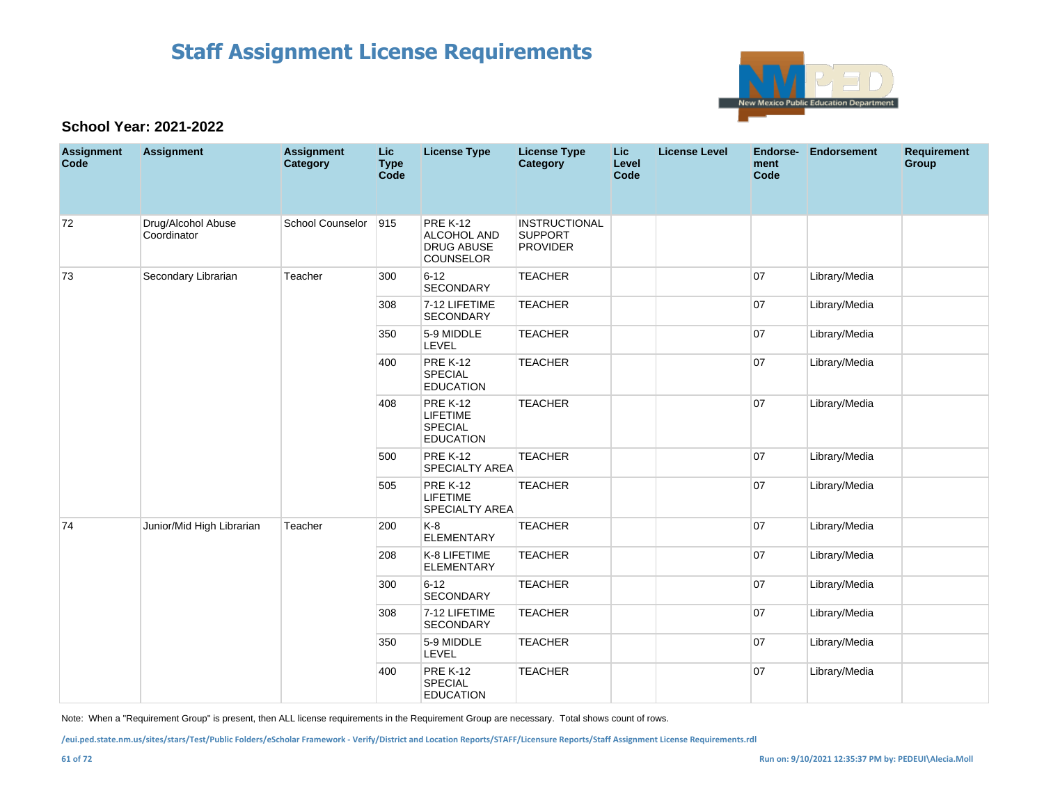

### **School Year: 2021-2022**

| <b>Assignment</b><br>Code | <b>Assignment</b>                 | <b>Assignment</b><br>Category | <b>Lic</b><br><b>Type</b><br>Code | <b>License Type</b>                                                      | <b>License Type</b><br><b>Category</b>                    | <b>Lic</b><br>Level<br>Code | <b>License Level</b> | <b>Endorse-</b><br>ment<br>Code | <b>Endorsement</b> | <b>Requirement</b><br>Group |
|---------------------------|-----------------------------------|-------------------------------|-----------------------------------|--------------------------------------------------------------------------|-----------------------------------------------------------|-----------------------------|----------------------|---------------------------------|--------------------|-----------------------------|
| 72                        | Drug/Alcohol Abuse<br>Coordinator | School Counselor              | 915                               | <b>PRE K-12</b><br>ALCOHOL AND<br><b>DRUG ABUSE</b><br><b>COUNSELOR</b>  | <b>INSTRUCTIONAL</b><br><b>SUPPORT</b><br><b>PROVIDER</b> |                             |                      |                                 |                    |                             |
| 73                        | Secondary Librarian               | Teacher                       | 300                               | $6 - 12$<br>SECONDARY                                                    | <b>TEACHER</b>                                            |                             |                      | 07                              | Library/Media      |                             |
|                           |                                   |                               | 308                               | 7-12 LIFETIME<br>SECONDARY                                               | <b>TEACHER</b>                                            |                             |                      | 07                              | Library/Media      |                             |
|                           |                                   |                               | 350                               | 5-9 MIDDLE<br>LEVEL                                                      | <b>TEACHER</b>                                            |                             |                      | 07                              | Library/Media      |                             |
|                           |                                   |                               | 400                               | <b>PRE K-12</b><br><b>SPECIAL</b><br><b>EDUCATION</b>                    | <b>TEACHER</b>                                            |                             |                      | 07                              | Library/Media      |                             |
|                           |                                   |                               | 408                               | <b>PRE K-12</b><br><b>LIFETIME</b><br><b>SPECIAL</b><br><b>EDUCATION</b> | <b>TEACHER</b>                                            |                             |                      | 07                              | Library/Media      |                             |
|                           |                                   |                               | 500                               | <b>PRE K-12</b><br><b>SPECIALTY AREA</b>                                 | <b>TEACHER</b>                                            |                             |                      | 07                              | Library/Media      |                             |
|                           |                                   |                               | 505                               | <b>PRE K-12</b><br><b>LIFETIME</b><br><b>SPECIALTY AREA</b>              | <b>TEACHER</b>                                            |                             |                      | 07                              | Library/Media      |                             |
| 74                        | Junior/Mid High Librarian         | Teacher                       | 200                               | $K-8$<br><b>ELEMENTARY</b>                                               | <b>TEACHER</b>                                            |                             |                      | 07                              | Library/Media      |                             |
|                           |                                   |                               | 208                               | K-8 LIFETIME<br><b>ELEMENTARY</b>                                        | <b>TEACHER</b>                                            |                             |                      | 07                              | Library/Media      |                             |
|                           |                                   |                               | 300                               | $6 - 12$<br><b>SECONDARY</b>                                             | <b>TEACHER</b>                                            |                             |                      | 07                              | Library/Media      |                             |
|                           |                                   |                               | 308                               | 7-12 LIFETIME<br><b>SECONDARY</b>                                        | <b>TEACHER</b>                                            |                             |                      | 07                              | Library/Media      |                             |
|                           |                                   |                               | 350                               | 5-9 MIDDLE<br>LEVEL                                                      | <b>TEACHER</b>                                            |                             |                      | 07                              | Library/Media      |                             |
|                           |                                   |                               | 400                               | <b>PRE K-12</b><br><b>SPECIAL</b><br><b>EDUCATION</b>                    | <b>TEACHER</b>                                            |                             |                      | 07                              | Library/Media      |                             |

Note: When a "Requirement Group" is present, then ALL license requirements in the Requirement Group are necessary. Total shows count of rows.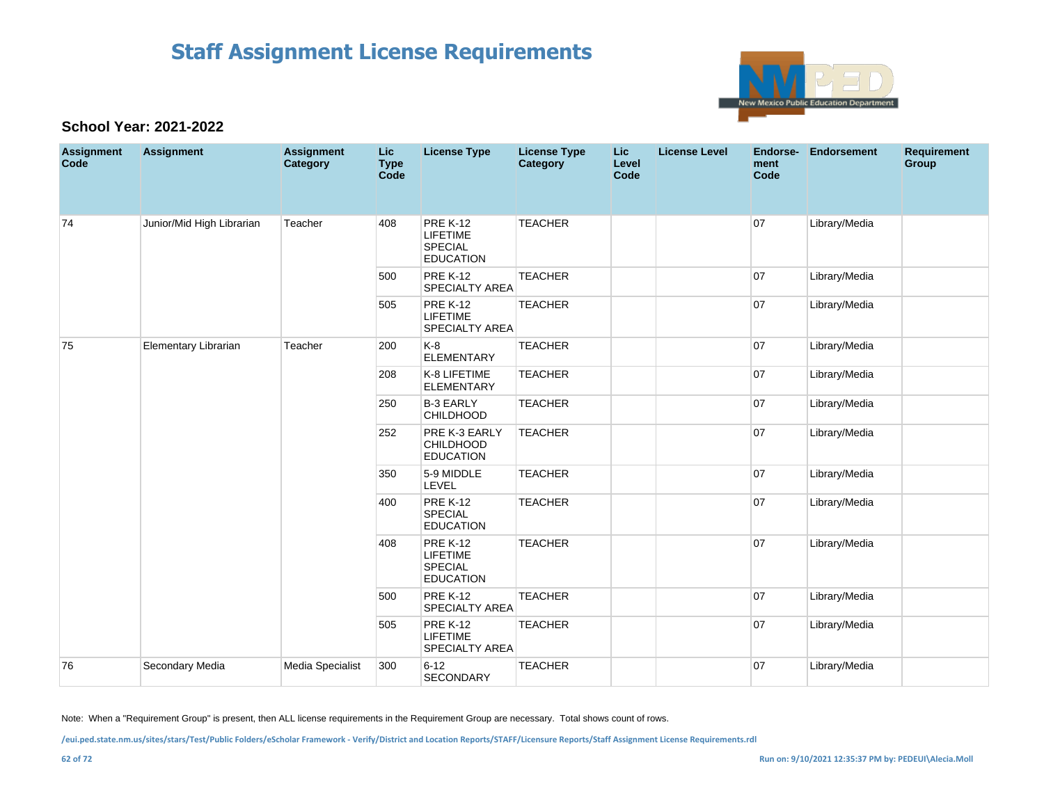

### **School Year: 2021-2022**

| <b>Assignment</b><br>Code | <b>Assignment</b>         | <b>Assignment</b><br>Category | <b>Lic</b><br><b>Type</b><br>Code | <b>License Type</b>                                                      | <b>License Type</b><br><b>Category</b> | <b>Lic</b><br>Level<br><b>Code</b> | <b>License Level</b> | Endorse-<br>ment<br>Code | <b>Endorsement</b> | <b>Requirement</b><br>Group |
|---------------------------|---------------------------|-------------------------------|-----------------------------------|--------------------------------------------------------------------------|----------------------------------------|------------------------------------|----------------------|--------------------------|--------------------|-----------------------------|
| 74                        | Junior/Mid High Librarian | Teacher                       | 408                               | <b>PRE K-12</b><br><b>LIFETIME</b><br>SPECIAL<br><b>EDUCATION</b>        | <b>TEACHER</b>                         |                                    |                      | 07                       | Library/Media      |                             |
|                           |                           |                               | 500                               | <b>PRE K-12</b><br>SPECIALTY AREA                                        | <b>TEACHER</b>                         |                                    |                      | 07                       | Library/Media      |                             |
|                           |                           |                               | 505                               | <b>PRE K-12</b><br><b>LIFETIME</b><br><b>SPECIALTY AREA</b>              | <b>TEACHER</b>                         |                                    |                      | 07                       | Library/Media      |                             |
| 75                        | Elementary Librarian      | Teacher                       | 200                               | K-8<br><b>ELEMENTARY</b>                                                 | <b>TEACHER</b>                         |                                    |                      | 07                       | Library/Media      |                             |
|                           |                           |                               | 208                               | K-8 LIFETIME<br><b>ELEMENTARY</b>                                        | <b>TEACHER</b>                         |                                    |                      | 07                       | Library/Media      |                             |
|                           |                           |                               | 250                               | <b>B-3 EARLY</b><br><b>CHILDHOOD</b>                                     | <b>TEACHER</b>                         |                                    |                      | 07                       | Library/Media      |                             |
|                           |                           |                               | 252                               | PRE K-3 EARLY<br>CHILDHOOD<br><b>EDUCATION</b>                           | <b>TEACHER</b>                         |                                    |                      | 07                       | Library/Media      |                             |
|                           |                           |                               | 350                               | 5-9 MIDDLE<br>LEVEL                                                      | <b>TEACHER</b>                         |                                    |                      | 07                       | Library/Media      |                             |
|                           |                           |                               | 400                               | <b>PRE K-12</b><br><b>SPECIAL</b><br><b>EDUCATION</b>                    | <b>TEACHER</b>                         |                                    |                      | 07                       | Library/Media      |                             |
|                           |                           |                               | 408                               | <b>PRE K-12</b><br><b>LIFETIME</b><br><b>SPECIAL</b><br><b>EDUCATION</b> | <b>TEACHER</b>                         |                                    |                      | 07                       | Library/Media      |                             |
|                           |                           |                               | 500                               | <b>PRE K-12</b><br><b>SPECIALTY AREA</b>                                 | <b>TEACHER</b>                         |                                    |                      | 07                       | Library/Media      |                             |
|                           |                           |                               | 505                               | <b>PRE K-12</b><br>LIFETIME<br><b>SPECIALTY AREA</b>                     | <b>TEACHER</b>                         |                                    |                      | 07                       | Library/Media      |                             |
| 76                        | Secondary Media           | Media Specialist              | 300                               | $6 - 12$<br><b>SECONDARY</b>                                             | <b>TEACHER</b>                         |                                    |                      | 07                       | Library/Media      |                             |

Note: When a "Requirement Group" is present, then ALL license requirements in the Requirement Group are necessary. Total shows count of rows.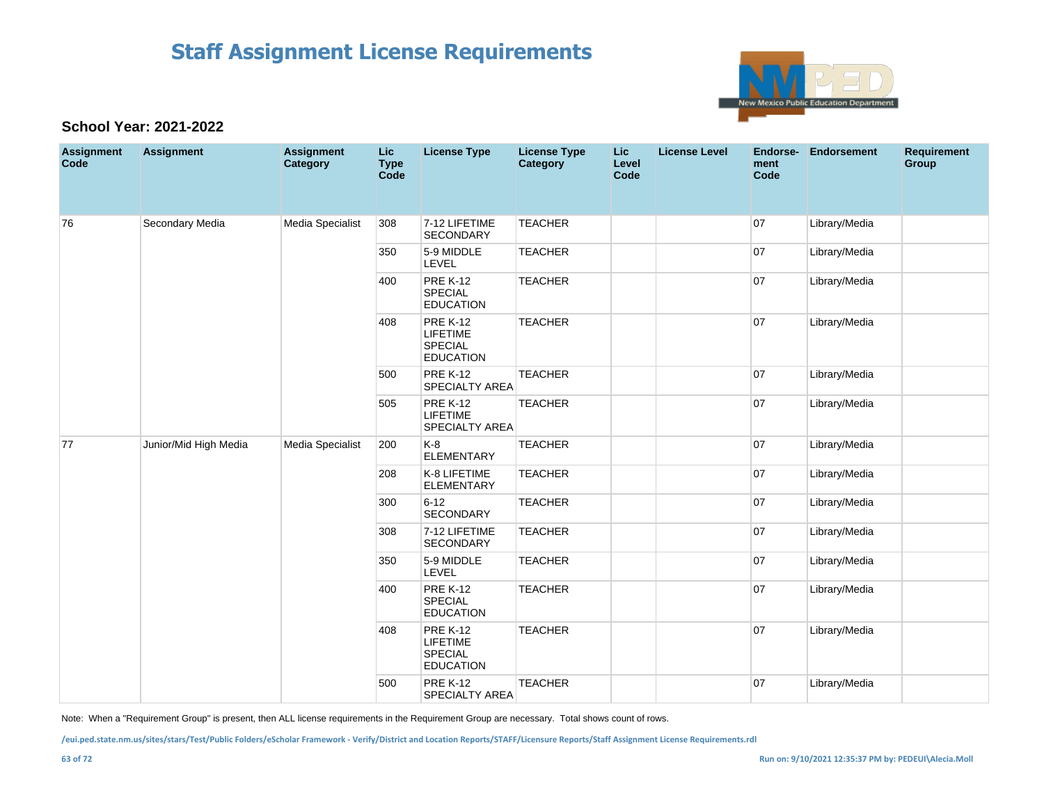

#### **School Year: 2021-2022**

| <b>Assignment</b><br>Code | <b>Assignment</b>     | <b>Assignment</b><br>Category | <b>Lic</b><br><b>Type</b><br><b>Code</b> | <b>License Type</b>                                                      | <b>License Type</b><br>Category | <b>Lic</b><br>Level<br>Code | <b>License Level</b> | Endorse-<br>ment<br>Code | <b>Endorsement</b> | <b>Requirement</b><br>Group |
|---------------------------|-----------------------|-------------------------------|------------------------------------------|--------------------------------------------------------------------------|---------------------------------|-----------------------------|----------------------|--------------------------|--------------------|-----------------------------|
| 76                        | Secondary Media       | Media Specialist              | 308                                      | 7-12 LIFETIME<br><b>SECONDARY</b>                                        | <b>TEACHER</b>                  |                             |                      | 07                       | Library/Media      |                             |
|                           |                       |                               | 350                                      | 5-9 MIDDLE<br>LEVEL                                                      | <b>TEACHER</b>                  |                             |                      | 07                       | Library/Media      |                             |
|                           |                       |                               | 400                                      | <b>PRE K-12</b><br>SPECIAL<br><b>EDUCATION</b>                           | <b>TEACHER</b>                  |                             |                      | 07                       | Library/Media      |                             |
|                           |                       |                               | 408                                      | <b>PRE K-12</b><br>LIFETIME<br><b>SPECIAL</b><br><b>EDUCATION</b>        | <b>TEACHER</b>                  |                             |                      | 07                       | Library/Media      |                             |
|                           |                       |                               | 500                                      | <b>PRE K-12</b><br><b>SPECIALTY AREA</b>                                 | <b>TEACHER</b>                  |                             |                      | 07                       | Library/Media      |                             |
|                           |                       |                               | 505                                      | <b>PRE K-12</b><br><b>LIFETIME</b><br><b>SPECIALTY AREA</b>              | <b>TEACHER</b>                  |                             |                      | 07                       | Library/Media      |                             |
| 77                        | Junior/Mid High Media | Media Specialist              | 200                                      | $K-8$<br><b>ELEMENTARY</b>                                               | <b>TEACHER</b>                  |                             |                      | 07                       | Library/Media      |                             |
|                           |                       |                               | 208                                      | K-8 LIFETIME<br><b>ELEMENTARY</b>                                        | <b>TEACHER</b>                  |                             |                      | 07                       | Library/Media      |                             |
|                           |                       |                               | 300                                      | $6 - 12$<br><b>SECONDARY</b>                                             | <b>TEACHER</b>                  |                             |                      | 07                       | Library/Media      |                             |
|                           |                       |                               | 308                                      | 7-12 LIFETIME<br><b>SECONDARY</b>                                        | <b>TEACHER</b>                  |                             |                      | 07                       | Library/Media      |                             |
|                           |                       |                               | 350                                      | 5-9 MIDDLE<br>LEVEL                                                      | <b>TEACHER</b>                  |                             |                      | 07                       | Library/Media      |                             |
|                           |                       |                               | 400                                      | <b>PRE K-12</b><br><b>SPECIAL</b><br><b>EDUCATION</b>                    | <b>TEACHER</b>                  |                             |                      | 07                       | Library/Media      |                             |
|                           |                       |                               | 408                                      | <b>PRE K-12</b><br><b>LIFETIME</b><br><b>SPECIAL</b><br><b>EDUCATION</b> | <b>TEACHER</b>                  |                             |                      | 07                       | Library/Media      |                             |
|                           |                       |                               | 500                                      | <b>PRE K-12</b><br><b>SPECIALTY AREA</b>                                 | <b>TEACHER</b>                  |                             |                      | 07                       | Library/Media      |                             |

Note: When a "Requirement Group" is present, then ALL license requirements in the Requirement Group are necessary. Total shows count of rows.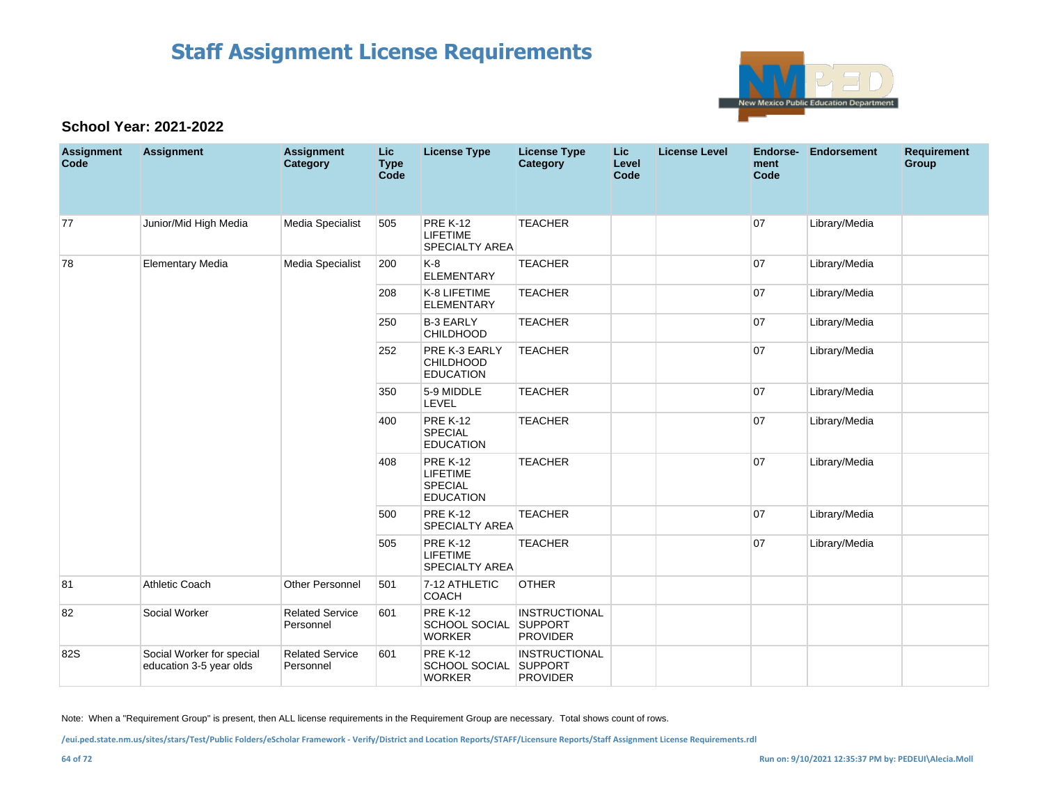

### **School Year: 2021-2022**

| <b>Assignment</b><br>Code | <b>Assignment</b>                                    | <b>Assignment</b><br>Category       | Lic<br><b>Type</b><br>Code | <b>License Type</b>                                                      | <b>License Type</b><br>Category                           | <b>Lic</b><br>Level<br>Code | <b>License Level</b> | Endorse-<br>ment<br>Code | Endorsement   | <b>Requirement</b><br><b>Group</b> |
|---------------------------|------------------------------------------------------|-------------------------------------|----------------------------|--------------------------------------------------------------------------|-----------------------------------------------------------|-----------------------------|----------------------|--------------------------|---------------|------------------------------------|
| 77                        | Junior/Mid High Media                                | Media Specialist                    | 505                        | <b>PRE K-12</b><br><b>LIFETIME</b><br><b>SPECIALTY AREA</b>              | <b>TEACHER</b>                                            |                             |                      | 07                       | Library/Media |                                    |
| 78                        | <b>Elementary Media</b>                              | Media Specialist                    | 200                        | $K-8$<br><b>ELEMENTARY</b>                                               | <b>TEACHER</b>                                            |                             |                      | 07                       | Library/Media |                                    |
|                           |                                                      |                                     | 208                        | K-8 LIFETIME<br><b>ELEMENTARY</b>                                        | <b>TEACHER</b>                                            |                             |                      | 07                       | Library/Media |                                    |
|                           |                                                      |                                     | 250                        | <b>B-3 EARLY</b><br><b>CHILDHOOD</b>                                     | <b>TEACHER</b>                                            |                             |                      | 07                       | Library/Media |                                    |
|                           |                                                      |                                     | 252                        | PRE K-3 EARLY<br><b>CHILDHOOD</b><br><b>EDUCATION</b>                    | <b>TEACHER</b>                                            |                             |                      | 07                       | Library/Media |                                    |
|                           |                                                      |                                     | 350                        | 5-9 MIDDLE<br>LEVEL                                                      | <b>TEACHER</b>                                            |                             |                      | 07                       | Library/Media |                                    |
|                           |                                                      |                                     | 400                        | <b>PRE K-12</b><br><b>SPECIAL</b><br><b>EDUCATION</b>                    | <b>TEACHER</b>                                            |                             |                      | 07                       | Library/Media |                                    |
|                           |                                                      |                                     | 408                        | <b>PRE K-12</b><br><b>LIFETIME</b><br><b>SPECIAL</b><br><b>EDUCATION</b> | <b>TEACHER</b>                                            |                             |                      | 07                       | Library/Media |                                    |
|                           |                                                      |                                     | 500                        | <b>PRE K-12</b><br><b>SPECIALTY AREA</b>                                 | <b>TEACHER</b>                                            |                             |                      | 07                       | Library/Media |                                    |
|                           |                                                      |                                     | 505                        | <b>PRE K-12</b><br><b>LIFETIME</b><br><b>SPECIALTY AREA</b>              | <b>TEACHER</b>                                            |                             |                      | 07                       | Library/Media |                                    |
| 81                        | Athletic Coach                                       | Other Personnel                     | 501                        | 7-12 ATHLETIC<br><b>COACH</b>                                            | <b>OTHER</b>                                              |                             |                      |                          |               |                                    |
| 82                        | Social Worker                                        | <b>Related Service</b><br>Personnel | 601                        | <b>PRE K-12</b><br>SCHOOL SOCIAL<br><b>WORKER</b>                        | <b>INSTRUCTIONAL</b><br><b>SUPPORT</b><br><b>PROVIDER</b> |                             |                      |                          |               |                                    |
| 82S                       | Social Worker for special<br>education 3-5 year olds | <b>Related Service</b><br>Personnel | 601                        | <b>PRE K-12</b><br>SCHOOL SOCIAL SUPPORT<br><b>WORKER</b>                | INSTRUCTIONAL<br><b>PROVIDER</b>                          |                             |                      |                          |               |                                    |

Note: When a "Requirement Group" is present, then ALL license requirements in the Requirement Group are necessary. Total shows count of rows.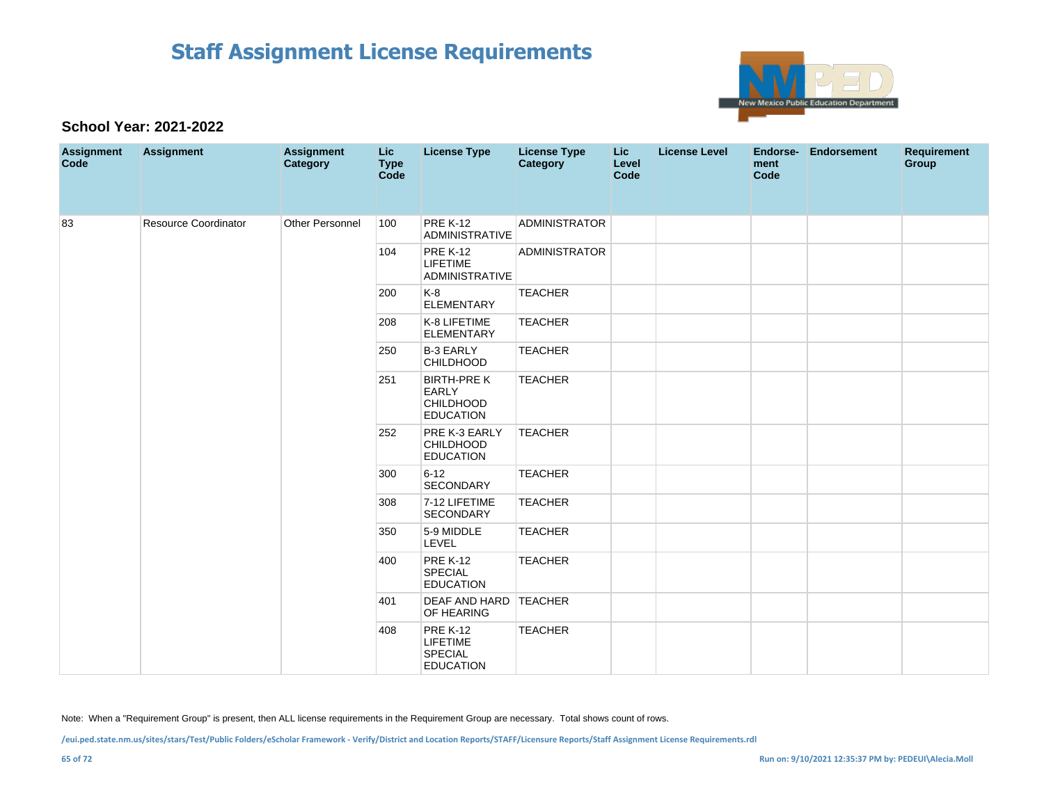

#### **School Year: 2021-2022**

| <b>Assignment</b><br>Code | <b>Assignment</b>           | <b>Assignment</b><br><b>Category</b> | Lic<br><b>Type</b><br>Code | <b>License Type</b>                                                | <b>License Type</b><br><b>Category</b> | Lic<br>Level<br>Code | <b>License Level</b> | Endorse-<br>ment<br>Code | <b>Endorsement</b> | Requirement<br>Group |
|---------------------------|-----------------------------|--------------------------------------|----------------------------|--------------------------------------------------------------------|----------------------------------------|----------------------|----------------------|--------------------------|--------------------|----------------------|
| 83                        | <b>Resource Coordinator</b> | Other Personnel                      | 100                        | <b>PRE K-12</b><br>ADMINISTRATIVE                                  | <b>ADMINISTRATOR</b>                   |                      |                      |                          |                    |                      |
|                           |                             |                                      | 104                        | <b>PRE K-12</b><br><b>LIFETIME</b><br><b>ADMINISTRATIVE</b>        | <b>ADMINISTRATOR</b>                   |                      |                      |                          |                    |                      |
|                           |                             |                                      | 200                        | $K-8$<br><b>ELEMENTARY</b>                                         | <b>TEACHER</b>                         |                      |                      |                          |                    |                      |
|                           |                             |                                      | 208                        | K-8 LIFETIME<br><b>ELEMENTARY</b>                                  | <b>TEACHER</b>                         |                      |                      |                          |                    |                      |
|                           |                             |                                      | 250                        | <b>B-3 EARLY</b><br><b>CHILDHOOD</b>                               | <b>TEACHER</b>                         |                      |                      |                          |                    |                      |
|                           |                             |                                      | 251                        | <b>BIRTH-PREK</b><br>EARLY<br><b>CHILDHOOD</b><br><b>EDUCATION</b> | <b>TEACHER</b>                         |                      |                      |                          |                    |                      |
|                           |                             |                                      | 252                        | PRE K-3 EARLY<br>CHILDHOOD<br><b>EDUCATION</b>                     | <b>TEACHER</b>                         |                      |                      |                          |                    |                      |
|                           |                             |                                      | 300                        | $6 - 12$<br><b>SECONDARY</b>                                       | <b>TEACHER</b>                         |                      |                      |                          |                    |                      |
|                           |                             |                                      | 308                        | 7-12 LIFETIME<br><b>SECONDARY</b>                                  | <b>TEACHER</b>                         |                      |                      |                          |                    |                      |
|                           |                             |                                      | 350                        | 5-9 MIDDLE<br>LEVEL                                                | <b>TEACHER</b>                         |                      |                      |                          |                    |                      |
|                           |                             |                                      | 400                        | <b>PRE K-12</b><br><b>SPECIAL</b><br><b>EDUCATION</b>              | <b>TEACHER</b>                         |                      |                      |                          |                    |                      |
|                           |                             |                                      | 401                        | DEAF AND HARD TEACHER<br>OF HEARING                                |                                        |                      |                      |                          |                    |                      |
|                           |                             |                                      | 408                        | <b>PRE K-12</b><br>LIFETIME<br>SPECIAL<br><b>EDUCATION</b>         | <b>TEACHER</b>                         |                      |                      |                          |                    |                      |

Note: When a "Requirement Group" is present, then ALL license requirements in the Requirement Group are necessary. Total shows count of rows.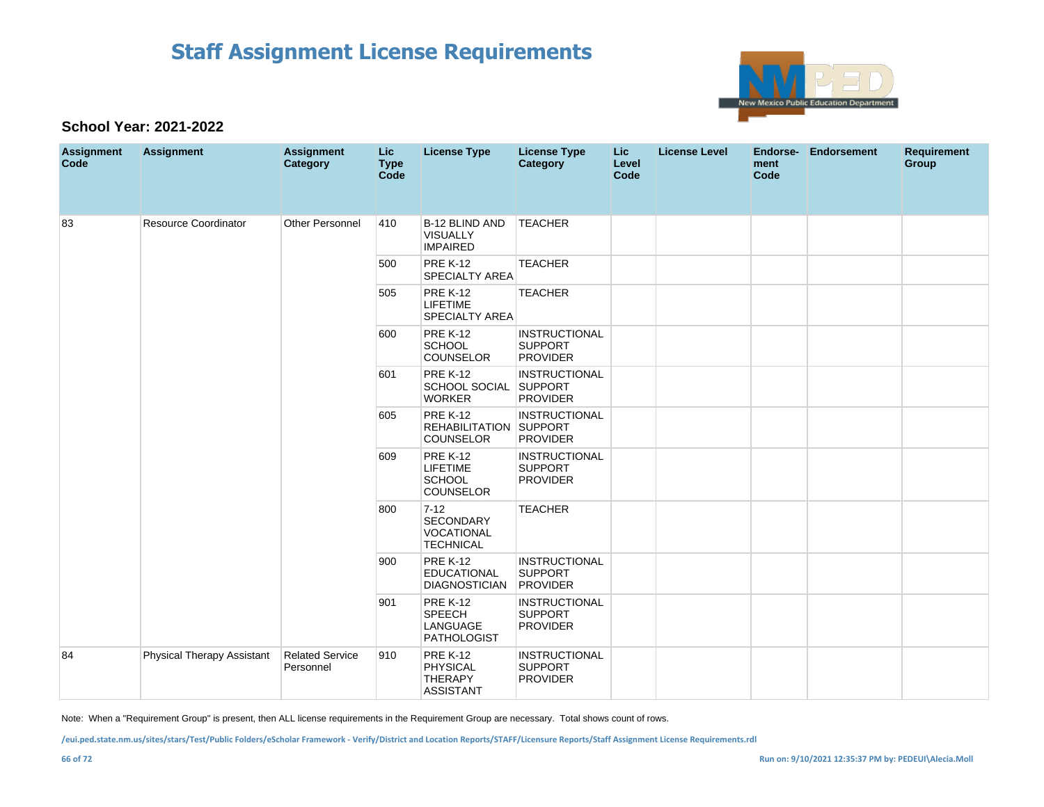

#### **School Year: 2021-2022**

| <b>Assignment</b><br>Code | <b>Assignment</b>          | <b>Assignment</b><br>Category       | Lic<br><b>Type</b><br>Code | <b>License Type</b>                                                | <b>License Type</b><br><b>Category</b>                    | <b>Lic</b><br>Level<br>Code | <b>License Level</b> | Endorse-<br>ment<br>Code | <b>Endorsement</b> | <b>Requirement</b><br>Group |
|---------------------------|----------------------------|-------------------------------------|----------------------------|--------------------------------------------------------------------|-----------------------------------------------------------|-----------------------------|----------------------|--------------------------|--------------------|-----------------------------|
| 83                        | Resource Coordinator       | Other Personnel                     | 410                        | B-12 BLIND AND<br><b>VISUALLY</b><br><b>IMPAIRED</b>               | <b>TEACHER</b>                                            |                             |                      |                          |                    |                             |
|                           |                            |                                     | 500                        | <b>PRE K-12</b><br><b>SPECIALTY AREA</b>                           | <b>TEACHER</b>                                            |                             |                      |                          |                    |                             |
|                           |                            |                                     | 505                        | <b>PRE K-12</b><br><b>LIFETIME</b><br><b>SPECIALTY AREA</b>        | <b>TEACHER</b>                                            |                             |                      |                          |                    |                             |
|                           |                            |                                     | 600                        | <b>PRE K-12</b><br><b>SCHOOL</b><br>COUNSELOR                      | <b>INSTRUCTIONAL</b><br><b>SUPPORT</b><br><b>PROVIDER</b> |                             |                      |                          |                    |                             |
|                           |                            |                                     | 601                        | <b>PRE K-12</b><br>SCHOOL SOCIAL SUPPORT<br><b>WORKER</b>          | <b>INSTRUCTIONAL</b><br><b>PROVIDER</b>                   |                             |                      |                          |                    |                             |
|                           |                            |                                     | 605                        | <b>PRE K-12</b><br>REHABILITATION SUPPORT<br><b>COUNSELOR</b>      | <b>INSTRUCTIONAL</b><br><b>PROVIDER</b>                   |                             |                      |                          |                    |                             |
|                           |                            |                                     | 609                        | <b>PRE K-12</b><br><b>LIFETIME</b><br><b>SCHOOL</b><br>COUNSELOR   | <b>INSTRUCTIONAL</b><br><b>SUPPORT</b><br><b>PROVIDER</b> |                             |                      |                          |                    |                             |
|                           |                            |                                     | 800                        | $7 - 12$<br>SECONDARY<br><b>VOCATIONAL</b><br><b>TECHNICAL</b>     | <b>TEACHER</b>                                            |                             |                      |                          |                    |                             |
|                           |                            |                                     | 900                        | <b>PRE K-12</b><br><b>EDUCATIONAL</b><br><b>DIAGNOSTICIAN</b>      | <b>INSTRUCTIONAL</b><br><b>SUPPORT</b><br>PROVIDER        |                             |                      |                          |                    |                             |
|                           |                            |                                     | 901                        | <b>PRE K-12</b><br><b>SPEECH</b><br>LANGUAGE<br><b>PATHOLOGIST</b> | <b>INSTRUCTIONAL</b><br><b>SUPPORT</b><br><b>PROVIDER</b> |                             |                      |                          |                    |                             |
| 84                        | Physical Therapy Assistant | <b>Related Service</b><br>Personnel | 910                        | <b>PRE K-12</b><br><b>PHYSICAL</b><br>THERAPY<br><b>ASSISTANT</b>  | <b>INSTRUCTIONAL</b><br><b>SUPPORT</b><br><b>PROVIDER</b> |                             |                      |                          |                    |                             |

Note: When a "Requirement Group" is present, then ALL license requirements in the Requirement Group are necessary. Total shows count of rows.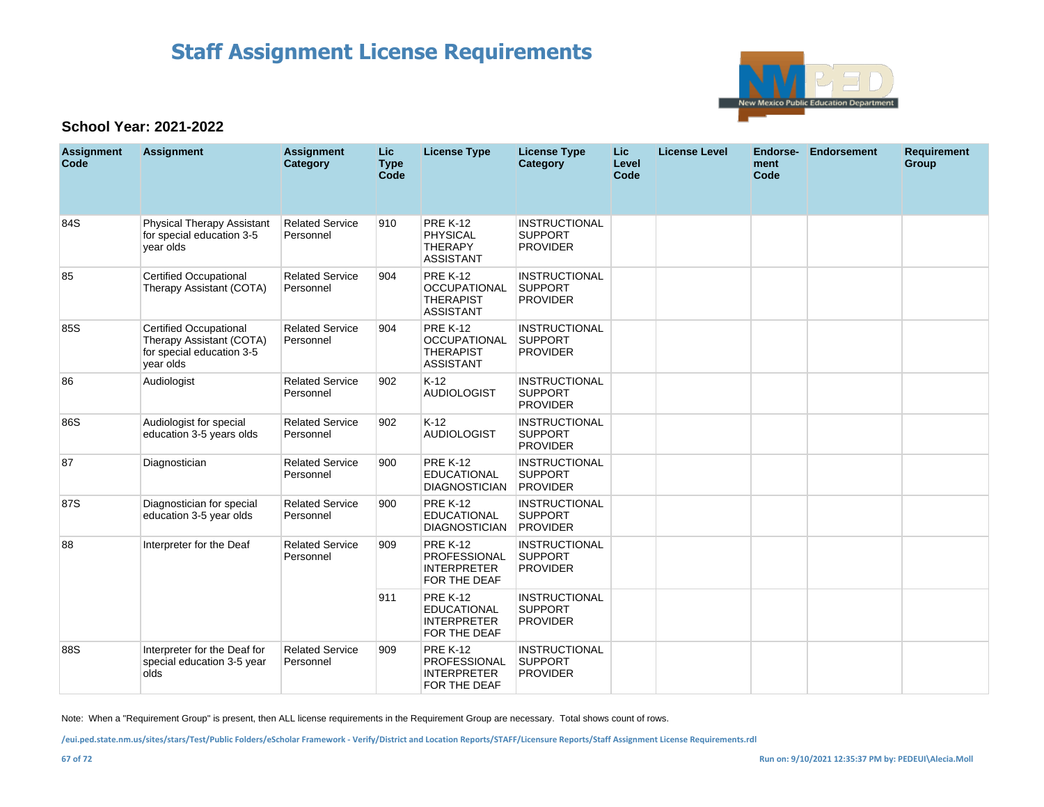

### **School Year: 2021-2022**

| <b>Assignment</b><br>Code | <b>Assignment</b>                                                                            | <b>Assignment</b><br>Category       | <b>Lic</b><br><b>Type</b><br>Code | <b>License Type</b>                                                            | <b>License Type</b><br>Category                           | Lic<br>Level<br>Code | <b>License Level</b> | <b>Endorse-</b><br>ment<br>Code | <b>Endorsement</b> | <b>Requirement</b><br>Group |
|---------------------------|----------------------------------------------------------------------------------------------|-------------------------------------|-----------------------------------|--------------------------------------------------------------------------------|-----------------------------------------------------------|----------------------|----------------------|---------------------------------|--------------------|-----------------------------|
| 84S                       | Physical Therapy Assistant<br>for special education 3-5<br>vear olds                         | <b>Related Service</b><br>Personnel | 910                               | <b>PRE K-12</b><br><b>PHYSICAL</b><br><b>THERAPY</b><br><b>ASSISTANT</b>       | <b>INSTRUCTIONAL</b><br><b>SUPPORT</b><br><b>PROVIDER</b> |                      |                      |                                 |                    |                             |
| 85                        | <b>Certified Occupational</b><br>Therapy Assistant (COTA)                                    | <b>Related Service</b><br>Personnel | 904                               | <b>PRE K-12</b><br><b>OCCUPATIONAL</b><br><b>THERAPIST</b><br><b>ASSISTANT</b> | <b>INSTRUCTIONAL</b><br><b>SUPPORT</b><br><b>PROVIDER</b> |                      |                      |                                 |                    |                             |
| 85S                       | Certified Occupational<br>Therapy Assistant (COTA)<br>for special education 3-5<br>year olds | <b>Related Service</b><br>Personnel | 904                               | <b>PRE K-12</b><br><b>OCCUPATIONAL</b><br><b>THERAPIST</b><br><b>ASSISTANT</b> | <b>INSTRUCTIONAL</b><br><b>SUPPORT</b><br><b>PROVIDER</b> |                      |                      |                                 |                    |                             |
| 86                        | Audiologist                                                                                  | <b>Related Service</b><br>Personnel | 902                               | $K-12$<br><b>AUDIOLOGIST</b>                                                   | <b>INSTRUCTIONAL</b><br><b>SUPPORT</b><br><b>PROVIDER</b> |                      |                      |                                 |                    |                             |
| 86S                       | Audiologist for special<br>education 3-5 years olds                                          | <b>Related Service</b><br>Personnel | 902                               | $K-12$<br><b>AUDIOLOGIST</b>                                                   | <b>INSTRUCTIONAL</b><br><b>SUPPORT</b><br><b>PROVIDER</b> |                      |                      |                                 |                    |                             |
| 87                        | Diagnostician                                                                                | <b>Related Service</b><br>Personnel | 900                               | <b>PRE K-12</b><br><b>EDUCATIONAL</b><br><b>DIAGNOSTICIAN</b>                  | <b>INSTRUCTIONAL</b><br><b>SUPPORT</b><br>PROVIDER        |                      |                      |                                 |                    |                             |
| 87S                       | Diagnostician for special<br>education 3-5 year olds                                         | <b>Related Service</b><br>Personnel | 900                               | <b>PRE K-12</b><br><b>EDUCATIONAL</b><br><b>DIAGNOSTICIAN</b>                  | <b>INSTRUCTIONAL</b><br><b>SUPPORT</b><br><b>PROVIDER</b> |                      |                      |                                 |                    |                             |
| 88                        | Interpreter for the Deaf                                                                     | <b>Related Service</b><br>Personnel | 909                               | <b>PRE K-12</b><br>PROFESSIONAL<br><b>INTERPRETER</b><br>FOR THE DEAF          | <b>INSTRUCTIONAL</b><br><b>SUPPORT</b><br><b>PROVIDER</b> |                      |                      |                                 |                    |                             |
|                           |                                                                                              |                                     | 911                               | <b>PRE K-12</b><br><b>EDUCATIONAL</b><br><b>INTERPRETER</b><br>FOR THE DEAF    | <b>INSTRUCTIONAL</b><br><b>SUPPORT</b><br><b>PROVIDER</b> |                      |                      |                                 |                    |                             |
| 88S                       | Interpreter for the Deaf for<br>special education 3-5 year<br>olds                           | <b>Related Service</b><br>Personnel | 909                               | <b>PRE K-12</b><br>PROFESSIONAL<br><b>INTERPRETER</b><br>FOR THE DEAF          | <b>INSTRUCTIONAL</b><br>SUPPORT<br><b>PROVIDER</b>        |                      |                      |                                 |                    |                             |

Note: When a "Requirement Group" is present, then ALL license requirements in the Requirement Group are necessary. Total shows count of rows.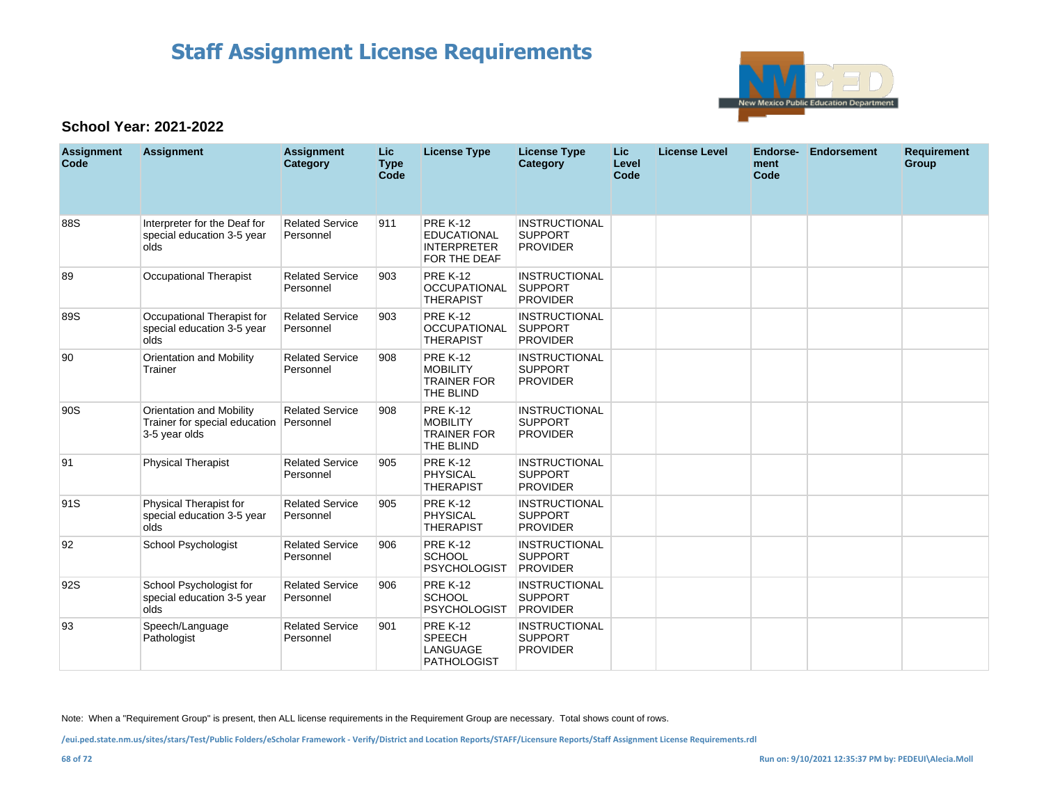

### **School Year: 2021-2022**

| <b>Assignment</b><br>Code | <b>Assignment</b>                                                          | <b>Assignment</b><br>Category       | Lic<br><b>Type</b><br>Code | <b>License Type</b>                                                         | <b>License Type</b><br>Category                           | <b>Lic</b><br>Level<br>Code | <b>License Level</b> | Endorse-<br>ment<br>Code | <b>Endorsement</b> | <b>Requirement</b><br><b>Group</b> |
|---------------------------|----------------------------------------------------------------------------|-------------------------------------|----------------------------|-----------------------------------------------------------------------------|-----------------------------------------------------------|-----------------------------|----------------------|--------------------------|--------------------|------------------------------------|
| 88S                       | Interpreter for the Deaf for<br>special education 3-5 year<br>olds         | <b>Related Service</b><br>Personnel | 911                        | <b>PRE K-12</b><br><b>EDUCATIONAL</b><br><b>INTERPRETER</b><br>FOR THE DEAF | <b>INSTRUCTIONAL</b><br><b>SUPPORT</b><br><b>PROVIDER</b> |                             |                      |                          |                    |                                    |
| 89                        | <b>Occupational Therapist</b>                                              | <b>Related Service</b><br>Personnel | 903                        | <b>PRE K-12</b><br><b>OCCUPATIONAL</b><br><b>THERAPIST</b>                  | <b>INSTRUCTIONAL</b><br><b>SUPPORT</b><br><b>PROVIDER</b> |                             |                      |                          |                    |                                    |
| 89S                       | Occupational Therapist for<br>special education 3-5 year<br>olds           | <b>Related Service</b><br>Personnel | 903                        | <b>PRE K-12</b><br><b>OCCUPATIONAL</b><br><b>THERAPIST</b>                  | <b>INSTRUCTIONAL</b><br><b>SUPPORT</b><br><b>PROVIDER</b> |                             |                      |                          |                    |                                    |
| 90                        | Orientation and Mobility<br>Trainer                                        | <b>Related Service</b><br>Personnel | 908                        | <b>PRE K-12</b><br><b>MOBILITY</b><br><b>TRAINER FOR</b><br>THE BLIND       | <b>INSTRUCTIONAL</b><br><b>SUPPORT</b><br><b>PROVIDER</b> |                             |                      |                          |                    |                                    |
| 90S                       | Orientation and Mobility<br>Trainer for special education<br>3-5 year olds | <b>Related Service</b><br>Personnel | 908                        | <b>PRE K-12</b><br><b>MOBILITY</b><br><b>TRAINER FOR</b><br>THE BLIND       | <b>INSTRUCTIONAL</b><br><b>SUPPORT</b><br><b>PROVIDER</b> |                             |                      |                          |                    |                                    |
| 91                        | <b>Physical Therapist</b>                                                  | <b>Related Service</b><br>Personnel | 905                        | <b>PRE K-12</b><br><b>PHYSICAL</b><br><b>THERAPIST</b>                      | <b>INSTRUCTIONAL</b><br><b>SUPPORT</b><br><b>PROVIDER</b> |                             |                      |                          |                    |                                    |
| 91S                       | Physical Therapist for<br>special education 3-5 year<br>olds               | <b>Related Service</b><br>Personnel | 905                        | <b>PRE K-12</b><br><b>PHYSICAL</b><br><b>THERAPIST</b>                      | <b>INSTRUCTIONAL</b><br><b>SUPPORT</b><br><b>PROVIDER</b> |                             |                      |                          |                    |                                    |
| 92                        | School Psychologist                                                        | <b>Related Service</b><br>Personnel | 906                        | <b>PRE K-12</b><br><b>SCHOOL</b><br><b>PSYCHOLOGIST</b>                     | <b>INSTRUCTIONAL</b><br><b>SUPPORT</b><br><b>PROVIDER</b> |                             |                      |                          |                    |                                    |
| 92S                       | School Psychologist for<br>special education 3-5 year<br>olds              | <b>Related Service</b><br>Personnel | 906                        | <b>PRE K-12</b><br><b>SCHOOL</b><br><b>PSYCHOLOGIST</b>                     | <b>INSTRUCTIONAL</b><br><b>SUPPORT</b><br><b>PROVIDER</b> |                             |                      |                          |                    |                                    |
| 93                        | Speech/Language<br>Pathologist                                             | <b>Related Service</b><br>Personnel | 901                        | <b>PRE K-12</b><br><b>SPEECH</b><br>LANGUAGE<br><b>PATHOLOGIST</b>          | <b>INSTRUCTIONAL</b><br><b>SUPPORT</b><br><b>PROVIDER</b> |                             |                      |                          |                    |                                    |

Note: When a "Requirement Group" is present, then ALL license requirements in the Requirement Group are necessary. Total shows count of rows.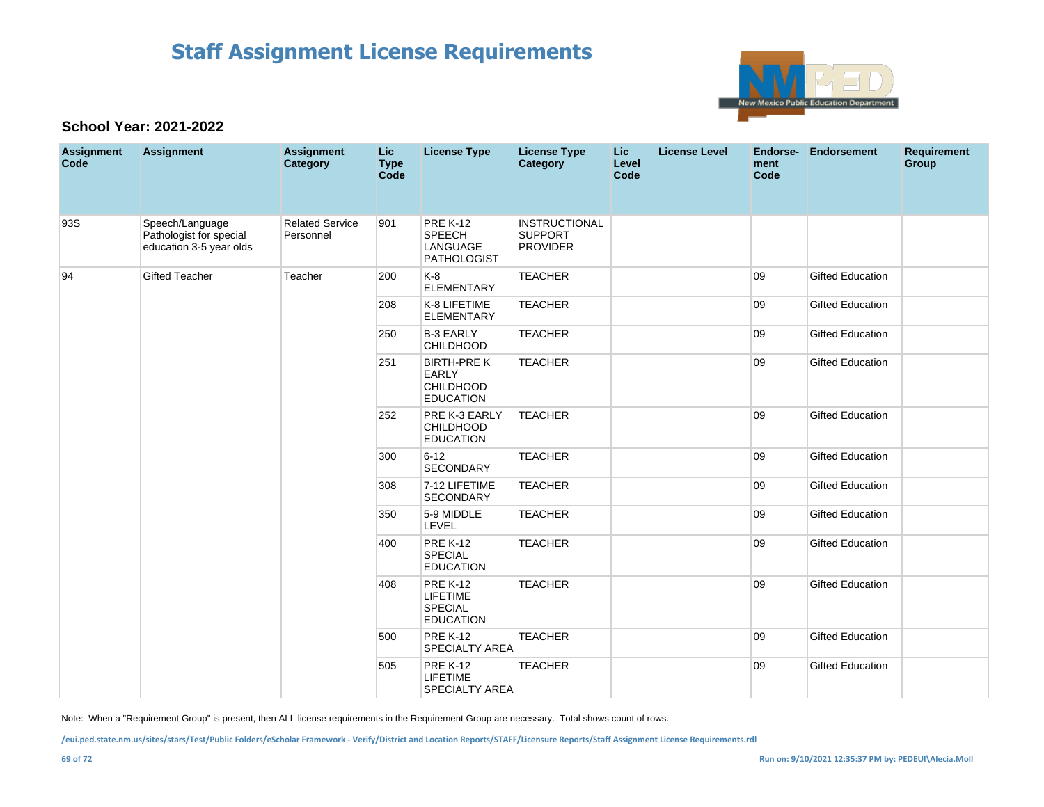

### **School Year: 2021-2022**

| <b>Assignment</b><br>Code | <b>Assignment</b>                                                     | <b>Assignment</b><br>Category       | <b>Lic</b><br><b>Type</b><br><b>Code</b> | <b>License Type</b>                                                        | <b>License Type</b><br><b>Category</b>                    | <b>Lic</b><br>Level<br>Code | <b>License Level</b> | ment<br>Code | Endorse- Endorsement    | <b>Requirement</b><br>Group |
|---------------------------|-----------------------------------------------------------------------|-------------------------------------|------------------------------------------|----------------------------------------------------------------------------|-----------------------------------------------------------|-----------------------------|----------------------|--------------|-------------------------|-----------------------------|
| 93S                       | Speech/Language<br>Pathologist for special<br>education 3-5 year olds | <b>Related Service</b><br>Personnel | 901                                      | <b>PRE K-12</b><br>SPEECH<br>LANGUAGE<br><b>PATHOLOGIST</b>                | <b>INSTRUCTIONAL</b><br><b>SUPPORT</b><br><b>PROVIDER</b> |                             |                      |              |                         |                             |
| 94                        | <b>Gifted Teacher</b>                                                 | Teacher                             | 200                                      | K-8<br><b>ELEMENTARY</b>                                                   | <b>TEACHER</b>                                            |                             |                      | 09           | <b>Gifted Education</b> |                             |
|                           |                                                                       |                                     | 208                                      | K-8 LIFETIME<br><b>ELEMENTARY</b>                                          | <b>TEACHER</b>                                            |                             |                      | 09           | <b>Gifted Education</b> |                             |
|                           |                                                                       |                                     | 250                                      | <b>B-3 EARLY</b><br><b>CHILDHOOD</b>                                       | <b>TEACHER</b>                                            |                             |                      | 09           | <b>Gifted Education</b> |                             |
|                           |                                                                       |                                     | 251                                      | <b>BIRTH-PRE K</b><br><b>EARLY</b><br><b>CHILDHOOD</b><br><b>EDUCATION</b> | <b>TEACHER</b>                                            |                             |                      | 09           | <b>Gifted Education</b> |                             |
|                           |                                                                       |                                     | 252                                      | PRE K-3 EARLY<br><b>CHILDHOOD</b><br><b>EDUCATION</b>                      | <b>TEACHER</b>                                            |                             |                      | 09           | <b>Gifted Education</b> |                             |
|                           |                                                                       |                                     | 300                                      | $6 - 12$<br>SECONDARY                                                      | <b>TEACHER</b>                                            |                             |                      | 09           | <b>Gifted Education</b> |                             |
|                           |                                                                       |                                     | 308                                      | 7-12 LIFETIME<br><b>SECONDARY</b>                                          | <b>TEACHER</b>                                            |                             |                      | 09           | <b>Gifted Education</b> |                             |
|                           |                                                                       |                                     | 350                                      | 5-9 MIDDLE<br>LEVEL                                                        | <b>TEACHER</b>                                            |                             |                      | 09           | <b>Gifted Education</b> |                             |
|                           |                                                                       |                                     | 400                                      | <b>PRE K-12</b><br>SPECIAL<br><b>EDUCATION</b>                             | <b>TEACHER</b>                                            |                             |                      | 09           | <b>Gifted Education</b> |                             |
|                           |                                                                       |                                     | 408                                      | <b>PRE K-12</b><br><b>LIFETIME</b><br><b>SPECIAL</b><br><b>EDUCATION</b>   | <b>TEACHER</b>                                            |                             |                      | 09           | <b>Gifted Education</b> |                             |
|                           |                                                                       |                                     | 500                                      | <b>PRE K-12</b><br><b>SPECIALTY AREA</b>                                   | <b>TEACHER</b>                                            |                             |                      | 09           | <b>Gifted Education</b> |                             |
|                           |                                                                       |                                     | 505                                      | <b>PRE K-12</b><br><b>LIFETIME</b><br>SPECIALTY AREA                       | <b>TEACHER</b>                                            |                             |                      | 09           | <b>Gifted Education</b> |                             |

Note: When a "Requirement Group" is present, then ALL license requirements in the Requirement Group are necessary. Total shows count of rows.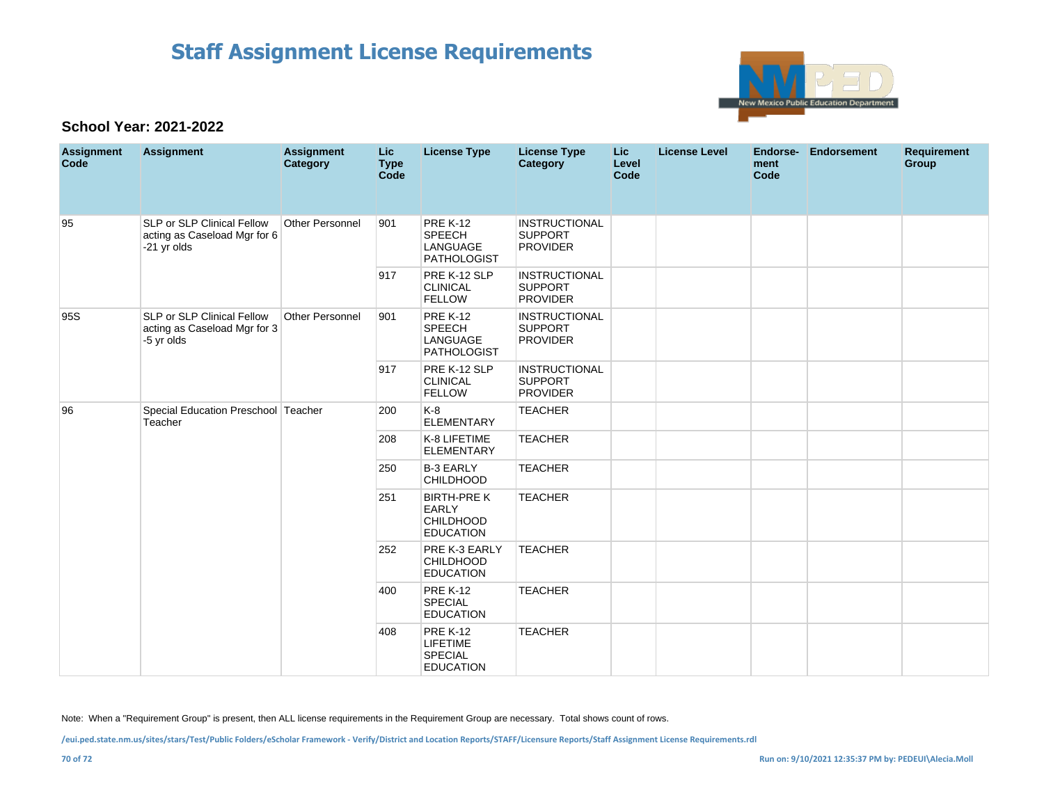

### **School Year: 2021-2022**

| <b>Assignment</b><br>Code | <b>Assignment</b>                                                               | <b>Assignment</b><br>Category | <b>Lic</b><br><b>Type</b><br>Code | <b>License Type</b>                                                        | <b>License Type</b><br><b>Category</b>                    | <b>Lic</b><br>Level<br>Code | <b>License Level</b> | Endorse-<br>ment<br>Code | <b>Endorsement</b> | <b>Requirement</b><br>Group |
|---------------------------|---------------------------------------------------------------------------------|-------------------------------|-----------------------------------|----------------------------------------------------------------------------|-----------------------------------------------------------|-----------------------------|----------------------|--------------------------|--------------------|-----------------------------|
| 95                        | SLP or SLP Clinical Fellow<br>acting as Caseload Mgr for 6<br>-21 yr olds       | Other Personnel               | 901                               | <b>PRE K-12</b><br><b>SPEECH</b><br>LANGUAGE<br><b>PATHOLOGIST</b>         | <b>INSTRUCTIONAL</b><br><b>SUPPORT</b><br><b>PROVIDER</b> |                             |                      |                          |                    |                             |
|                           |                                                                                 |                               | 917                               | PRE K-12 SLP<br><b>CLINICAL</b><br><b>FELLOW</b>                           | <b>INSTRUCTIONAL</b><br><b>SUPPORT</b><br><b>PROVIDER</b> |                             |                      |                          |                    |                             |
| 95S                       | <b>SLP or SLP Clinical Fellow</b><br>acting as Caseload Mgr for 3<br>-5 yr olds | Other Personnel               | 901                               | <b>PRE K-12</b><br><b>SPEECH</b><br>LANGUAGE<br><b>PATHOLOGIST</b>         | <b>INSTRUCTIONAL</b><br><b>SUPPORT</b><br><b>PROVIDER</b> |                             |                      |                          |                    |                             |
|                           |                                                                                 |                               | 917                               | PRE K-12 SLP<br><b>CLINICAL</b><br><b>FELLOW</b>                           | <b>INSTRUCTIONAL</b><br><b>SUPPORT</b><br><b>PROVIDER</b> |                             |                      |                          |                    |                             |
| 96                        | Special Education Preschool Teacher<br>Teacher                                  |                               | 200                               | $K-8$<br><b>ELEMENTARY</b>                                                 | <b>TEACHER</b>                                            |                             |                      |                          |                    |                             |
|                           |                                                                                 |                               | 208                               | K-8 LIFETIME<br><b>ELEMENTARY</b>                                          | <b>TEACHER</b>                                            |                             |                      |                          |                    |                             |
|                           |                                                                                 |                               | 250                               | <b>B-3 EARLY</b><br><b>CHILDHOOD</b>                                       | <b>TEACHER</b>                                            |                             |                      |                          |                    |                             |
|                           |                                                                                 |                               | 251                               | <b>BIRTH-PRE K</b><br><b>EARLY</b><br><b>CHILDHOOD</b><br><b>EDUCATION</b> | <b>TEACHER</b>                                            |                             |                      |                          |                    |                             |
|                           |                                                                                 |                               | 252                               | PRE K-3 EARLY<br>CHILDHOOD<br><b>EDUCATION</b>                             | <b>TEACHER</b>                                            |                             |                      |                          |                    |                             |
|                           |                                                                                 |                               | 400                               | <b>PRE K-12</b><br>SPECIAL<br><b>EDUCATION</b>                             | <b>TEACHER</b>                                            |                             |                      |                          |                    |                             |
|                           |                                                                                 |                               | 408                               | <b>PRE K-12</b><br><b>LIFETIME</b><br><b>SPECIAL</b><br><b>EDUCATION</b>   | <b>TEACHER</b>                                            |                             |                      |                          |                    |                             |

Note: When a "Requirement Group" is present, then ALL license requirements in the Requirement Group are necessary. Total shows count of rows.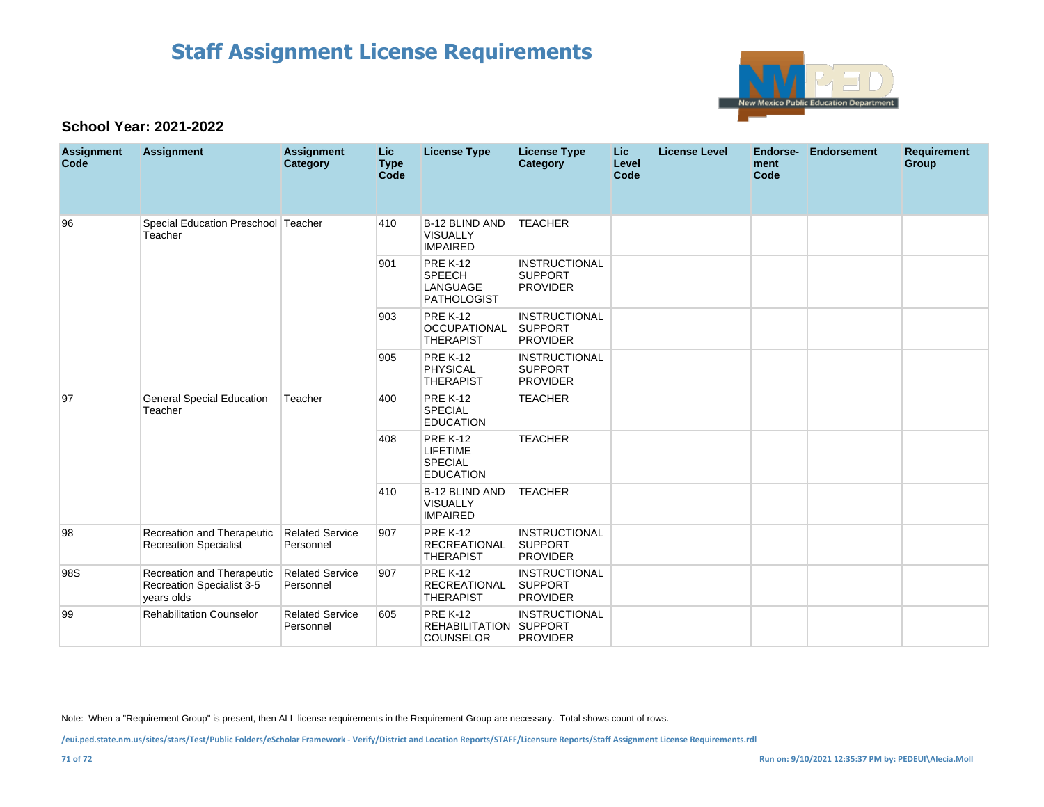

### **School Year: 2021-2022**

| <b>Assignment</b><br>Code | <b>Assignment</b>                                                     | <b>Assignment</b><br>Category       | Lic.<br><b>Type</b><br>Code | <b>License Type</b>                                                       | <b>License Type</b><br>Category                           | Lic<br>Level<br>Code | <b>License Level</b> | Endorse-<br>ment<br>Code | <b>Endorsement</b> | <b>Requirement</b><br>Group |
|---------------------------|-----------------------------------------------------------------------|-------------------------------------|-----------------------------|---------------------------------------------------------------------------|-----------------------------------------------------------|----------------------|----------------------|--------------------------|--------------------|-----------------------------|
| 96                        | Special Education Preschool<br>Teacher                                | Teacher                             | 410                         | B-12 BLIND AND<br><b>VISUALLY</b><br><b>IMPAIRED</b>                      | <b>TEACHER</b>                                            |                      |                      |                          |                    |                             |
|                           |                                                                       |                                     | 901                         | <b>PRE K-12</b><br><b>SPEECH</b><br><b>LANGUAGE</b><br><b>PATHOLOGIST</b> | <b>INSTRUCTIONAL</b><br><b>SUPPORT</b><br><b>PROVIDER</b> |                      |                      |                          |                    |                             |
|                           |                                                                       |                                     | 903                         | <b>PRE K-12</b><br><b>OCCUPATIONAL</b><br><b>THERAPIST</b>                | <b>INSTRUCTIONAL</b><br><b>SUPPORT</b><br><b>PROVIDER</b> |                      |                      |                          |                    |                             |
|                           |                                                                       |                                     | 905                         | <b>PRE K-12</b><br><b>PHYSICAL</b><br><b>THERAPIST</b>                    | <b>INSTRUCTIONAL</b><br><b>SUPPORT</b><br><b>PROVIDER</b> |                      |                      |                          |                    |                             |
| 97                        | <b>General Special Education</b><br>Teacher                           | Teacher                             | 400                         | <b>PRE K-12</b><br><b>SPECIAL</b><br><b>EDUCATION</b>                     | <b>TEACHER</b>                                            |                      |                      |                          |                    |                             |
|                           |                                                                       |                                     | 408                         | <b>PRE K-12</b><br><b>LIFETIME</b><br><b>SPECIAL</b><br><b>EDUCATION</b>  | <b>TEACHER</b>                                            |                      |                      |                          |                    |                             |
|                           |                                                                       |                                     | 410                         | <b>B-12 BLIND AND</b><br><b>VISUALLY</b><br><b>IMPAIRED</b>               | <b>TEACHER</b>                                            |                      |                      |                          |                    |                             |
| 98                        | Recreation and Therapeutic<br><b>Recreation Specialist</b>            | <b>Related Service</b><br>Personnel | 907                         | <b>PRE K-12</b><br><b>RECREATIONAL</b><br><b>THERAPIST</b>                | <b>INSTRUCTIONAL</b><br><b>SUPPORT</b><br><b>PROVIDER</b> |                      |                      |                          |                    |                             |
| 98S                       | Recreation and Therapeutic<br>Recreation Specialist 3-5<br>years olds | <b>Related Service</b><br>Personnel | 907                         | <b>PRE K-12</b><br><b>RECREATIONAL</b><br><b>THERAPIST</b>                | <b>INSTRUCTIONAL</b><br><b>SUPPORT</b><br><b>PROVIDER</b> |                      |                      |                          |                    |                             |
| 99                        | <b>Rehabilitation Counselor</b>                                       | <b>Related Service</b><br>Personnel | 605                         | <b>PRE K-12</b><br><b>REHABILITATION SUPPORT</b><br><b>COUNSELOR</b>      | <b>INSTRUCTIONAL</b><br><b>PROVIDER</b>                   |                      |                      |                          |                    |                             |

Note: When a "Requirement Group" is present, then ALL license requirements in the Requirement Group are necessary. Total shows count of rows.